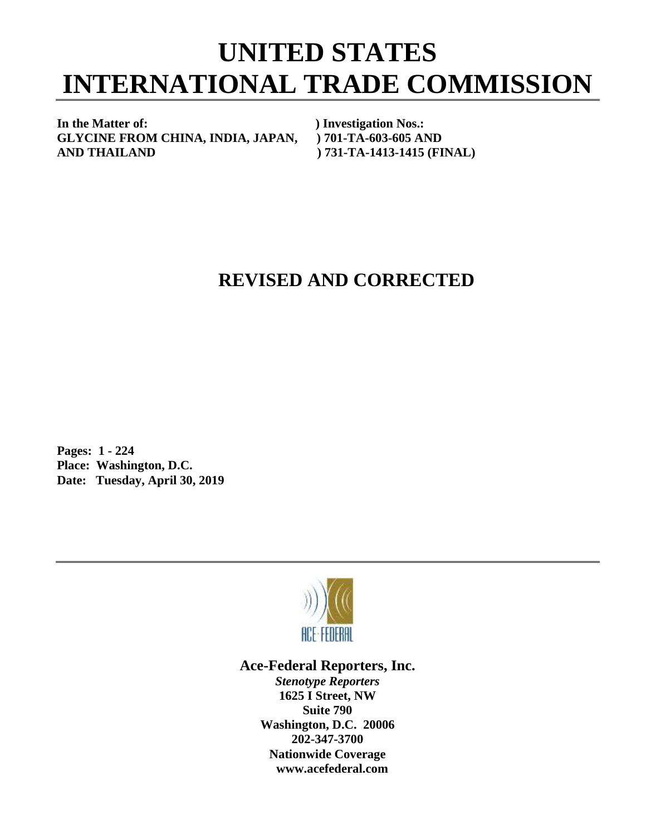# **UNITED STATES INTERNATIONAL TRADE COMMISSION**

**In the Matter of: ) Investigation Nos.: GLYCINE FROM CHINA, INDIA, JAPAN, ) 701-TA-603-605 AND AND THAILAND ) 731-TA-1413-1415 (FINAL)**

## **REVISED AND CORRECTED**

**Pages: 1 - 224 Place: Washington, D.C. Date: Tuesday, April 30, 2019**



### **Ace-Federal Reporters, Inc.**

*Stenotype Reporters* **1625 I Street, NW Suite 790 Washington, D.C. 20006 202-347-3700 Nationwide Coverage www.acefederal.com**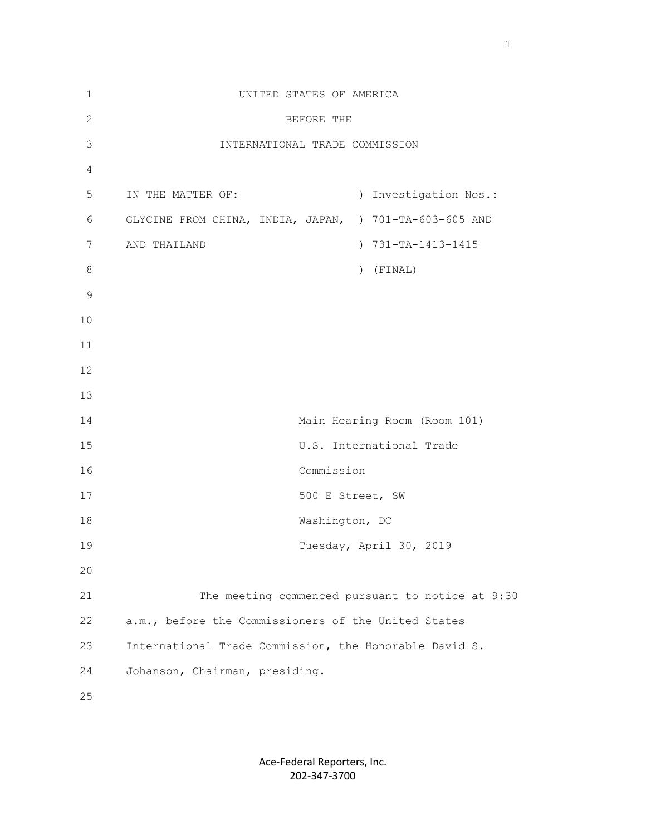| $\mathbf{1}$  | UNITED STATES OF AMERICA                               |
|---------------|--------------------------------------------------------|
| $\mathbf{2}$  | BEFORE THE                                             |
| $\mathcal{S}$ | INTERNATIONAL TRADE COMMISSION                         |
| 4             |                                                        |
| 5             | ) Investigation Nos.:<br>IN THE MATTER OF:             |
| 6             | GLYCINE FROM CHINA, INDIA, JAPAN, ) 701-TA-603-605 AND |
| 7             | ) 731-TA-1413-1415<br>AND THAILAND                     |
| $\,8\,$       | $)$ (FINAL)                                            |
| $\mathcal{G}$ |                                                        |
| 10            |                                                        |
| 11            |                                                        |
| 12            |                                                        |
| 13            |                                                        |
| 14            | Main Hearing Room (Room 101)                           |
| 15            | U.S. International Trade                               |
| 16            | Commission                                             |
| 17            | 500 E Street, SW                                       |
| 18            | Washington, DC                                         |
| 19            | Tuesday, April 30, 2019                                |
| 20            |                                                        |
| 21            | The meeting commenced pursuant to notice at 9:30       |
| 22            | a.m., before the Commissioners of the United States    |
| 23            | International Trade Commission, the Honorable David S. |
| 24            | Johanson, Chairman, presiding.                         |
| 25            |                                                        |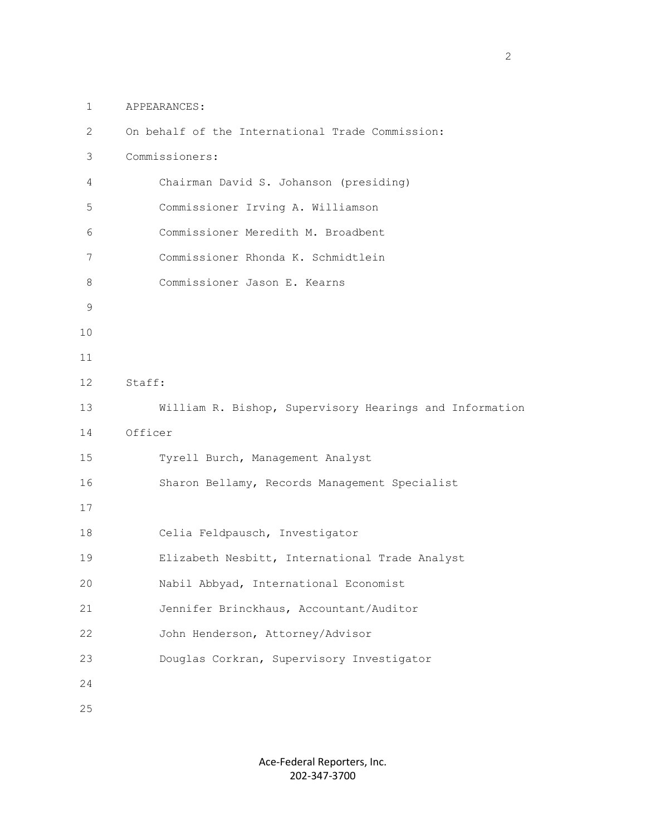1 APPEARANCES:

| $\mathbf{2}^{\prime}$ | On behalf of the International Trade Commission:        |
|-----------------------|---------------------------------------------------------|
| 3                     | Commissioners:                                          |
| 4                     | Chairman David S. Johanson (presiding)                  |
| 5                     | Commissioner Irving A. Williamson                       |
| 6                     | Commissioner Meredith M. Broadbent                      |
| 7                     | Commissioner Rhonda K. Schmidtlein                      |
| 8                     | Commissioner Jason E. Kearns                            |
| 9                     |                                                         |
| 10                    |                                                         |
| 11                    |                                                         |
| 12                    | Staff:                                                  |
| 13                    | William R. Bishop, Supervisory Hearings and Information |
| 14                    | Officer                                                 |
| 15                    | Tyrell Burch, Management Analyst                        |
| 16                    | Sharon Bellamy, Records Management Specialist           |
| 17                    |                                                         |
| 18                    | Celia Feldpausch, Investigator                          |
| 19                    | Elizabeth Nesbitt, International Trade Analyst          |
| 20                    | Nabil Abbyad, International Economist                   |
| 21                    | Jennifer Brinckhaus, Accountant/Auditor                 |
| 22                    | John Henderson, Attorney/Advisor                        |
| 23                    | Douglas Corkran, Supervisory Investigator               |
| 24                    |                                                         |
| 25                    |                                                         |

2<br>2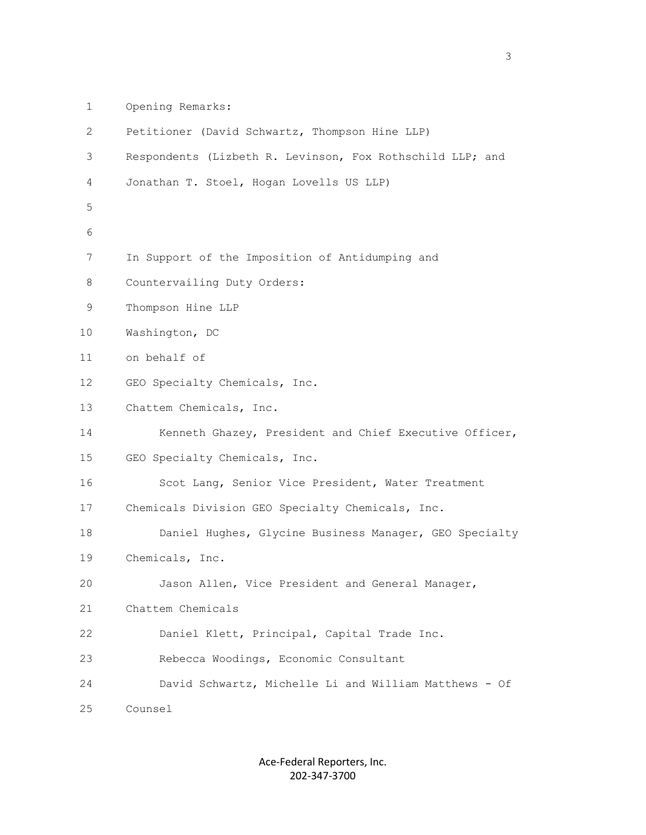1 Opening Remarks:

| 2  | Petitioner (David Schwartz, Thompson Hine LLP)            |
|----|-----------------------------------------------------------|
| 3  | Respondents (Lizbeth R. Levinson, Fox Rothschild LLP; and |
| 4  | Jonathan T. Stoel, Hogan Lovells US LLP)                  |
| 5  |                                                           |
| 6  |                                                           |
| 7  | In Support of the Imposition of Antidumping and           |
| 8  | Countervailing Duty Orders:                               |
| 9  | Thompson Hine LLP                                         |
| 10 | Washington, DC                                            |
| 11 | on behalf of                                              |
| 12 | GEO Specialty Chemicals, Inc.                             |
| 13 | Chattem Chemicals, Inc.                                   |
| 14 | Kenneth Ghazey, President and Chief Executive Officer,    |
| 15 | GEO Specialty Chemicals, Inc.                             |
| 16 | Scot Lang, Senior Vice President, Water Treatment         |
| 17 | Chemicals Division GEO Specialty Chemicals, Inc.          |
| 18 | Daniel Hughes, Glycine Business Manager, GEO Specialty    |
| 19 | Chemicals, Inc.                                           |
| 20 | Jason Allen, Vice President and General Manager,          |
| 21 | Chattem Chemicals                                         |
| 22 | Daniel Klett, Principal, Capital Trade Inc.               |
| 23 | Rebecca Woodings, Economic Consultant                     |
| 24 | David Schwartz, Michelle Li and William Matthews - Of     |
| 25 | Counsel                                                   |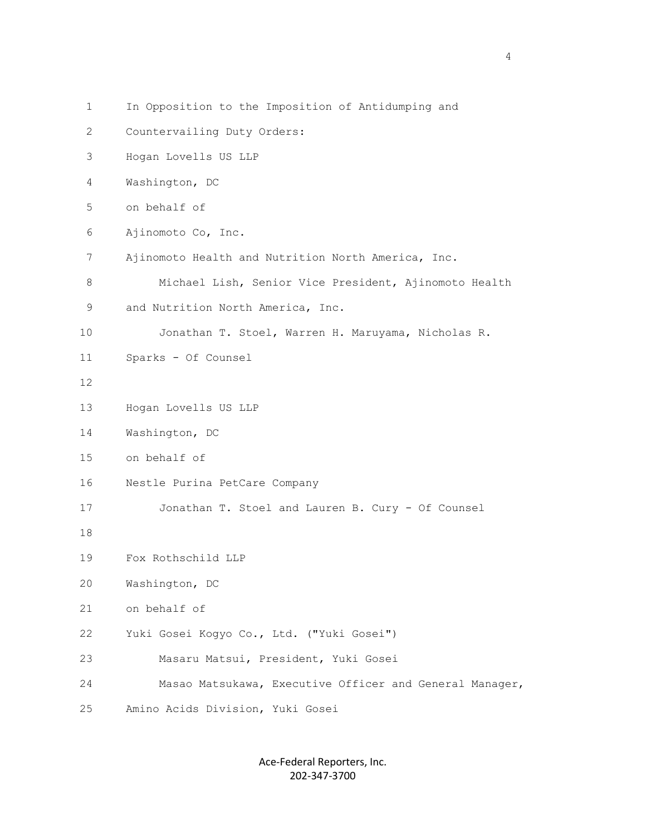1 In Opposition to the Imposition of Antidumping and 2 Countervailing Duty Orders: 3 Hogan Lovells US LLP 4 Washington, DC 5 on behalf of 6 Ajinomoto Co, Inc. 7 Ajinomoto Health and Nutrition North America, Inc. 8 Michael Lish, Senior Vice President, Ajinomoto Health 9 and Nutrition North America, Inc. 10 Jonathan T. Stoel, Warren H. Maruyama, Nicholas R. 11 Sparks - Of Counsel 12 13 Hogan Lovells US LLP 14 Washington, DC 15 on behalf of 16 Nestle Purina PetCare Company 17 Jonathan T. Stoel and Lauren B. Cury - Of Counsel 18 19 Fox Rothschild LLP 20 Washington, DC 21 on behalf of 22 Yuki Gosei Kogyo Co., Ltd. ("Yuki Gosei") 23 Masaru Matsui, President, Yuki Gosei 24 Masao Matsukawa, Executive Officer and General Manager, 25 Amino Acids Division, Yuki Gosei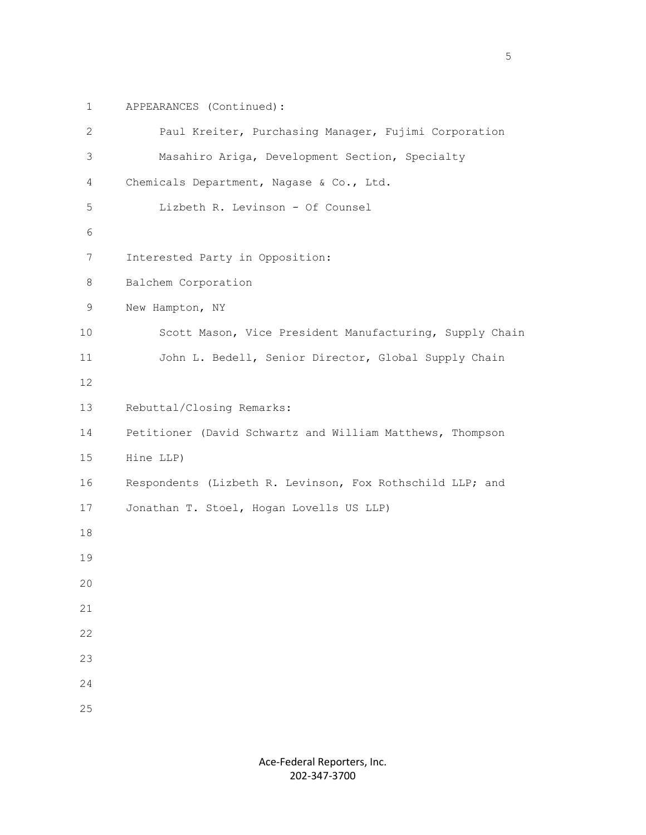1 APPEARANCES (Continued):

| $\mathbf{2}$ | Paul Kreiter, Purchasing Manager, Fujimi Corporation      |
|--------------|-----------------------------------------------------------|
| 3            | Masahiro Ariga, Development Section, Specialty            |
| 4            | Chemicals Department, Nagase & Co., Ltd.                  |
| 5            | Lizbeth R. Levinson - Of Counsel                          |
| 6            |                                                           |
| 7            | Interested Party in Opposition:                           |
| 8            | Balchem Corporation                                       |
| 9            | New Hampton, NY                                           |
| 10           | Scott Mason, Vice President Manufacturing, Supply Chain   |
| 11           | John L. Bedell, Senior Director, Global Supply Chain      |
| 12           |                                                           |
| 13           | Rebuttal/Closing Remarks:                                 |
| 14           | Petitioner (David Schwartz and William Matthews, Thompson |
| 15           | Hine LLP)                                                 |
| 16           | Respondents (Lizbeth R. Levinson, Fox Rothschild LLP; and |
| 17           | Jonathan T. Stoel, Hogan Lovells US LLP)                  |
| 18           |                                                           |
| 19           |                                                           |
| 20           |                                                           |
| 21           |                                                           |
| 22           |                                                           |
| 23           |                                                           |
| 24           |                                                           |
| 25           |                                                           |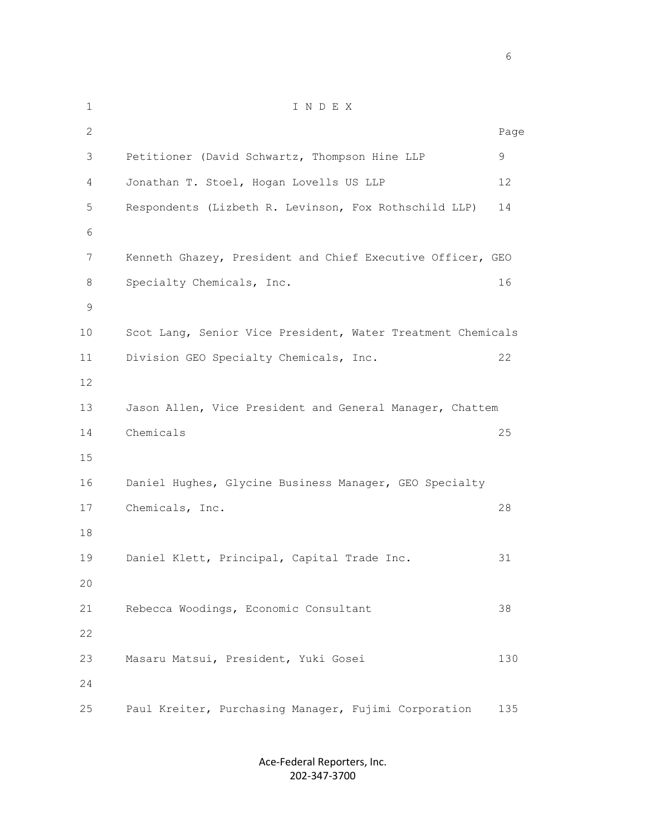1 I N D E X 2 Page 3 Petitioner (David Schwartz, Thompson Hine LLP 9 4 Jonathan T. Stoel, Hogan Lovells US LLP 12 5 Respondents (Lizbeth R. Levinson, Fox Rothschild LLP) 14 6 7 Kenneth Ghazey, President and Chief Executive Officer, GEO 8 Specialty Chemicals, Inc. 16 9 10 Scot Lang, Senior Vice President, Water Treatment Chemicals 11 Division GEO Specialty Chemicals, Inc. 22 12 13 Jason Allen, Vice President and General Manager, Chattem 14 Chemicals 25 15 16 Daniel Hughes, Glycine Business Manager, GEO Specialty 17 Chemicals, Inc. 28 18 19 Daniel Klett, Principal, Capital Trade Inc. 31 20 21 Rebecca Woodings, Economic Consultant 38 22 23 Masaru Matsui, President, Yuki Gosei 130 24 25 Paul Kreiter, Purchasing Manager, Fujimi Corporation 135

> Ace-Federal Reporters, Inc. 202-347-3700

 $\sim$  6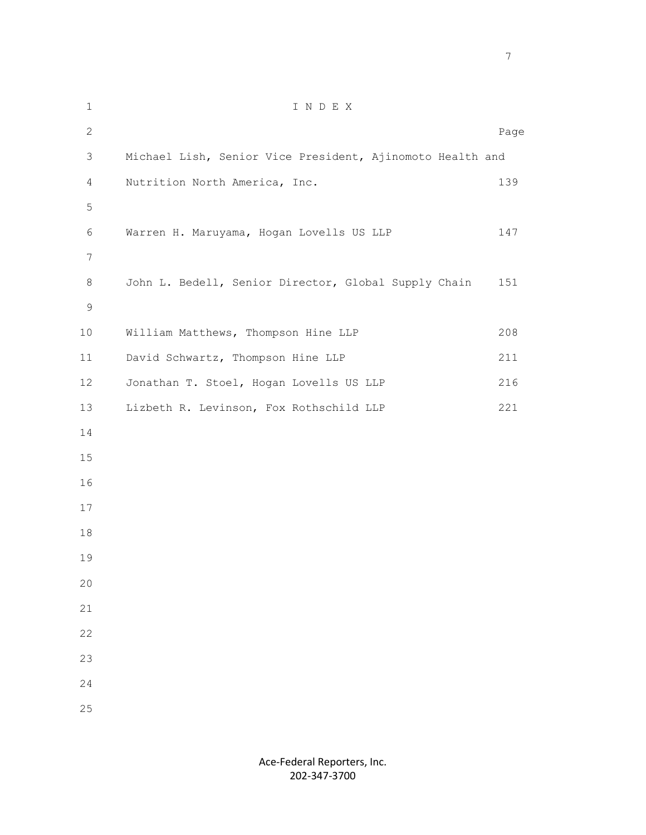| $\mathbf 1$    | INDEX                                                     |      |
|----------------|-----------------------------------------------------------|------|
| $\overline{2}$ |                                                           | Page |
| $\mathfrak{Z}$ | Michael Lish, Senior Vice President, Ajinomoto Health and |      |
| $\overline{4}$ | Nutrition North America, Inc.                             | 139  |
| 5              |                                                           |      |
| 6              | Warren H. Maruyama, Hogan Lovells US LLP                  | 147  |
| $\overline{7}$ |                                                           |      |
| 8              | John L. Bedell, Senior Director, Global Supply Chain      | 151  |
| $\mathsf 9$    |                                                           |      |
| $10$           | William Matthews, Thompson Hine LLP                       | 208  |
| 11             | David Schwartz, Thompson Hine LLP                         | 211  |
| 12             | Jonathan T. Stoel, Hogan Lovells US LLP                   | 216  |
| 13             | Lizbeth R. Levinson, Fox Rothschild LLP                   | 221  |
| 14             |                                                           |      |
| 15             |                                                           |      |
| 16             |                                                           |      |
| 17             |                                                           |      |
| 18             |                                                           |      |
| 19             |                                                           |      |
| 20             |                                                           |      |
| 21             |                                                           |      |
| 22             |                                                           |      |
| 23             |                                                           |      |
| 24             |                                                           |      |
| 25             |                                                           |      |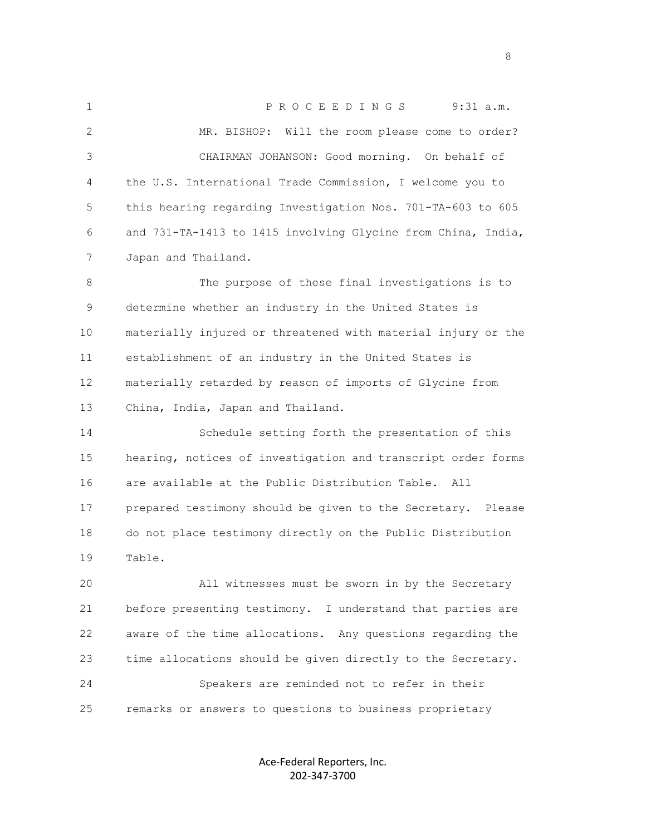1 P R O C E E D I N G S 9:31 a.m. 2 MR. BISHOP: Will the room please come to order? 3 CHAIRMAN JOHANSON: Good morning. On behalf of 4 the U.S. International Trade Commission, I welcome you to 5 this hearing regarding Investigation Nos. 701-TA-603 to 605 6 and 731-TA-1413 to 1415 involving Glycine from China, India, 7 Japan and Thailand. 8 The purpose of these final investigations is to

 9 determine whether an industry in the United States is 10 materially injured or threatened with material injury or the 11 establishment of an industry in the United States is 12 materially retarded by reason of imports of Glycine from 13 China, India, Japan and Thailand.

 14 Schedule setting forth the presentation of this 15 hearing, notices of investigation and transcript order forms 16 are available at the Public Distribution Table. All 17 prepared testimony should be given to the Secretary. Please 18 do not place testimony directly on the Public Distribution 19 Table.

 20 All witnesses must be sworn in by the Secretary 21 before presenting testimony. I understand that parties are 22 aware of the time allocations. Any questions regarding the 23 time allocations should be given directly to the Secretary. 24 Speakers are reminded not to refer in their 25 remarks or answers to questions to business proprietary

> Ace-Federal Reporters, Inc. 202-347-3700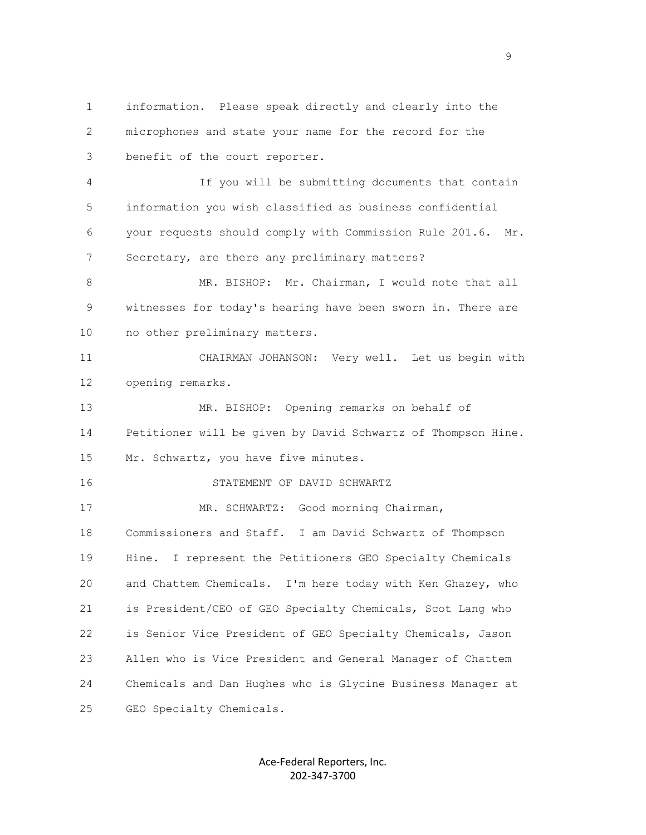1 information. Please speak directly and clearly into the 2 microphones and state your name for the record for the 3 benefit of the court reporter. 4 If you will be submitting documents that contain 5 information you wish classified as business confidential 6 your requests should comply with Commission Rule 201.6. Mr. 7 Secretary, are there any preliminary matters? 8 MR. BISHOP: Mr. Chairman, I would note that all 9 witnesses for today's hearing have been sworn in. There are 10 no other preliminary matters. 11 CHAIRMAN JOHANSON: Very well. Let us begin with 12 opening remarks. 13 MR. BISHOP: Opening remarks on behalf of 14 Petitioner will be given by David Schwartz of Thompson Hine. 15 Mr. Schwartz, you have five minutes. 16 STATEMENT OF DAVID SCHWARTZ 17 MR. SCHWARTZ: Good morning Chairman, 18 Commissioners and Staff. I am David Schwartz of Thompson 19 Hine. I represent the Petitioners GEO Specialty Chemicals 20 and Chattem Chemicals. I'm here today with Ken Ghazey, who 21 is President/CEO of GEO Specialty Chemicals, Scot Lang who 22 is Senior Vice President of GEO Specialty Chemicals, Jason 23 Allen who is Vice President and General Manager of Chattem 24 Chemicals and Dan Hughes who is Glycine Business Manager at 25 GEO Specialty Chemicals.

> Ace-Federal Reporters, Inc. 202-347-3700

en de la provincia de la provincia de la provincia de la provincia de la provincia de la provincia de la provi<br>1900 : la provincia de la provincia de la provincia de la provincia de la provincia de la provincia de la prov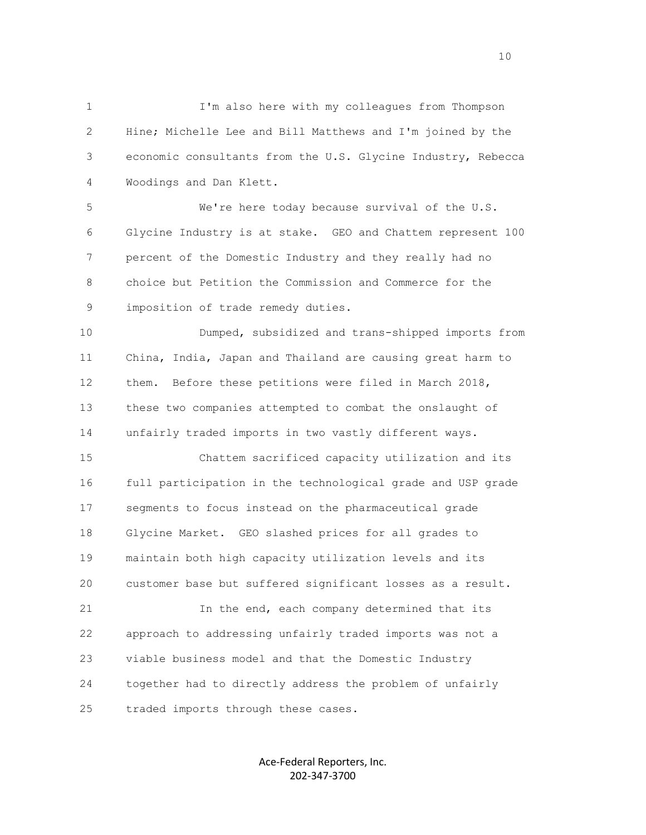1 I'm also here with my colleagues from Thompson 2 Hine; Michelle Lee and Bill Matthews and I'm joined by the 3 economic consultants from the U.S. Glycine Industry, Rebecca 4 Woodings and Dan Klett.

 5 We're here today because survival of the U.S. 6 Glycine Industry is at stake. GEO and Chattem represent 100 7 percent of the Domestic Industry and they really had no 8 choice but Petition the Commission and Commerce for the 9 imposition of trade remedy duties.

 10 Dumped, subsidized and trans-shipped imports from 11 China, India, Japan and Thailand are causing great harm to 12 them. Before these petitions were filed in March 2018, 13 these two companies attempted to combat the onslaught of 14 unfairly traded imports in two vastly different ways.

 15 Chattem sacrificed capacity utilization and its 16 full participation in the technological grade and USP grade 17 segments to focus instead on the pharmaceutical grade 18 Glycine Market. GEO slashed prices for all grades to 19 maintain both high capacity utilization levels and its 20 customer base but suffered significant losses as a result.

 21 In the end, each company determined that its 22 approach to addressing unfairly traded imports was not a 23 viable business model and that the Domestic Industry 24 together had to directly address the problem of unfairly 25 traded imports through these cases.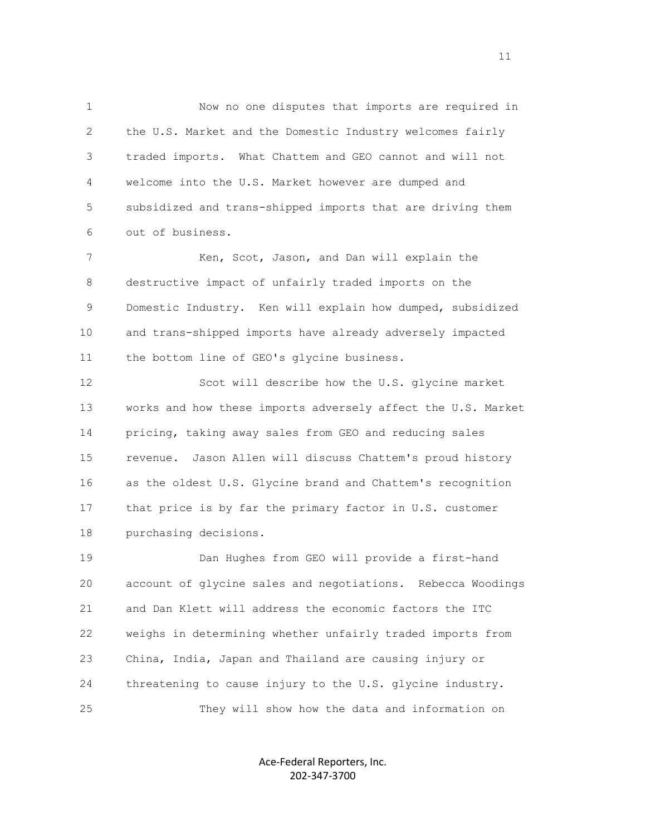1 Now no one disputes that imports are required in 2 the U.S. Market and the Domestic Industry welcomes fairly 3 traded imports. What Chattem and GEO cannot and will not 4 welcome into the U.S. Market however are dumped and 5 subsidized and trans-shipped imports that are driving them 6 out of business.

7 Ken, Scot, Jason, and Dan will explain the 8 destructive impact of unfairly traded imports on the 9 Domestic Industry. Ken will explain how dumped, subsidized 10 and trans-shipped imports have already adversely impacted 11 the bottom line of GEO's glycine business.

 12 Scot will describe how the U.S. glycine market 13 works and how these imports adversely affect the U.S. Market 14 pricing, taking away sales from GEO and reducing sales 15 revenue. Jason Allen will discuss Chattem's proud history 16 as the oldest U.S. Glycine brand and Chattem's recognition 17 that price is by far the primary factor in U.S. customer 18 purchasing decisions.

 19 Dan Hughes from GEO will provide a first-hand 20 account of glycine sales and negotiations. Rebecca Woodings 21 and Dan Klett will address the economic factors the ITC 22 weighs in determining whether unfairly traded imports from 23 China, India, Japan and Thailand are causing injury or 24 threatening to cause injury to the U.S. glycine industry. 25 They will show how the data and information on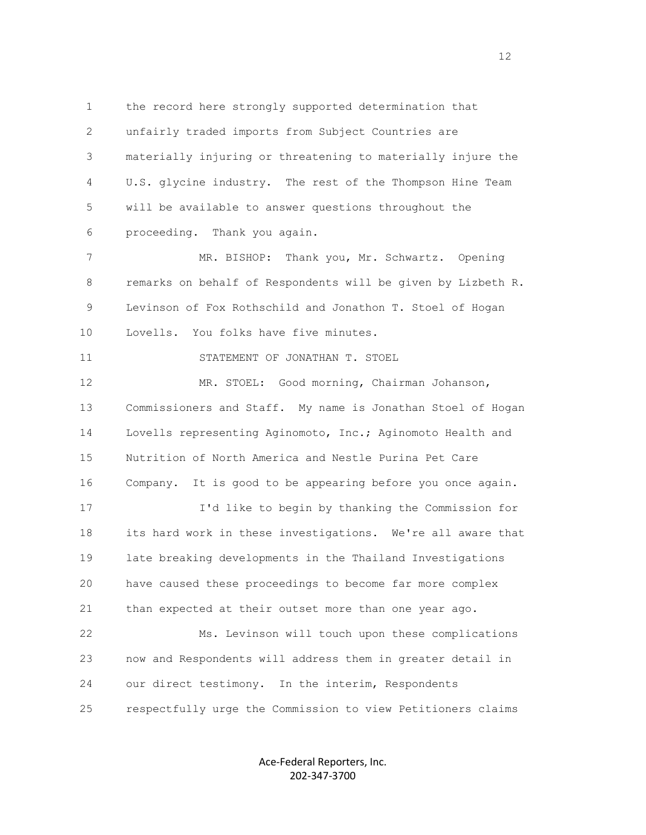1 the record here strongly supported determination that 2 unfairly traded imports from Subject Countries are 3 materially injuring or threatening to materially injure the 4 U.S. glycine industry. The rest of the Thompson Hine Team 5 will be available to answer questions throughout the 6 proceeding. Thank you again.

 7 MR. BISHOP: Thank you, Mr. Schwartz. Opening 8 remarks on behalf of Respondents will be given by Lizbeth R. 9 Levinson of Fox Rothschild and Jonathon T. Stoel of Hogan 10 Lovells. You folks have five minutes.

11 STATEMENT OF JONATHAN T. STOEL

 12 MR. STOEL: Good morning, Chairman Johanson, 13 Commissioners and Staff. My name is Jonathan Stoel of Hogan 14 Lovells representing Aginomoto, Inc.; Aginomoto Health and 15 Nutrition of North America and Nestle Purina Pet Care 16 Company. It is good to be appearing before you once again. 17 I'd like to begin by thanking the Commission for 18 its hard work in these investigations. We're all aware that 19 late breaking developments in the Thailand Investigations 20 have caused these proceedings to become far more complex 21 than expected at their outset more than one year ago.

 22 Ms. Levinson will touch upon these complications 23 now and Respondents will address them in greater detail in 24 our direct testimony. In the interim, Respondents 25 respectfully urge the Commission to view Petitioners claims

> Ace-Federal Reporters, Inc. 202-347-3700

12<br>12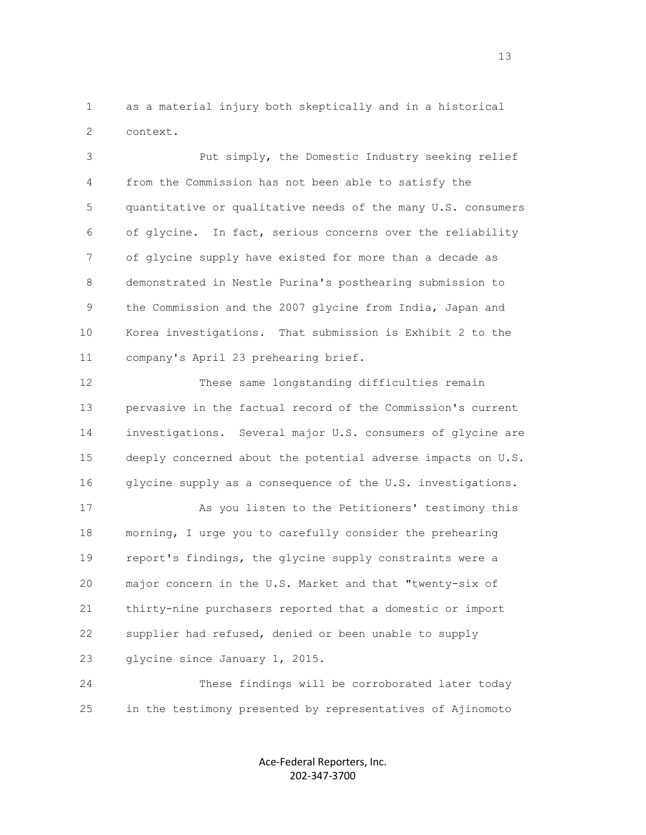1 as a material injury both skeptically and in a historical 2 context.

 3 Put simply, the Domestic Industry seeking relief 4 from the Commission has not been able to satisfy the 5 quantitative or qualitative needs of the many U.S. consumers 6 of glycine. In fact, serious concerns over the reliability 7 of glycine supply have existed for more than a decade as 8 demonstrated in Nestle Purina's posthearing submission to 9 the Commission and the 2007 glycine from India, Japan and 10 Korea investigations. That submission is Exhibit 2 to the 11 company's April 23 prehearing brief.

 12 These same longstanding difficulties remain 13 pervasive in the factual record of the Commission's current 14 investigations. Several major U.S. consumers of glycine are 15 deeply concerned about the potential adverse impacts on U.S. 16 glycine supply as a consequence of the U.S. investigations.

 17 As you listen to the Petitioners' testimony this 18 morning, I urge you to carefully consider the prehearing 19 report's findings, the glycine supply constraints were a 20 major concern in the U.S. Market and that "twenty-six of 21 thirty-nine purchasers reported that a domestic or import 22 supplier had refused, denied or been unable to supply 23 glycine since January 1, 2015.

 24 These findings will be corroborated later today 25 in the testimony presented by representatives of Ajinomoto

> Ace-Federal Reporters, Inc. 202-347-3700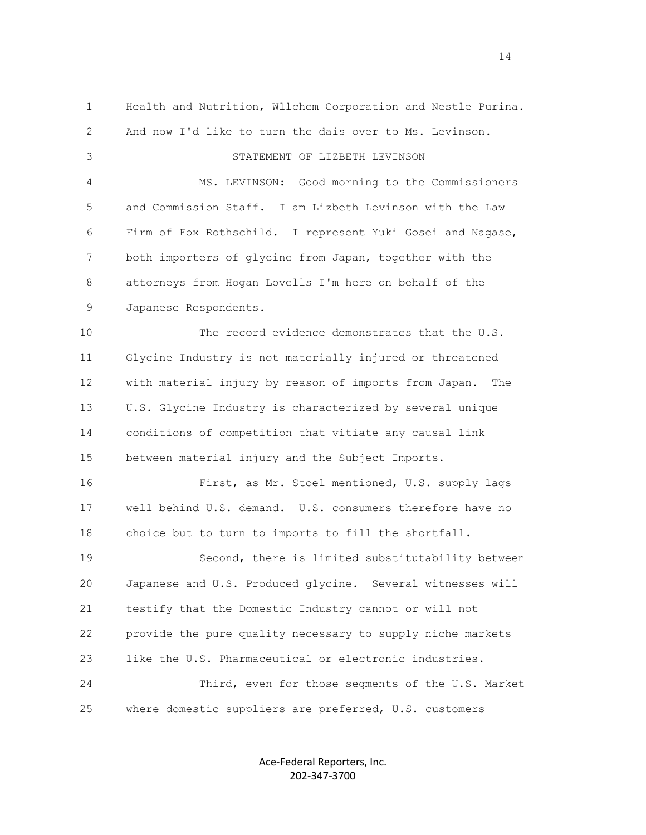1 Health and Nutrition, Wllchem Corporation and Nestle Purina. 2 And now I'd like to turn the dais over to Ms. Levinson. 3 STATEMENT OF LIZBETH LEVINSON 4 MS. LEVINSON: Good morning to the Commissioners 5 and Commission Staff. I am Lizbeth Levinson with the Law 6 Firm of Fox Rothschild. I represent Yuki Gosei and Nagase, 7 both importers of glycine from Japan, together with the 8 attorneys from Hogan Lovells I'm here on behalf of the 9 Japanese Respondents. 10 The record evidence demonstrates that the U.S. 11 Glycine Industry is not materially injured or threatened 12 with material injury by reason of imports from Japan. The 13 U.S. Glycine Industry is characterized by several unique 14 conditions of competition that vitiate any causal link 15 between material injury and the Subject Imports. 16 First, as Mr. Stoel mentioned, U.S. supply lags 17 well behind U.S. demand. U.S. consumers therefore have no 18 choice but to turn to imports to fill the shortfall. 19 Second, there is limited substitutability between 20 Japanese and U.S. Produced glycine. Several witnesses will 21 testify that the Domestic Industry cannot or will not 22 provide the pure quality necessary to supply niche markets 23 like the U.S. Pharmaceutical or electronic industries. 24 Third, even for those segments of the U.S. Market 25 where domestic suppliers are preferred, U.S. customers

> Ace-Federal Reporters, Inc. 202-347-3700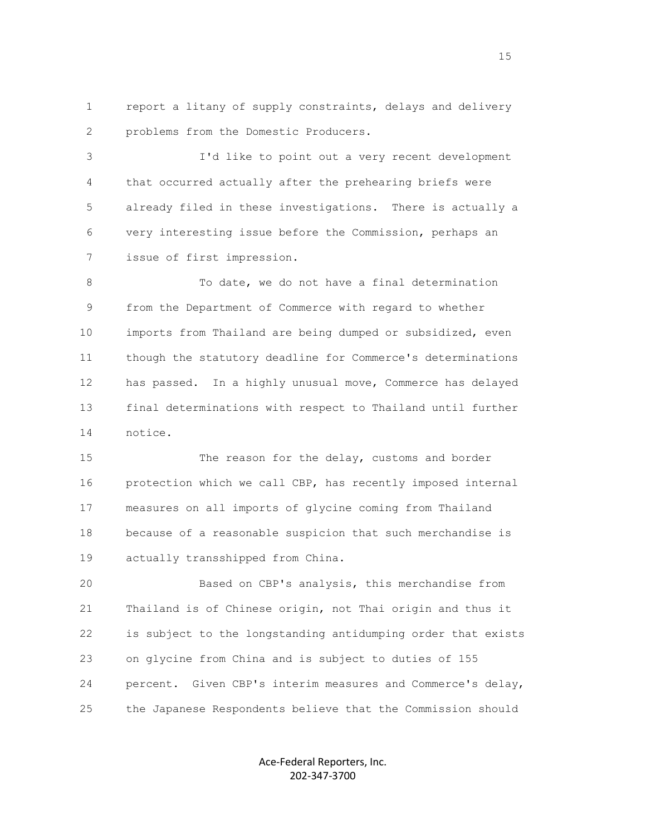1 report a litany of supply constraints, delays and delivery 2 problems from the Domestic Producers.

 3 I'd like to point out a very recent development 4 that occurred actually after the prehearing briefs were 5 already filed in these investigations. There is actually a 6 very interesting issue before the Commission, perhaps an 7 issue of first impression.

8 To date, we do not have a final determination 9 from the Department of Commerce with regard to whether 10 imports from Thailand are being dumped or subsidized, even 11 though the statutory deadline for Commerce's determinations 12 has passed. In a highly unusual move, Commerce has delayed 13 final determinations with respect to Thailand until further 14 notice.

 15 The reason for the delay, customs and border 16 protection which we call CBP, has recently imposed internal 17 measures on all imports of glycine coming from Thailand 18 because of a reasonable suspicion that such merchandise is 19 actually transshipped from China.

 20 Based on CBP's analysis, this merchandise from 21 Thailand is of Chinese origin, not Thai origin and thus it 22 is subject to the longstanding antidumping order that exists 23 on glycine from China and is subject to duties of 155 24 percent. Given CBP's interim measures and Commerce's delay, 25 the Japanese Respondents believe that the Commission should

> Ace-Federal Reporters, Inc. 202-347-3700

15 and 15 and 15 and 15 and 15 and 15 and 15 and 15 and 15 and 15 and 15 and 15 and 15 and 15 and 15 and 15 and 16 and 16 and 16 and 16 and 16 and 16 and 16 and 16 and 16 and 16 and 16 and 16 and 16 and 16 and 16 and 16 an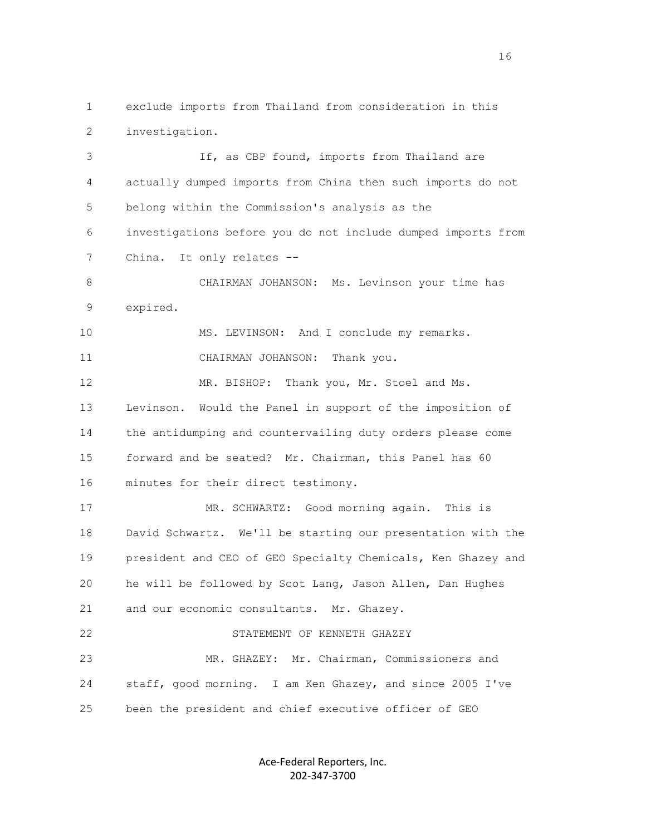1 exclude imports from Thailand from consideration in this 2 investigation.

 3 If, as CBP found, imports from Thailand are 4 actually dumped imports from China then such imports do not 5 belong within the Commission's analysis as the 6 investigations before you do not include dumped imports from 7 China. It only relates -- 8 CHAIRMAN JOHANSON: Ms. Levinson your time has 9 expired. 10 MS. LEVINSON: And I conclude my remarks. 11 CHAIRMAN JOHANSON: Thank you. 12 MR. BISHOP: Thank you, Mr. Stoel and Ms. 13 Levinson. Would the Panel in support of the imposition of 14 the antidumping and countervailing duty orders please come 15 forward and be seated? Mr. Chairman, this Panel has 60 16 minutes for their direct testimony. 17 MR. SCHWARTZ: Good morning again. This is 18 David Schwartz. We'll be starting our presentation with the 19 president and CEO of GEO Specialty Chemicals, Ken Ghazey and 20 he will be followed by Scot Lang, Jason Allen, Dan Hughes 21 and our economic consultants. Mr. Ghazey. 22 STATEMENT OF KENNETH GHAZEY 23 MR. GHAZEY: Mr. Chairman, Commissioners and

 24 staff, good morning. I am Ken Ghazey, and since 2005 I've 25 been the president and chief executive officer of GEO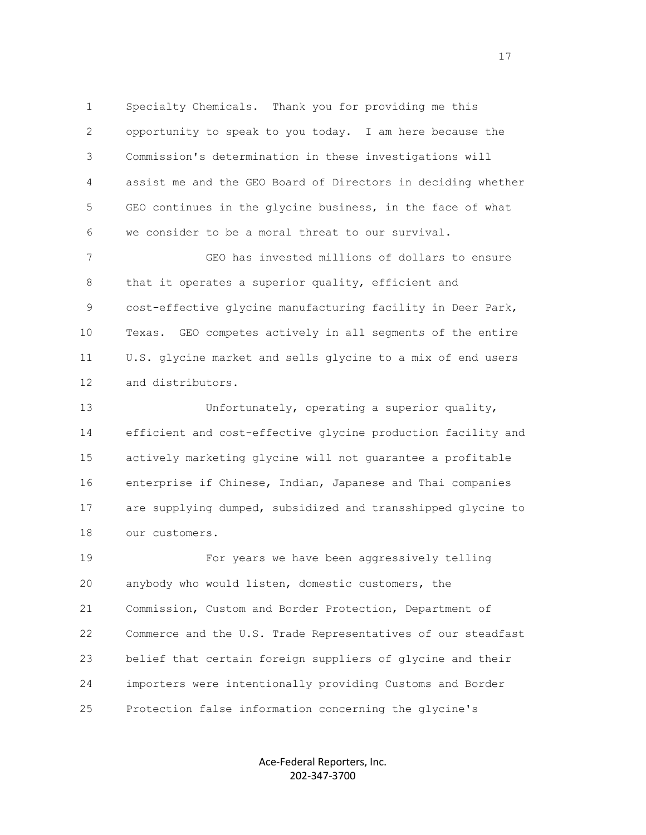1 Specialty Chemicals. Thank you for providing me this 2 opportunity to speak to you today. I am here because the 3 Commission's determination in these investigations will 4 assist me and the GEO Board of Directors in deciding whether 5 GEO continues in the glycine business, in the face of what 6 we consider to be a moral threat to our survival.

 7 GEO has invested millions of dollars to ensure 8 that it operates a superior quality, efficient and 9 cost-effective glycine manufacturing facility in Deer Park, 10 Texas. GEO competes actively in all segments of the entire 11 U.S. glycine market and sells glycine to a mix of end users 12 and distributors.

 13 Unfortunately, operating a superior quality, 14 efficient and cost-effective glycine production facility and 15 actively marketing glycine will not guarantee a profitable 16 enterprise if Chinese, Indian, Japanese and Thai companies 17 are supplying dumped, subsidized and transshipped glycine to 18 our customers.

 19 For years we have been aggressively telling 20 anybody who would listen, domestic customers, the 21 Commission, Custom and Border Protection, Department of 22 Commerce and the U.S. Trade Representatives of our steadfast 23 belief that certain foreign suppliers of glycine and their 24 importers were intentionally providing Customs and Border 25 Protection false information concerning the glycine's

> Ace-Federal Reporters, Inc. 202-347-3700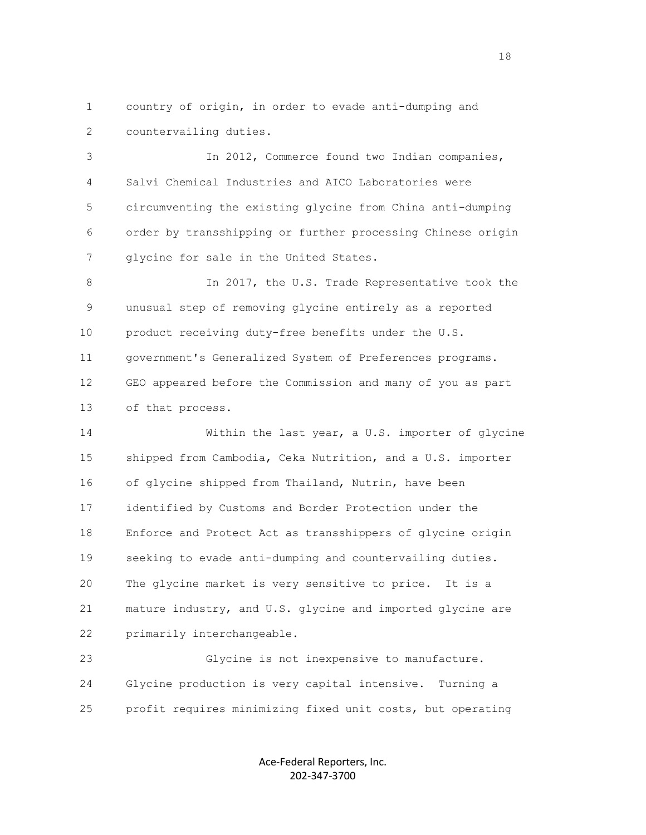1 country of origin, in order to evade anti-dumping and 2 countervailing duties.

 3 In 2012, Commerce found two Indian companies, 4 Salvi Chemical Industries and AICO Laboratories were 5 circumventing the existing glycine from China anti-dumping 6 order by transshipping or further processing Chinese origin 7 glycine for sale in the United States.

8 1n 2017, the U.S. Trade Representative took the 9 unusual step of removing glycine entirely as a reported 10 product receiving duty-free benefits under the U.S. 11 government's Generalized System of Preferences programs. 12 GEO appeared before the Commission and many of you as part 13 of that process.

 14 Within the last year, a U.S. importer of glycine 15 shipped from Cambodia, Ceka Nutrition, and a U.S. importer 16 of glycine shipped from Thailand, Nutrin, have been 17 identified by Customs and Border Protection under the 18 Enforce and Protect Act as transshippers of glycine origin 19 seeking to evade anti-dumping and countervailing duties. 20 The glycine market is very sensitive to price. It is a 21 mature industry, and U.S. glycine and imported glycine are 22 primarily interchangeable.

 23 Glycine is not inexpensive to manufacture. 24 Glycine production is very capital intensive. Turning a 25 profit requires minimizing fixed unit costs, but operating

> Ace-Federal Reporters, Inc. 202-347-3700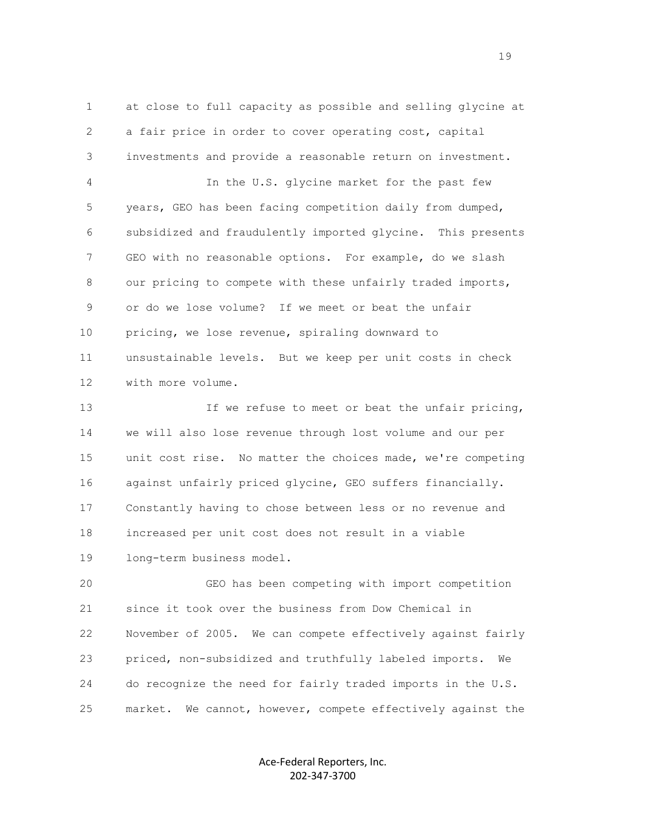1 at close to full capacity as possible and selling glycine at 2 a fair price in order to cover operating cost, capital 3 investments and provide a reasonable return on investment. 4 In the U.S. glycine market for the past few 5 years, GEO has been facing competition daily from dumped, 6 subsidized and fraudulently imported glycine. This presents 7 GEO with no reasonable options. For example, do we slash 8 our pricing to compete with these unfairly traded imports, 9 or do we lose volume? If we meet or beat the unfair 10 pricing, we lose revenue, spiraling downward to 11 unsustainable levels. But we keep per unit costs in check 12 with more volume.

13 13 If we refuse to meet or beat the unfair pricing, 14 we will also lose revenue through lost volume and our per 15 unit cost rise. No matter the choices made, we're competing 16 against unfairly priced glycine, GEO suffers financially. 17 Constantly having to chose between less or no revenue and 18 increased per unit cost does not result in a viable 19 long-term business model.

 20 GEO has been competing with import competition 21 since it took over the business from Dow Chemical in 22 November of 2005. We can compete effectively against fairly 23 priced, non-subsidized and truthfully labeled imports. We 24 do recognize the need for fairly traded imports in the U.S. 25 market. We cannot, however, compete effectively against the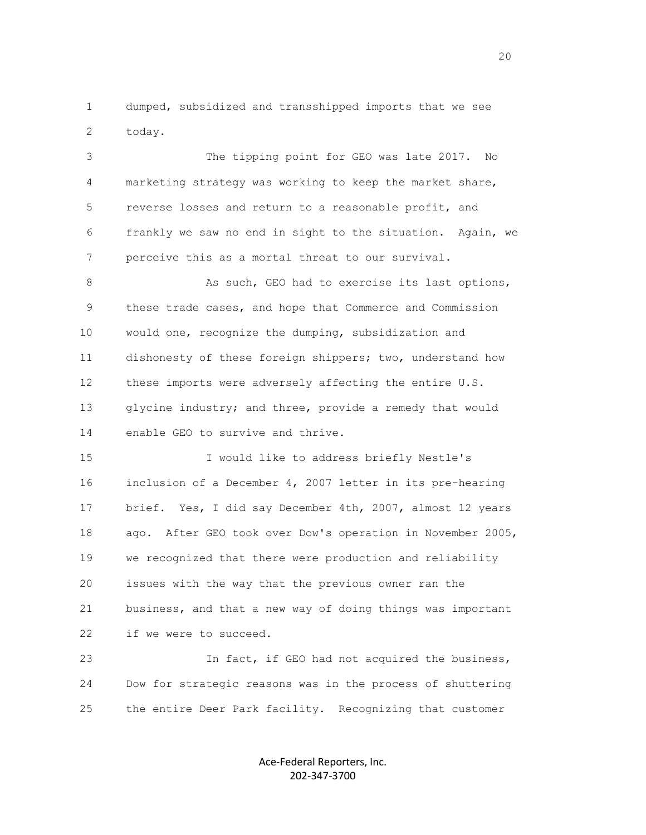1 dumped, subsidized and transshipped imports that we see 2 today.

 3 The tipping point for GEO was late 2017. No 4 marketing strategy was working to keep the market share, 5 reverse losses and return to a reasonable profit, and 6 frankly we saw no end in sight to the situation. Again, we 7 perceive this as a mortal threat to our survival.

8 As such, GEO had to exercise its last options, 9 these trade cases, and hope that Commerce and Commission 10 would one, recognize the dumping, subsidization and 11 dishonesty of these foreign shippers; two, understand how 12 these imports were adversely affecting the entire U.S. 13 glycine industry; and three, provide a remedy that would 14 enable GEO to survive and thrive.

 15 I would like to address briefly Nestle's 16 inclusion of a December 4, 2007 letter in its pre-hearing 17 brief. Yes, I did say December 4th, 2007, almost 12 years 18 ago. After GEO took over Dow's operation in November 2005, 19 we recognized that there were production and reliability 20 issues with the way that the previous owner ran the 21 business, and that a new way of doing things was important 22 if we were to succeed.

 23 In fact, if GEO had not acquired the business, 24 Dow for strategic reasons was in the process of shuttering 25 the entire Deer Park facility. Recognizing that customer

> Ace-Federal Reporters, Inc. 202-347-3700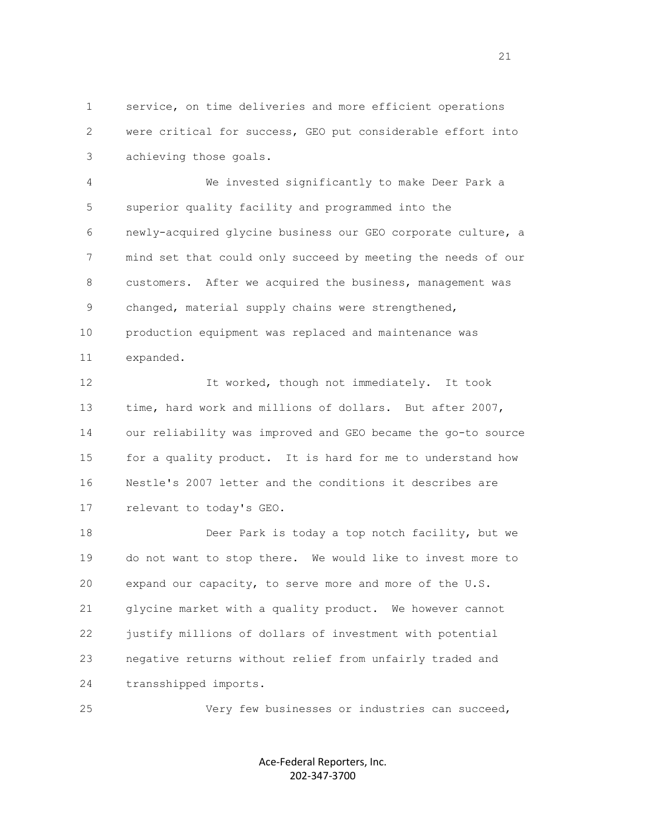1 service, on time deliveries and more efficient operations 2 were critical for success, GEO put considerable effort into 3 achieving those goals.

 4 We invested significantly to make Deer Park a 5 superior quality facility and programmed into the 6 newly-acquired glycine business our GEO corporate culture, a 7 mind set that could only succeed by meeting the needs of our 8 customers. After we acquired the business, management was 9 changed, material supply chains were strengthened, 10 production equipment was replaced and maintenance was 11 expanded.

 12 It worked, though not immediately. It took 13 time, hard work and millions of dollars. But after 2007, 14 our reliability was improved and GEO became the go-to source 15 for a quality product. It is hard for me to understand how 16 Nestle's 2007 letter and the conditions it describes are 17 relevant to today's GEO.

18 Deer Park is today a top notch facility, but we 19 do not want to stop there. We would like to invest more to 20 expand our capacity, to serve more and more of the U.S. 21 glycine market with a quality product. We however cannot 22 justify millions of dollars of investment with potential 23 negative returns without relief from unfairly traded and 24 transshipped imports.

25 Very few businesses or industries can succeed,

Ace-Federal Reporters, Inc. 202-347-3700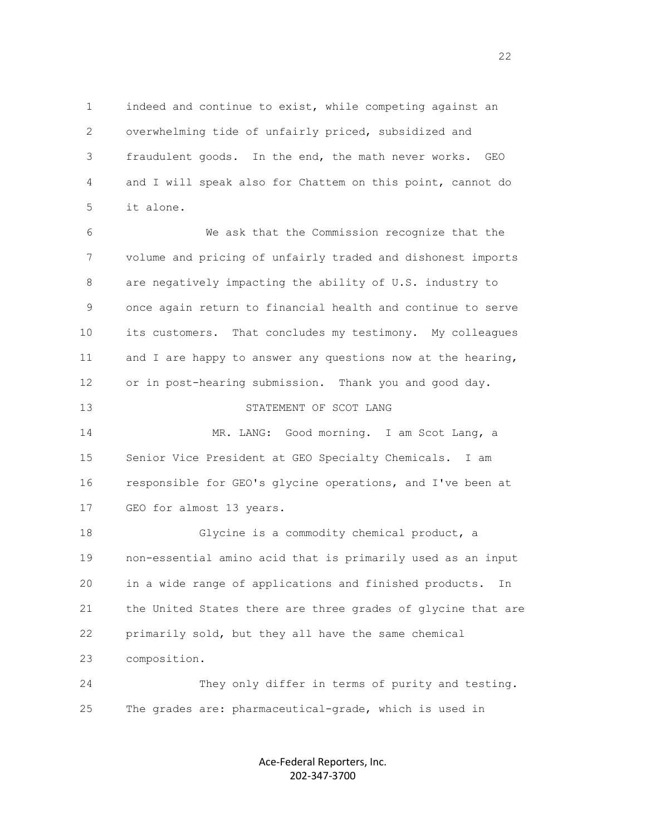1 indeed and continue to exist, while competing against an 2 overwhelming tide of unfairly priced, subsidized and 3 fraudulent goods. In the end, the math never works. GEO 4 and I will speak also for Chattem on this point, cannot do 5 it alone.

 6 We ask that the Commission recognize that the 7 volume and pricing of unfairly traded and dishonest imports 8 are negatively impacting the ability of U.S. industry to 9 once again return to financial health and continue to serve 10 its customers. That concludes my testimony. My colleagues 11 and I are happy to answer any questions now at the hearing, 12 or in post-hearing submission. Thank you and good day.

### 13 STATEMENT OF SCOT LANG

 14 MR. LANG: Good morning. I am Scot Lang, a 15 Senior Vice President at GEO Specialty Chemicals. I am 16 responsible for GEO's glycine operations, and I've been at 17 GEO for almost 13 years.

 18 Glycine is a commodity chemical product, a 19 non-essential amino acid that is primarily used as an input 20 in a wide range of applications and finished products. In 21 the United States there are three grades of glycine that are 22 primarily sold, but they all have the same chemical 23 composition.

 24 They only differ in terms of purity and testing. 25 The grades are: pharmaceutical-grade, which is used in

> Ace-Federal Reporters, Inc. 202-347-3700

22<br>22<br>22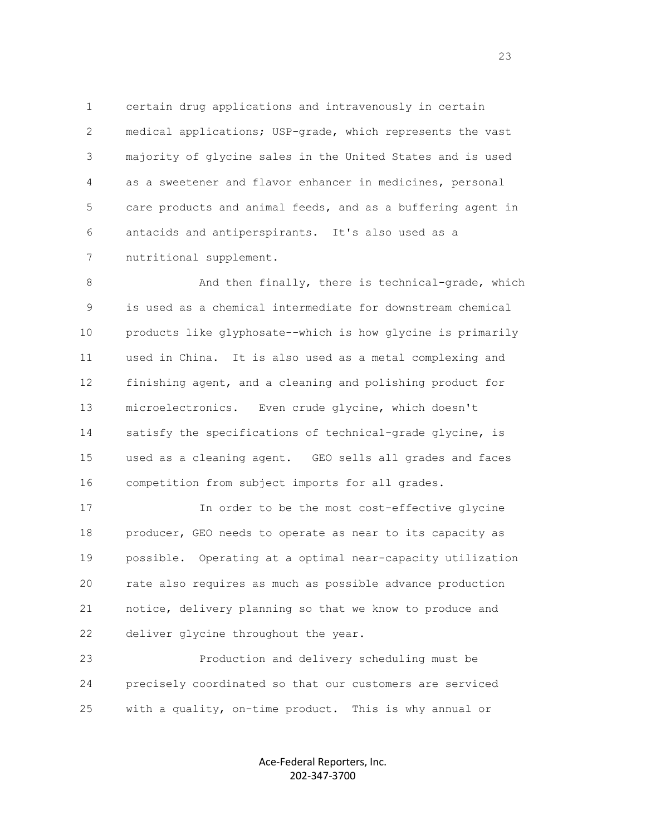1 certain drug applications and intravenously in certain 2 medical applications; USP-grade, which represents the vast 3 majority of glycine sales in the United States and is used 4 as a sweetener and flavor enhancer in medicines, personal 5 care products and animal feeds, and as a buffering agent in 6 antacids and antiperspirants. It's also used as a 7 nutritional supplement.

8 And then finally, there is technical-grade, which 9 is used as a chemical intermediate for downstream chemical 10 products like glyphosate--which is how glycine is primarily 11 used in China. It is also used as a metal complexing and 12 finishing agent, and a cleaning and polishing product for 13 microelectronics. Even crude glycine, which doesn't 14 satisfy the specifications of technical-grade glycine, is 15 used as a cleaning agent. GEO sells all grades and faces 16 competition from subject imports for all grades.

 17 In order to be the most cost-effective glycine 18 producer, GEO needs to operate as near to its capacity as 19 possible. Operating at a optimal near-capacity utilization 20 rate also requires as much as possible advance production 21 notice, delivery planning so that we know to produce and 22 deliver glycine throughout the year.

 23 Production and delivery scheduling must be 24 precisely coordinated so that our customers are serviced 25 with a quality, on-time product. This is why annual or

> Ace-Federal Reporters, Inc. 202-347-3700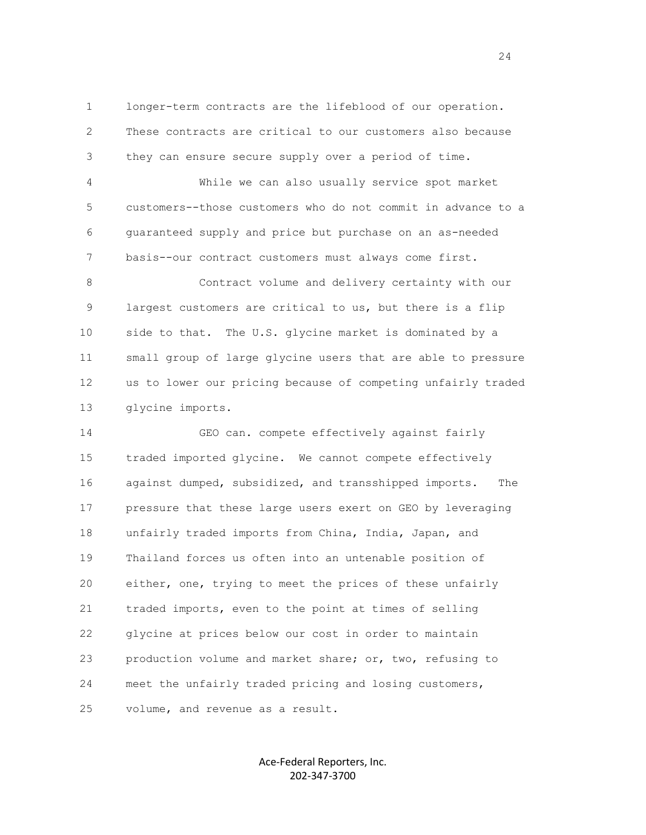1 longer-term contracts are the lifeblood of our operation. 2 These contracts are critical to our customers also because 3 they can ensure secure supply over a period of time.

 4 While we can also usually service spot market 5 customers--those customers who do not commit in advance to a 6 guaranteed supply and price but purchase on an as-needed 7 basis--our contract customers must always come first.

 8 Contract volume and delivery certainty with our 9 largest customers are critical to us, but there is a flip 10 side to that. The U.S. glycine market is dominated by a 11 small group of large glycine users that are able to pressure 12 us to lower our pricing because of competing unfairly traded 13 glycine imports.

 14 GEO can. compete effectively against fairly 15 traded imported glycine. We cannot compete effectively 16 against dumped, subsidized, and transshipped imports. The 17 pressure that these large users exert on GEO by leveraging 18 unfairly traded imports from China, India, Japan, and 19 Thailand forces us often into an untenable position of 20 either, one, trying to meet the prices of these unfairly 21 traded imports, even to the point at times of selling 22 glycine at prices below our cost in order to maintain 23 production volume and market share; or, two, refusing to 24 meet the unfairly traded pricing and losing customers, 25 volume, and revenue as a result.

> Ace-Federal Reporters, Inc. 202-347-3700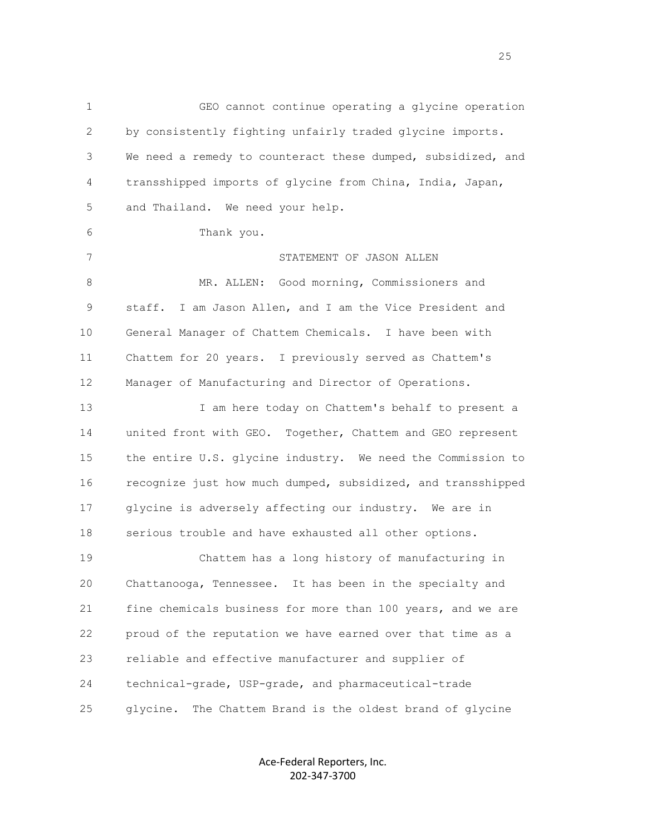1 GEO cannot continue operating a glycine operation 2 by consistently fighting unfairly traded glycine imports. 3 We need a remedy to counteract these dumped, subsidized, and 4 transshipped imports of glycine from China, India, Japan, 5 and Thailand. We need your help. 6 Thank you. 7 STATEMENT OF JASON ALLEN 8 MR. ALLEN: Good morning, Commissioners and 9 staff. I am Jason Allen, and I am the Vice President and 10 General Manager of Chattem Chemicals. I have been with 11 Chattem for 20 years. I previously served as Chattem's 12 Manager of Manufacturing and Director of Operations. 13 I am here today on Chattem's behalf to present a 14 united front with GEO. Together, Chattem and GEO represent 15 the entire U.S. glycine industry. We need the Commission to 16 recognize just how much dumped, subsidized, and transshipped 17 glycine is adversely affecting our industry. We are in 18 serious trouble and have exhausted all other options. 19 Chattem has a long history of manufacturing in 20 Chattanooga, Tennessee. It has been in the specialty and 21 fine chemicals business for more than 100 years, and we are 22 proud of the reputation we have earned over that time as a 23 reliable and effective manufacturer and supplier of 24 technical-grade, USP-grade, and pharmaceutical-trade 25 glycine. The Chattem Brand is the oldest brand of glycine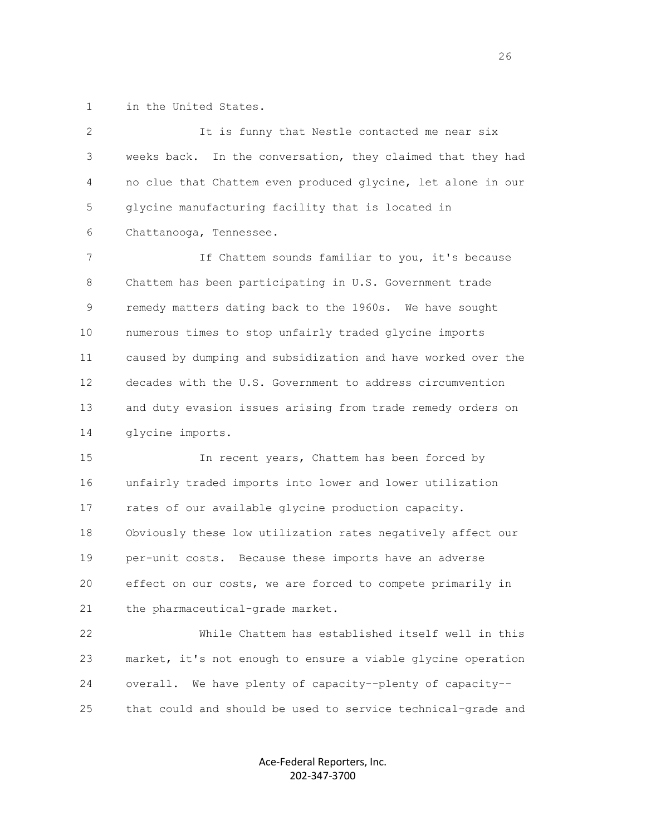1 in the United States.

| $\mathbf{2}$ | It is funny that Nestle contacted me near six                  |
|--------------|----------------------------------------------------------------|
| 3            | In the conversation, they claimed that they had<br>weeks back. |
| 4            | no clue that Chattem even produced glycine, let alone in our   |
| 5            | glycine manufacturing facility that is located in              |
| 6            | Chattanooga, Tennessee.                                        |
| 7            | If Chattem sounds familiar to you, it's because                |
| 8            | Chattem has been participating in U.S. Government trade        |
| 9            | remedy matters dating back to the 1960s. We have sought        |
| 10           | numerous times to stop unfairly traded glycine imports         |
| 11           | caused by dumping and subsidization and have worked over the   |
| 12           | decades with the U.S. Government to address circumvention      |
| 13           | and duty evasion issues arising from trade remedy orders on    |
| 14           | glycine imports.                                               |
| 15           | In recent years, Chattem has been forced by                    |
| 16           | unfairly traded imports into lower and lower utilization       |
| 17           | rates of our available glycine production capacity.            |
| 18           | Obviously these low utilization rates negatively affect our    |
| 19           | per-unit costs. Because these imports have an adverse          |
| 20           | effect on our costs, we are forced to compete primarily in     |
| 21           | the pharmaceutical-grade market.                               |
| 22           | While Chattem has established itself well in this              |
| 23           | market, it's not enough to ensure a viable glycine operation   |
| 24           | We have plenty of capacity--plenty of capacity--<br>overall.   |
| 25           | that could and should be used to service technical-grade and   |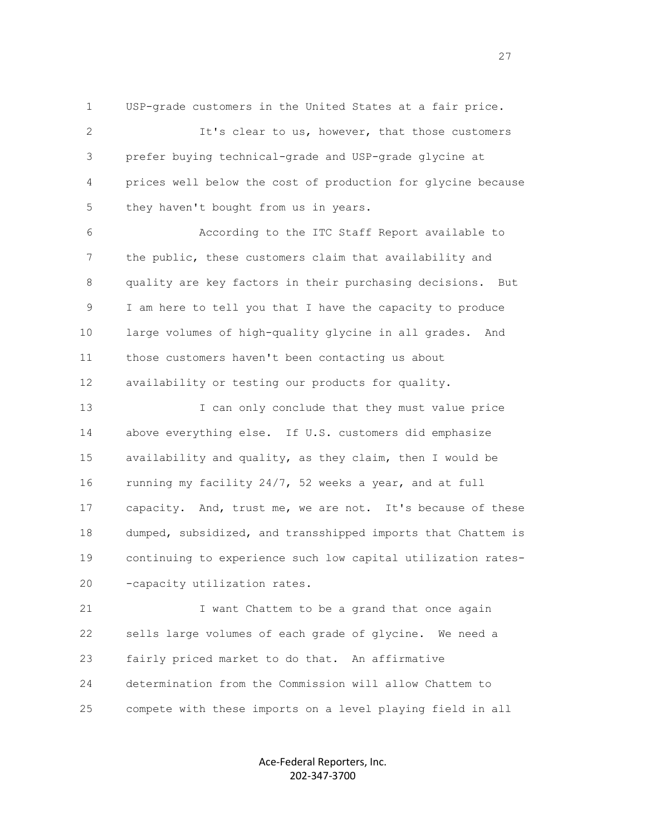1 USP-grade customers in the United States at a fair price.

 2 It's clear to us, however, that those customers 3 prefer buying technical-grade and USP-grade glycine at 4 prices well below the cost of production for glycine because 5 they haven't bought from us in years.

 6 According to the ITC Staff Report available to 7 the public, these customers claim that availability and 8 quality are key factors in their purchasing decisions. But 9 I am here to tell you that I have the capacity to produce 10 large volumes of high-quality glycine in all grades. And 11 those customers haven't been contacting us about 12 availability or testing our products for quality.

 13 I can only conclude that they must value price 14 above everything else. If U.S. customers did emphasize 15 availability and quality, as they claim, then I would be 16 running my facility 24/7, 52 weeks a year, and at full 17 capacity. And, trust me, we are not. It's because of these 18 dumped, subsidized, and transshipped imports that Chattem is 19 continuing to experience such low capital utilization rates- 20 -capacity utilization rates.

21 I want Chattem to be a grand that once again 22 sells large volumes of each grade of glycine. We need a 23 fairly priced market to do that. An affirmative 24 determination from the Commission will allow Chattem to 25 compete with these imports on a level playing field in all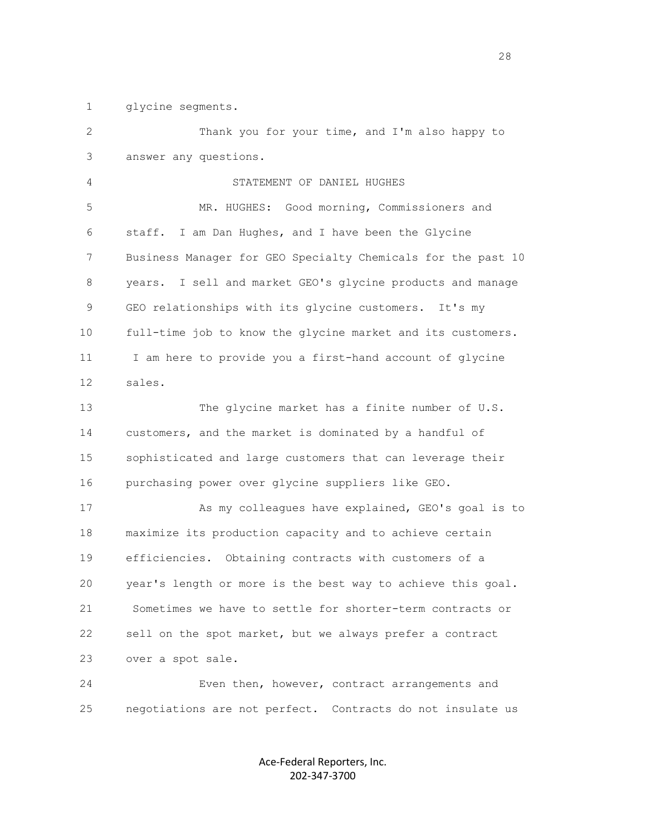1 glycine segments.

| $\mathbf{2}$ | Thank you for your time, and I'm also happy to               |
|--------------|--------------------------------------------------------------|
| 3            | answer any questions.                                        |
| 4            | STATEMENT OF DANIEL HUGHES                                   |
| 5            | MR. HUGHES: Good morning, Commissioners and                  |
| 6            | I am Dan Hughes, and I have been the Glycine<br>staff.       |
| 7            | Business Manager for GEO Specialty Chemicals for the past 10 |
| 8            | years. I sell and market GEO's glycine products and manage   |
| 9            | GEO relationships with its glycine customers. It's my        |
| 10           | full-time job to know the glycine market and its customers.  |
| 11           | I am here to provide you a first-hand account of glycine     |
| 12           | sales.                                                       |
| 13           | The glycine market has a finite number of U.S.               |
| 14           | customers, and the market is dominated by a handful of       |
| 15           | sophisticated and large customers that can leverage their    |
| 16           | purchasing power over glycine suppliers like GEO.            |
| 17           | As my colleagues have explained, GEO's goal is to            |
| 18           | maximize its production capacity and to achieve certain      |
| 19           | efficiencies. Obtaining contracts with customers of a        |
| 20           | year's length or more is the best way to achieve this goal.  |
| 21           | Sometimes we have to settle for shorter-term contracts or    |
| 22           | sell on the spot market, but we always prefer a contract     |
| 23           | over a spot sale.                                            |
| 24           | Even then, however, contract arrangements and                |
| 25           | negotiations are not perfect. Contracts do not insulate us   |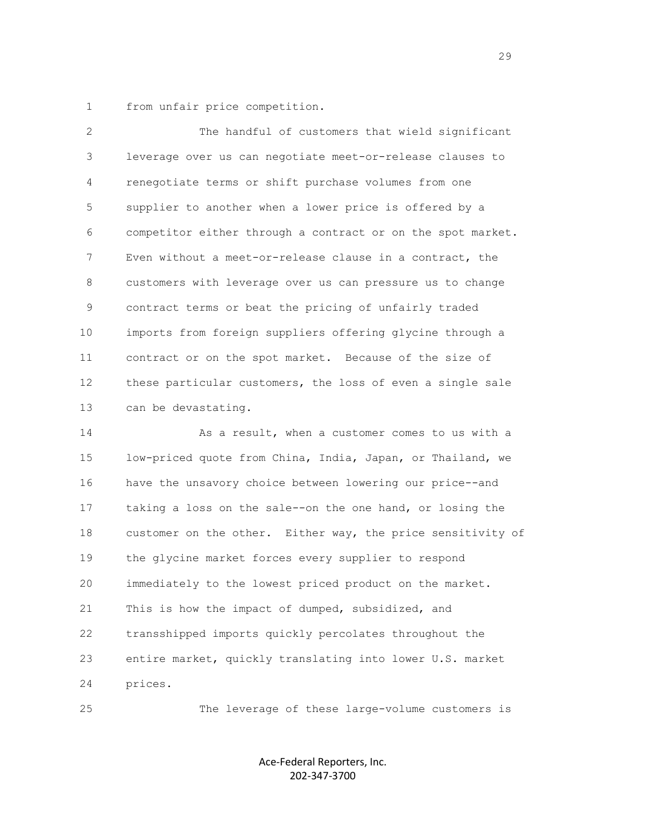1 from unfair price competition.

 2 The handful of customers that wield significant 3 leverage over us can negotiate meet-or-release clauses to 4 renegotiate terms or shift purchase volumes from one 5 supplier to another when a lower price is offered by a 6 competitor either through a contract or on the spot market. 7 Even without a meet-or-release clause in a contract, the 8 customers with leverage over us can pressure us to change 9 contract terms or beat the pricing of unfairly traded 10 imports from foreign suppliers offering glycine through a 11 contract or on the spot market. Because of the size of 12 these particular customers, the loss of even a single sale 13 can be devastating.

 14 As a result, when a customer comes to us with a 15 low-priced quote from China, India, Japan, or Thailand, we 16 have the unsavory choice between lowering our price--and 17 taking a loss on the sale--on the one hand, or losing the 18 customer on the other. Either way, the price sensitivity of 19 the glycine market forces every supplier to respond 20 immediately to the lowest priced product on the market. 21 This is how the impact of dumped, subsidized, and 22 transshipped imports quickly percolates throughout the 23 entire market, quickly translating into lower U.S. market 24 prices.

25 The leverage of these large-volume customers is

Ace-Federal Reporters, Inc. 202-347-3700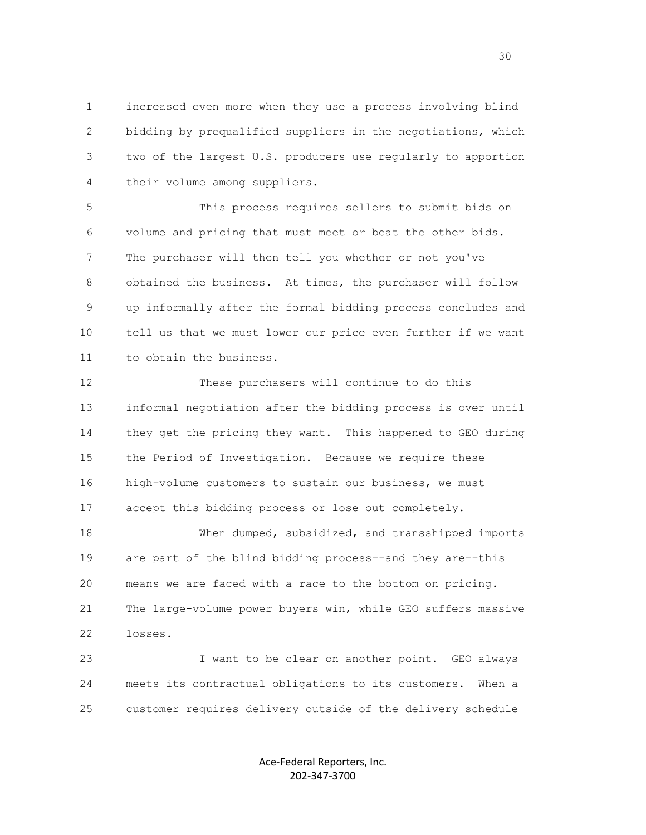1 increased even more when they use a process involving blind 2 bidding by prequalified suppliers in the negotiations, which 3 two of the largest U.S. producers use regularly to apportion 4 their volume among suppliers.

 5 This process requires sellers to submit bids on 6 volume and pricing that must meet or beat the other bids. 7 The purchaser will then tell you whether or not you've 8 obtained the business. At times, the purchaser will follow 9 up informally after the formal bidding process concludes and 10 tell us that we must lower our price even further if we want 11 to obtain the business.

 12 These purchasers will continue to do this 13 informal negotiation after the bidding process is over until 14 they get the pricing they want. This happened to GEO during 15 the Period of Investigation. Because we require these 16 high-volume customers to sustain our business, we must 17 accept this bidding process or lose out completely.

 18 When dumped, subsidized, and transshipped imports 19 are part of the blind bidding process--and they are--this 20 means we are faced with a race to the bottom on pricing. 21 The large-volume power buyers win, while GEO suffers massive 22 losses.

 23 I want to be clear on another point. GEO always 24 meets its contractual obligations to its customers. When a 25 customer requires delivery outside of the delivery schedule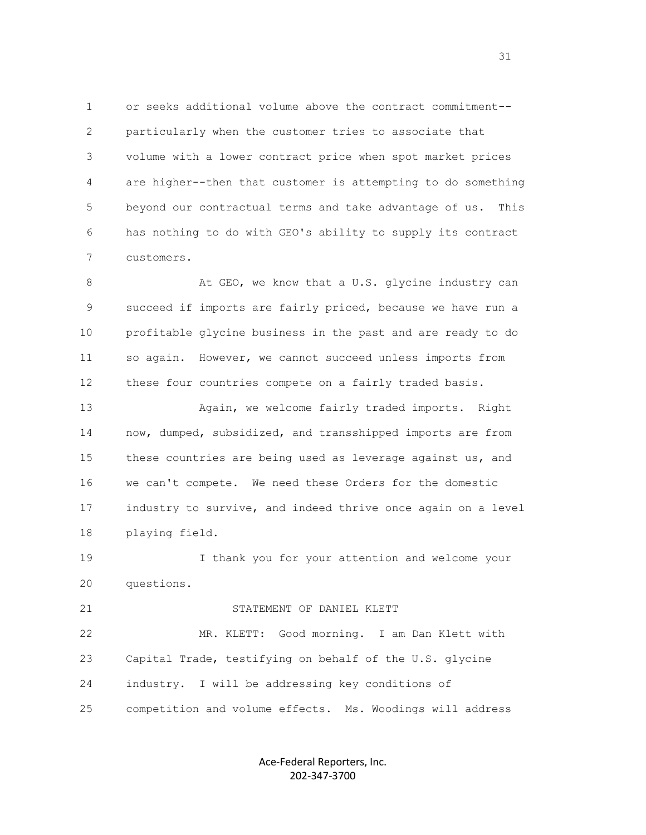1 or seeks additional volume above the contract commitment-- 2 particularly when the customer tries to associate that 3 volume with a lower contract price when spot market prices 4 are higher--then that customer is attempting to do something 5 beyond our contractual terms and take advantage of us. This 6 has nothing to do with GEO's ability to supply its contract 7 customers.

8 At GEO, we know that a U.S. glycine industry can 9 succeed if imports are fairly priced, because we have run a 10 profitable glycine business in the past and are ready to do 11 so again. However, we cannot succeed unless imports from 12 these four countries compete on a fairly traded basis.

 13 Again, we welcome fairly traded imports. Right 14 now, dumped, subsidized, and transshipped imports are from 15 these countries are being used as leverage against us, and 16 we can't compete. We need these Orders for the domestic 17 industry to survive, and indeed thrive once again on a level 18 playing field.

 19 I thank you for your attention and welcome your 20 questions.

#### 21 STATEMENT OF DANIEL KLETT

 22 MR. KLETT: Good morning. I am Dan Klett with 23 Capital Trade, testifying on behalf of the U.S. glycine 24 industry. I will be addressing key conditions of 25 competition and volume effects. Ms. Woodings will address

> Ace-Federal Reporters, Inc. 202-347-3700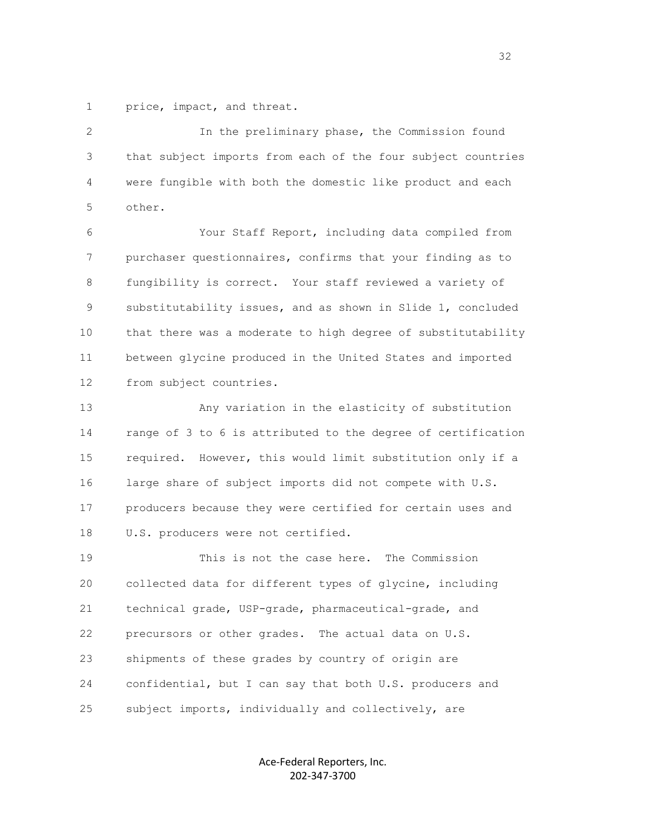1 price, impact, and threat.

 2 In the preliminary phase, the Commission found 3 that subject imports from each of the four subject countries 4 were fungible with both the domestic like product and each 5 other.

 6 Your Staff Report, including data compiled from 7 purchaser questionnaires, confirms that your finding as to 8 fungibility is correct. Your staff reviewed a variety of 9 substitutability issues, and as shown in Slide 1, concluded 10 that there was a moderate to high degree of substitutability 11 between glycine produced in the United States and imported 12 from subject countries.

 13 Any variation in the elasticity of substitution 14 range of 3 to 6 is attributed to the degree of certification 15 required. However, this would limit substitution only if a 16 large share of subject imports did not compete with U.S. 17 producers because they were certified for certain uses and 18 U.S. producers were not certified.

 19 This is not the case here. The Commission 20 collected data for different types of glycine, including 21 technical grade, USP-grade, pharmaceutical-grade, and 22 precursors or other grades. The actual data on U.S. 23 shipments of these grades by country of origin are 24 confidential, but I can say that both U.S. producers and 25 subject imports, individually and collectively, are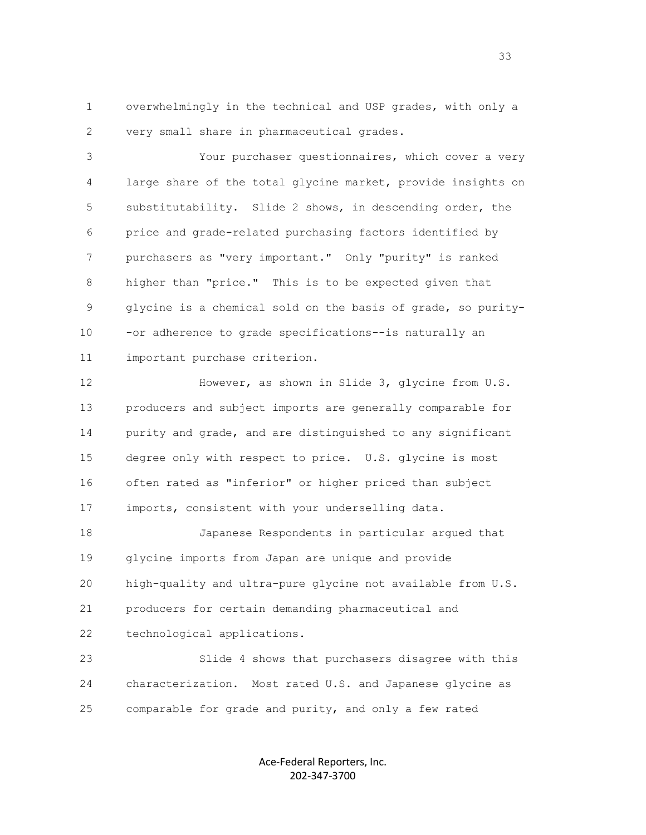1 overwhelmingly in the technical and USP grades, with only a 2 very small share in pharmaceutical grades.

 3 Your purchaser questionnaires, which cover a very 4 large share of the total glycine market, provide insights on 5 substitutability. Slide 2 shows, in descending order, the 6 price and grade-related purchasing factors identified by 7 purchasers as "very important." Only "purity" is ranked 8 higher than "price." This is to be expected given that 9 glycine is a chemical sold on the basis of grade, so purity- 10 -or adherence to grade specifications--is naturally an 11 important purchase criterion.

 12 However, as shown in Slide 3, glycine from U.S. 13 producers and subject imports are generally comparable for 14 purity and grade, and are distinguished to any significant 15 degree only with respect to price. U.S. glycine is most 16 often rated as "inferior" or higher priced than subject 17 imports, consistent with your underselling data.

 18 Japanese Respondents in particular argued that 19 glycine imports from Japan are unique and provide 20 high-quality and ultra-pure glycine not available from U.S. 21 producers for certain demanding pharmaceutical and 22 technological applications.

 23 Slide 4 shows that purchasers disagree with this 24 characterization. Most rated U.S. and Japanese glycine as 25 comparable for grade and purity, and only a few rated

> Ace-Federal Reporters, Inc. 202-347-3700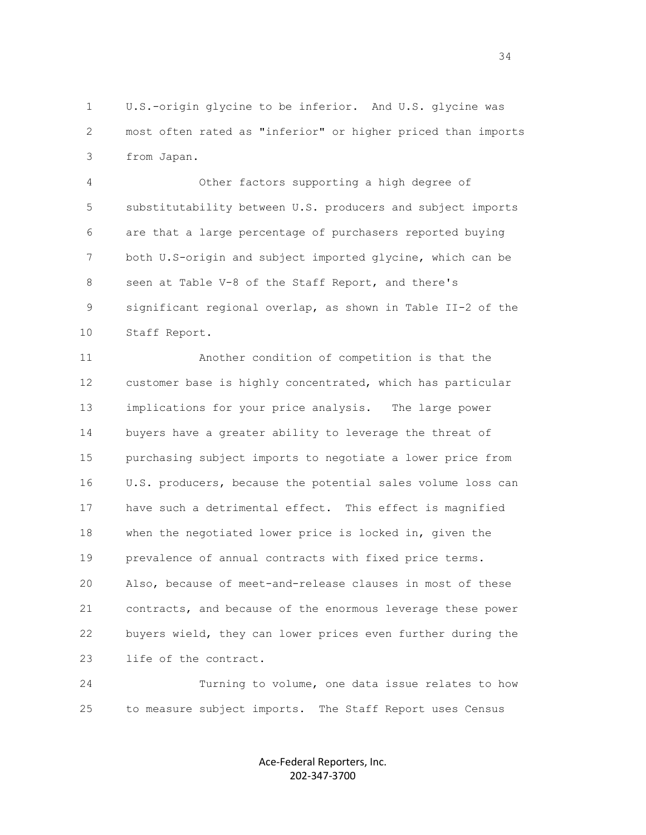1 U.S.-origin glycine to be inferior. And U.S. glycine was 2 most often rated as "inferior" or higher priced than imports 3 from Japan.

 4 Other factors supporting a high degree of 5 substitutability between U.S. producers and subject imports 6 are that a large percentage of purchasers reported buying 7 both U.S-origin and subject imported glycine, which can be 8 seen at Table V-8 of the Staff Report, and there's 9 significant regional overlap, as shown in Table II-2 of the 10 Staff Report.

 11 Another condition of competition is that the 12 customer base is highly concentrated, which has particular 13 implications for your price analysis. The large power 14 buyers have a greater ability to leverage the threat of 15 purchasing subject imports to negotiate a lower price from 16 U.S. producers, because the potential sales volume loss can 17 have such a detrimental effect. This effect is magnified 18 when the negotiated lower price is locked in, given the 19 prevalence of annual contracts with fixed price terms. 20 Also, because of meet-and-release clauses in most of these 21 contracts, and because of the enormous leverage these power 22 buyers wield, they can lower prices even further during the 23 life of the contract.

 24 Turning to volume, one data issue relates to how 25 to measure subject imports. The Staff Report uses Census

> Ace-Federal Reporters, Inc. 202-347-3700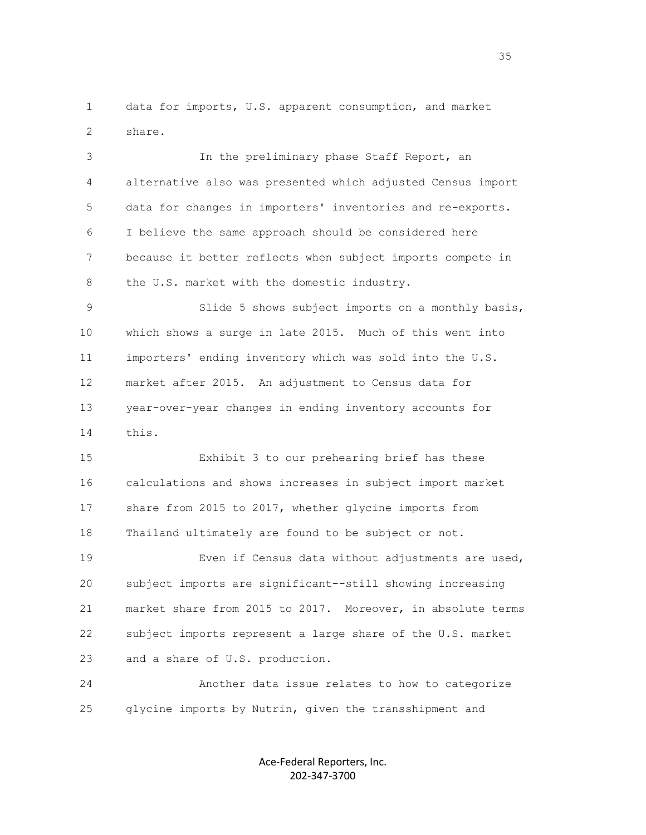1 data for imports, U.S. apparent consumption, and market 2 share.

 3 In the preliminary phase Staff Report, an 4 alternative also was presented which adjusted Census import 5 data for changes in importers' inventories and re-exports. 6 I believe the same approach should be considered here 7 because it better reflects when subject imports compete in 8 the U.S. market with the domestic industry.

 9 Slide 5 shows subject imports on a monthly basis, 10 which shows a surge in late 2015. Much of this went into 11 importers' ending inventory which was sold into the U.S. 12 market after 2015. An adjustment to Census data for 13 year-over-year changes in ending inventory accounts for 14 this.

 15 Exhibit 3 to our prehearing brief has these 16 calculations and shows increases in subject import market 17 share from 2015 to 2017, whether glycine imports from 18 Thailand ultimately are found to be subject or not.

 19 Even if Census data without adjustments are used, 20 subject imports are significant--still showing increasing 21 market share from 2015 to 2017. Moreover, in absolute terms 22 subject imports represent a large share of the U.S. market 23 and a share of U.S. production.

 24 Another data issue relates to how to categorize 25 glycine imports by Nutrin, given the transshipment and

> Ace-Federal Reporters, Inc. 202-347-3700

<u>35 States and the states and the states and the states and the states and the states and the states and the states and the states and the states and the states and the states and the states and the states and the states a</u>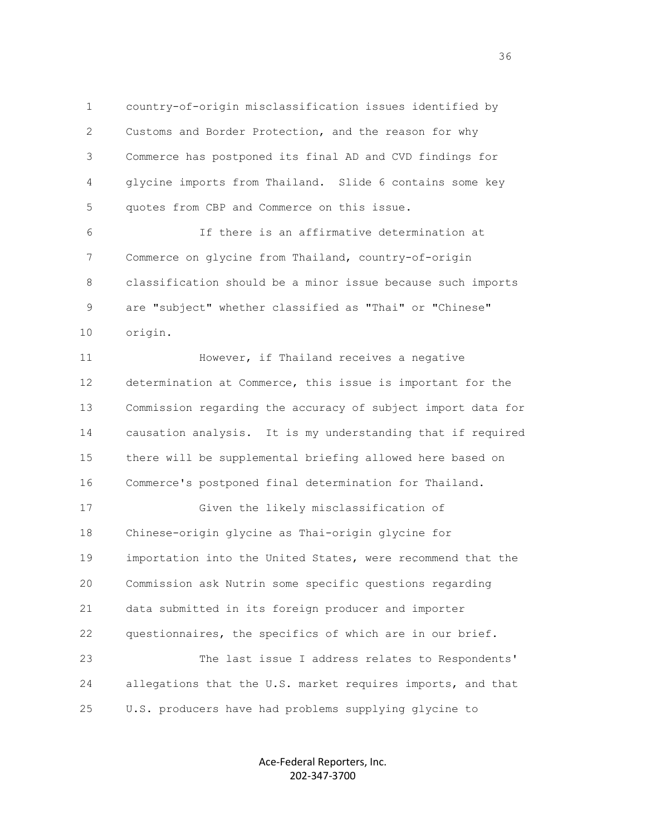1 country-of-origin misclassification issues identified by 2 Customs and Border Protection, and the reason for why 3 Commerce has postponed its final AD and CVD findings for 4 glycine imports from Thailand. Slide 6 contains some key 5 quotes from CBP and Commerce on this issue.

 6 If there is an affirmative determination at 7 Commerce on glycine from Thailand, country-of-origin 8 classification should be a minor issue because such imports 9 are "subject" whether classified as "Thai" or "Chinese" 10 origin.

 11 However, if Thailand receives a negative 12 determination at Commerce, this issue is important for the 13 Commission regarding the accuracy of subject import data for 14 causation analysis. It is my understanding that if required 15 there will be supplemental briefing allowed here based on 16 Commerce's postponed final determination for Thailand.

 17 Given the likely misclassification of 18 Chinese-origin glycine as Thai-origin glycine for 19 importation into the United States, were recommend that the 20 Commission ask Nutrin some specific questions regarding 21 data submitted in its foreign producer and importer 22 questionnaires, the specifics of which are in our brief. 23 The last issue I address relates to Respondents'

 24 allegations that the U.S. market requires imports, and that 25 U.S. producers have had problems supplying glycine to

> Ace-Federal Reporters, Inc. 202-347-3700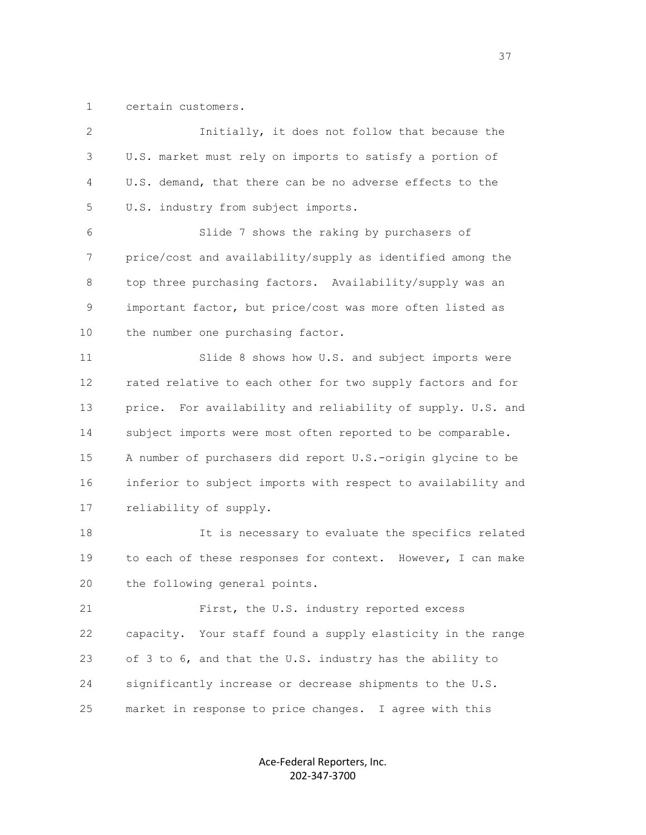1 certain customers.

| $\mathbf{2}^{\prime}$ |                                                              |
|-----------------------|--------------------------------------------------------------|
|                       | Initially, it does not follow that because the               |
| 3                     | U.S. market must rely on imports to satisfy a portion of     |
| 4                     | U.S. demand, that there can be no adverse effects to the     |
| 5                     | U.S. industry from subject imports.                          |
| 6                     | Slide 7 shows the raking by purchasers of                    |
| 7                     | price/cost and availability/supply as identified among the   |
| 8                     | top three purchasing factors. Availability/supply was an     |
| 9                     | important factor, but price/cost was more often listed as    |
| 10                    | the number one purchasing factor.                            |
| 11                    | Slide 8 shows how U.S. and subject imports were              |
| 12                    | rated relative to each other for two supply factors and for  |
| 13                    | price. For availability and reliability of supply. U.S. and  |
| 14                    | subject imports were most often reported to be comparable.   |
| 15                    | A number of purchasers did report U.S.-origin glycine to be  |
| 16                    | inferior to subject imports with respect to availability and |
| 17                    | reliability of supply.                                       |
| 18                    | It is necessary to evaluate the specifics related            |
| 19                    | to each of these responses for context. However, I can make  |
| 20                    | the following general points.                                |
| 21                    | First, the U.S. industry reported excess                     |
| 22                    | capacity. Your staff found a supply elasticity in the range  |
| 23                    | of 3 to 6, and that the U.S. industry has the ability to     |
| 24                    | significantly increase or decrease shipments to the U.S.     |
| 25                    | market in response to price changes. I agree with this       |
|                       |                                                              |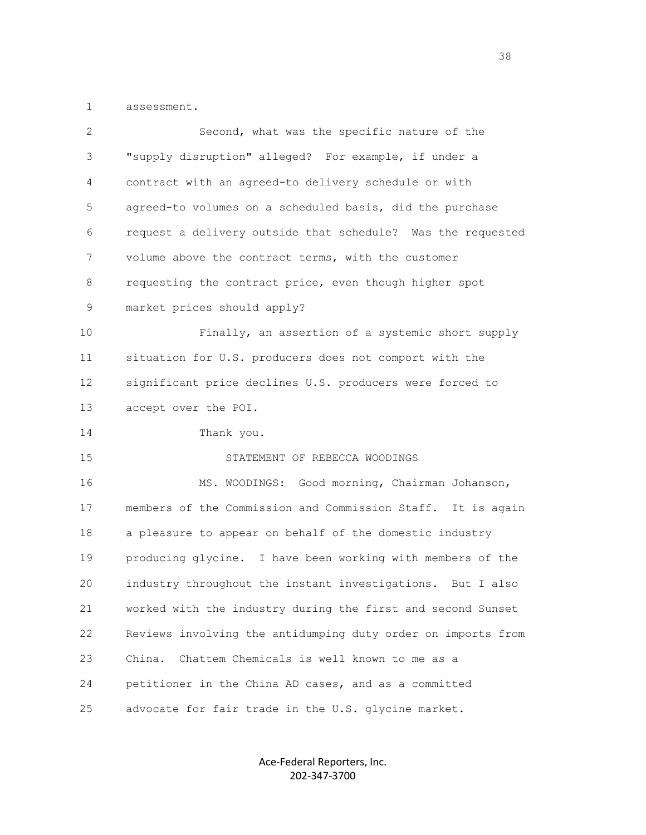1 assessment.

| 2  | Second, what was the specific nature of the                  |
|----|--------------------------------------------------------------|
| 3  | "supply disruption" alleged? For example, if under a         |
| 4  | contract with an agreed-to delivery schedule or with         |
| 5  | agreed-to volumes on a scheduled basis, did the purchase     |
| 6  | request a delivery outside that schedule? Was the requested  |
| 7  | volume above the contract terms, with the customer           |
| 8  | requesting the contract price, even though higher spot       |
| 9  | market prices should apply?                                  |
| 10 | Finally, an assertion of a systemic short supply             |
| 11 | situation for U.S. producers does not comport with the       |
| 12 | significant price declines U.S. producers were forced to     |
| 13 | accept over the POI.                                         |
| 14 | Thank you.                                                   |
| 15 | STATEMENT OF REBECCA WOODINGS                                |
| 16 | MS. WOODINGS: Good morning, Chairman Johanson,               |
| 17 | members of the Commission and Commission Staff. It is again  |
| 18 | a pleasure to appear on behalf of the domestic industry      |
| 19 | producing glycine. I have been working with members of the   |
| 20 | industry throughout the instant investigations. But I also   |
| 21 | worked with the industry during the first and second Sunset  |
| 22 | Reviews involving the antidumping duty order on imports from |
| 23 | Chattem Chemicals is well known to me as a<br>China.         |
| 24 | petitioner in the China AD cases, and as a committed         |
| 25 | advocate for fair trade in the U.S. glycine market.          |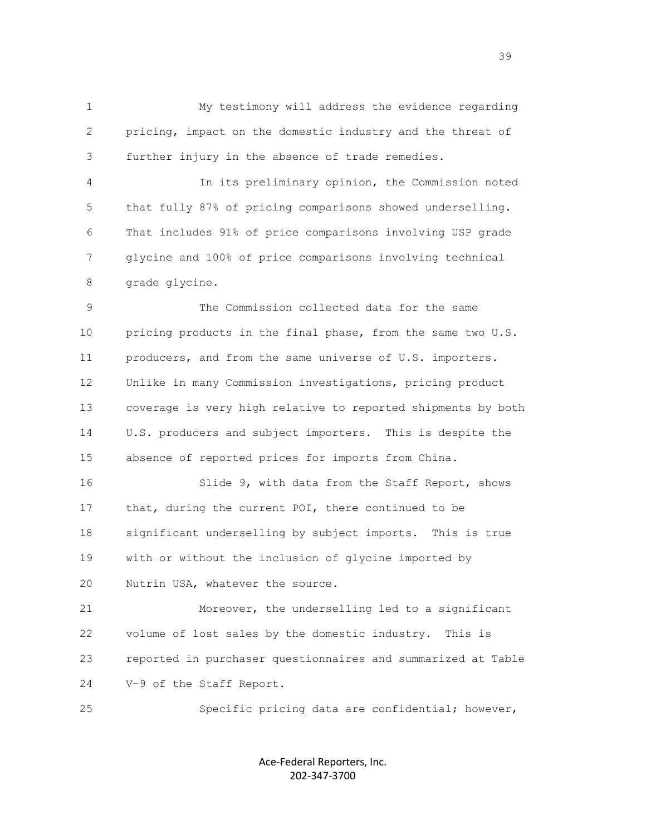1 My testimony will address the evidence regarding 2 pricing, impact on the domestic industry and the threat of 3 further injury in the absence of trade remedies.

 4 In its preliminary opinion, the Commission noted 5 that fully 87% of pricing comparisons showed underselling. 6 That includes 91% of price comparisons involving USP grade 7 glycine and 100% of price comparisons involving technical 8 grade glycine.

 9 The Commission collected data for the same 10 pricing products in the final phase, from the same two U.S. 11 producers, and from the same universe of U.S. importers. 12 Unlike in many Commission investigations, pricing product 13 coverage is very high relative to reported shipments by both 14 U.S. producers and subject importers. This is despite the 15 absence of reported prices for imports from China.

 16 Slide 9, with data from the Staff Report, shows 17 that, during the current POI, there continued to be 18 significant underselling by subject imports. This is true 19 with or without the inclusion of glycine imported by 20 Nutrin USA, whatever the source.

 21 Moreover, the underselling led to a significant 22 volume of lost sales by the domestic industry. This is 23 reported in purchaser questionnaires and summarized at Table 24 V-9 of the Staff Report.

25 Specific pricing data are confidential; however,

Ace-Federal Reporters, Inc. 202-347-3700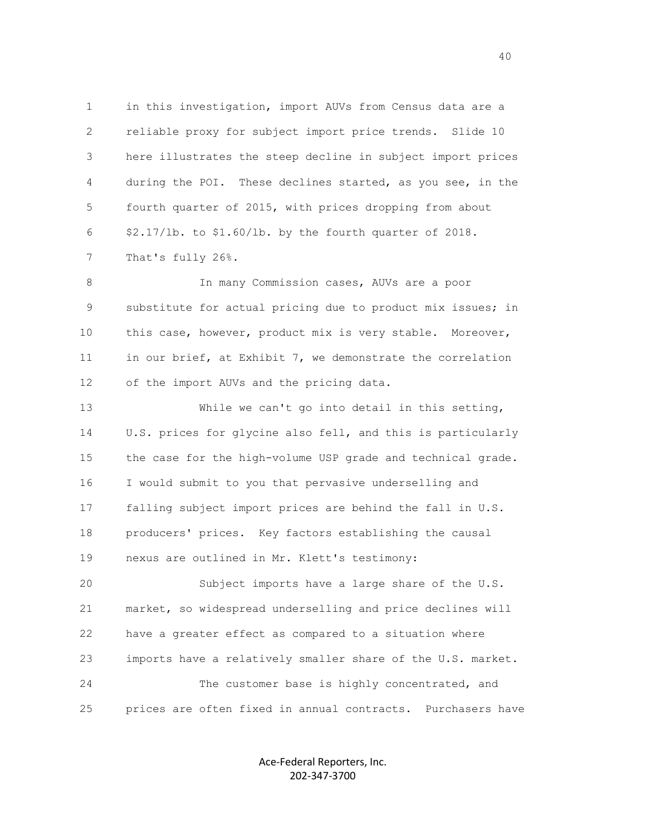1 in this investigation, import AUVs from Census data are a 2 reliable proxy for subject import price trends. Slide 10 3 here illustrates the steep decline in subject import prices 4 during the POI. These declines started, as you see, in the 5 fourth quarter of 2015, with prices dropping from about 6 \$2.17/lb. to \$1.60/lb. by the fourth quarter of 2018. 7 That's fully 26%.

8 In many Commission cases, AUVs are a poor 9 substitute for actual pricing due to product mix issues; in 10 this case, however, product mix is very stable. Moreover, 11 in our brief, at Exhibit 7, we demonstrate the correlation 12 of the import AUVs and the pricing data.

 13 While we can't go into detail in this setting, 14 U.S. prices for glycine also fell, and this is particularly 15 the case for the high-volume USP grade and technical grade. 16 I would submit to you that pervasive underselling and 17 falling subject import prices are behind the fall in U.S. 18 producers' prices. Key factors establishing the causal 19 nexus are outlined in Mr. Klett's testimony: 20 Subject imports have a large share of the U.S.

 21 market, so widespread underselling and price declines will 22 have a greater effect as compared to a situation where 23 imports have a relatively smaller share of the U.S. market. 24 The customer base is highly concentrated, and 25 prices are often fixed in annual contracts. Purchasers have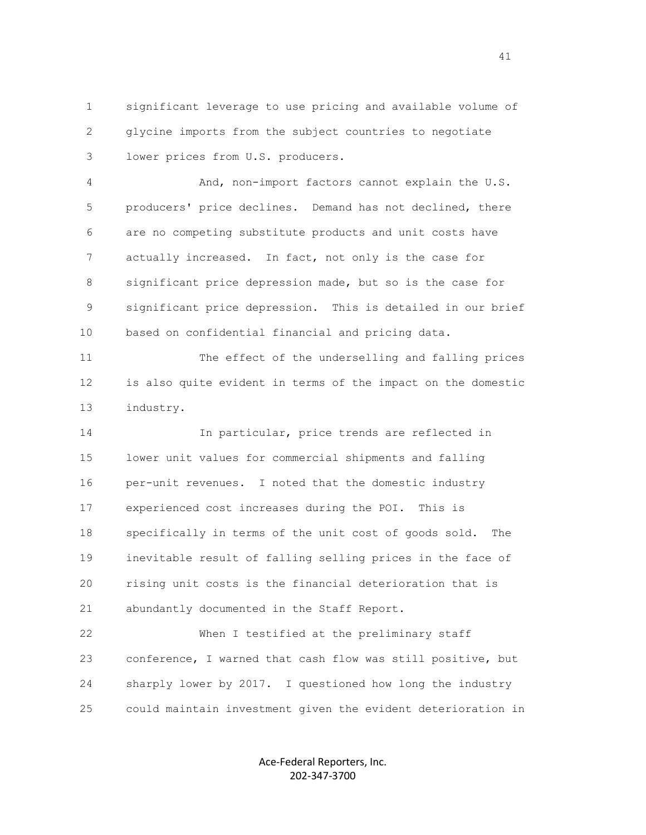1 significant leverage to use pricing and available volume of 2 glycine imports from the subject countries to negotiate 3 lower prices from U.S. producers.

 4 And, non-import factors cannot explain the U.S. 5 producers' price declines. Demand has not declined, there 6 are no competing substitute products and unit costs have 7 actually increased. In fact, not only is the case for 8 significant price depression made, but so is the case for 9 significant price depression. This is detailed in our brief 10 based on confidential financial and pricing data.

 11 The effect of the underselling and falling prices 12 is also quite evident in terms of the impact on the domestic 13 industry.

 14 In particular, price trends are reflected in 15 lower unit values for commercial shipments and falling 16 per-unit revenues. I noted that the domestic industry 17 experienced cost increases during the POI. This is 18 specifically in terms of the unit cost of goods sold. The 19 inevitable result of falling selling prices in the face of 20 rising unit costs is the financial deterioration that is 21 abundantly documented in the Staff Report.

 22 When I testified at the preliminary staff 23 conference, I warned that cash flow was still positive, but 24 sharply lower by 2017. I questioned how long the industry 25 could maintain investment given the evident deterioration in

> Ace-Federal Reporters, Inc. 202-347-3700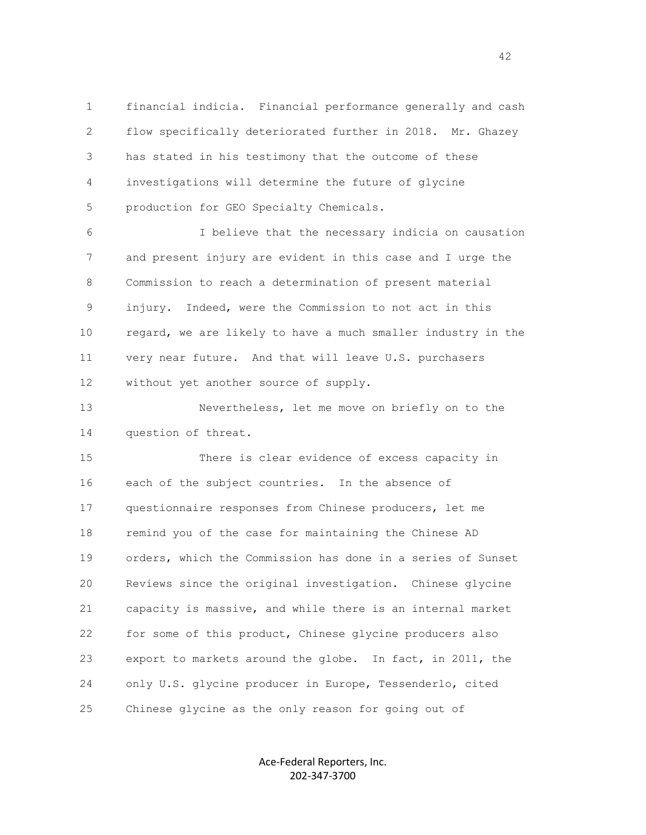1 financial indicia. Financial performance generally and cash 2 flow specifically deteriorated further in 2018. Mr. Ghazey 3 has stated in his testimony that the outcome of these 4 investigations will determine the future of glycine 5 production for GEO Specialty Chemicals.

 6 I believe that the necessary indicia on causation 7 and present injury are evident in this case and I urge the 8 Commission to reach a determination of present material 9 injury. Indeed, were the Commission to not act in this 10 regard, we are likely to have a much smaller industry in the 11 very near future. And that will leave U.S. purchasers 12 without yet another source of supply.

 13 Nevertheless, let me move on briefly on to the 14 question of threat.

 15 There is clear evidence of excess capacity in 16 each of the subject countries. In the absence of 17 questionnaire responses from Chinese producers, let me 18 remind you of the case for maintaining the Chinese AD 19 orders, which the Commission has done in a series of Sunset 20 Reviews since the original investigation. Chinese glycine 21 capacity is massive, and while there is an internal market 22 for some of this product, Chinese glycine producers also 23 export to markets around the globe. In fact, in 2011, the 24 only U.S. glycine producer in Europe, Tessenderlo, cited 25 Chinese glycine as the only reason for going out of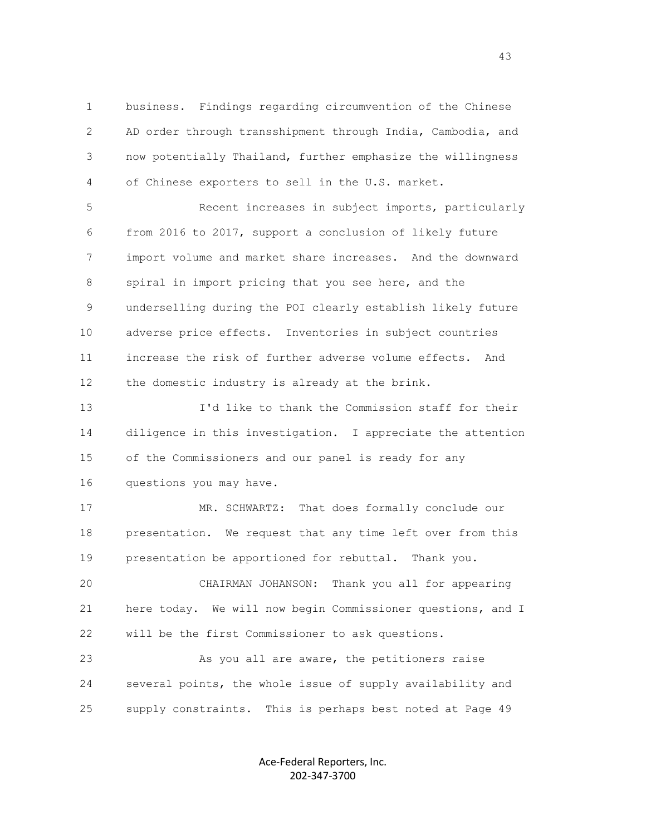1 business. Findings regarding circumvention of the Chinese 2 AD order through transshipment through India, Cambodia, and 3 now potentially Thailand, further emphasize the willingness 4 of Chinese exporters to sell in the U.S. market.

 5 Recent increases in subject imports, particularly 6 from 2016 to 2017, support a conclusion of likely future 7 import volume and market share increases. And the downward 8 spiral in import pricing that you see here, and the 9 underselling during the POI clearly establish likely future 10 adverse price effects. Inventories in subject countries 11 increase the risk of further adverse volume effects. And 12 the domestic industry is already at the brink.

 13 I'd like to thank the Commission staff for their 14 diligence in this investigation. I appreciate the attention 15 of the Commissioners and our panel is ready for any 16 questions you may have.

 17 MR. SCHWARTZ: That does formally conclude our 18 presentation. We request that any time left over from this 19 presentation be apportioned for rebuttal. Thank you.

 20 CHAIRMAN JOHANSON: Thank you all for appearing 21 here today. We will now begin Commissioner questions, and I 22 will be the first Commissioner to ask questions.

 23 As you all are aware, the petitioners raise 24 several points, the whole issue of supply availability and 25 supply constraints. This is perhaps best noted at Page 49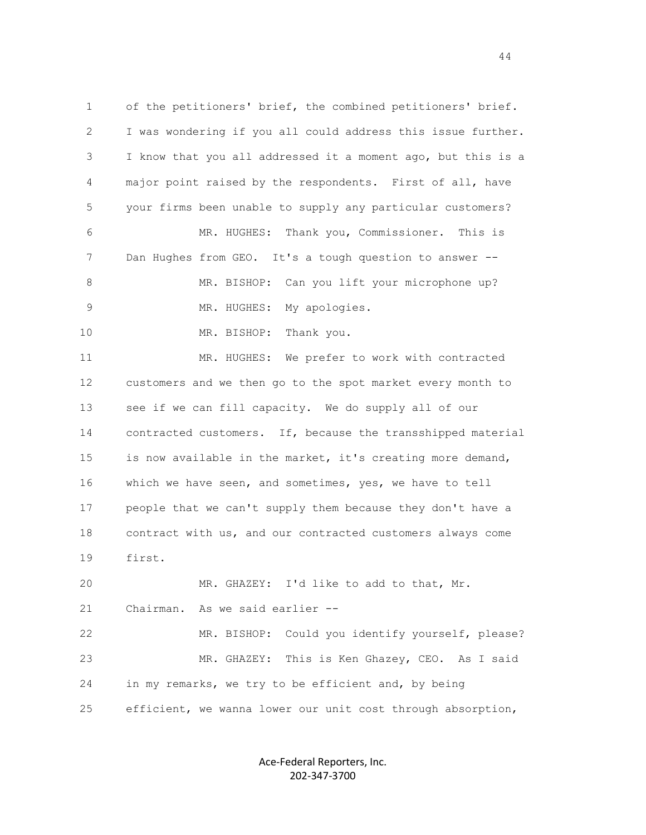1 of the petitioners' brief, the combined petitioners' brief. 2 I was wondering if you all could address this issue further. 3 I know that you all addressed it a moment ago, but this is a 4 major point raised by the respondents. First of all, have 5 your firms been unable to supply any particular customers? 6 MR. HUGHES: Thank you, Commissioner. This is 7 Dan Hughes from GEO. It's a tough question to answer -- 8 MR. BISHOP: Can you lift your microphone up? 9 MR. HUGHES: My apologies. 10 MR. BISHOP: Thank you. 11 MR. HUGHES: We prefer to work with contracted 12 customers and we then go to the spot market every month to 13 see if we can fill capacity. We do supply all of our 14 contracted customers. If, because the transshipped material 15 is now available in the market, it's creating more demand, 16 which we have seen, and sometimes, yes, we have to tell 17 people that we can't supply them because they don't have a 18 contract with us, and our contracted customers always come 19 first. 20 MR. GHAZEY: I'd like to add to that, Mr. 21 Chairman. As we said earlier -- 22 MR. BISHOP: Could you identify yourself, please? 23 MR. GHAZEY: This is Ken Ghazey, CEO. As I said 24 in my remarks, we try to be efficient and, by being 25 efficient, we wanna lower our unit cost through absorption,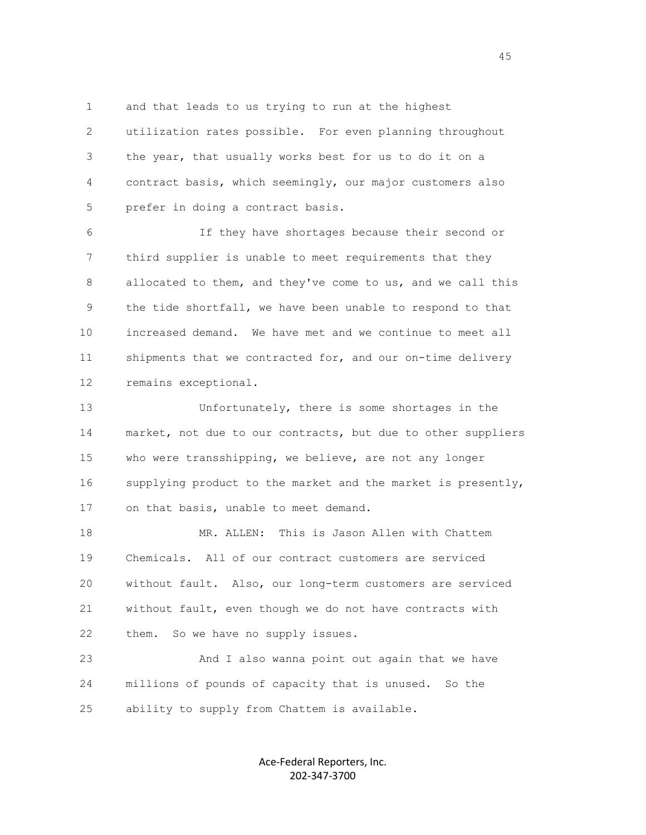1 and that leads to us trying to run at the highest

 2 utilization rates possible. For even planning throughout 3 the year, that usually works best for us to do it on a 4 contract basis, which seemingly, our major customers also 5 prefer in doing a contract basis.

 6 If they have shortages because their second or 7 third supplier is unable to meet requirements that they 8 allocated to them, and they've come to us, and we call this 9 the tide shortfall, we have been unable to respond to that 10 increased demand. We have met and we continue to meet all 11 shipments that we contracted for, and our on-time delivery 12 remains exceptional.

 13 Unfortunately, there is some shortages in the 14 market, not due to our contracts, but due to other suppliers 15 who were transshipping, we believe, are not any longer 16 supplying product to the market and the market is presently, 17 on that basis, unable to meet demand.

 18 MR. ALLEN: This is Jason Allen with Chattem 19 Chemicals. All of our contract customers are serviced 20 without fault. Also, our long-term customers are serviced 21 without fault, even though we do not have contracts with 22 them. So we have no supply issues.

 23 And I also wanna point out again that we have 24 millions of pounds of capacity that is unused. So the 25 ability to supply from Chattem is available.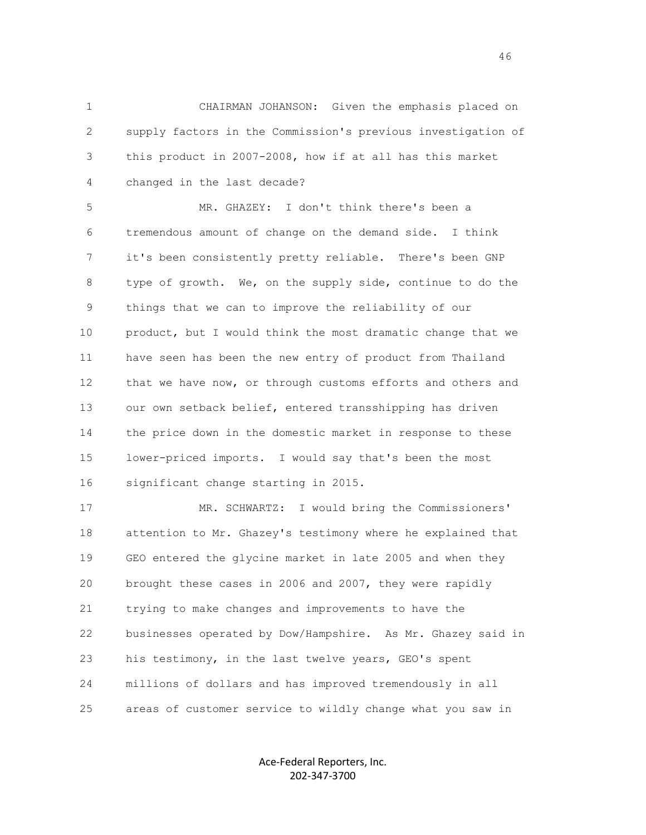1 CHAIRMAN JOHANSON: Given the emphasis placed on 2 supply factors in the Commission's previous investigation of 3 this product in 2007-2008, how if at all has this market 4 changed in the last decade?

 5 MR. GHAZEY: I don't think there's been a 6 tremendous amount of change on the demand side. I think 7 it's been consistently pretty reliable. There's been GNP 8 type of growth. We, on the supply side, continue to do the 9 things that we can to improve the reliability of our 10 product, but I would think the most dramatic change that we 11 have seen has been the new entry of product from Thailand 12 that we have now, or through customs efforts and others and 13 our own setback belief, entered transshipping has driven 14 the price down in the domestic market in response to these 15 lower-priced imports. I would say that's been the most 16 significant change starting in 2015.

 17 MR. SCHWARTZ: I would bring the Commissioners' 18 attention to Mr. Ghazey's testimony where he explained that 19 GEO entered the glycine market in late 2005 and when they 20 brought these cases in 2006 and 2007, they were rapidly 21 trying to make changes and improvements to have the 22 businesses operated by Dow/Hampshire. As Mr. Ghazey said in 23 his testimony, in the last twelve years, GEO's spent 24 millions of dollars and has improved tremendously in all 25 areas of customer service to wildly change what you saw in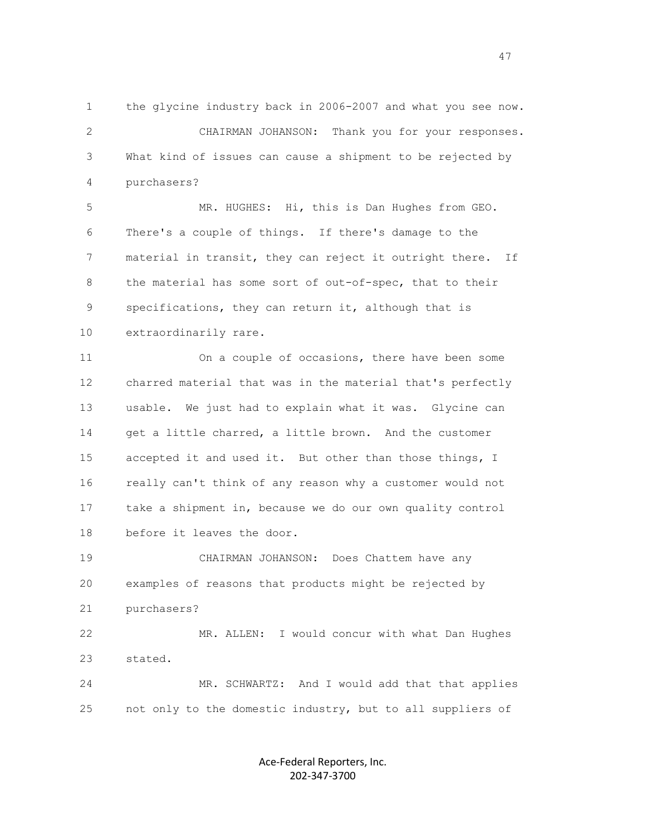1 the glycine industry back in 2006-2007 and what you see now. 2 CHAIRMAN JOHANSON: Thank you for your responses. 3 What kind of issues can cause a shipment to be rejected by 4 purchasers?

 5 MR. HUGHES: Hi, this is Dan Hughes from GEO. 6 There's a couple of things. If there's damage to the 7 material in transit, they can reject it outright there. If 8 the material has some sort of out-of-spec, that to their 9 specifications, they can return it, although that is 10 extraordinarily rare.

 11 On a couple of occasions, there have been some 12 charred material that was in the material that's perfectly 13 usable. We just had to explain what it was. Glycine can 14 get a little charred, a little brown. And the customer 15 accepted it and used it. But other than those things, I 16 really can't think of any reason why a customer would not 17 take a shipment in, because we do our own quality control 18 before it leaves the door.

 19 CHAIRMAN JOHANSON: Does Chattem have any 20 examples of reasons that products might be rejected by 21 purchasers?

 22 MR. ALLEN: I would concur with what Dan Hughes 23 stated.

 24 MR. SCHWARTZ: And I would add that that applies 25 not only to the domestic industry, but to all suppliers of

> Ace-Federal Reporters, Inc. 202-347-3700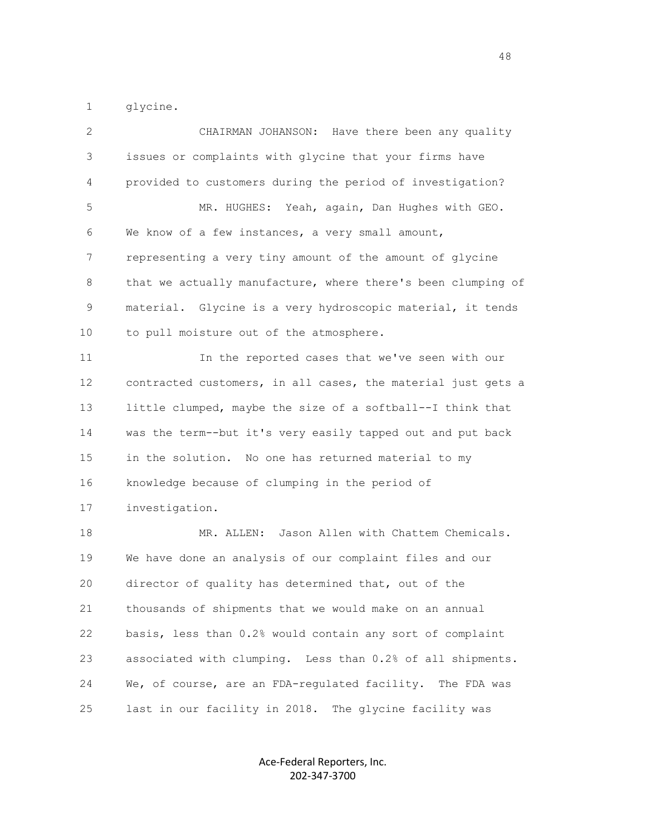1 glycine.

| 2  | CHAIRMAN JOHANSON: Have there been any quality               |
|----|--------------------------------------------------------------|
| 3  | issues or complaints with glycine that your firms have       |
| 4  | provided to customers during the period of investigation?    |
| 5  | MR. HUGHES: Yeah, again, Dan Hughes with GEO.                |
| 6  | We know of a few instances, a very small amount,             |
| 7  | representing a very tiny amount of the amount of glycine     |
| 8  | that we actually manufacture, where there's been clumping of |
| 9  | material. Glycine is a very hydroscopic material, it tends   |
| 10 | to pull moisture out of the atmosphere.                      |
| 11 | In the reported cases that we've seen with our               |
| 12 | contracted customers, in all cases, the material just gets a |
| 13 | little clumped, maybe the size of a softball--I think that   |
| 14 | was the term--but it's very easily tapped out and put back   |
| 15 | in the solution. No one has returned material to my          |
| 16 | knowledge because of clumping in the period of               |
| 17 | investigation.                                               |
| 18 | Jason Allen with Chattem Chemicals.<br>MR. ALLEN:            |
| 19 | We have done an analysis of our complaint files and our      |
| 20 | director of quality has determined that, out of the          |
| 21 | thousands of shipments that we would make on an annual       |
| 22 | basis, less than 0.2% would contain any sort of complaint    |
| 23 | associated with clumping. Less than 0.2% of all shipments.   |
| 24 | We, of course, are an FDA-regulated facility.<br>The FDA was |
| 25 | last in our facility in 2018. The glycine facility was       |

Ace-Federal Reporters, Inc. 202-347-3700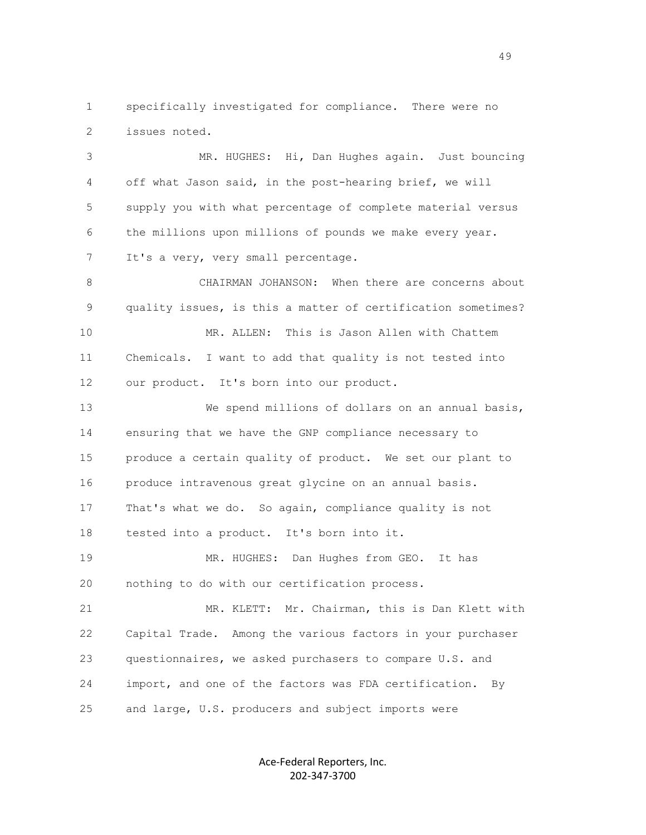1 specifically investigated for compliance. There were no 2 issues noted.

 3 MR. HUGHES: Hi, Dan Hughes again. Just bouncing 4 off what Jason said, in the post-hearing brief, we will 5 supply you with what percentage of complete material versus 6 the millions upon millions of pounds we make every year. 7 It's a very, very small percentage.

 8 CHAIRMAN JOHANSON: When there are concerns about 9 quality issues, is this a matter of certification sometimes? 10 MR. ALLEN: This is Jason Allen with Chattem 11 Chemicals. I want to add that quality is not tested into 12 our product. It's born into our product.

 13 We spend millions of dollars on an annual basis, 14 ensuring that we have the GNP compliance necessary to 15 produce a certain quality of product. We set our plant to 16 produce intravenous great glycine on an annual basis. 17 That's what we do. So again, compliance quality is not 18 tested into a product. It's born into it. 19 MR. HUGHES: Dan Hughes from GEO. It has 20 nothing to do with our certification process. 21 MR. KLETT: Mr. Chairman, this is Dan Klett with 22 Capital Trade. Among the various factors in your purchaser 23 questionnaires, we asked purchasers to compare U.S. and 24 import, and one of the factors was FDA certification. By

25 and large, U.S. producers and subject imports were

Ace-Federal Reporters, Inc. 202-347-3700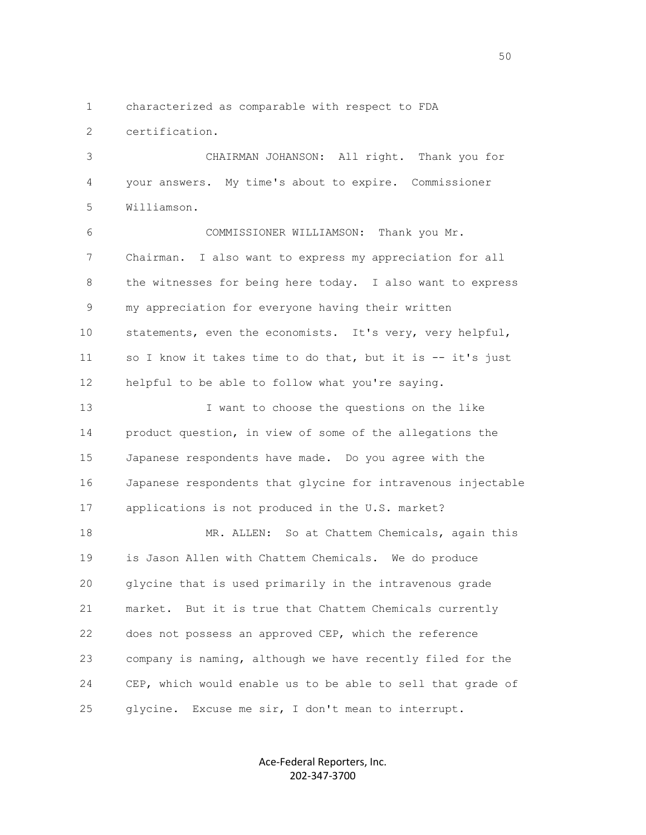1 characterized as comparable with respect to FDA

2 certification.

 3 CHAIRMAN JOHANSON: All right. Thank you for 4 your answers. My time's about to expire. Commissioner 5 Williamson.

 6 COMMISSIONER WILLIAMSON: Thank you Mr. 7 Chairman. I also want to express my appreciation for all 8 the witnesses for being here today. I also want to express 9 my appreciation for everyone having their written 10 statements, even the economists. It's very, very helpful, 11 so I know it takes time to do that, but it is -- it's just 12 helpful to be able to follow what you're saying.

13 I want to choose the questions on the like 14 product question, in view of some of the allegations the 15 Japanese respondents have made. Do you agree with the 16 Japanese respondents that glycine for intravenous injectable 17 applications is not produced in the U.S. market?

18 MR. ALLEN: So at Chattem Chemicals, again this 19 is Jason Allen with Chattem Chemicals. We do produce 20 glycine that is used primarily in the intravenous grade 21 market. But it is true that Chattem Chemicals currently 22 does not possess an approved CEP, which the reference 23 company is naming, although we have recently filed for the 24 CEP, which would enable us to be able to sell that grade of 25 glycine. Excuse me sir, I don't mean to interrupt.

> Ace-Federal Reporters, Inc. 202-347-3700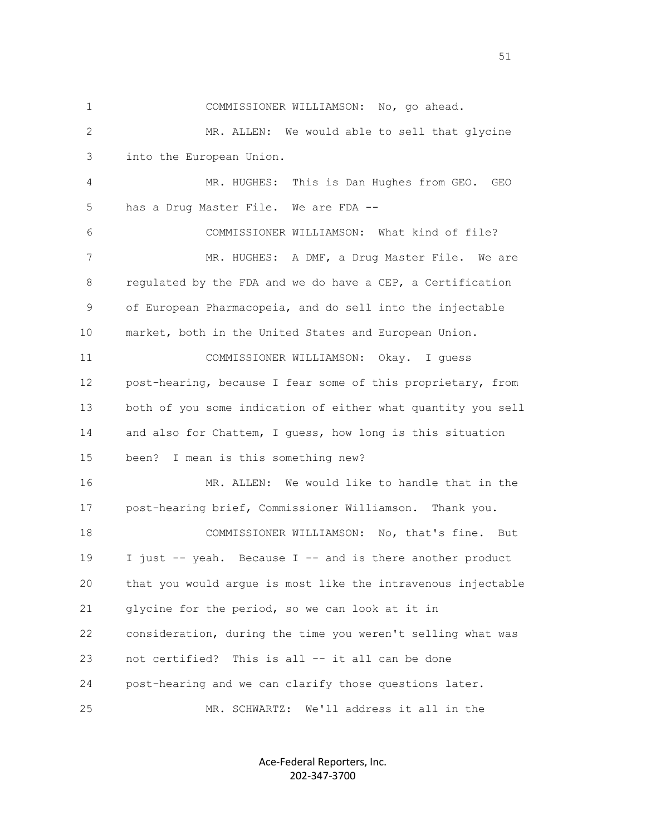1 COMMISSIONER WILLIAMSON: No, go ahead. 2 MR. ALLEN: We would able to sell that glycine 3 into the European Union. 4 MR. HUGHES: This is Dan Hughes from GEO. GEO 5 has a Drug Master File. We are FDA -- 6 COMMISSIONER WILLIAMSON: What kind of file? 7 MR. HUGHES: A DMF, a Drug Master File. We are 8 regulated by the FDA and we do have a CEP, a Certification 9 of European Pharmacopeia, and do sell into the injectable 10 market, both in the United States and European Union. 11 COMMISSIONER WILLIAMSON: Okay. I guess 12 post-hearing, because I fear some of this proprietary, from 13 both of you some indication of either what quantity you sell 14 and also for Chattem, I guess, how long is this situation 15 been? I mean is this something new? 16 MR. ALLEN: We would like to handle that in the 17 post-hearing brief, Commissioner Williamson. Thank you. 18 COMMISSIONER WILLIAMSON: No, that's fine. But 19 I just -- yeah. Because I -- and is there another product 20 that you would argue is most like the intravenous injectable 21 glycine for the period, so we can look at it in 22 consideration, during the time you weren't selling what was 23 not certified? This is all -- it all can be done 24 post-hearing and we can clarify those questions later. 25 MR. SCHWARTZ: We'll address it all in the

> Ace-Federal Reporters, Inc. 202-347-3700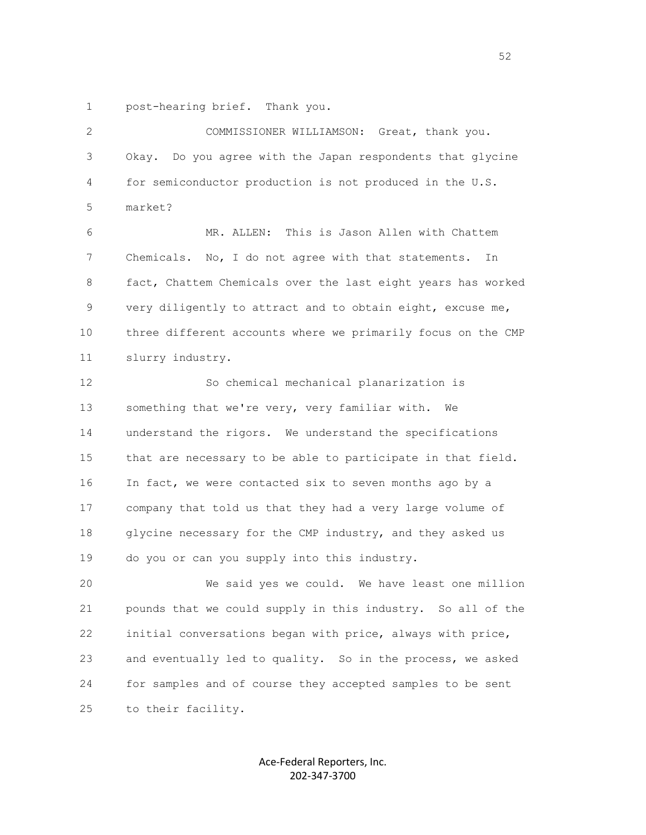1 post-hearing brief. Thank you.

| 2  | COMMISSIONER WILLIAMSON: Great, thank you.                   |
|----|--------------------------------------------------------------|
| 3  | Okay. Do you agree with the Japan respondents that glycine   |
| 4  | for semiconductor production is not produced in the U.S.     |
| 5  | market?                                                      |
| 6  | MR. ALLEN: This is Jason Allen with Chattem                  |
| 7  | Chemicals. No, I do not agree with that statements.<br>In    |
| 8  | fact, Chattem Chemicals over the last eight years has worked |
| 9  | very diligently to attract and to obtain eight, excuse me,   |
| 10 | three different accounts where we primarily focus on the CMP |
| 11 | slurry industry.                                             |
| 12 | So chemical mechanical planarization is                      |
| 13 | something that we're very, very familiar with.<br>We         |
| 14 | understand the rigors. We understand the specifications      |
| 15 | that are necessary to be able to participate in that field.  |
| 16 | In fact, we were contacted six to seven months ago by a      |
| 17 | company that told us that they had a very large volume of    |
| 18 | glycine necessary for the CMP industry, and they asked us    |
| 19 | do you or can you supply into this industry.                 |
| 20 | We said yes we could. We have least one million              |
| 21 | pounds that we could supply in this industry. So all of the  |
| 22 | initial conversations began with price, always with price,   |
| 23 | and eventually led to quality. So in the process, we asked   |
| 24 | for samples and of course they accepted samples to be sent   |
| 25 | to their facility.                                           |
|    |                                                              |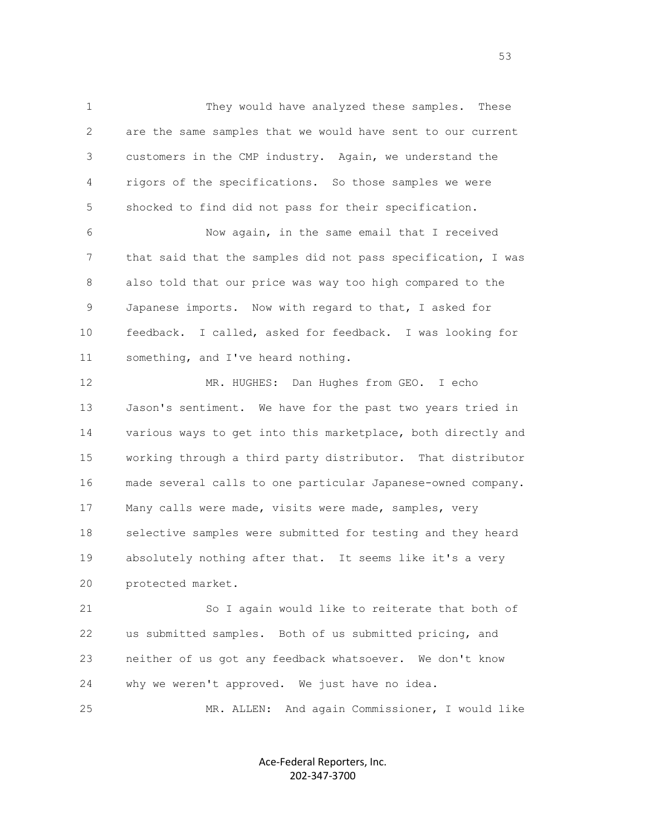1 They would have analyzed these samples. These 2 are the same samples that we would have sent to our current 3 customers in the CMP industry. Again, we understand the 4 rigors of the specifications. So those samples we were 5 shocked to find did not pass for their specification.

 6 Now again, in the same email that I received 7 that said that the samples did not pass specification, I was 8 also told that our price was way too high compared to the 9 Japanese imports. Now with regard to that, I asked for 10 feedback. I called, asked for feedback. I was looking for 11 something, and I've heard nothing.

 12 MR. HUGHES: Dan Hughes from GEO. I echo 13 Jason's sentiment. We have for the past two years tried in 14 various ways to get into this marketplace, both directly and 15 working through a third party distributor. That distributor 16 made several calls to one particular Japanese-owned company. 17 Many calls were made, visits were made, samples, very 18 selective samples were submitted for testing and they heard 19 absolutely nothing after that. It seems like it's a very 20 protected market.

 21 So I again would like to reiterate that both of 22 us submitted samples. Both of us submitted pricing, and 23 neither of us got any feedback whatsoever. We don't know 24 why we weren't approved. We just have no idea.

25 MR. ALLEN: And again Commissioner, I would like

Ace-Federal Reporters, Inc. 202-347-3700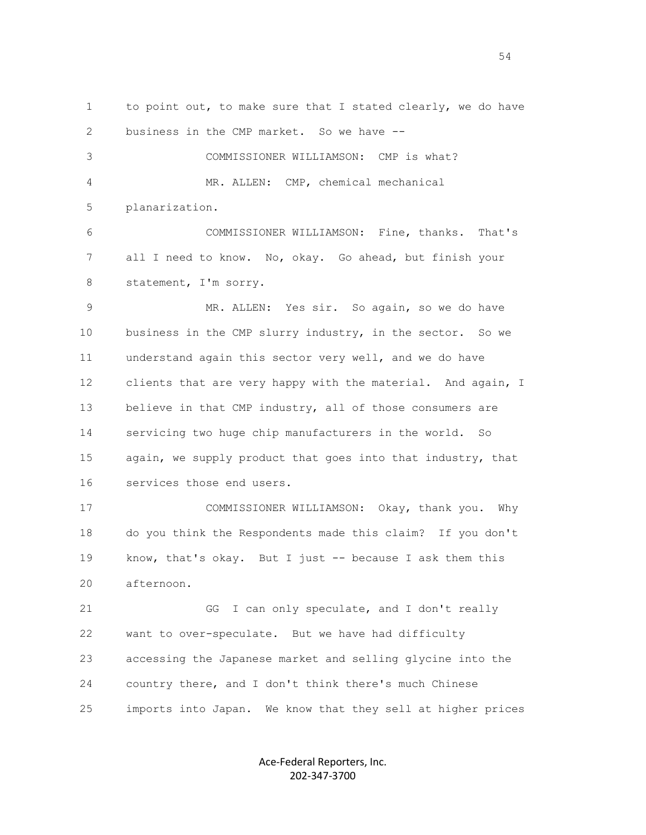1 to point out, to make sure that I stated clearly, we do have 2 business in the CMP market. So we have -- 3 COMMISSIONER WILLIAMSON: CMP is what? 4 MR. ALLEN: CMP, chemical mechanical 5 planarization. 6 COMMISSIONER WILLIAMSON: Fine, thanks. That's 7 all I need to know. No, okay. Go ahead, but finish your 8 statement, I'm sorry. 9 MR. ALLEN: Yes sir. So again, so we do have 10 business in the CMP slurry industry, in the sector. So we 11 understand again this sector very well, and we do have 12 clients that are very happy with the material. And again, I 13 believe in that CMP industry, all of those consumers are 14 servicing two huge chip manufacturers in the world. So 15 again, we supply product that goes into that industry, that 16 services those end users. 17 COMMISSIONER WILLIAMSON: Okay, thank you. Why 18 do you think the Respondents made this claim? If you don't 19 know, that's okay. But I just -- because I ask them this 20 afternoon. 21 GG I can only speculate, and I don't really 22 want to over-speculate. But we have had difficulty 23 accessing the Japanese market and selling glycine into the 24 country there, and I don't think there's much Chinese

25 imports into Japan. We know that they sell at higher prices

Ace-Federal Reporters, Inc. 202-347-3700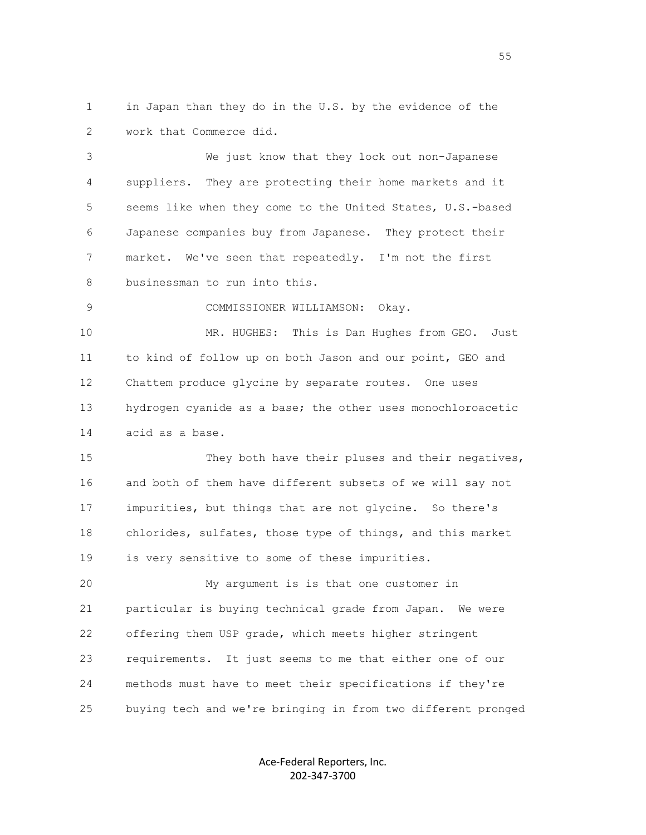1 in Japan than they do in the U.S. by the evidence of the 2 work that Commerce did.

 3 We just know that they lock out non-Japanese 4 suppliers. They are protecting their home markets and it 5 seems like when they come to the United States, U.S.-based 6 Japanese companies buy from Japanese. They protect their 7 market. We've seen that repeatedly. I'm not the first 8 businessman to run into this.

9 COMMISSIONER WILLIAMSON: Okay.

 10 MR. HUGHES: This is Dan Hughes from GEO. Just 11 to kind of follow up on both Jason and our point, GEO and 12 Chattem produce glycine by separate routes. One uses 13 hydrogen cyanide as a base; the other uses monochloroacetic 14 acid as a base.

15 They both have their pluses and their negatives, 16 and both of them have different subsets of we will say not 17 impurities, but things that are not glycine. So there's 18 chlorides, sulfates, those type of things, and this market 19 is very sensitive to some of these impurities.

 20 My argument is is that one customer in 21 particular is buying technical grade from Japan. We were 22 offering them USP grade, which meets higher stringent 23 requirements. It just seems to me that either one of our 24 methods must have to meet their specifications if they're 25 buying tech and we're bringing in from two different pronged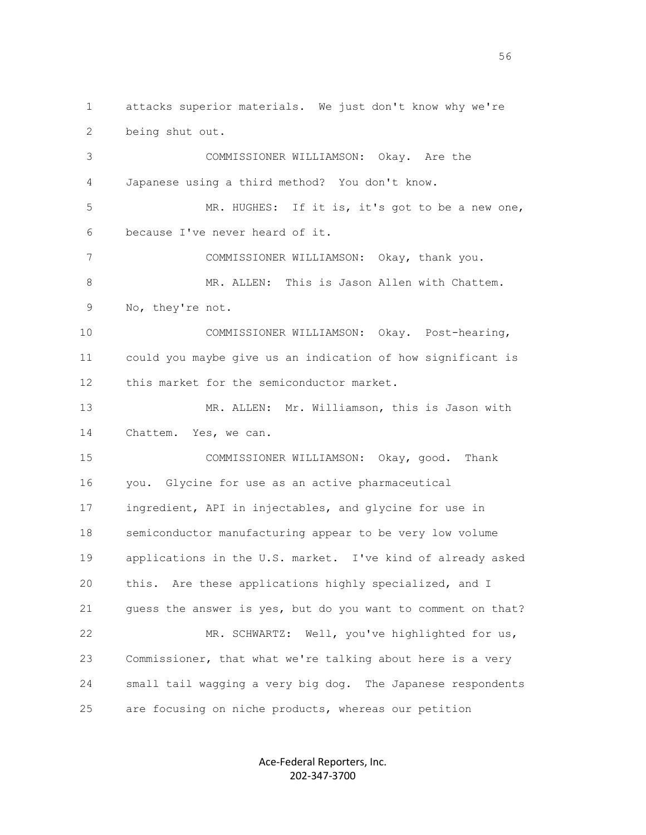1 attacks superior materials. We just don't know why we're 2 being shut out.

 3 COMMISSIONER WILLIAMSON: Okay. Are the 4 Japanese using a third method? You don't know. 5 MR. HUGHES: If it is, it's got to be a new one, 6 because I've never heard of it. 7 COMMISSIONER WILLIAMSON: Okay, thank you. 8 MR. ALLEN: This is Jason Allen with Chattem. 9 No, they're not. 10 COMMISSIONER WILLIAMSON: Okay. Post-hearing, 11 could you maybe give us an indication of how significant is 12 this market for the semiconductor market. 13 MR. ALLEN: Mr. Williamson, this is Jason with 14 Chattem. Yes, we can. 15 COMMISSIONER WILLIAMSON: Okay, good. Thank 16 you. Glycine for use as an active pharmaceutical 17 ingredient, API in injectables, and glycine for use in 18 semiconductor manufacturing appear to be very low volume 19 applications in the U.S. market. I've kind of already asked 20 this. Are these applications highly specialized, and I 21 guess the answer is yes, but do you want to comment on that? 22 MR. SCHWARTZ: Well, you've highlighted for us, 23 Commissioner, that what we're talking about here is a very 24 small tail wagging a very big dog. The Japanese respondents 25 are focusing on niche products, whereas our petition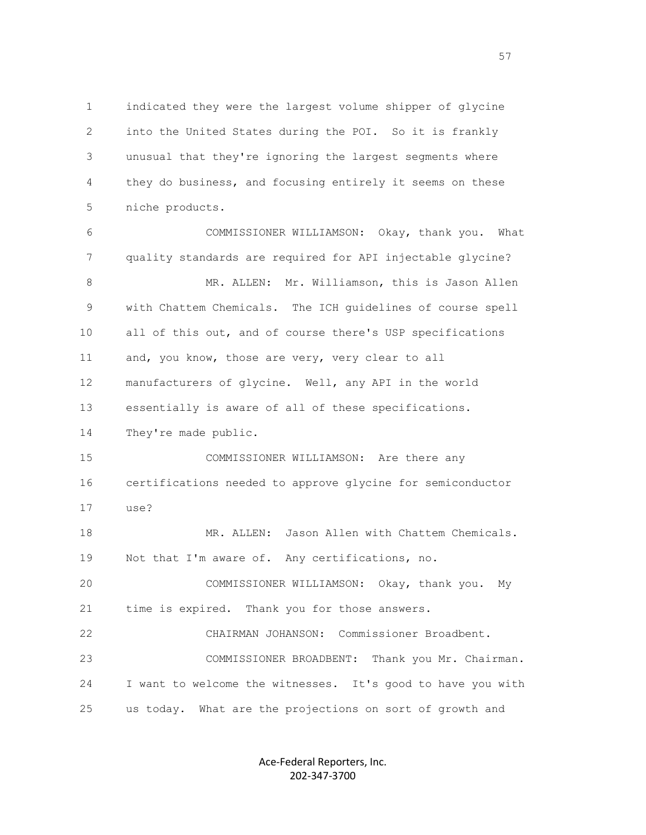1 indicated they were the largest volume shipper of glycine 2 into the United States during the POI. So it is frankly 3 unusual that they're ignoring the largest segments where 4 they do business, and focusing entirely it seems on these 5 niche products.

 6 COMMISSIONER WILLIAMSON: Okay, thank you. What 7 quality standards are required for API injectable glycine? 8 MR. ALLEN: Mr. Williamson, this is Jason Allen 9 with Chattem Chemicals. The ICH guidelines of course spell 10 all of this out, and of course there's USP specifications 11 and, you know, those are very, very clear to all 12 manufacturers of glycine. Well, any API in the world 13 essentially is aware of all of these specifications. 14 They're made public. 15 COMMISSIONER WILLIAMSON: Are there any 16 certifications needed to approve glycine for semiconductor 17 use? 18 MR. ALLEN: Jason Allen with Chattem Chemicals. 19 Not that I'm aware of. Any certifications, no. 20 COMMISSIONER WILLIAMSON: Okay, thank you. My 21 time is expired. Thank you for those answers. 22 CHAIRMAN JOHANSON: Commissioner Broadbent. 23 COMMISSIONER BROADBENT: Thank you Mr. Chairman. 24 I want to welcome the witnesses. It's good to have you with 25 us today. What are the projections on sort of growth and

> Ace-Federal Reporters, Inc. 202-347-3700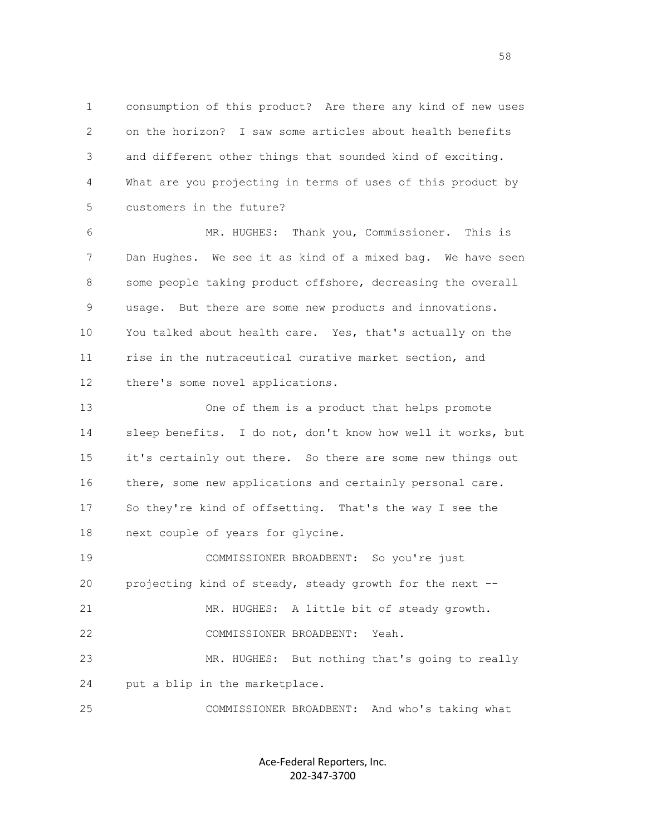1 consumption of this product? Are there any kind of new uses 2 on the horizon? I saw some articles about health benefits 3 and different other things that sounded kind of exciting. 4 What are you projecting in terms of uses of this product by 5 customers in the future?

 6 MR. HUGHES: Thank you, Commissioner. This is 7 Dan Hughes. We see it as kind of a mixed bag. We have seen 8 some people taking product offshore, decreasing the overall 9 usage. But there are some new products and innovations. 10 You talked about health care. Yes, that's actually on the 11 rise in the nutraceutical curative market section, and 12 there's some novel applications.

 13 One of them is a product that helps promote 14 sleep benefits. I do not, don't know how well it works, but 15 it's certainly out there. So there are some new things out 16 there, some new applications and certainly personal care. 17 So they're kind of offsetting. That's the way I see the 18 next couple of years for glycine. 19 COMMISSIONER BROADBENT: So you're just

 20 projecting kind of steady, steady growth for the next -- 21 MR. HUGHES: A little bit of steady growth. 22 COMMISSIONER BROADBENT: Yeah. 23 MR. HUGHES: But nothing that's going to really 24 put a blip in the marketplace.

25 COMMISSIONER BROADBENT: And who's taking what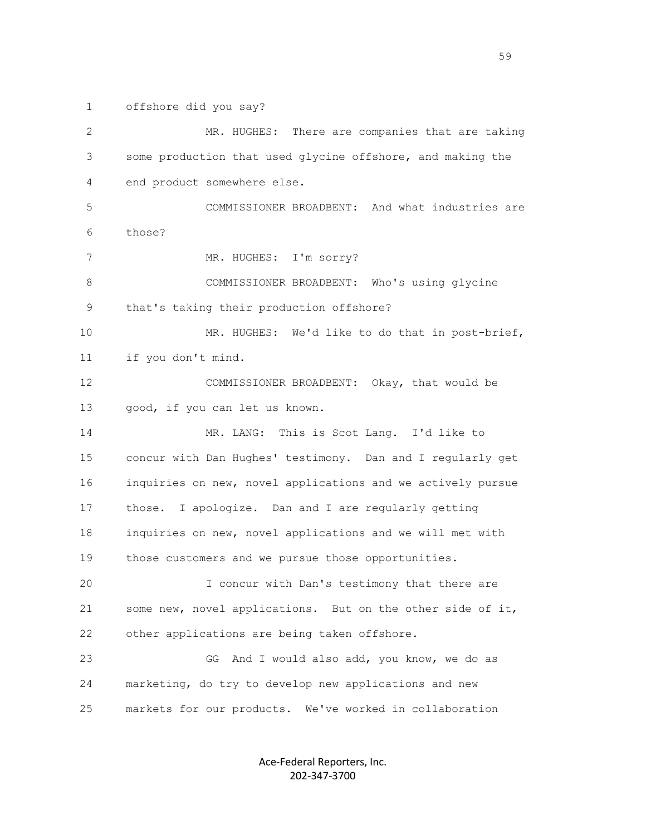1 offshore did you say?

 2 MR. HUGHES: There are companies that are taking 3 some production that used glycine offshore, and making the 4 end product somewhere else. 5 COMMISSIONER BROADBENT: And what industries are 6 those? 7 MR. HUGHES: I'm sorry? 8 COMMISSIONER BROADBENT: Who's using glycine 9 that's taking their production offshore? 10 MR. HUGHES: We'd like to do that in post-brief, 11 if you don't mind. 12 COMMISSIONER BROADBENT: Okay, that would be 13 good, if you can let us known. 14 MR. LANG: This is Scot Lang. I'd like to 15 concur with Dan Hughes' testimony. Dan and I regularly get 16 inquiries on new, novel applications and we actively pursue 17 those. I apologize. Dan and I are regularly getting 18 inquiries on new, novel applications and we will met with 19 those customers and we pursue those opportunities. 20 I concur with Dan's testimony that there are 21 some new, novel applications. But on the other side of it, 22 other applications are being taken offshore. 23 GG And I would also add, you know, we do as 24 marketing, do try to develop new applications and new 25 markets for our products. We've worked in collaboration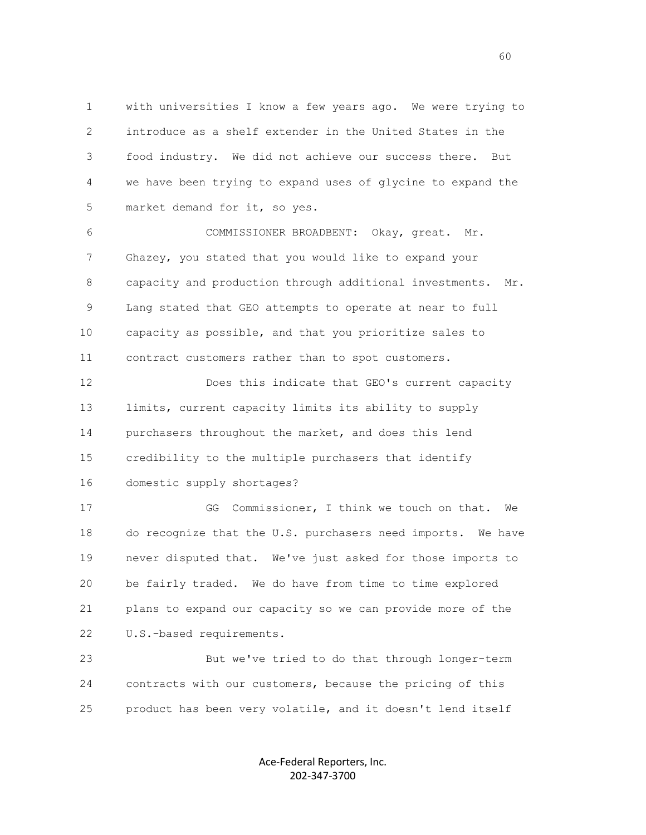1 with universities I know a few years ago. We were trying to 2 introduce as a shelf extender in the United States in the 3 food industry. We did not achieve our success there. But 4 we have been trying to expand uses of glycine to expand the 5 market demand for it, so yes.

 6 COMMISSIONER BROADBENT: Okay, great. Mr. 7 Ghazey, you stated that you would like to expand your 8 capacity and production through additional investments. Mr. 9 Lang stated that GEO attempts to operate at near to full 10 capacity as possible, and that you prioritize sales to 11 contract customers rather than to spot customers.

 12 Does this indicate that GEO's current capacity 13 limits, current capacity limits its ability to supply 14 purchasers throughout the market, and does this lend 15 credibility to the multiple purchasers that identify 16 domestic supply shortages?

 17 GG Commissioner, I think we touch on that. We 18 do recognize that the U.S. purchasers need imports. We have 19 never disputed that. We've just asked for those imports to 20 be fairly traded. We do have from time to time explored 21 plans to expand our capacity so we can provide more of the 22 U.S.-based requirements.

 23 But we've tried to do that through longer-term 24 contracts with our customers, because the pricing of this 25 product has been very volatile, and it doesn't lend itself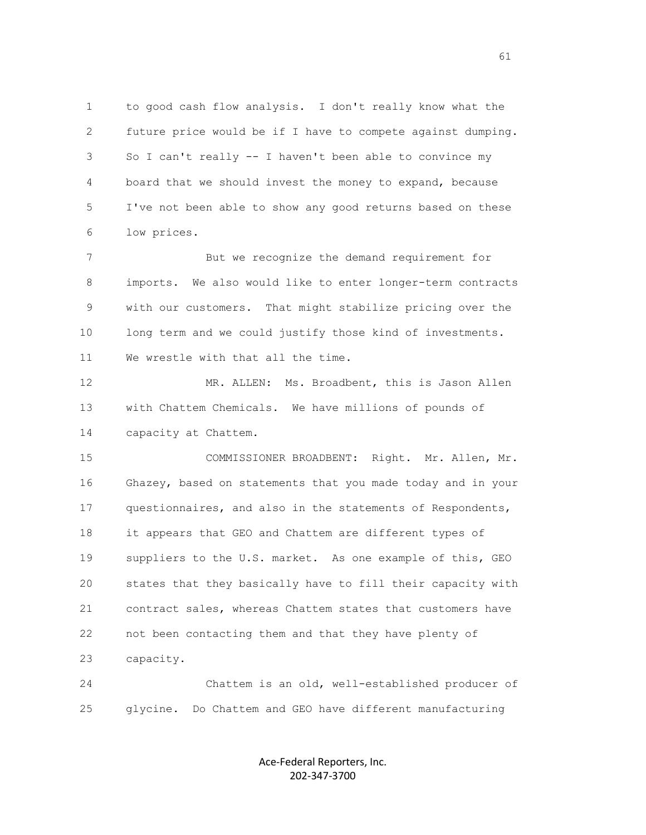1 to good cash flow analysis. I don't really know what the 2 future price would be if I have to compete against dumping. 3 So I can't really -- I haven't been able to convince my 4 board that we should invest the money to expand, because 5 I've not been able to show any good returns based on these 6 low prices.

 7 But we recognize the demand requirement for 8 imports. We also would like to enter longer-term contracts 9 with our customers. That might stabilize pricing over the 10 long term and we could justify those kind of investments. 11 We wrestle with that all the time.

 12 MR. ALLEN: Ms. Broadbent, this is Jason Allen 13 with Chattem Chemicals. We have millions of pounds of 14 capacity at Chattem.

 15 COMMISSIONER BROADBENT: Right. Mr. Allen, Mr. 16 Ghazey, based on statements that you made today and in your 17 questionnaires, and also in the statements of Respondents, 18 it appears that GEO and Chattem are different types of 19 suppliers to the U.S. market. As one example of this, GEO 20 states that they basically have to fill their capacity with 21 contract sales, whereas Chattem states that customers have 22 not been contacting them and that they have plenty of 23 capacity.

 24 Chattem is an old, well-established producer of 25 glycine. Do Chattem and GEO have different manufacturing

> Ace-Federal Reporters, Inc. 202-347-3700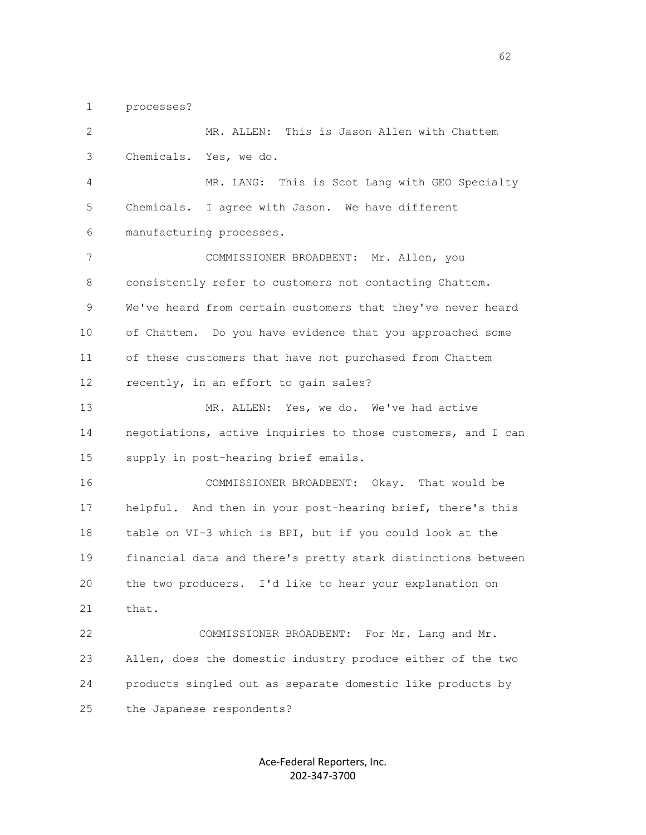1 processes?

 2 MR. ALLEN: This is Jason Allen with Chattem 3 Chemicals. Yes, we do. 4 MR. LANG: This is Scot Lang with GEO Specialty 5 Chemicals. I agree with Jason. We have different 6 manufacturing processes. 7 COMMISSIONER BROADBENT: Mr. Allen, you 8 consistently refer to customers not contacting Chattem. 9 We've heard from certain customers that they've never heard 10 of Chattem. Do you have evidence that you approached some 11 of these customers that have not purchased from Chattem 12 recently, in an effort to gain sales? 13 MR. ALLEN: Yes, we do. We've had active 14 negotiations, active inquiries to those customers, and I can 15 supply in post-hearing brief emails. 16 COMMISSIONER BROADBENT: Okay. That would be 17 helpful. And then in your post-hearing brief, there's this 18 table on VI-3 which is BPI, but if you could look at the 19 financial data and there's pretty stark distinctions between 20 the two producers. I'd like to hear your explanation on 21 that. 22 COMMISSIONER BROADBENT: For Mr. Lang and Mr. 23 Allen, does the domestic industry produce either of the two 24 products singled out as separate domestic like products by 25 the Japanese respondents?

> Ace-Federal Reporters, Inc. 202-347-3700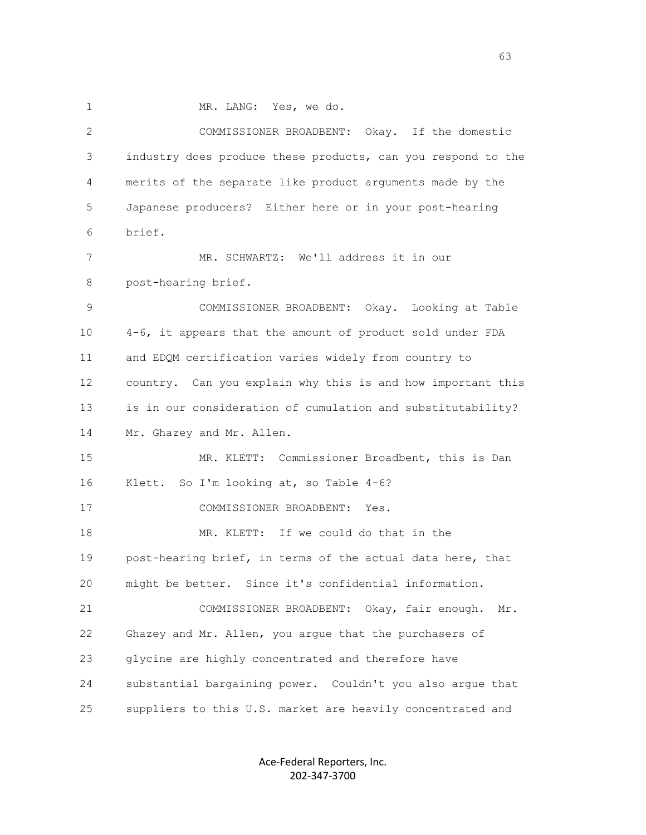1 MR. LANG: Yes, we do.

 2 COMMISSIONER BROADBENT: Okay. If the domestic 3 industry does produce these products, can you respond to the 4 merits of the separate like product arguments made by the 5 Japanese producers? Either here or in your post-hearing 6 brief. 7 MR. SCHWARTZ: We'll address it in our 8 post-hearing brief. 9 COMMISSIONER BROADBENT: Okay. Looking at Table 10 4-6, it appears that the amount of product sold under FDA 11 and EDQM certification varies widely from country to 12 country. Can you explain why this is and how important this 13 is in our consideration of cumulation and substitutability? 14 Mr. Ghazey and Mr. Allen. 15 MR. KLETT: Commissioner Broadbent, this is Dan 16 Klett. So I'm looking at, so Table 4-6? 17 COMMISSIONER BROADBENT: Yes. 18 MR. KLETT: If we could do that in the 19 post-hearing brief, in terms of the actual data here, that 20 might be better. Since it's confidential information. 21 COMMISSIONER BROADBENT: Okay, fair enough. Mr. 22 Ghazey and Mr. Allen, you argue that the purchasers of 23 glycine are highly concentrated and therefore have 24 substantial bargaining power. Couldn't you also argue that 25 suppliers to this U.S. market are heavily concentrated and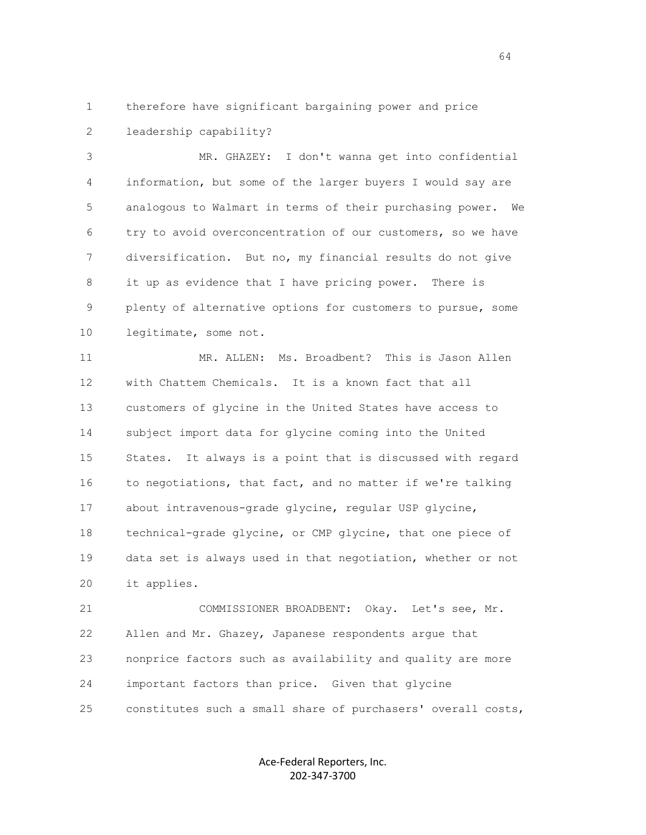1 therefore have significant bargaining power and price 2 leadership capability?

 3 MR. GHAZEY: I don't wanna get into confidential 4 information, but some of the larger buyers I would say are 5 analogous to Walmart in terms of their purchasing power. We 6 try to avoid overconcentration of our customers, so we have 7 diversification. But no, my financial results do not give 8 it up as evidence that I have pricing power. There is 9 plenty of alternative options for customers to pursue, some 10 legitimate, some not.

 11 MR. ALLEN: Ms. Broadbent? This is Jason Allen 12 with Chattem Chemicals. It is a known fact that all 13 customers of glycine in the United States have access to 14 subject import data for glycine coming into the United 15 States. It always is a point that is discussed with regard 16 to negotiations, that fact, and no matter if we're talking 17 about intravenous-grade glycine, regular USP glycine, 18 technical-grade glycine, or CMP glycine, that one piece of 19 data set is always used in that negotiation, whether or not 20 it applies.

 21 COMMISSIONER BROADBENT: Okay. Let's see, Mr. 22 Allen and Mr. Ghazey, Japanese respondents argue that 23 nonprice factors such as availability and quality are more 24 important factors than price. Given that glycine 25 constitutes such a small share of purchasers' overall costs,

> Ace-Federal Reporters, Inc. 202-347-3700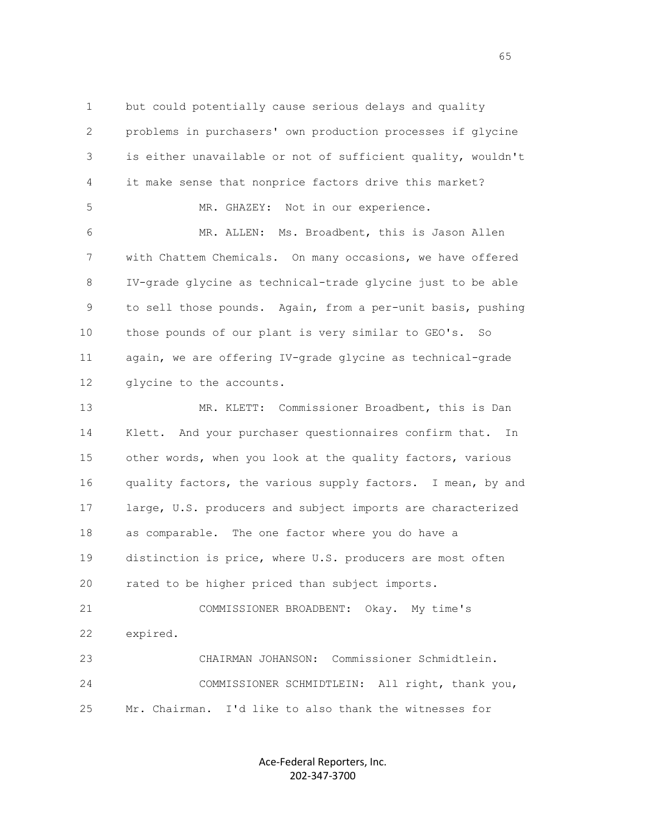1 but could potentially cause serious delays and quality 2 problems in purchasers' own production processes if glycine 3 is either unavailable or not of sufficient quality, wouldn't 4 it make sense that nonprice factors drive this market? 5 MR. GHAZEY: Not in our experience. 6 MR. ALLEN: Ms. Broadbent, this is Jason Allen 7 with Chattem Chemicals. On many occasions, we have offered 8 IV-grade glycine as technical-trade glycine just to be able 9 to sell those pounds. Again, from a per-unit basis, pushing 10 those pounds of our plant is very similar to GEO's. So 11 again, we are offering IV-grade glycine as technical-grade 12 glycine to the accounts.

 13 MR. KLETT: Commissioner Broadbent, this is Dan 14 Klett. And your purchaser questionnaires confirm that. In 15 other words, when you look at the quality factors, various 16 quality factors, the various supply factors. I mean, by and 17 large, U.S. producers and subject imports are characterized 18 as comparable. The one factor where you do have a 19 distinction is price, where U.S. producers are most often 20 rated to be higher priced than subject imports. 21 COMMISSIONER BROADBENT: Okay. My time's 22 expired.

 23 CHAIRMAN JOHANSON: Commissioner Schmidtlein. 24 COMMISSIONER SCHMIDTLEIN: All right, thank you, 25 Mr. Chairman. I'd like to also thank the witnesses for

> Ace-Federal Reporters, Inc. 202-347-3700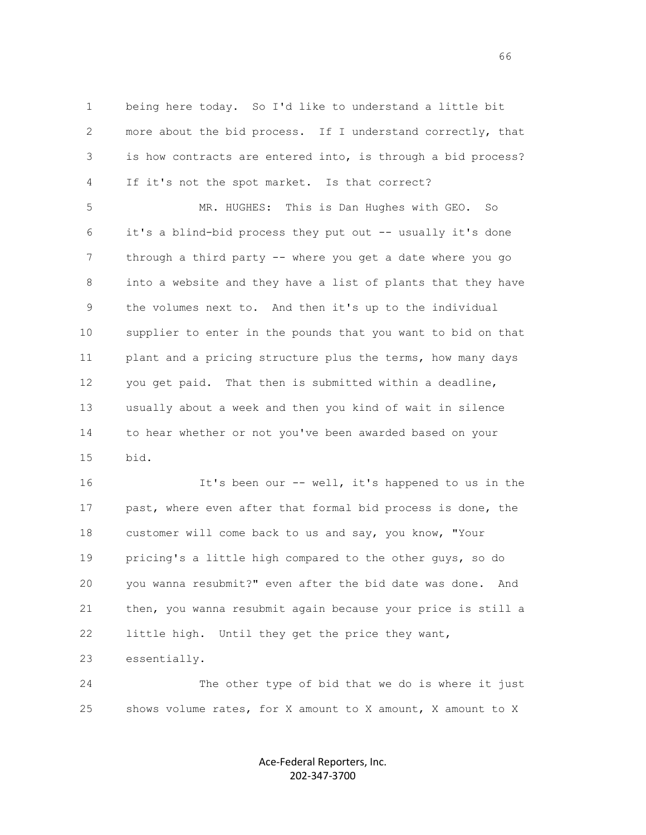1 being here today. So I'd like to understand a little bit 2 more about the bid process. If I understand correctly, that 3 is how contracts are entered into, is through a bid process? 4 If it's not the spot market. Is that correct?

 5 MR. HUGHES: This is Dan Hughes with GEO. So 6 it's a blind-bid process they put out -- usually it's done 7 through a third party -- where you get a date where you go 8 into a website and they have a list of plants that they have 9 the volumes next to. And then it's up to the individual 10 supplier to enter in the pounds that you want to bid on that 11 plant and a pricing structure plus the terms, how many days 12 you get paid. That then is submitted within a deadline, 13 usually about a week and then you kind of wait in silence 14 to hear whether or not you've been awarded based on your 15 bid.

 16 It's been our -- well, it's happened to us in the 17 past, where even after that formal bid process is done, the 18 customer will come back to us and say, you know, "Your 19 pricing's a little high compared to the other guys, so do 20 you wanna resubmit?" even after the bid date was done. And 21 then, you wanna resubmit again because your price is still a 22 little high. Until they get the price they want, 23 essentially.

 24 The other type of bid that we do is where it just 25 shows volume rates, for X amount to X amount, X amount to X

> Ace-Federal Reporters, Inc. 202-347-3700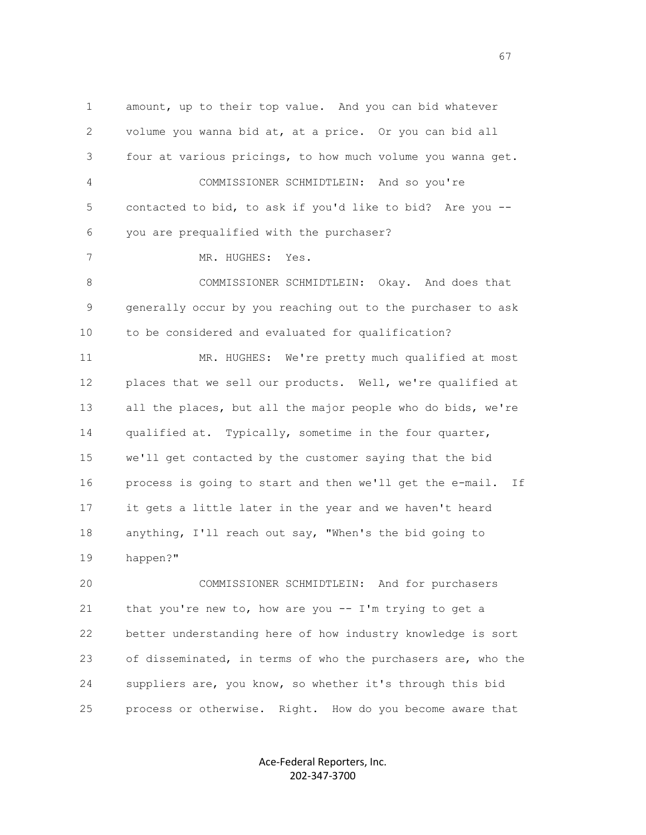1 amount, up to their top value. And you can bid whatever 2 volume you wanna bid at, at a price. Or you can bid all 3 four at various pricings, to how much volume you wanna get. 4 COMMISSIONER SCHMIDTLEIN: And so you're 5 contacted to bid, to ask if you'd like to bid? Are you -- 6 you are prequalified with the purchaser? 7 MR. HUGHES: Yes. 8 COMMISSIONER SCHMIDTLEIN: Okay. And does that 9 generally occur by you reaching out to the purchaser to ask 10 to be considered and evaluated for qualification? 11 MR. HUGHES: We're pretty much qualified at most 12 places that we sell our products. Well, we're qualified at 13 all the places, but all the major people who do bids, we're 14 qualified at. Typically, sometime in the four quarter, 15 we'll get contacted by the customer saying that the bid 16 process is going to start and then we'll get the e-mail. If 17 it gets a little later in the year and we haven't heard 18 anything, I'll reach out say, "When's the bid going to 19 happen?" 20 COMMISSIONER SCHMIDTLEIN: And for purchasers

 21 that you're new to, how are you -- I'm trying to get a 22 better understanding here of how industry knowledge is sort 23 of disseminated, in terms of who the purchasers are, who the 24 suppliers are, you know, so whether it's through this bid 25 process or otherwise. Right. How do you become aware that

> Ace-Federal Reporters, Inc. 202-347-3700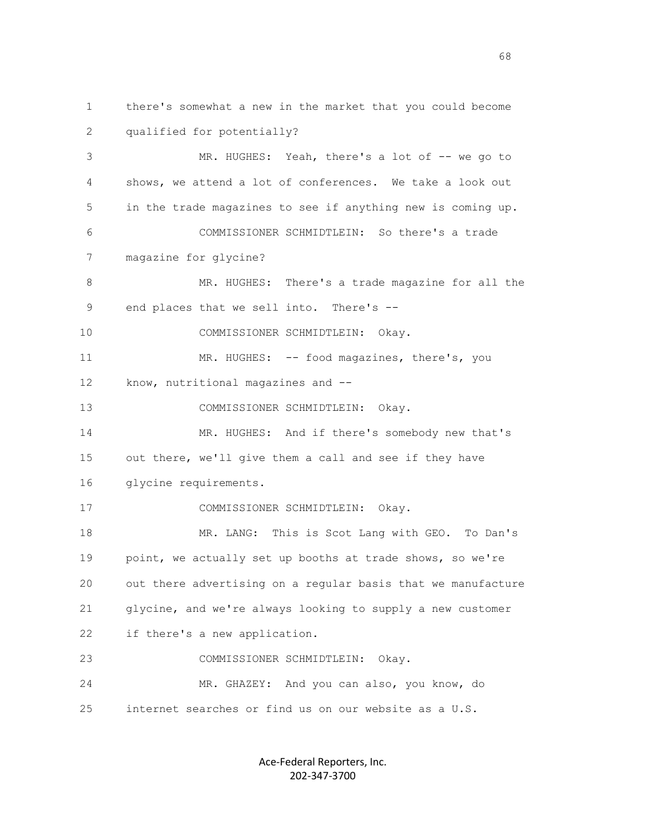1 there's somewhat a new in the market that you could become 2 qualified for potentially? 3 MR. HUGHES: Yeah, there's a lot of -- we go to 4 shows, we attend a lot of conferences. We take a look out 5 in the trade magazines to see if anything new is coming up. 6 COMMISSIONER SCHMIDTLEIN: So there's a trade 7 magazine for glycine? 8 MR. HUGHES: There's a trade magazine for all the 9 end places that we sell into. There's -- 10 COMMISSIONER SCHMIDTLEIN: Okay. 11 MR. HUGHES: -- food magazines, there's, you 12 know, nutritional magazines and -- 13 COMMISSIONER SCHMIDTLEIN: Okay. 14 MR. HUGHES: And if there's somebody new that's 15 out there, we'll give them a call and see if they have 16 glycine requirements. 17 COMMISSIONER SCHMIDTLEIN: Okay. 18 MR. LANG: This is Scot Lang with GEO. To Dan's 19 point, we actually set up booths at trade shows, so we're 20 out there advertising on a regular basis that we manufacture 21 glycine, and we're always looking to supply a new customer 22 if there's a new application. 23 COMMISSIONER SCHMIDTLEIN: Okay. 24 MR. GHAZEY: And you can also, you know, do 25 internet searches or find us on our website as a U.S.

> Ace-Federal Reporters, Inc. 202-347-3700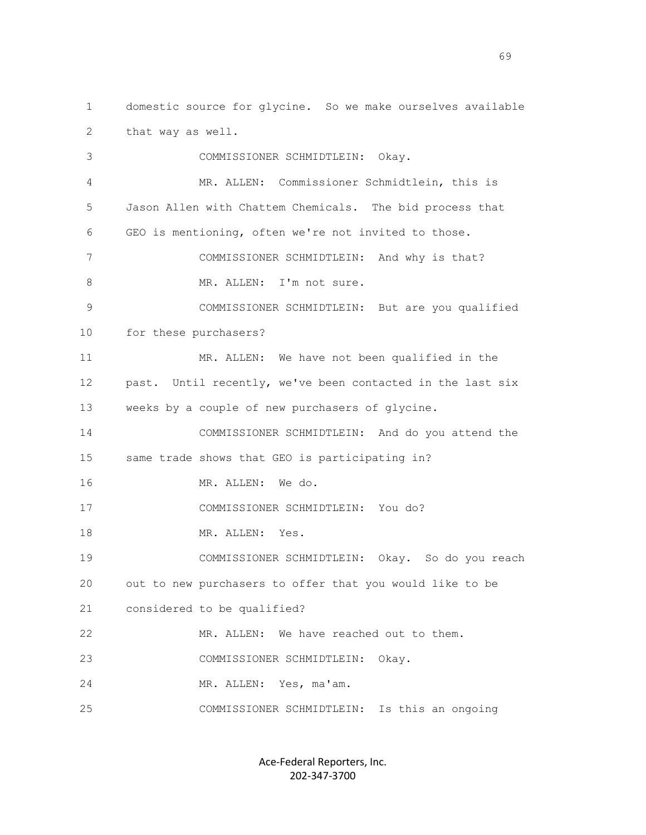2 that way as well. 3 COMMISSIONER SCHMIDTLEIN: Okay. 4 MR. ALLEN: Commissioner Schmidtlein, this is 5 Jason Allen with Chattem Chemicals. The bid process that 6 GEO is mentioning, often we're not invited to those. 7 COMMISSIONER SCHMIDTLEIN: And why is that? 8 MR. ALLEN: I'm not sure. 9 COMMISSIONER SCHMIDTLEIN: But are you qualified 10 for these purchasers? 11 MR. ALLEN: We have not been qualified in the 12 past. Until recently, we've been contacted in the last six 13 weeks by a couple of new purchasers of glycine. 14 COMMISSIONER SCHMIDTLEIN: And do you attend the 15 same trade shows that GEO is participating in? 16 MR. ALLEN: We do. 17 COMMISSIONER SCHMIDTLEIN: You do?

1 domestic source for glycine. So we make ourselves available

18 MR. ALLEN: Yes.

 19 COMMISSIONER SCHMIDTLEIN: Okay. So do you reach 20 out to new purchasers to offer that you would like to be 21 considered to be qualified? 22 MR. ALLEN: We have reached out to them. 23 COMMISSIONER SCHMIDTLEIN: Okay.

24 MR. ALLEN: Yes, ma'am.

25 COMMISSIONER SCHMIDTLEIN: Is this an ongoing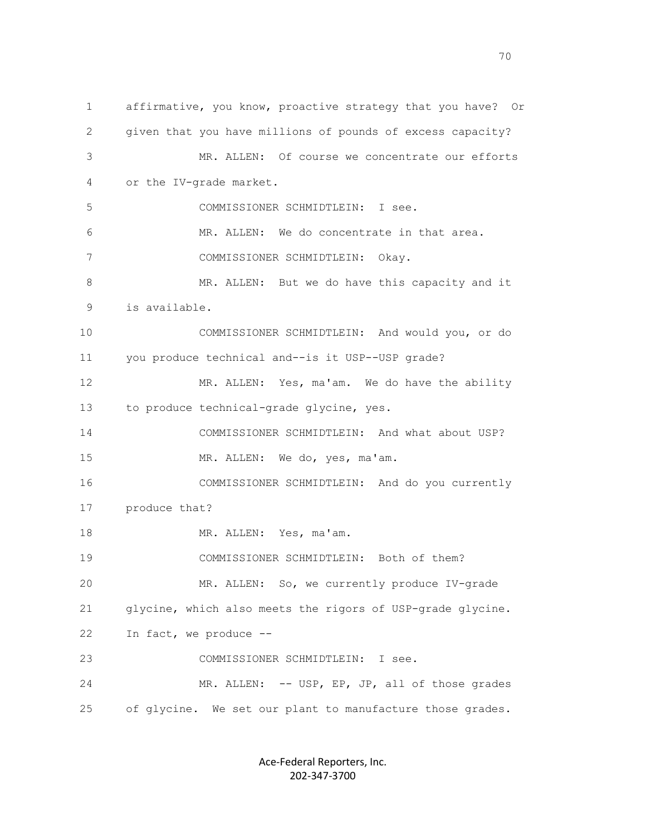1 affirmative, you know, proactive strategy that you have? Or 2 given that you have millions of pounds of excess capacity? 3 MR. ALLEN: Of course we concentrate our efforts 4 or the IV-grade market. 5 COMMISSIONER SCHMIDTLEIN: I see. 6 MR. ALLEN: We do concentrate in that area. 7 COMMISSIONER SCHMIDTLEIN: Okay. 8 MR. ALLEN: But we do have this capacity and it 9 is available. 10 COMMISSIONER SCHMIDTLEIN: And would you, or do 11 you produce technical and--is it USP--USP grade? 12 MR. ALLEN: Yes, ma'am. We do have the ability 13 to produce technical-grade glycine, yes. 14 COMMISSIONER SCHMIDTLEIN: And what about USP? 15 MR. ALLEN: We do, yes, ma'am. 16 COMMISSIONER SCHMIDTLEIN: And do you currently 17 produce that? 18 MR. ALLEN: Yes, ma'am. 19 COMMISSIONER SCHMIDTLEIN: Both of them? 20 MR. ALLEN: So, we currently produce IV-grade 21 glycine, which also meets the rigors of USP-grade glycine. 22 In fact, we produce -- 23 COMMISSIONER SCHMIDTLEIN: I see. 24 MR. ALLEN: -- USP, EP, JP, all of those grades 25 of glycine. We set our plant to manufacture those grades.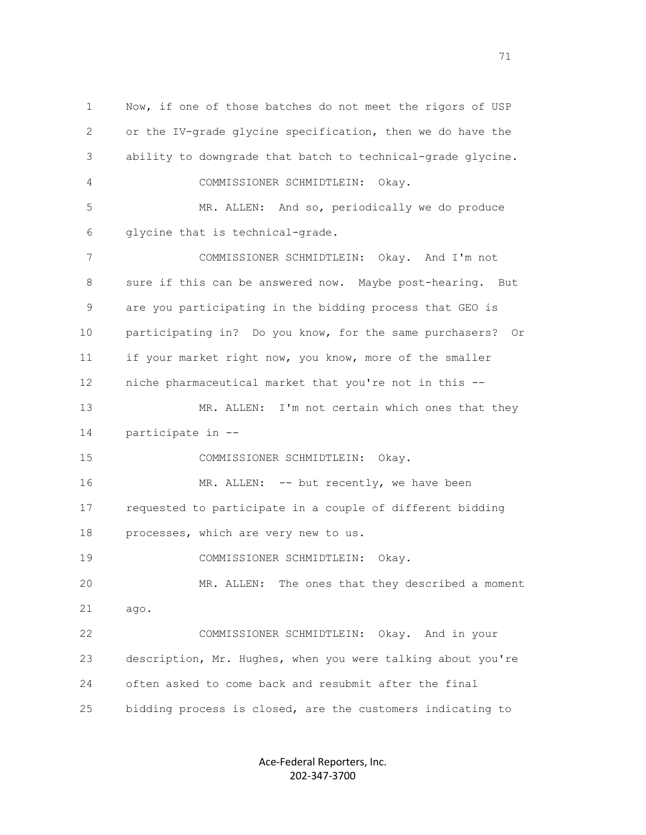1 Now, if one of those batches do not meet the rigors of USP 2 or the IV-grade glycine specification, then we do have the 3 ability to downgrade that batch to technical-grade glycine. 4 COMMISSIONER SCHMIDTLEIN: Okay. 5 MR. ALLEN: And so, periodically we do produce 6 glycine that is technical-grade. 7 COMMISSIONER SCHMIDTLEIN: Okay. And I'm not 8 sure if this can be answered now. Maybe post-hearing. But 9 are you participating in the bidding process that GEO is 10 participating in? Do you know, for the same purchasers? Or 11 if your market right now, you know, more of the smaller 12 niche pharmaceutical market that you're not in this -- 13 MR. ALLEN: I'm not certain which ones that they 14 participate in -- 15 COMMISSIONER SCHMIDTLEIN: Okay. 16 MR. ALLEN: -- but recently, we have been 17 requested to participate in a couple of different bidding 18 processes, which are very new to us. 19 COMMISSIONER SCHMIDTLEIN: Okay. 20 MR. ALLEN: The ones that they described a moment 21 ago. 22 COMMISSIONER SCHMIDTLEIN: Okay. And in your 23 description, Mr. Hughes, when you were talking about you're 24 often asked to come back and resubmit after the final 25 bidding process is closed, are the customers indicating to

> Ace-Federal Reporters, Inc. 202-347-3700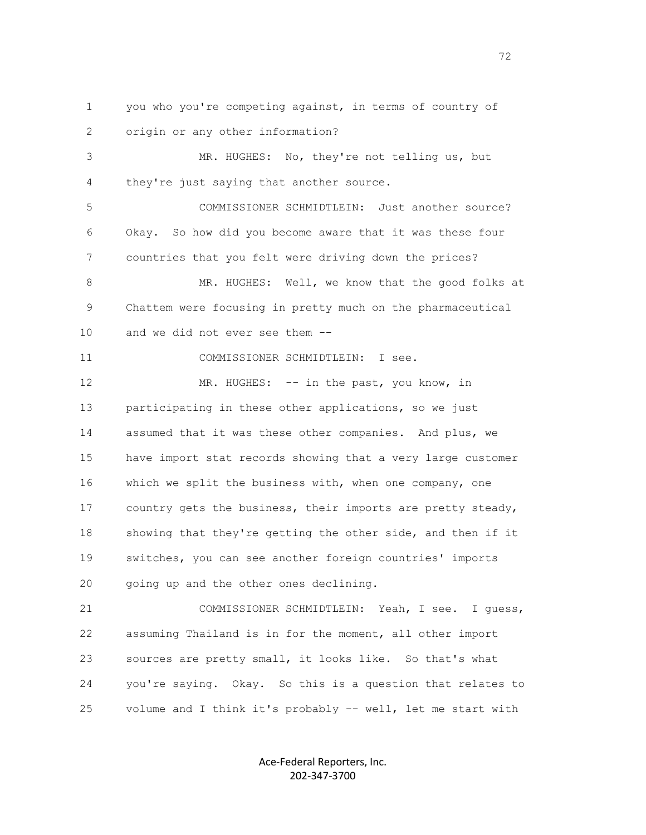1 you who you're competing against, in terms of country of 2 origin or any other information?

 3 MR. HUGHES: No, they're not telling us, but 4 they're just saying that another source.

 5 COMMISSIONER SCHMIDTLEIN: Just another source? 6 Okay. So how did you become aware that it was these four 7 countries that you felt were driving down the prices?

 8 MR. HUGHES: Well, we know that the good folks at 9 Chattem were focusing in pretty much on the pharmaceutical 10 and we did not ever see them --

11 COMMISSIONER SCHMIDTLEIN: I see.

12 MR. HUGHES: -- in the past, you know, in 13 participating in these other applications, so we just 14 assumed that it was these other companies. And plus, we 15 have import stat records showing that a very large customer 16 which we split the business with, when one company, one 17 country gets the business, their imports are pretty steady, 18 showing that they're getting the other side, and then if it 19 switches, you can see another foreign countries' imports 20 going up and the other ones declining.

 21 COMMISSIONER SCHMIDTLEIN: Yeah, I see. I guess, 22 assuming Thailand is in for the moment, all other import 23 sources are pretty small, it looks like. So that's what 24 you're saying. Okay. So this is a question that relates to 25 volume and I think it's probably -- well, let me start with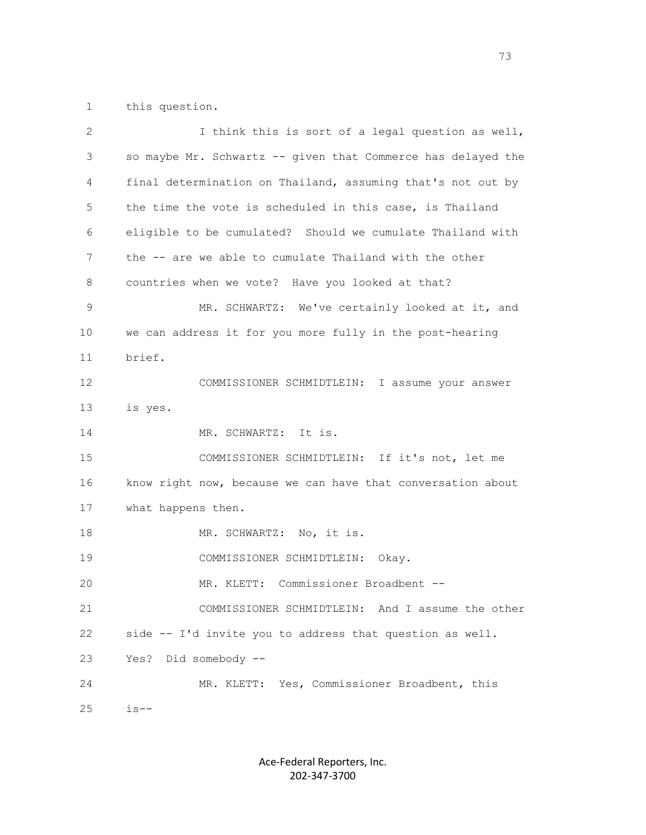1 this question.

| 2  | I think this is sort of a legal question as well,            |
|----|--------------------------------------------------------------|
| 3  | so maybe Mr. Schwartz -- given that Commerce has delayed the |
| 4  | final determination on Thailand, assuming that's not out by  |
| 5  | the time the vote is scheduled in this case, is Thailand     |
| 6  | eligible to be cumulated? Should we cumulate Thailand with   |
| 7  | the -- are we able to cumulate Thailand with the other       |
| 8  | countries when we vote? Have you looked at that?             |
| 9  | MR. SCHWARTZ: We've certainly looked at it, and              |
| 10 | we can address it for you more fully in the post-hearing     |
| 11 | brief.                                                       |
| 12 | COMMISSIONER SCHMIDTLEIN: I assume your answer               |
| 13 | is yes.                                                      |
| 14 | MR. SCHWARTZ: It is.                                         |
| 15 | COMMISSIONER SCHMIDTLEIN: If it's not, let me                |
| 16 | know right now, because we can have that conversation about  |
| 17 | what happens then.                                           |
| 18 | MR. SCHWARTZ: No, it is.                                     |
| 19 | COMMISSIONER SCHMIDTLEIN:<br>Okay.                           |
| 20 | MR. KLETT: Commissioner Broadbent --                         |
| 21 | COMMISSIONER SCHMIDTLEIN: And I assume the other             |
| 22 | side -- I'd invite you to address that question as well.     |
| 23 | Did somebody --<br>Yes?                                      |
| 24 | MR. KLETT: Yes, Commissioner Broadbent, this                 |
| 25 | $is--$                                                       |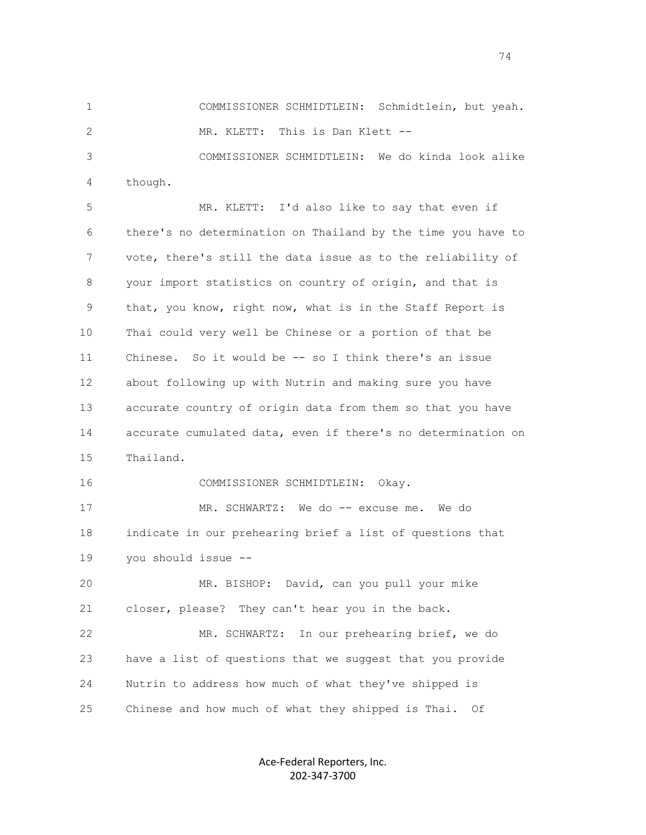1 COMMISSIONER SCHMIDTLEIN: Schmidtlein, but yeah. 2 MR. KLETT: This is Dan Klett -- 3 COMMISSIONER SCHMIDTLEIN: We do kinda look alike 4 though.

 5 MR. KLETT: I'd also like to say that even if 6 there's no determination on Thailand by the time you have to 7 vote, there's still the data issue as to the reliability of 8 your import statistics on country of origin, and that is 9 that, you know, right now, what is in the Staff Report is 10 Thai could very well be Chinese or a portion of that be 11 Chinese. So it would be -- so I think there's an issue 12 about following up with Nutrin and making sure you have 13 accurate country of origin data from them so that you have 14 accurate cumulated data, even if there's no determination on 15 Thailand.

16 COMMISSIONER SCHMIDTLEIN: Okay.

 17 MR. SCHWARTZ: We do -- excuse me. We do 18 indicate in our prehearing brief a list of questions that 19 you should issue --

 20 MR. BISHOP: David, can you pull your mike 21 closer, please? They can't hear you in the back.

 22 MR. SCHWARTZ: In our prehearing brief, we do 23 have a list of questions that we suggest that you provide 24 Nutrin to address how much of what they've shipped is 25 Chinese and how much of what they shipped is Thai. Of

> Ace-Federal Reporters, Inc. 202-347-3700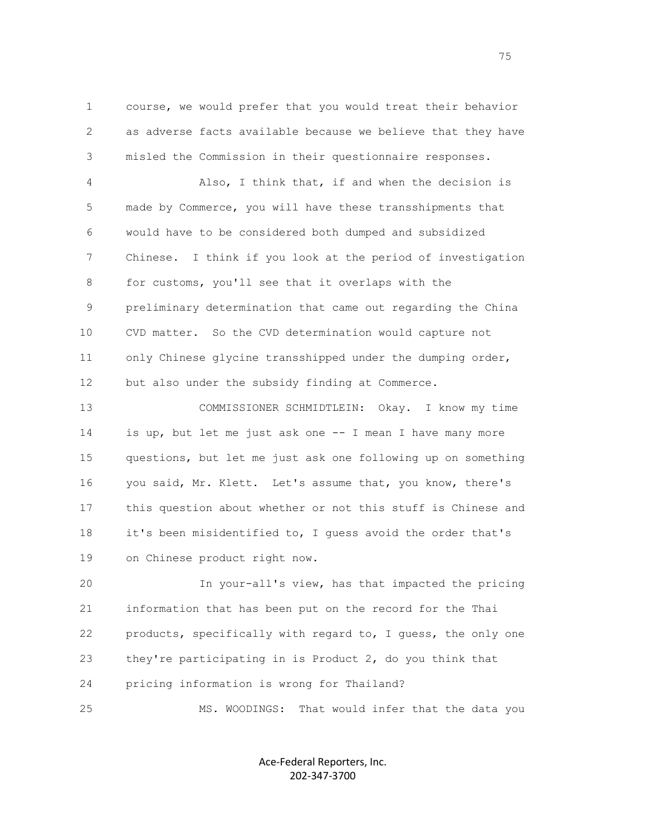1 course, we would prefer that you would treat their behavior 2 as adverse facts available because we believe that they have 3 misled the Commission in their questionnaire responses.

 4 Also, I think that, if and when the decision is 5 made by Commerce, you will have these transshipments that 6 would have to be considered both dumped and subsidized 7 Chinese. I think if you look at the period of investigation 8 for customs, you'll see that it overlaps with the 9 preliminary determination that came out regarding the China 10 CVD matter. So the CVD determination would capture not 11 only Chinese glycine transshipped under the dumping order, 12 but also under the subsidy finding at Commerce.

 13 COMMISSIONER SCHMIDTLEIN: Okay. I know my time 14 is up, but let me just ask one -- I mean I have many more 15 questions, but let me just ask one following up on something 16 you said, Mr. Klett. Let's assume that, you know, there's 17 this question about whether or not this stuff is Chinese and 18 it's been misidentified to, I guess avoid the order that's 19 on Chinese product right now.

 20 In your-all's view, has that impacted the pricing 21 information that has been put on the record for the Thai 22 products, specifically with regard to, I guess, the only one 23 they're participating in is Product 2, do you think that 24 pricing information is wrong for Thailand?

25 MS. WOODINGS: That would infer that the data you

Ace-Federal Reporters, Inc. 202-347-3700

na matsay na matsay na matsay na matsay na matsay na matsay na matsay na matsay na matsay na matsay na matsay<br>Tanggalan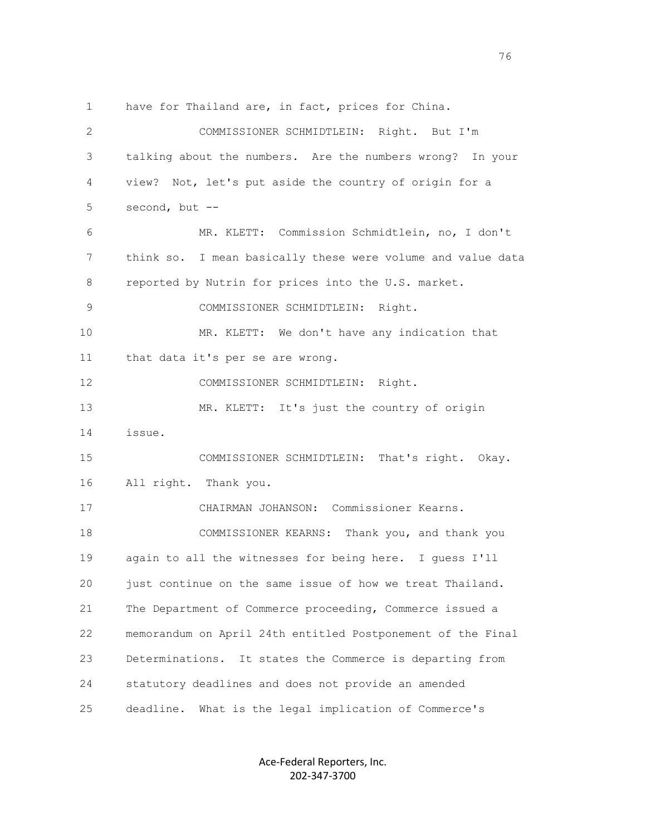1 have for Thailand are, in fact, prices for China. 2 COMMISSIONER SCHMIDTLEIN: Right. But I'm 3 talking about the numbers. Are the numbers wrong? In your 4 view? Not, let's put aside the country of origin for a 5 second, but -- 6 MR. KLETT: Commission Schmidtlein, no, I don't 7 think so. I mean basically these were volume and value data 8 reported by Nutrin for prices into the U.S. market. 9 COMMISSIONER SCHMIDTLEIN: Right. 10 MR. KLETT: We don't have any indication that 11 that data it's per se are wrong. 12 COMMISSIONER SCHMIDTLEIN: Right. 13 MR. KLETT: It's just the country of origin 14 issue. 15 COMMISSIONER SCHMIDTLEIN: That's right. Okay. 16 All right. Thank you. 17 CHAIRMAN JOHANSON: Commissioner Kearns. 18 COMMISSIONER KEARNS: Thank you, and thank you 19 again to all the witnesses for being here. I guess I'll 20 just continue on the same issue of how we treat Thailand. 21 The Department of Commerce proceeding, Commerce issued a 22 memorandum on April 24th entitled Postponement of the Final 23 Determinations. It states the Commerce is departing from 24 statutory deadlines and does not provide an amended 25 deadline. What is the legal implication of Commerce's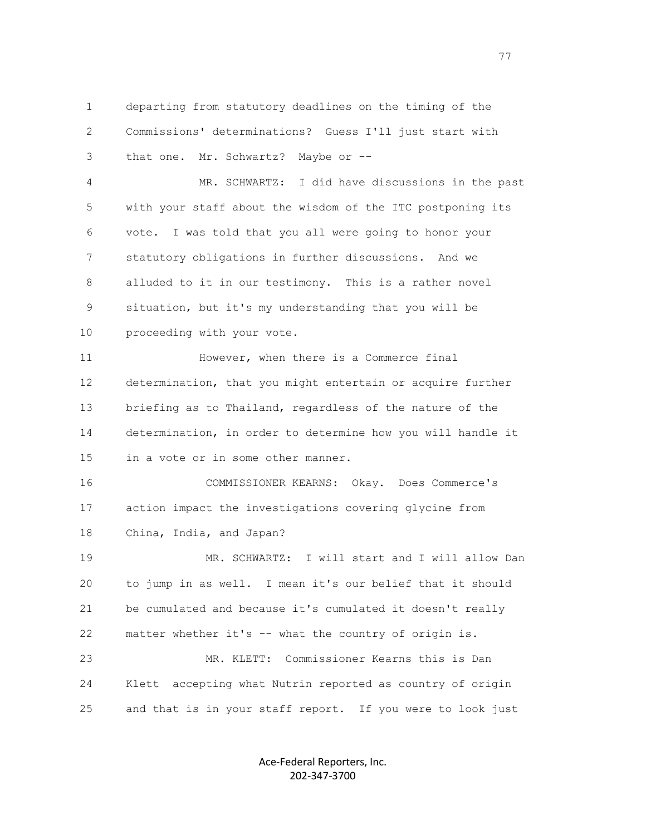1 departing from statutory deadlines on the timing of the 2 Commissions' determinations? Guess I'll just start with 3 that one. Mr. Schwartz? Maybe or --

 4 MR. SCHWARTZ: I did have discussions in the past 5 with your staff about the wisdom of the ITC postponing its 6 vote. I was told that you all were going to honor your 7 statutory obligations in further discussions. And we 8 alluded to it in our testimony. This is a rather novel 9 situation, but it's my understanding that you will be 10 proceeding with your vote.

11 However, when there is a Commerce final 12 determination, that you might entertain or acquire further 13 briefing as to Thailand, regardless of the nature of the 14 determination, in order to determine how you will handle it 15 in a vote or in some other manner.

 16 COMMISSIONER KEARNS: Okay. Does Commerce's 17 action impact the investigations covering glycine from 18 China, India, and Japan?

 19 MR. SCHWARTZ: I will start and I will allow Dan 20 to jump in as well. I mean it's our belief that it should 21 be cumulated and because it's cumulated it doesn't really 22 matter whether it's -- what the country of origin is.

 23 MR. KLETT: Commissioner Kearns this is Dan 24 Klett accepting what Nutrin reported as country of origin 25 and that is in your staff report. If you were to look just

> Ace-Federal Reporters, Inc. 202-347-3700

ли в село в село в село в село в село в село в село в село во село во село во село во село во село во село во<br>Постојата на селото на селото на селото на селото на селото на селото на селото на селото на селото на селото<br>П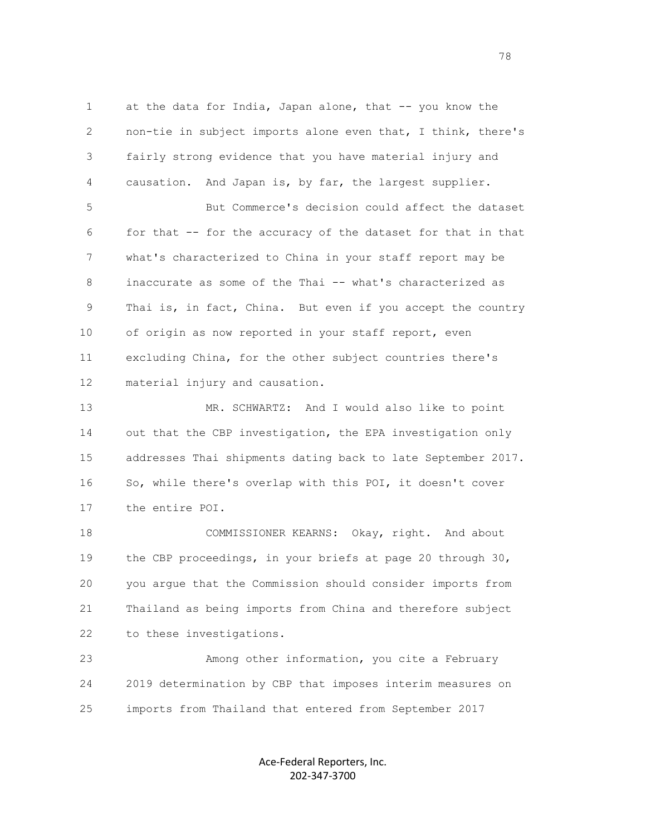1 at the data for India, Japan alone, that -- you know the 2 non-tie in subject imports alone even that, I think, there's 3 fairly strong evidence that you have material injury and 4 causation. And Japan is, by far, the largest supplier. 5 But Commerce's decision could affect the dataset 6 for that -- for the accuracy of the dataset for that in that 7 what's characterized to China in your staff report may be 8 inaccurate as some of the Thai -- what's characterized as 9 Thai is, in fact, China. But even if you accept the country 10 of origin as now reported in your staff report, even 11 excluding China, for the other subject countries there's 12 material injury and causation.

 13 MR. SCHWARTZ: And I would also like to point 14 out that the CBP investigation, the EPA investigation only 15 addresses Thai shipments dating back to late September 2017. 16 So, while there's overlap with this POI, it doesn't cover 17 the entire POI.

 18 COMMISSIONER KEARNS: Okay, right. And about 19 the CBP proceedings, in your briefs at page 20 through 30, 20 you argue that the Commission should consider imports from 21 Thailand as being imports from China and therefore subject 22 to these investigations.

 23 Among other information, you cite a February 24 2019 determination by CBP that imposes interim measures on 25 imports from Thailand that entered from September 2017

> Ace-Federal Reporters, Inc. 202-347-3700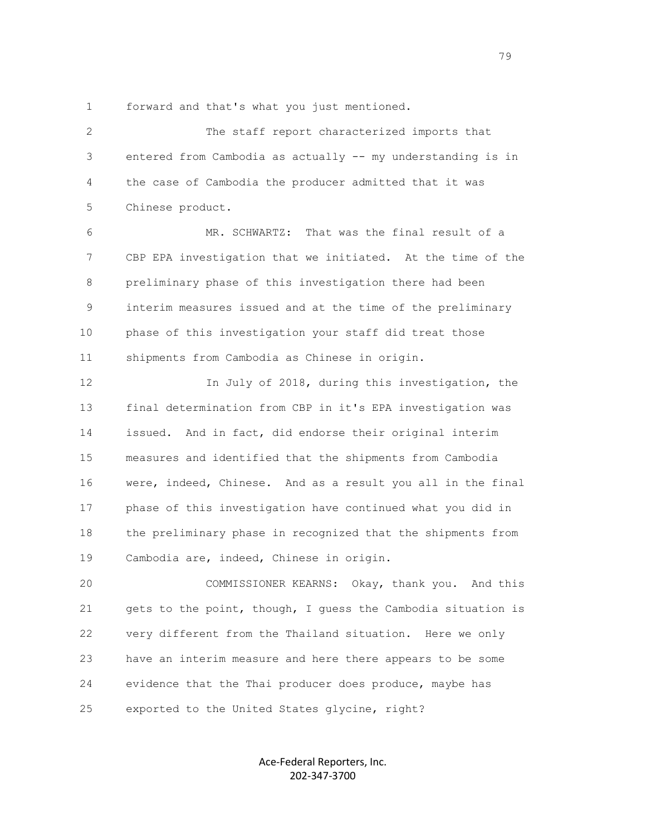1 forward and that's what you just mentioned.

 2 The staff report characterized imports that 3 entered from Cambodia as actually -- my understanding is in 4 the case of Cambodia the producer admitted that it was 5 Chinese product.

 6 MR. SCHWARTZ: That was the final result of a 7 CBP EPA investigation that we initiated. At the time of the 8 preliminary phase of this investigation there had been 9 interim measures issued and at the time of the preliminary 10 phase of this investigation your staff did treat those 11 shipments from Cambodia as Chinese in origin.

 12 In July of 2018, during this investigation, the 13 final determination from CBP in it's EPA investigation was 14 issued. And in fact, did endorse their original interim 15 measures and identified that the shipments from Cambodia 16 were, indeed, Chinese. And as a result you all in the final 17 phase of this investigation have continued what you did in 18 the preliminary phase in recognized that the shipments from 19 Cambodia are, indeed, Chinese in origin.

 20 COMMISSIONER KEARNS: Okay, thank you. And this 21 gets to the point, though, I guess the Cambodia situation is 22 very different from the Thailand situation. Here we only 23 have an interim measure and here there appears to be some 24 evidence that the Thai producer does produce, maybe has 25 exported to the United States glycine, right?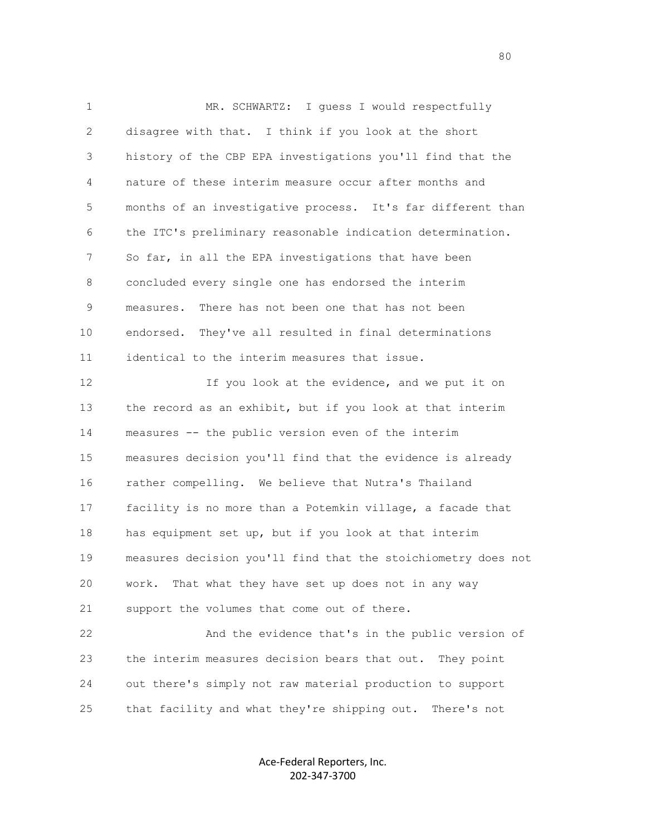1 MR. SCHWARTZ: I quess I would respectfully 2 disagree with that. I think if you look at the short 3 history of the CBP EPA investigations you'll find that the 4 nature of these interim measure occur after months and 5 months of an investigative process. It's far different than 6 the ITC's preliminary reasonable indication determination. 7 So far, in all the EPA investigations that have been 8 concluded every single one has endorsed the interim 9 measures. There has not been one that has not been 10 endorsed. They've all resulted in final determinations 11 identical to the interim measures that issue. 12 If you look at the evidence, and we put it on 13 the record as an exhibit, but if you look at that interim 14 measures -- the public version even of the interim 15 measures decision you'll find that the evidence is already 16 rather compelling. We believe that Nutra's Thailand 17 facility is no more than a Potemkin village, a facade that

 18 has equipment set up, but if you look at that interim 19 measures decision you'll find that the stoichiometry does not 20 work. That what they have set up does not in any way 21 support the volumes that come out of there.

 22 And the evidence that's in the public version of 23 the interim measures decision bears that out. They point 24 out there's simply not raw material production to support 25 that facility and what they're shipping out. There's not

> Ace-Federal Reporters, Inc. 202-347-3700

en de la construction de la construction de la construction de la construction de la construction de la constr<br>1980 : le construction de la construction de la construction de la construction de la construction de la const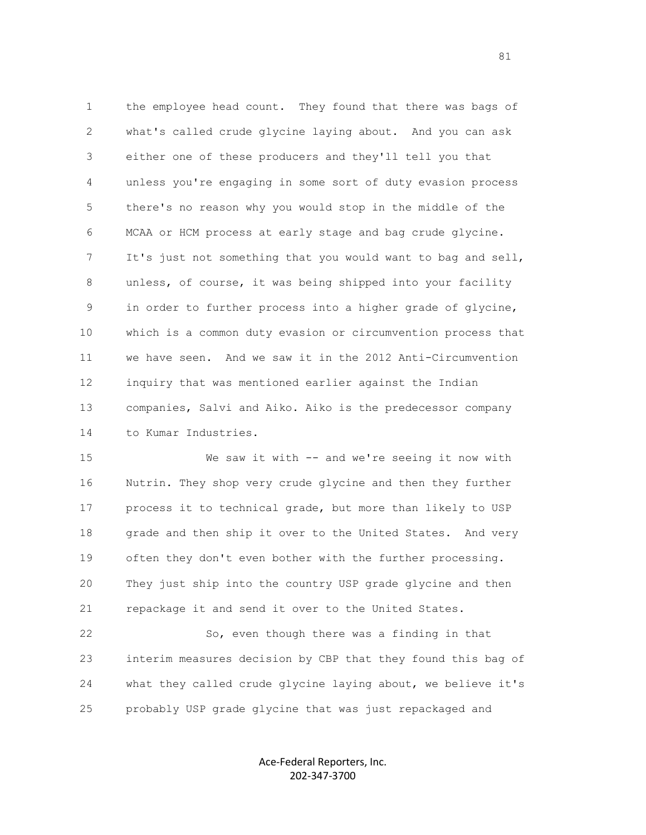1 the employee head count. They found that there was bags of 2 what's called crude glycine laying about. And you can ask 3 either one of these producers and they'll tell you that 4 unless you're engaging in some sort of duty evasion process 5 there's no reason why you would stop in the middle of the 6 MCAA or HCM process at early stage and bag crude glycine. 7 It's just not something that you would want to bag and sell, 8 unless, of course, it was being shipped into your facility 9 in order to further process into a higher grade of glycine, 10 which is a common duty evasion or circumvention process that 11 we have seen. And we saw it in the 2012 Anti-Circumvention 12 inquiry that was mentioned earlier against the Indian 13 companies, Salvi and Aiko. Aiko is the predecessor company 14 to Kumar Industries.

 15 We saw it with -- and we're seeing it now with 16 Nutrin. They shop very crude glycine and then they further 17 process it to technical grade, but more than likely to USP 18 grade and then ship it over to the United States. And very 19 often they don't even bother with the further processing. 20 They just ship into the country USP grade glycine and then 21 repackage it and send it over to the United States.

 22 So, even though there was a finding in that 23 interim measures decision by CBP that they found this bag of 24 what they called crude glycine laying about, we believe it's 25 probably USP grade glycine that was just repackaged and

> Ace-Federal Reporters, Inc. 202-347-3700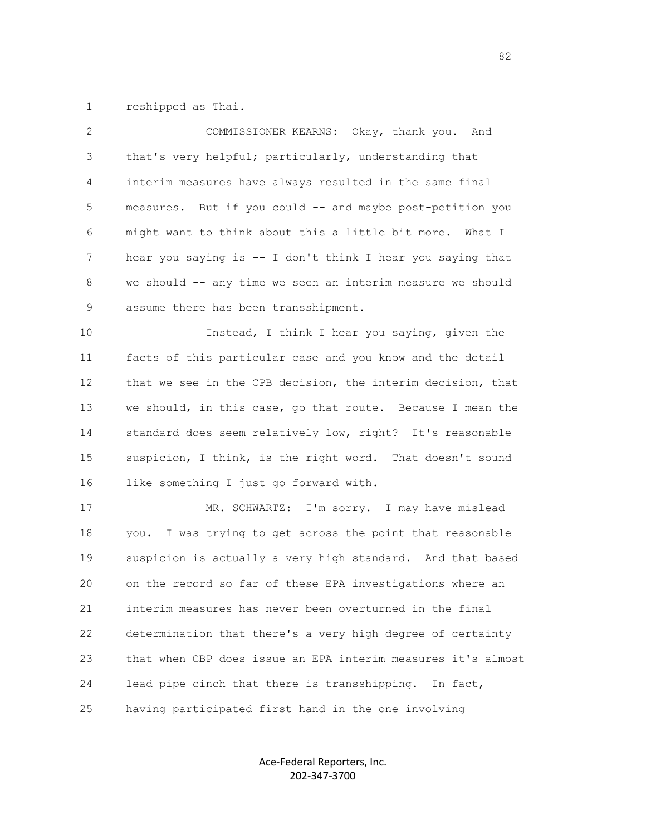1 reshipped as Thai.

| $\overline{2}$ | COMMISSIONER KEARNS: Okay, thank you. And                    |
|----------------|--------------------------------------------------------------|
| 3              | that's very helpful; particularly, understanding that        |
| 4              | interim measures have always resulted in the same final      |
| 5              | measures. But if you could -- and maybe post-petition you    |
| 6              | might want to think about this a little bit more. What I     |
| 7              | hear you saying is -- I don't think I hear you saying that   |
| 8              | we should -- any time we seen an interim measure we should   |
| 9              | assume there has been transshipment.                         |
| 10             | Instead, I think I hear you saying, given the                |
| 11             | facts of this particular case and you know and the detail    |
| 12             | that we see in the CPB decision, the interim decision, that  |
| 13             | we should, in this case, go that route. Because I mean the   |
| 14             | standard does seem relatively low, right? It's reasonable    |
| 15             | suspicion, I think, is the right word. That doesn't sound    |
| 16             | like something I just go forward with.                       |
| 17             | MR. SCHWARTZ: I'm sorry. I may have mislead                  |
| 18             | you. I was trying to get across the point that reasonable    |
| 19             | suspicion is actually a very high standard. And that based   |
| 20             | on the record so far of these EPA investigations where an    |
| 21             | interim measures has never been overturned in the final      |
| 22             | determination that there's a very high degree of certainty   |
| 23             | that when CBP does issue an EPA interim measures it's almost |
| 24             | lead pipe cinch that there is transshipping.<br>In fact,     |
| 25             | having participated first hand in the one involving          |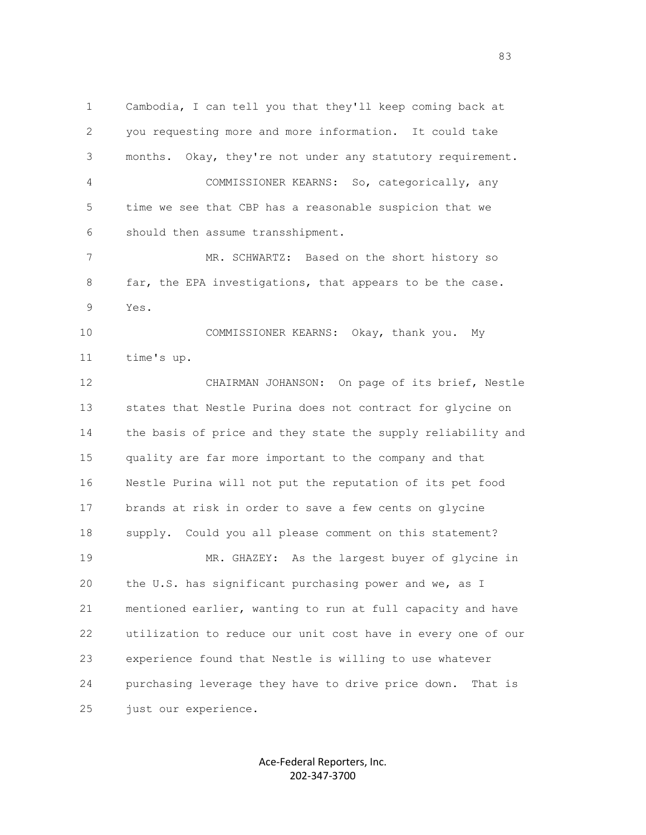1 Cambodia, I can tell you that they'll keep coming back at 2 you requesting more and more information. It could take 3 months. Okay, they're not under any statutory requirement. 4 COMMISSIONER KEARNS: So, categorically, any 5 time we see that CBP has a reasonable suspicion that we 6 should then assume transshipment. 7 MR. SCHWARTZ: Based on the short history so 8 far, the EPA investigations, that appears to be the case. 9 Yes. 10 COMMISSIONER KEARNS: Okay, thank you. My 11 time's up. 12 CHAIRMAN JOHANSON: On page of its brief, Nestle 13 states that Nestle Purina does not contract for glycine on 14 the basis of price and they state the supply reliability and 15 quality are far more important to the company and that 16 Nestle Purina will not put the reputation of its pet food 17 brands at risk in order to save a few cents on glycine 18 supply. Could you all please comment on this statement? 19 MR. GHAZEY: As the largest buyer of glycine in 20 the U.S. has significant purchasing power and we, as I 21 mentioned earlier, wanting to run at full capacity and have 22 utilization to reduce our unit cost have in every one of our 23 experience found that Nestle is willing to use whatever 24 purchasing leverage they have to drive price down. That is 25 just our experience.

> Ace-Federal Reporters, Inc. 202-347-3700

en and the state of the state of the state of the state of the state of the state of the state of the state of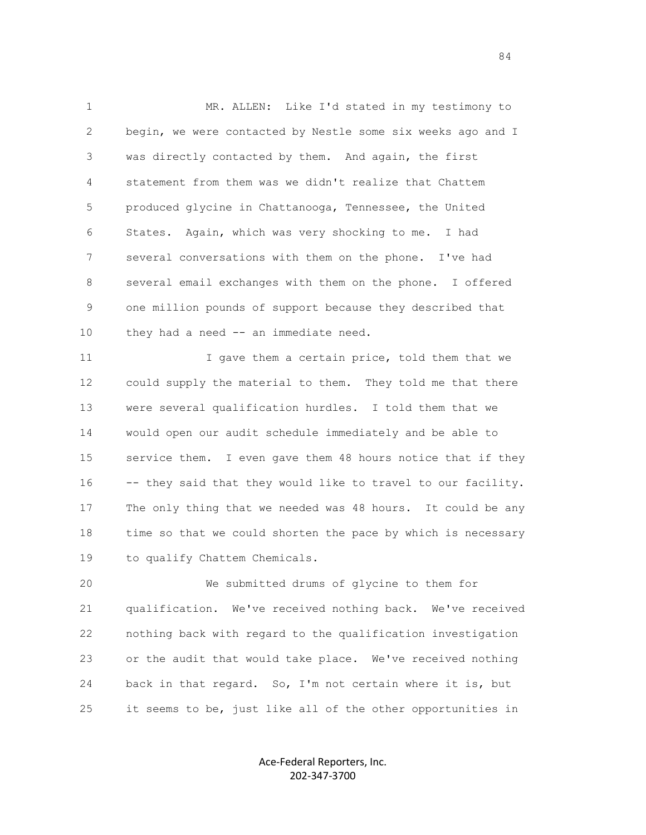1 MR. ALLEN: Like I'd stated in my testimony to 2 begin, we were contacted by Nestle some six weeks ago and I 3 was directly contacted by them. And again, the first 4 statement from them was we didn't realize that Chattem 5 produced glycine in Chattanooga, Tennessee, the United 6 States. Again, which was very shocking to me. I had 7 several conversations with them on the phone. I've had 8 several email exchanges with them on the phone. I offered 9 one million pounds of support because they described that 10 they had a need -- an immediate need.

11 I gave them a certain price, told them that we 12 could supply the material to them. They told me that there 13 were several qualification hurdles. I told them that we 14 would open our audit schedule immediately and be able to 15 service them. I even gave them 48 hours notice that if they 16 -- they said that they would like to travel to our facility. 17 The only thing that we needed was 48 hours. It could be any 18 time so that we could shorten the pace by which is necessary 19 to qualify Chattem Chemicals.

 20 We submitted drums of glycine to them for 21 qualification. We've received nothing back. We've received 22 nothing back with regard to the qualification investigation 23 or the audit that would take place. We've received nothing 24 back in that regard. So, I'm not certain where it is, but 25 it seems to be, just like all of the other opportunities in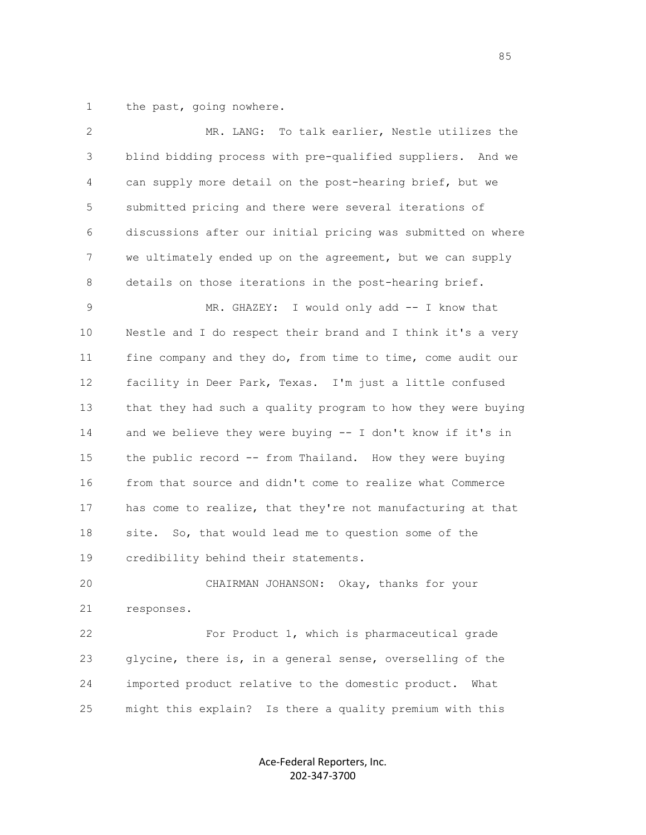1 the past, going nowhere.

| $\mathbf{2}$ | MR. LANG:<br>To talk earlier, Nestle utilizes the            |
|--------------|--------------------------------------------------------------|
| 3            | blind bidding process with pre-qualified suppliers. And we   |
| 4            | can supply more detail on the post-hearing brief, but we     |
| 5            | submitted pricing and there were several iterations of       |
| 6            | discussions after our initial pricing was submitted on where |
| 7            | we ultimately ended up on the agreement, but we can supply   |
| 8            | details on those iterations in the post-hearing brief.       |
| 9            | MR. GHAZEY: I would only add -- I know that                  |
| 10           | Nestle and I do respect their brand and I think it's a very  |
| 11           | fine company and they do, from time to time, come audit our  |
| 12           | facility in Deer Park, Texas. I'm just a little confused     |
| 13           | that they had such a quality program to how they were buying |
| 14           | and we believe they were buying -- I don't know if it's in   |
| 15           | the public record -- from Thailand. How they were buying     |
| 16           | from that source and didn't come to realize what Commerce    |
| 17           | has come to realize, that they're not manufacturing at that  |
| 18           | So, that would lead me to question some of the<br>site.      |
| 19           | credibility behind their statements.                         |
| 20           | CHAIRMAN JOHANSON: Okay, thanks for your                     |
| 21           | responses.                                                   |
| 22           | For Product 1, which is pharmaceutical grade                 |
| 23           | glycine, there is, in a general sense, overselling of the    |
| 24           | imported product relative to the domestic product.<br>What   |
| 25           | might this explain? Is there a quality premium with this     |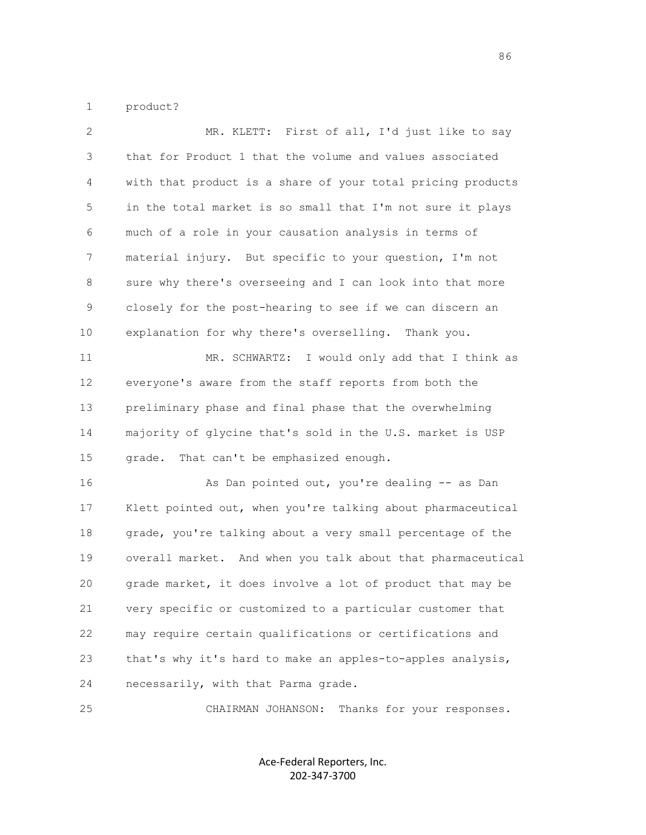1 product?

| $\mathbf{2}$ | MR. KLETT: First of all, I'd just like to say               |
|--------------|-------------------------------------------------------------|
| 3            | that for Product 1 that the volume and values associated    |
| 4            | with that product is a share of your total pricing products |
| 5            | in the total market is so small that I'm not sure it plays  |
| 6            | much of a role in your causation analysis in terms of       |
| 7            | material injury. But specific to your question, I'm not     |
| 8            | sure why there's overseeing and I can look into that more   |
| 9            | closely for the post-hearing to see if we can discern an    |
| 10           | explanation for why there's overselling. Thank you.         |
| 11           | MR. SCHWARTZ: I would only add that I think as              |
| 12           | everyone's aware from the staff reports from both the       |
| 13           | preliminary phase and final phase that the overwhelming     |
| 14           | majority of glycine that's sold in the U.S. market is USP   |
| 15           | That can't be emphasized enough.<br>grade.                  |
| 16           | As Dan pointed out, you're dealing -- as Dan                |
| 17           | Klett pointed out, when you're talking about pharmaceutical |
| 18           | grade, you're talking about a very small percentage of the  |
| 19           | overall market. And when you talk about that pharmaceutical |
| 20           | grade market, it does involve a lot of product that may be  |
| 21           | very specific or customized to a particular customer that   |
| 22           | may require certain qualifications or certifications and    |
| 23           | that's why it's hard to make an apples-to-apples analysis,  |
| 24           | necessarily, with that Parma grade.                         |
|              |                                                             |

25 CHAIRMAN JOHANSON: Thanks for your responses.

Ace-Federal Reporters, Inc. 202-347-3700

en de la construction de la construction de la construction de la construction de la construction de la constr<br>1860 : le construction de la construction de la construction de la construction de la construction de la const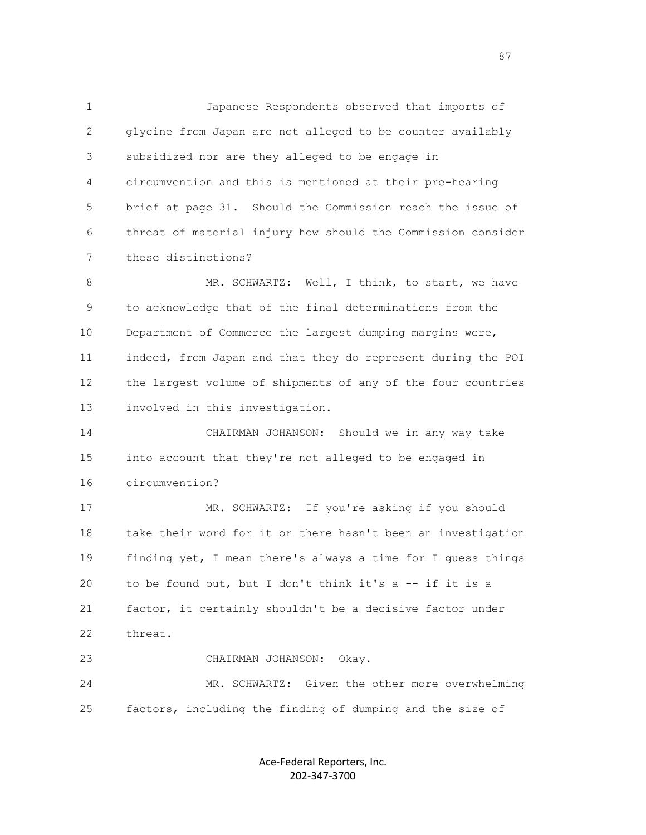1 Japanese Respondents observed that imports of 2 glycine from Japan are not alleged to be counter availably 3 subsidized nor are they alleged to be engage in 4 circumvention and this is mentioned at their pre-hearing 5 brief at page 31. Should the Commission reach the issue of 6 threat of material injury how should the Commission consider 7 these distinctions?

8 MR. SCHWARTZ: Well, I think, to start, we have 9 to acknowledge that of the final determinations from the 10 Department of Commerce the largest dumping margins were, 11 indeed, from Japan and that they do represent during the POI 12 the largest volume of shipments of any of the four countries 13 involved in this investigation.

 14 CHAIRMAN JOHANSON: Should we in any way take 15 into account that they're not alleged to be engaged in 16 circumvention?

 17 MR. SCHWARTZ: If you're asking if you should 18 take their word for it or there hasn't been an investigation 19 finding yet, I mean there's always a time for I guess things 20 to be found out, but I don't think it's a -- if it is a 21 factor, it certainly shouldn't be a decisive factor under 22 threat. 23 CHAIRMAN JOHANSON: Okay.

 24 MR. SCHWARTZ: Given the other more overwhelming 25 factors, including the finding of dumping and the size of

> Ace-Federal Reporters, Inc. 202-347-3700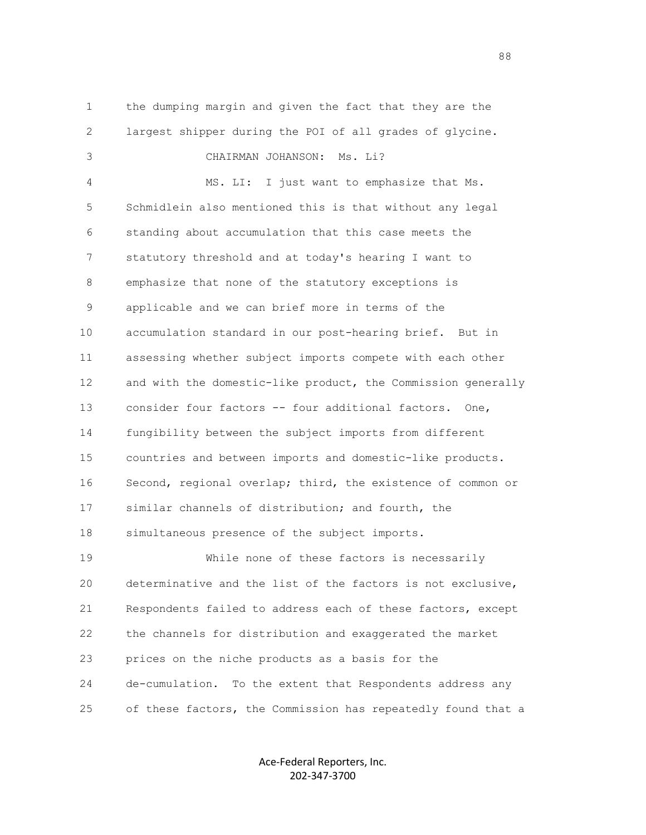1 the dumping margin and given the fact that they are the 2 largest shipper during the POI of all grades of glycine. 3 CHAIRMAN JOHANSON: Ms. Li? 4 MS. LI: I just want to emphasize that Ms. 5 Schmidlein also mentioned this is that without any legal 6 standing about accumulation that this case meets the 7 statutory threshold and at today's hearing I want to 8 emphasize that none of the statutory exceptions is 9 applicable and we can brief more in terms of the 10 accumulation standard in our post-hearing brief. But in 11 assessing whether subject imports compete with each other 12 and with the domestic-like product, the Commission generally 13 consider four factors -- four additional factors. One, 14 fungibility between the subject imports from different 15 countries and between imports and domestic-like products. 16 Second, regional overlap; third, the existence of common or 17 similar channels of distribution; and fourth, the 18 simultaneous presence of the subject imports. 19 While none of these factors is necessarily 20 determinative and the list of the factors is not exclusive, 21 Respondents failed to address each of these factors, except 22 the channels for distribution and exaggerated the market 23 prices on the niche products as a basis for the 24 de-cumulation. To the extent that Respondents address any 25 of these factors, the Commission has repeatedly found that a

> Ace-Federal Reporters, Inc. 202-347-3700

en de la construction de la construction de la construction de la construction de la construction de la constr<br>1888 : le construction de la construction de la construction de la construction de la construction de la const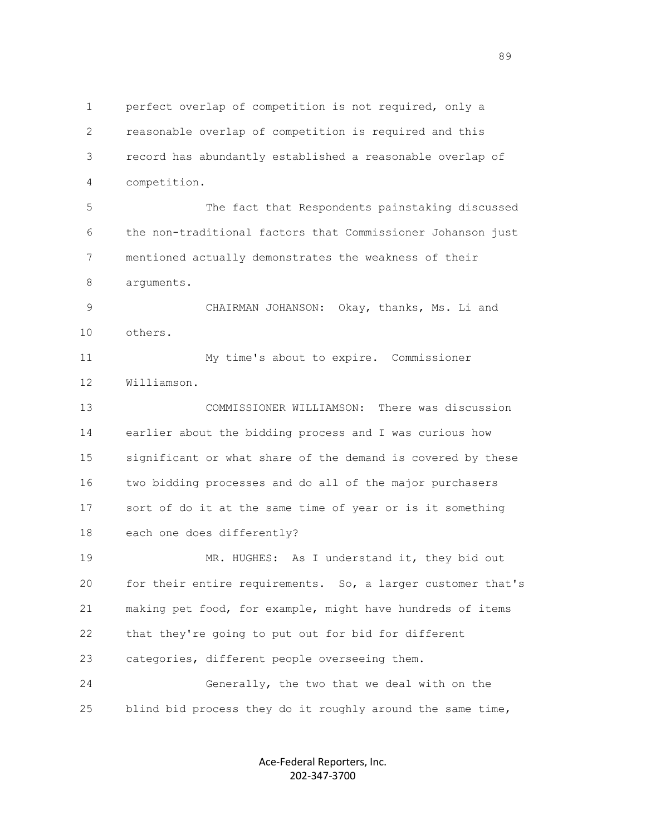1 perfect overlap of competition is not required, only a 2 reasonable overlap of competition is required and this 3 record has abundantly established a reasonable overlap of 4 competition. 5 The fact that Respondents painstaking discussed 6 the non-traditional factors that Commissioner Johanson just 7 mentioned actually demonstrates the weakness of their 8 arguments. 9 CHAIRMAN JOHANSON: Okay, thanks, Ms. Li and 10 others. 11 My time's about to expire. Commissioner 12 Williamson. 13 COMMISSIONER WILLIAMSON: There was discussion 14 earlier about the bidding process and I was curious how 15 significant or what share of the demand is covered by these 16 two bidding processes and do all of the major purchasers 17 sort of do it at the same time of year or is it something 18 each one does differently? 19 MR. HUGHES: As I understand it, they bid out 20 for their entire requirements. So, a larger customer that's 21 making pet food, for example, might have hundreds of items 22 that they're going to put out for bid for different 23 categories, different people overseeing them. 24 Generally, the two that we deal with on the 25 blind bid process they do it roughly around the same time,

> Ace-Federal Reporters, Inc. 202-347-3700

en de la construction de la construction de la construction de la construction de la construction de la constr<br>1990 : la construction de la construction de la construction de la construction de la construction de la const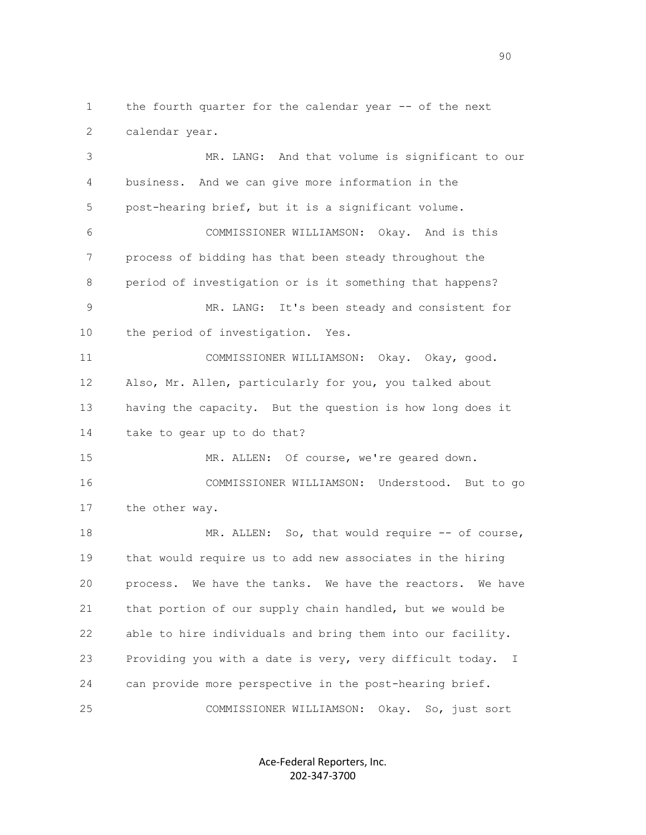1 the fourth quarter for the calendar year -- of the next 2 calendar year.

 3 MR. LANG: And that volume is significant to our 4 business. And we can give more information in the 5 post-hearing brief, but it is a significant volume. 6 COMMISSIONER WILLIAMSON: Okay. And is this 7 process of bidding has that been steady throughout the 8 period of investigation or is it something that happens? 9 MR. LANG: It's been steady and consistent for 10 the period of investigation. Yes. 11 COMMISSIONER WILLIAMSON: Okay. Okay, good. 12 Also, Mr. Allen, particularly for you, you talked about 13 having the capacity. But the question is how long does it 14 take to gear up to do that? 15 MR. ALLEN: Of course, we're geared down. 16 COMMISSIONER WILLIAMSON: Understood. But to go 17 the other way. 18 MR. ALLEN: So, that would require -- of course, 19 that would require us to add new associates in the hiring 20 process. We have the tanks. We have the reactors. We have 21 that portion of our supply chain handled, but we would be 22 able to hire individuals and bring them into our facility. 23 Providing you with a date is very, very difficult today. I 24 can provide more perspective in the post-hearing brief. 25 COMMISSIONER WILLIAMSON: Okay. So, just sort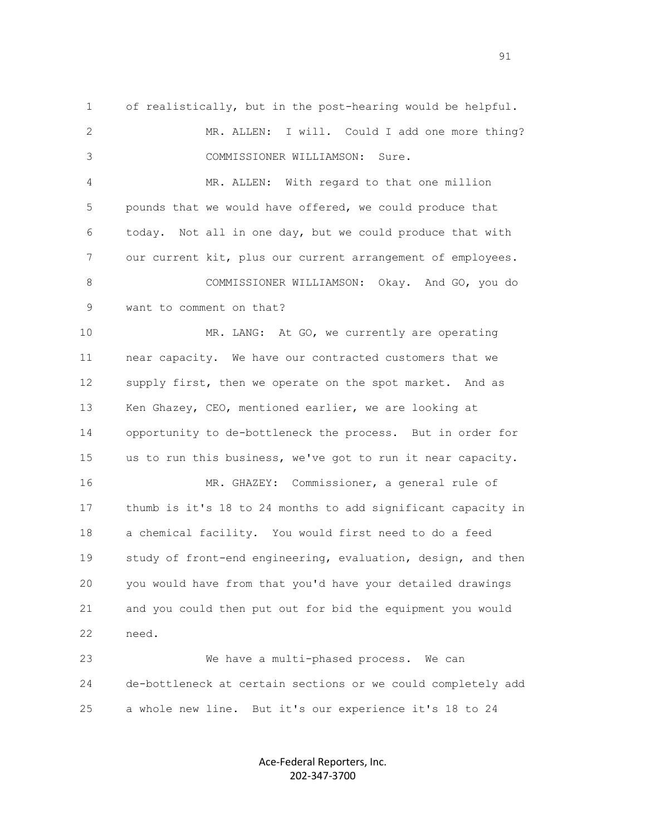1 of realistically, but in the post-hearing would be helpful. 2 MR. ALLEN: I will. Could I add one more thing? 3 COMMISSIONER WILLIAMSON: Sure. 4 MR. ALLEN: With regard to that one million 5 pounds that we would have offered, we could produce that 6 today. Not all in one day, but we could produce that with 7 our current kit, plus our current arrangement of employees. 8 COMMISSIONER WILLIAMSON: Okay. And GO, you do 9 want to comment on that? 10 MR. LANG: At GO, we currently are operating 11 near capacity. We have our contracted customers that we 12 supply first, then we operate on the spot market. And as 13 Ken Ghazey, CEO, mentioned earlier, we are looking at 14 opportunity to de-bottleneck the process. But in order for 15 us to run this business, we've got to run it near capacity. 16 MR. GHAZEY: Commissioner, a general rule of 17 thumb is it's 18 to 24 months to add significant capacity in 18 a chemical facility. You would first need to do a feed 19 study of front-end engineering, evaluation, design, and then 20 you would have from that you'd have your detailed drawings 21 and you could then put out for bid the equipment you would 22 need. 23 We have a multi-phased process. We can 24 de-bottleneck at certain sections or we could completely add

> Ace-Federal Reporters, Inc. 202-347-3700

25 a whole new line. But it's our experience it's 18 to 24

extended to the contract of the contract of the contract of the contract of the contract of the contract of the contract of the contract of the contract of the contract of the contract of the contract of the contract of th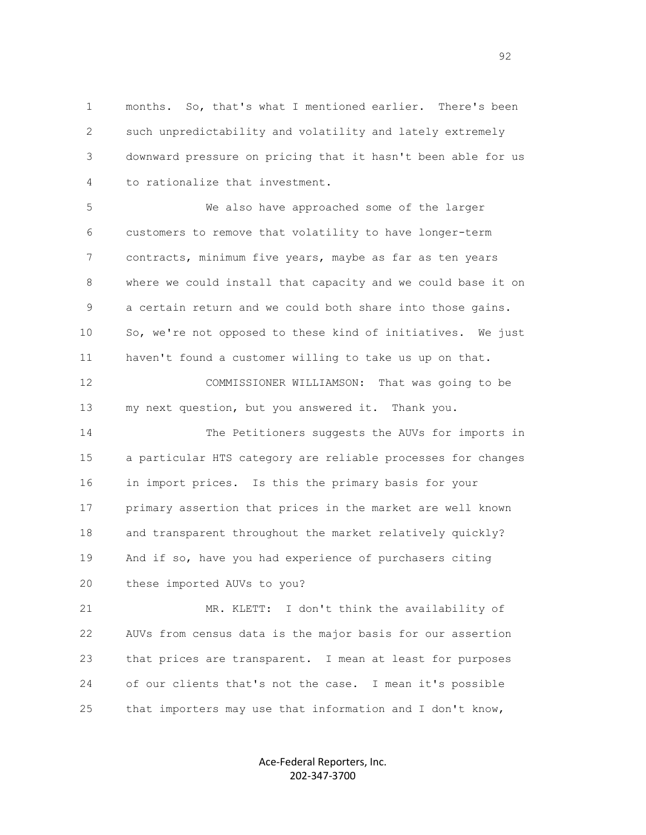1 months. So, that's what I mentioned earlier. There's been 2 such unpredictability and volatility and lately extremely 3 downward pressure on pricing that it hasn't been able for us 4 to rationalize that investment.

 5 We also have approached some of the larger 6 customers to remove that volatility to have longer-term 7 contracts, minimum five years, maybe as far as ten years 8 where we could install that capacity and we could base it on 9 a certain return and we could both share into those gains. 10 So, we're not opposed to these kind of initiatives. We just 11 haven't found a customer willing to take us up on that.

 12 COMMISSIONER WILLIAMSON: That was going to be 13 my next question, but you answered it. Thank you.

 14 The Petitioners suggests the AUVs for imports in 15 a particular HTS category are reliable processes for changes 16 in import prices. Is this the primary basis for your 17 primary assertion that prices in the market are well known 18 and transparent throughout the market relatively quickly? 19 And if so, have you had experience of purchasers citing 20 these imported AUVs to you?

 21 MR. KLETT: I don't think the availability of 22 AUVs from census data is the major basis for our assertion 23 that prices are transparent. I mean at least for purposes 24 of our clients that's not the case. I mean it's possible 25 that importers may use that information and I don't know,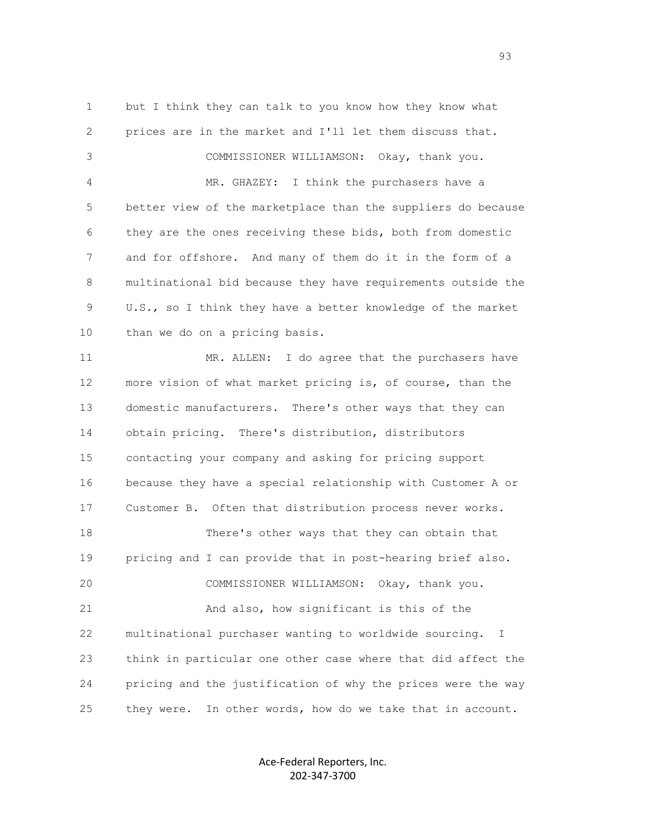1 but I think they can talk to you know how they know what 2 prices are in the market and I'll let them discuss that. 3 COMMISSIONER WILLIAMSON: Okay, thank you. 4 MR. GHAZEY: I think the purchasers have a 5 better view of the marketplace than the suppliers do because 6 they are the ones receiving these bids, both from domestic 7 and for offshore. And many of them do it in the form of a 8 multinational bid because they have requirements outside the 9 U.S., so I think they have a better knowledge of the market 10 than we do on a pricing basis. 11 MR. ALLEN: I do agree that the purchasers have 12 more vision of what market pricing is, of course, than the 13 domestic manufacturers. There's other ways that they can 14 obtain pricing. There's distribution, distributors 15 contacting your company and asking for pricing support 16 because they have a special relationship with Customer A or 17 Customer B. Often that distribution process never works. 18 There's other ways that they can obtain that 19 pricing and I can provide that in post-hearing brief also. 20 COMMISSIONER WILLIAMSON: Okay, thank you. 21 And also, how significant is this of the 22 multinational purchaser wanting to worldwide sourcing. I 23 think in particular one other case where that did affect the 24 pricing and the justification of why the prices were the way 25 they were. In other words, how do we take that in account.

> Ace-Federal Reporters, Inc. 202-347-3700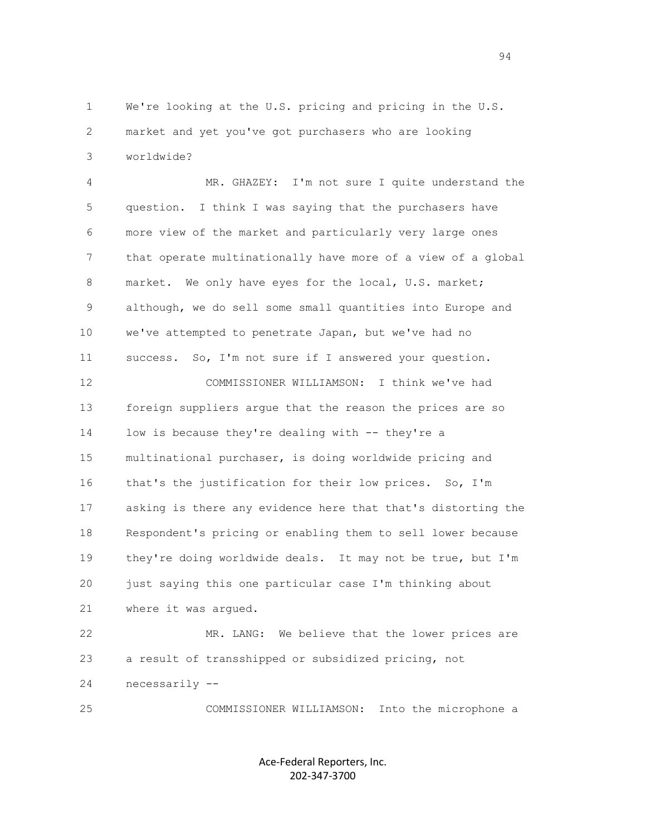1 We're looking at the U.S. pricing and pricing in the U.S. 2 market and yet you've got purchasers who are looking 3 worldwide?

 4 MR. GHAZEY: I'm not sure I quite understand the 5 question. I think I was saying that the purchasers have 6 more view of the market and particularly very large ones 7 that operate multinationally have more of a view of a global 8 market. We only have eyes for the local, U.S. market; 9 although, we do sell some small quantities into Europe and 10 we've attempted to penetrate Japan, but we've had no 11 success. So, I'm not sure if I answered your question. 12 COMMISSIONER WILLIAMSON: I think we've had 13 foreign suppliers argue that the reason the prices are so 14 low is because they're dealing with -- they're a 15 multinational purchaser, is doing worldwide pricing and 16 that's the justification for their low prices. So, I'm 17 asking is there any evidence here that that's distorting the 18 Respondent's pricing or enabling them to sell lower because 19 they're doing worldwide deals. It may not be true, but I'm 20 just saying this one particular case I'm thinking about 21 where it was argued. 22 MR. LANG: We believe that the lower prices are

 23 a result of transshipped or subsidized pricing, not 24 necessarily --

25 COMMISSIONER WILLIAMSON: Into the microphone a

Ace-Federal Reporters, Inc. 202-347-3700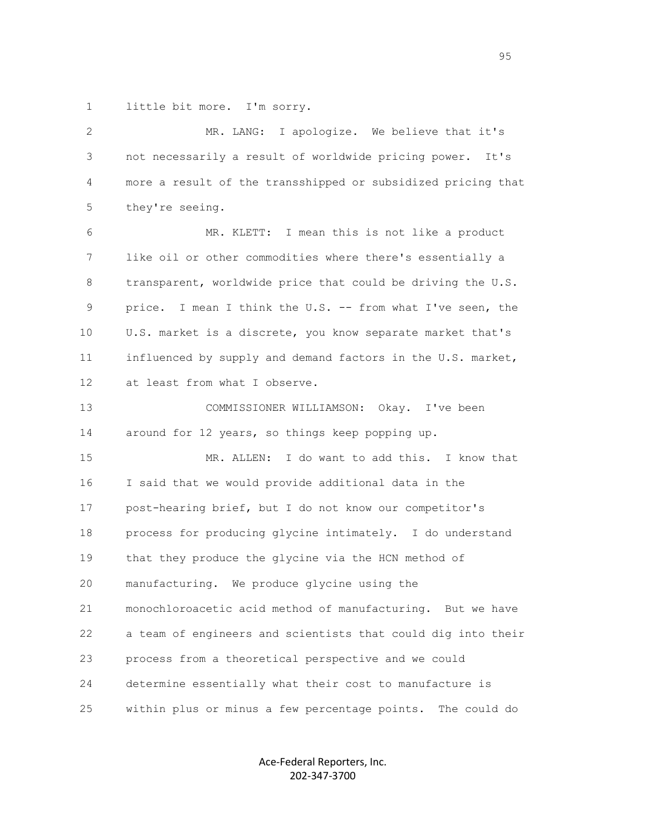1 little bit more. I'm sorry.

| $\overline{2}$ | MR. LANG: I apologize. We believe that it's                   |
|----------------|---------------------------------------------------------------|
| 3              | not necessarily a result of worldwide pricing power. It's     |
| 4              | more a result of the transshipped or subsidized pricing that  |
| 5              | they're seeing.                                               |
| 6              | MR. KLETT: I mean this is not like a product                  |
| 7              | like oil or other commodities where there's essentially a     |
| 8              | transparent, worldwide price that could be driving the U.S.   |
| 9              | price. I mean I think the U.S. -- from what I've seen, the    |
| 10             | U.S. market is a discrete, you know separate market that's    |
| 11             | influenced by supply and demand factors in the U.S. market,   |
| 12             | at least from what I observe.                                 |
| 13             | COMMISSIONER WILLIAMSON: Okay. I've been                      |
| 14             | around for 12 years, so things keep popping up.               |
| 15             | MR. ALLEN: I do want to add this. I know that                 |
| 16             | I said that we would provide additional data in the           |
| 17             | post-hearing brief, but I do not know our competitor's        |
| 18             | process for producing glycine intimately. I do understand     |
| 19             | that they produce the glycine via the HCN method of           |
| 20             | manufacturing. We produce glycine using the                   |
| 21             | monochloroacetic acid method of manufacturing. But we have    |
| 22             | a team of engineers and scientists that could dig into their  |
| 23             | process from a theoretical perspective and we could           |
| 24             | determine essentially what their cost to manufacture is       |
| 25             | within plus or minus a few percentage points.<br>The could do |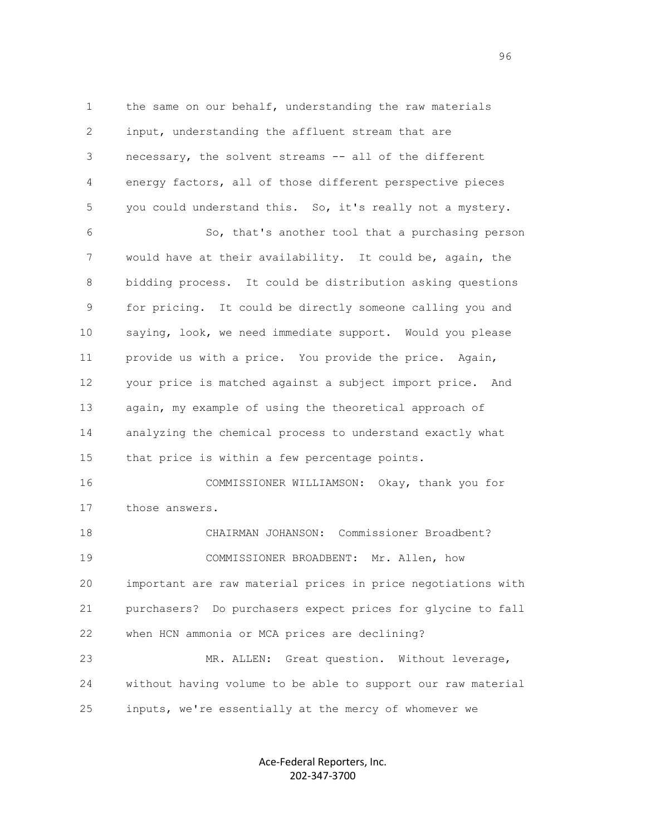1 the same on our behalf, understanding the raw materials 2 input, understanding the affluent stream that are 3 necessary, the solvent streams -- all of the different 4 energy factors, all of those different perspective pieces 5 you could understand this. So, it's really not a mystery. 6 So, that's another tool that a purchasing person 7 would have at their availability. It could be, again, the 8 bidding process. It could be distribution asking questions 9 for pricing. It could be directly someone calling you and 10 saying, look, we need immediate support. Would you please 11 provide us with a price. You provide the price. Again, 12 your price is matched against a subject import price. And 13 again, my example of using the theoretical approach of 14 analyzing the chemical process to understand exactly what 15 that price is within a few percentage points. 16 COMMISSIONER WILLIAMSON: Okay, thank you for 17 those answers. 18 CHAIRMAN JOHANSON: Commissioner Broadbent?

 19 COMMISSIONER BROADBENT: Mr. Allen, how 20 important are raw material prices in price negotiations with 21 purchasers? Do purchasers expect prices for glycine to fall 22 when HCN ammonia or MCA prices are declining?

 23 MR. ALLEN: Great question. Without leverage, 24 without having volume to be able to support our raw material 25 inputs, we're essentially at the mercy of whomever we

> Ace-Federal Reporters, Inc. 202-347-3700

en de la construction de la construction de la construction de la construction de la construction de la constr<br>1960 : le construction de la construction de la construction de la construction de la construction de la const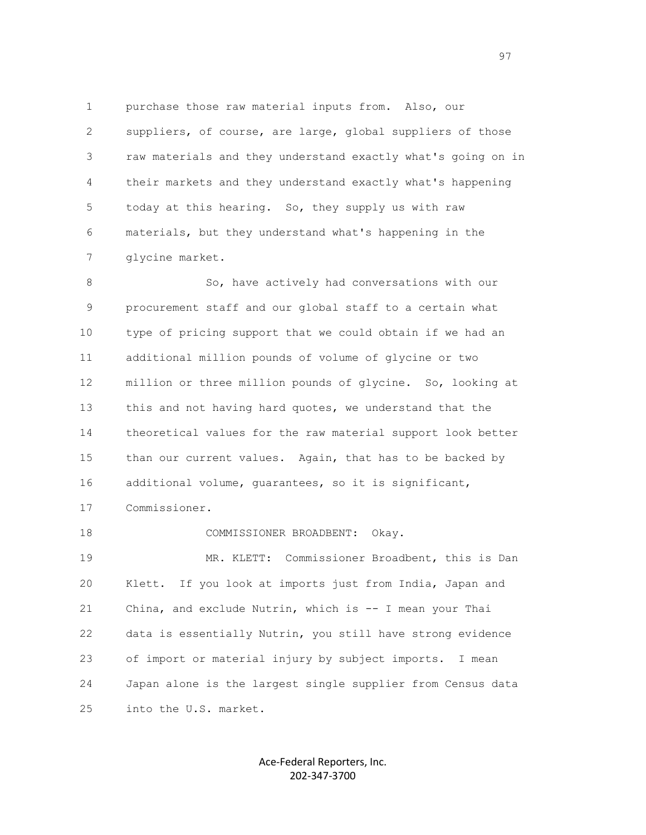1 purchase those raw material inputs from. Also, our 2 suppliers, of course, are large, global suppliers of those 3 raw materials and they understand exactly what's going on in 4 their markets and they understand exactly what's happening 5 today at this hearing. So, they supply us with raw 6 materials, but they understand what's happening in the 7 glycine market.

8 So, have actively had conversations with our 9 procurement staff and our global staff to a certain what 10 type of pricing support that we could obtain if we had an 11 additional million pounds of volume of glycine or two 12 million or three million pounds of glycine. So, looking at 13 this and not having hard quotes, we understand that the 14 theoretical values for the raw material support look better 15 than our current values. Again, that has to be backed by 16 additional volume, guarantees, so it is significant, 17 Commissioner.

 18 COMMISSIONER BROADBENT: Okay. 19 MR. KLETT: Commissioner Broadbent, this is Dan 20 Klett. If you look at imports just from India, Japan and 21 China, and exclude Nutrin, which is -- I mean your Thai 22 data is essentially Nutrin, you still have strong evidence 23 of import or material injury by subject imports. I mean 24 Japan alone is the largest single supplier from Census data 25 into the U.S. market.

> Ace-Federal Reporters, Inc. 202-347-3700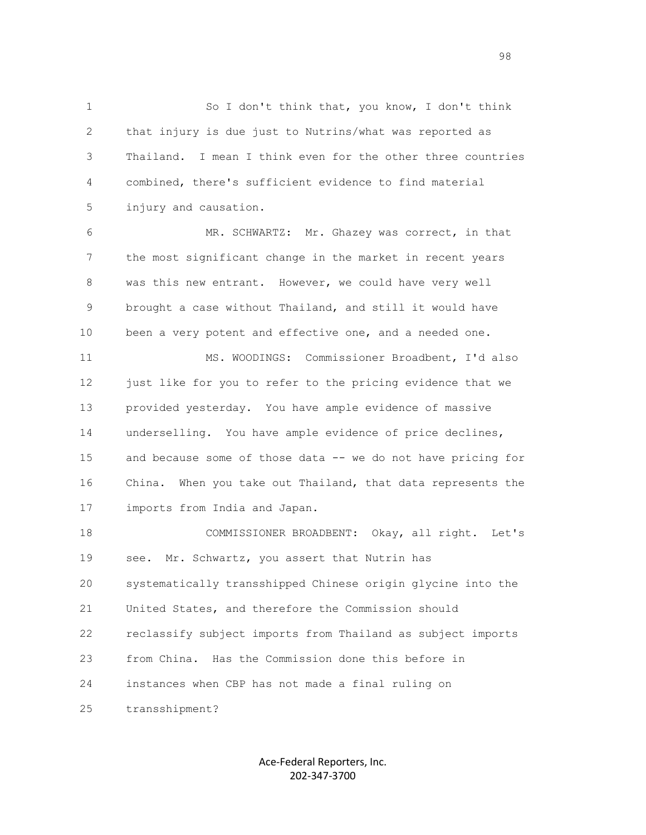1 So I don't think that, you know, I don't think 2 that injury is due just to Nutrins/what was reported as 3 Thailand. I mean I think even for the other three countries 4 combined, there's sufficient evidence to find material 5 injury and causation.

 6 MR. SCHWARTZ: Mr. Ghazey was correct, in that 7 the most significant change in the market in recent years 8 was this new entrant. However, we could have very well 9 brought a case without Thailand, and still it would have 10 been a very potent and effective one, and a needed one.

 11 MS. WOODINGS: Commissioner Broadbent, I'd also 12 just like for you to refer to the pricing evidence that we 13 provided yesterday. You have ample evidence of massive 14 underselling. You have ample evidence of price declines, 15 and because some of those data -- we do not have pricing for 16 China. When you take out Thailand, that data represents the 17 imports from India and Japan.

 18 COMMISSIONER BROADBENT: Okay, all right. Let's 19 see. Mr. Schwartz, you assert that Nutrin has 20 systematically transshipped Chinese origin glycine into the 21 United States, and therefore the Commission should 22 reclassify subject imports from Thailand as subject imports 23 from China. Has the Commission done this before in 24 instances when CBP has not made a final ruling on 25 transshipment?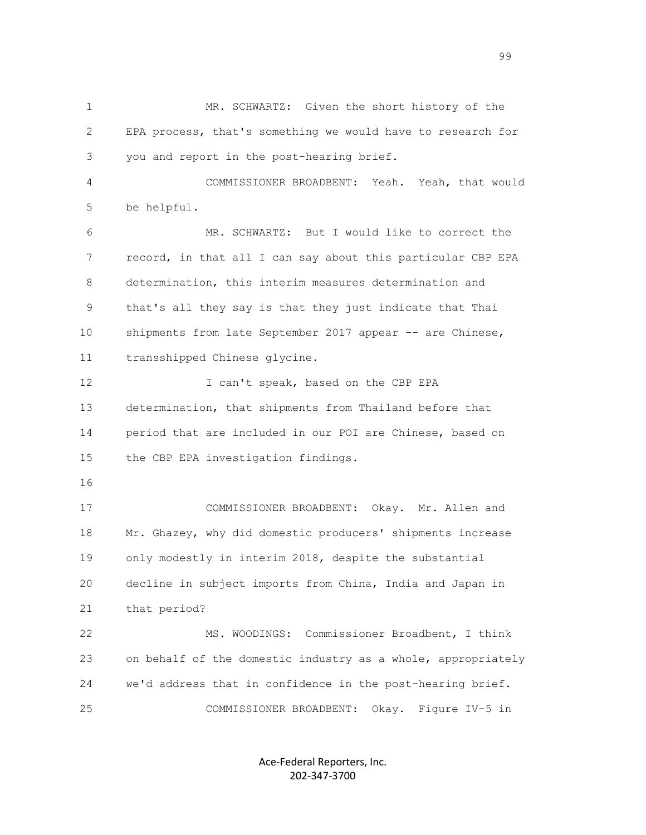1 MR. SCHWARTZ: Given the short history of the 2 EPA process, that's something we would have to research for 3 you and report in the post-hearing brief. 4 COMMISSIONER BROADBENT: Yeah. Yeah, that would 5 be helpful. 6 MR. SCHWARTZ: But I would like to correct the 7 record, in that all I can say about this particular CBP EPA 8 determination, this interim measures determination and 9 that's all they say is that they just indicate that Thai 10 shipments from late September 2017 appear -- are Chinese, 11 transshipped Chinese glycine. 12 I can't speak, based on the CBP EPA 13 determination, that shipments from Thailand before that 14 period that are included in our POI are Chinese, based on 15 the CBP EPA investigation findings. 16 17 COMMISSIONER BROADBENT: Okay. Mr. Allen and 18 Mr. Ghazey, why did domestic producers' shipments increase 19 only modestly in interim 2018, despite the substantial 20 decline in subject imports from China, India and Japan in 21 that period? 22 MS. WOODINGS: Commissioner Broadbent, I think 23 on behalf of the domestic industry as a whole, appropriately 24 we'd address that in confidence in the post-hearing brief. 25 COMMISSIONER BROADBENT: Okay. Figure IV-5 in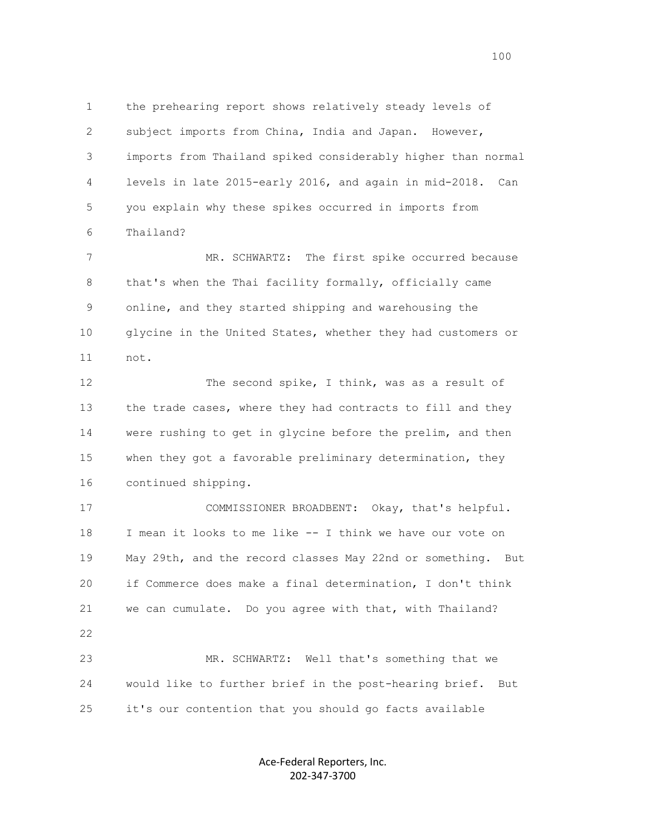1 the prehearing report shows relatively steady levels of 2 subject imports from China, India and Japan. However, 3 imports from Thailand spiked considerably higher than normal 4 levels in late 2015-early 2016, and again in mid-2018. Can 5 you explain why these spikes occurred in imports from 6 Thailand?

 7 MR. SCHWARTZ: The first spike occurred because 8 that's when the Thai facility formally, officially came 9 online, and they started shipping and warehousing the 10 glycine in the United States, whether they had customers or 11 not.

12 The second spike, I think, was as a result of 13 the trade cases, where they had contracts to fill and they 14 were rushing to get in glycine before the prelim, and then 15 when they got a favorable preliminary determination, they 16 continued shipping.

 17 COMMISSIONER BROADBENT: Okay, that's helpful. 18 I mean it looks to me like -- I think we have our vote on 19 May 29th, and the record classes May 22nd or something. But 20 if Commerce does make a final determination, I don't think 21 we can cumulate. Do you agree with that, with Thailand? 22 23 MR. SCHWARTZ: Well that's something that we 24 would like to further brief in the post-hearing brief. But

25 it's our contention that you should go facts available

Ace-Federal Reporters, Inc. 202-347-3700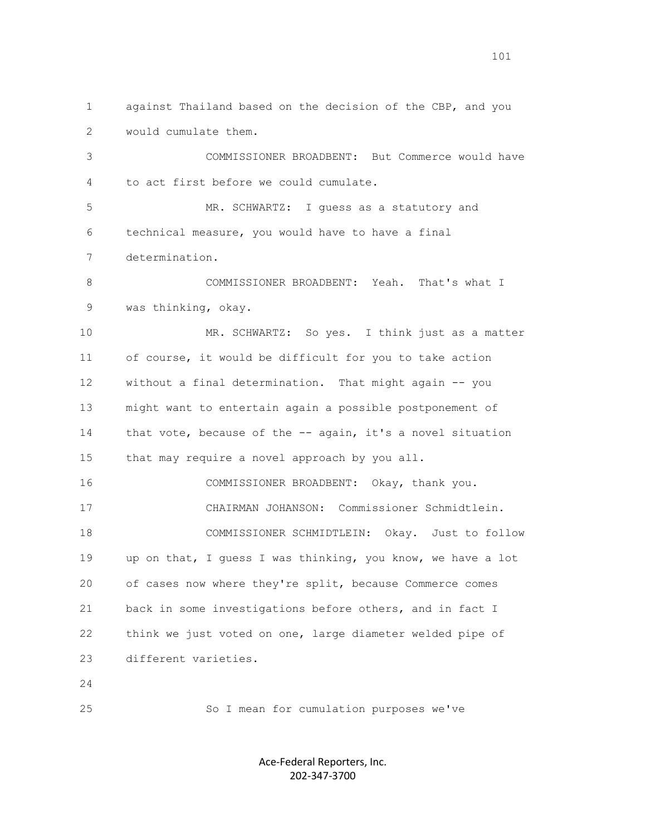1 against Thailand based on the decision of the CBP, and you 2 would cumulate them. 3 COMMISSIONER BROADBENT: But Commerce would have 4 to act first before we could cumulate. 5 MR. SCHWARTZ: I guess as a statutory and 6 technical measure, you would have to have a final 7 determination. 8 COMMISSIONER BROADBENT: Yeah. That's what I 9 was thinking, okay. 10 MR. SCHWARTZ: So yes. I think just as a matter 11 of course, it would be difficult for you to take action 12 without a final determination. That might again -- you 13 might want to entertain again a possible postponement of 14 that vote, because of the -- again, it's a novel situation 15 that may require a novel approach by you all. 16 COMMISSIONER BROADBENT: Okay, thank you. 17 CHAIRMAN JOHANSON: Commissioner Schmidtlein. 18 COMMISSIONER SCHMIDTLEIN: Okay. Just to follow 19 up on that, I guess I was thinking, you know, we have a lot 20 of cases now where they're split, because Commerce comes 21 back in some investigations before others, and in fact I 22 think we just voted on one, large diameter welded pipe of 23 different varieties. 24 25 So I mean for cumulation purposes we've

> Ace-Federal Reporters, Inc. 202-347-3700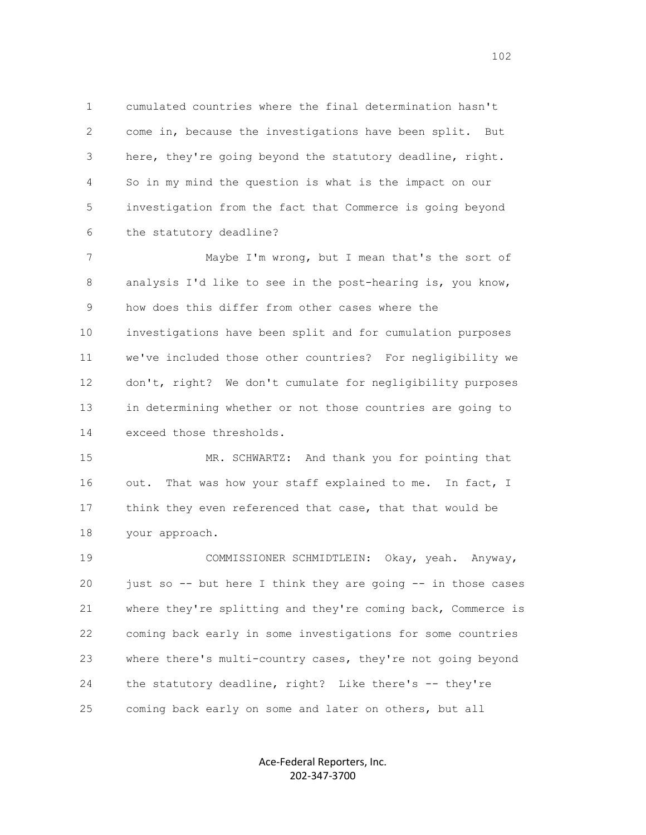1 cumulated countries where the final determination hasn't 2 come in, because the investigations have been split. But 3 here, they're going beyond the statutory deadline, right. 4 So in my mind the question is what is the impact on our 5 investigation from the fact that Commerce is going beyond 6 the statutory deadline?

 7 Maybe I'm wrong, but I mean that's the sort of 8 analysis I'd like to see in the post-hearing is, you know, 9 how does this differ from other cases where the 10 investigations have been split and for cumulation purposes 11 we've included those other countries? For negligibility we 12 don't, right? We don't cumulate for negligibility purposes 13 in determining whether or not those countries are going to 14 exceed those thresholds.

 15 MR. SCHWARTZ: And thank you for pointing that 16 out. That was how your staff explained to me. In fact, I 17 think they even referenced that case, that that would be 18 your approach.

 19 COMMISSIONER SCHMIDTLEIN: Okay, yeah. Anyway, 20 just so -- but here I think they are going -- in those cases 21 where they're splitting and they're coming back, Commerce is 22 coming back early in some investigations for some countries 23 where there's multi-country cases, they're not going beyond 24 the statutory deadline, right? Like there's -- they're 25 coming back early on some and later on others, but all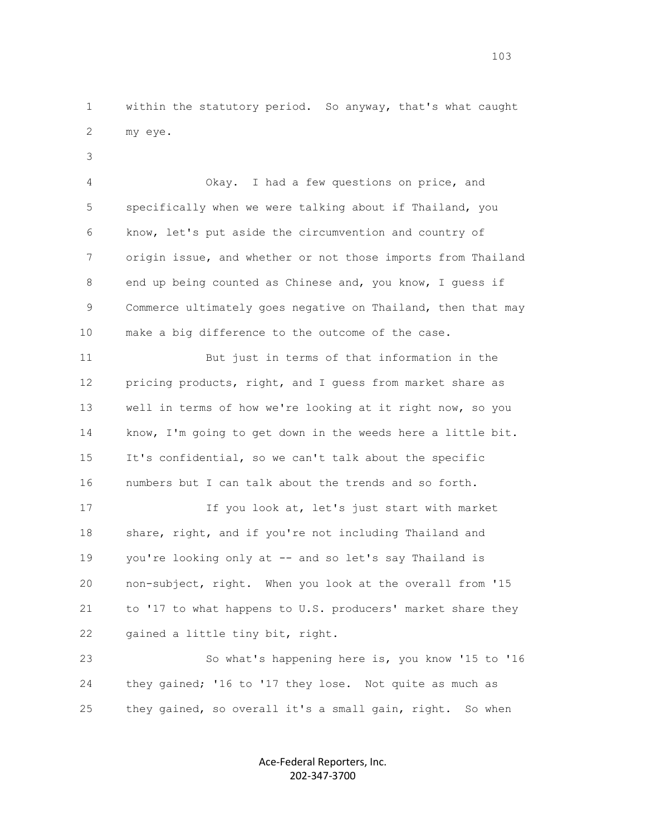1 within the statutory period. So anyway, that's what caught 2 my eye.

3

 4 Okay. I had a few questions on price, and 5 specifically when we were talking about if Thailand, you 6 know, let's put aside the circumvention and country of 7 origin issue, and whether or not those imports from Thailand 8 end up being counted as Chinese and, you know, I guess if 9 Commerce ultimately goes negative on Thailand, then that may 10 make a big difference to the outcome of the case.

 11 But just in terms of that information in the 12 pricing products, right, and I guess from market share as 13 well in terms of how we're looking at it right now, so you 14 know, I'm going to get down in the weeds here a little bit. 15 It's confidential, so we can't talk about the specific 16 numbers but I can talk about the trends and so forth.

 17 If you look at, let's just start with market 18 share, right, and if you're not including Thailand and 19 you're looking only at -- and so let's say Thailand is 20 non-subject, right. When you look at the overall from '15 21 to '17 to what happens to U.S. producers' market share they 22 gained a little tiny bit, right.

 23 So what's happening here is, you know '15 to '16 24 they gained; '16 to '17 they lose. Not quite as much as 25 they gained, so overall it's a small gain, right. So when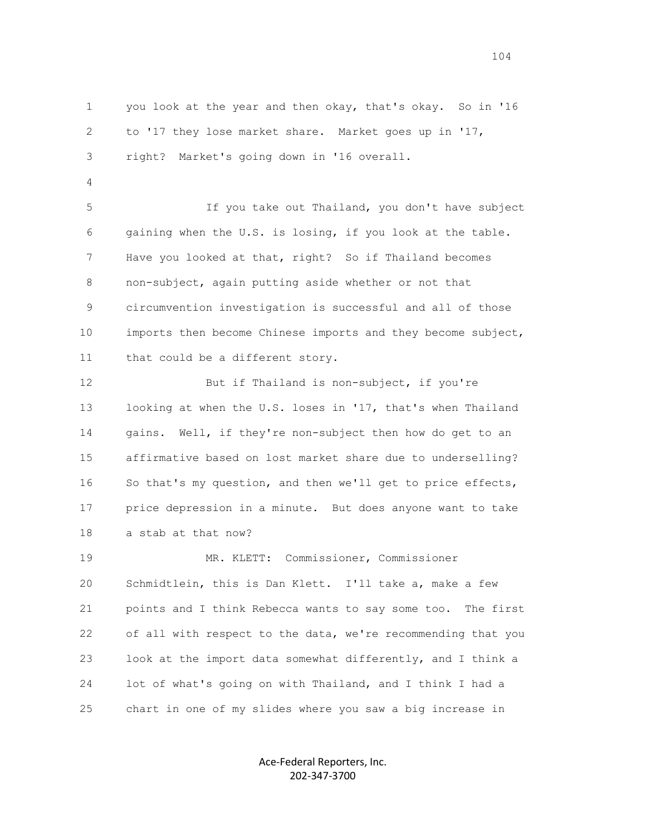1 you look at the year and then okay, that's okay. So in '16 2 to '17 they lose market share. Market goes up in '17, 3 right? Market's going down in '16 overall.

4

 5 If you take out Thailand, you don't have subject 6 gaining when the U.S. is losing, if you look at the table. 7 Have you looked at that, right? So if Thailand becomes 8 non-subject, again putting aside whether or not that 9 circumvention investigation is successful and all of those 10 imports then become Chinese imports and they become subject, 11 that could be a different story.

12 But if Thailand is non-subject, if you're 13 looking at when the U.S. loses in '17, that's when Thailand 14 gains. Well, if they're non-subject then how do get to an 15 affirmative based on lost market share due to underselling? 16 So that's my question, and then we'll get to price effects, 17 price depression in a minute. But does anyone want to take 18 a stab at that now?

 19 MR. KLETT: Commissioner, Commissioner 20 Schmidtlein, this is Dan Klett. I'll take a, make a few 21 points and I think Rebecca wants to say some too. The first 22 of all with respect to the data, we're recommending that you 23 look at the import data somewhat differently, and I think a 24 lot of what's going on with Thailand, and I think I had a 25 chart in one of my slides where you saw a big increase in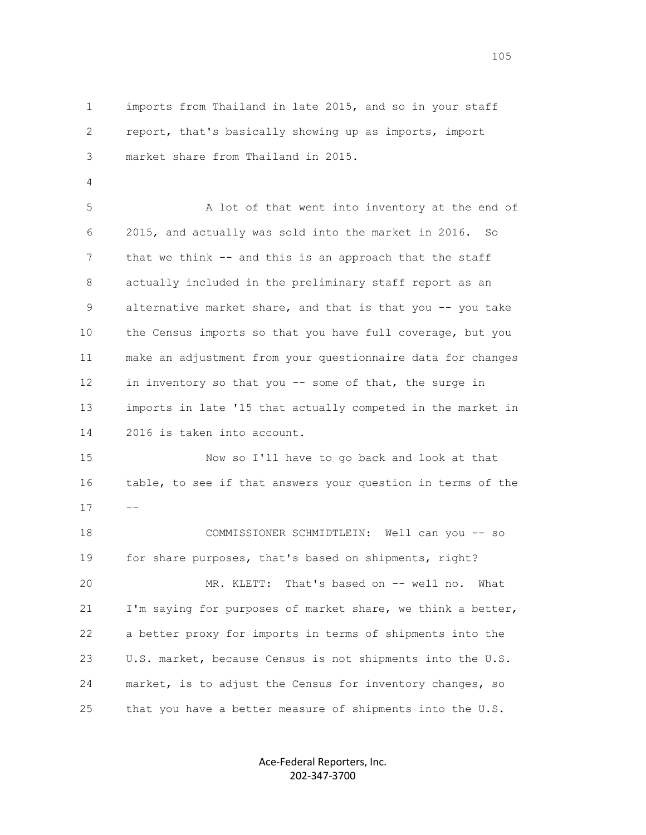1 imports from Thailand in late 2015, and so in your staff 2 report, that's basically showing up as imports, import 3 market share from Thailand in 2015.

4

 5 A lot of that went into inventory at the end of 6 2015, and actually was sold into the market in 2016. So 7 that we think -- and this is an approach that the staff 8 actually included in the preliminary staff report as an 9 alternative market share, and that is that you -- you take 10 the Census imports so that you have full coverage, but you 11 make an adjustment from your questionnaire data for changes 12 in inventory so that you -- some of that, the surge in 13 imports in late '15 that actually competed in the market in 14 2016 is taken into account.

 15 Now so I'll have to go back and look at that 16 table, to see if that answers your question in terms of the  $17$  --

> 18 COMMISSIONER SCHMIDTLEIN: Well can you -- so 19 for share purposes, that's based on shipments, right? 20 MR. KLETT: That's based on -- well no. What 21 I'm saying for purposes of market share, we think a better, 22 a better proxy for imports in terms of shipments into the 23 U.S. market, because Census is not shipments into the U.S. 24 market, is to adjust the Census for inventory changes, so 25 that you have a better measure of shipments into the U.S.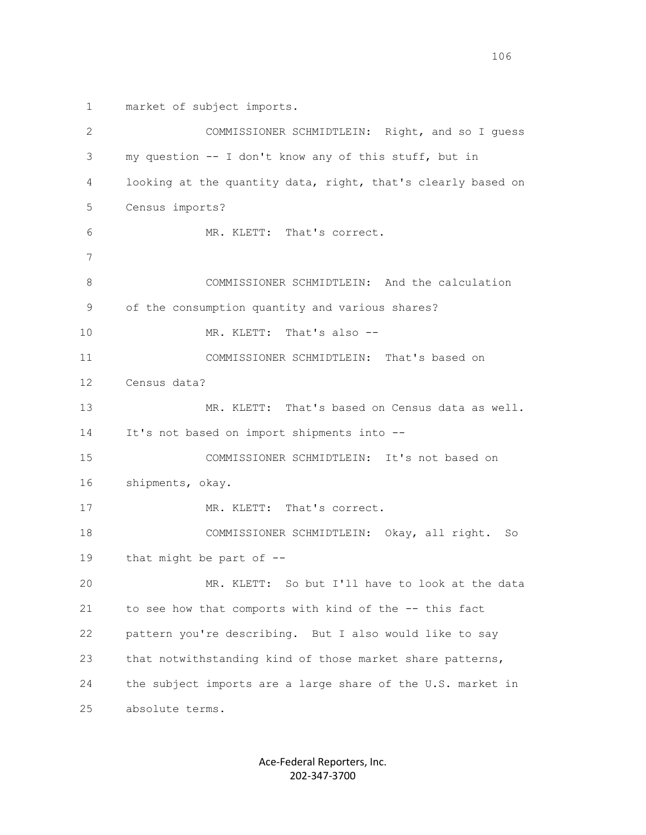1 market of subject imports.

| 2  | COMMISSIONER SCHMIDTLEIN: Right, and so I quess              |
|----|--------------------------------------------------------------|
| 3  | my question -- I don't know any of this stuff, but in        |
| 4  | looking at the quantity data, right, that's clearly based on |
| 5  | Census imports?                                              |
| 6  | MR. KLETT: That's correct.                                   |
| 7  |                                                              |
| 8  | COMMISSIONER SCHMIDTLEIN: And the calculation                |
| 9  | of the consumption quantity and various shares?              |
| 10 | MR. KLETT: That's also --                                    |
| 11 | COMMISSIONER SCHMIDTLEIN: That's based on                    |
| 12 | Census data?                                                 |
| 13 | MR. KLETT: That's based on Census data as well.              |
| 14 | It's not based on import shipments into --                   |
| 15 | COMMISSIONER SCHMIDTLEIN: It's not based on                  |
| 16 | shipments, okay.                                             |
| 17 | MR. KLETT: That's correct.                                   |
| 18 | COMMISSIONER SCHMIDTLEIN: Okay, all right. So                |
| 19 | that might be part of --                                     |
| 20 | MR. KLETT: So but I'll have to look at the data              |
| 21 | to see how that comports with kind of the -- this fact       |
| 22 | pattern you're describing. But I also would like to say      |
| 23 | that notwithstanding kind of those market share patterns,    |
| 24 | the subject imports are a large share of the U.S. market in  |
| 25 | absolute terms.                                              |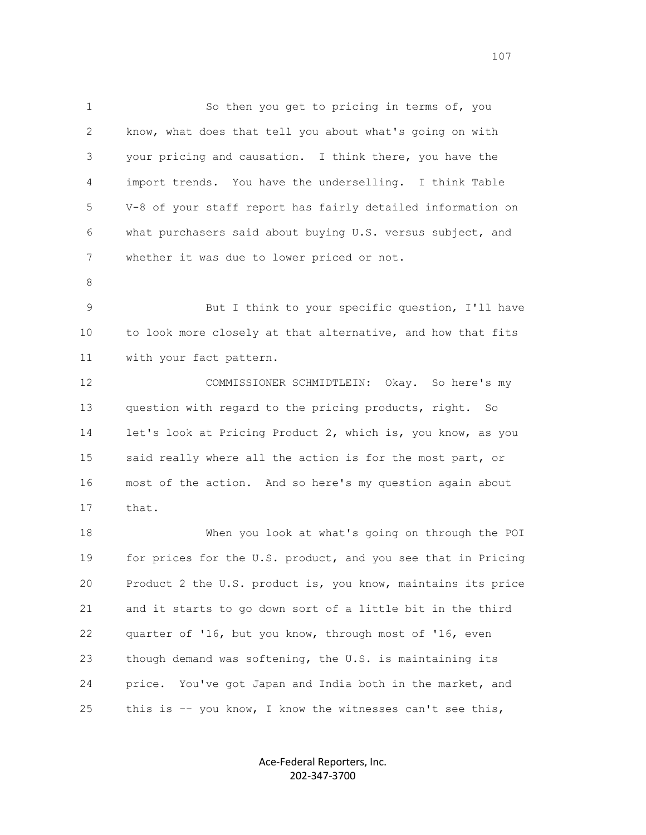1 So then you get to pricing in terms of, you 2 know, what does that tell you about what's going on with 3 your pricing and causation. I think there, you have the 4 import trends. You have the underselling. I think Table 5 V-8 of your staff report has fairly detailed information on 6 what purchasers said about buying U.S. versus subject, and 7 whether it was due to lower priced or not.

8

 9 But I think to your specific question, I'll have 10 to look more closely at that alternative, and how that fits 11 with your fact pattern.

 12 COMMISSIONER SCHMIDTLEIN: Okay. So here's my 13 question with regard to the pricing products, right. So 14 let's look at Pricing Product 2, which is, you know, as you 15 said really where all the action is for the most part, or 16 most of the action. And so here's my question again about 17 that.

 18 When you look at what's going on through the POI 19 for prices for the U.S. product, and you see that in Pricing 20 Product 2 the U.S. product is, you know, maintains its price 21 and it starts to go down sort of a little bit in the third 22 quarter of '16, but you know, through most of '16, even 23 though demand was softening, the U.S. is maintaining its 24 price. You've got Japan and India both in the market, and 25 this is -- you know, I know the witnesses can't see this,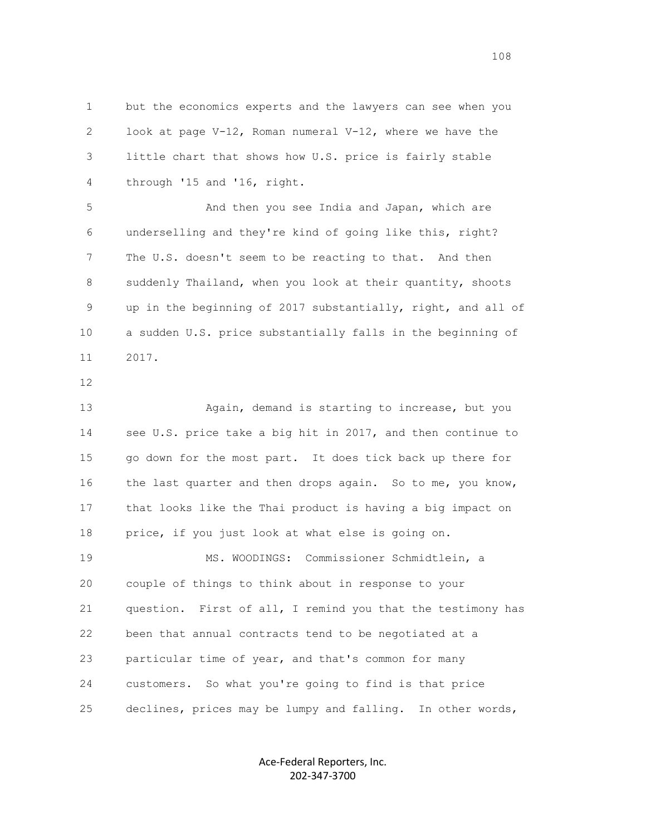1 but the economics experts and the lawyers can see when you 2 look at page V-12, Roman numeral V-12, where we have the 3 little chart that shows how U.S. price is fairly stable 4 through '15 and '16, right.

 5 And then you see India and Japan, which are 6 underselling and they're kind of going like this, right? 7 The U.S. doesn't seem to be reacting to that. And then 8 suddenly Thailand, when you look at their quantity, shoots 9 up in the beginning of 2017 substantially, right, and all of 10 a sudden U.S. price substantially falls in the beginning of 11 2017.

12

 13 Again, demand is starting to increase, but you 14 see U.S. price take a big hit in 2017, and then continue to 15 go down for the most part. It does tick back up there for 16 the last quarter and then drops again. So to me, you know, 17 that looks like the Thai product is having a big impact on 18 price, if you just look at what else is going on. 19 MS. WOODINGS: Commissioner Schmidtlein, a 20 couple of things to think about in response to your 21 question. First of all, I remind you that the testimony has 22 been that annual contracts tend to be negotiated at a 23 particular time of year, and that's common for many 24 customers. So what you're going to find is that price 25 declines, prices may be lumpy and falling. In other words,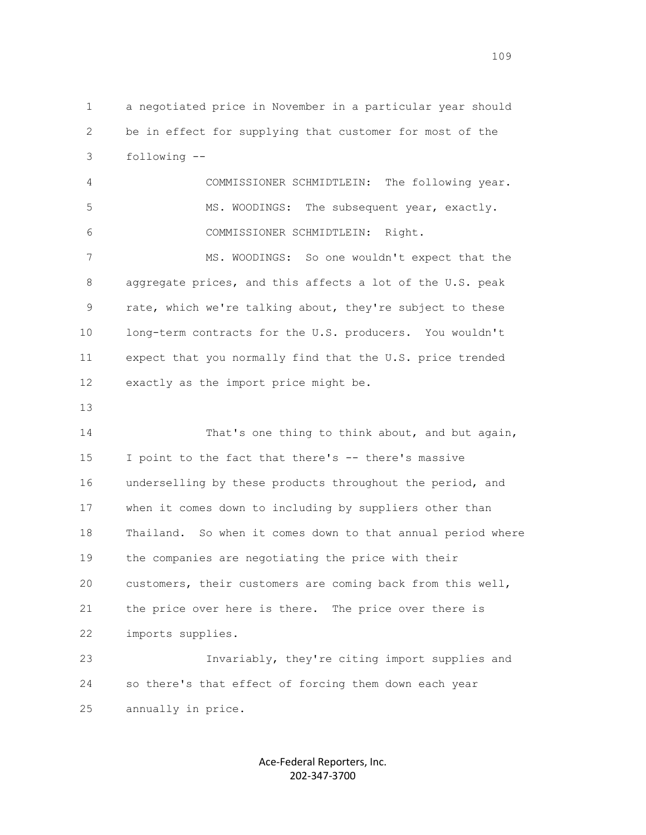1 a negotiated price in November in a particular year should 2 be in effect for supplying that customer for most of the 3 following --

 4 COMMISSIONER SCHMIDTLEIN: The following year. 5 MS. WOODINGS: The subsequent year, exactly. 6 COMMISSIONER SCHMIDTLEIN: Right.

 7 MS. WOODINGS: So one wouldn't expect that the 8 aggregate prices, and this affects a lot of the U.S. peak 9 rate, which we're talking about, they're subject to these 10 long-term contracts for the U.S. producers. You wouldn't 11 expect that you normally find that the U.S. price trended 12 exactly as the import price might be.

13

14 That's one thing to think about, and but again, 15 I point to the fact that there's -- there's massive 16 underselling by these products throughout the period, and 17 when it comes down to including by suppliers other than 18 Thailand. So when it comes down to that annual period where 19 the companies are negotiating the price with their 20 customers, their customers are coming back from this well, 21 the price over here is there. The price over there is 22 imports supplies.

 23 Invariably, they're citing import supplies and 24 so there's that effect of forcing them down each year 25 annually in price.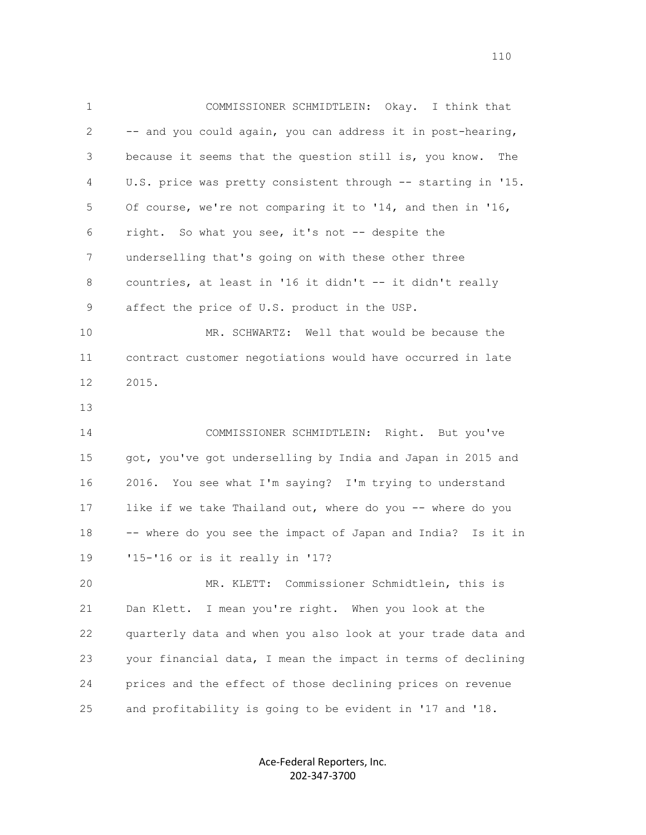1 COMMISSIONER SCHMIDTLEIN: Okay. I think that 2 -- and you could again, you can address it in post-hearing, 3 because it seems that the question still is, you know. The 4 U.S. price was pretty consistent through -- starting in '15. 5 Of course, we're not comparing it to '14, and then in '16, 6 right. So what you see, it's not -- despite the 7 underselling that's going on with these other three 8 countries, at least in '16 it didn't -- it didn't really 9 affect the price of U.S. product in the USP. 10 MR. SCHWARTZ: Well that would be because the 11 contract customer negotiations would have occurred in late 12 2015. 13 14 COMMISSIONER SCHMIDTLEIN: Right. But you've 15 got, you've got underselling by India and Japan in 2015 and 16 2016. You see what I'm saying? I'm trying to understand 17 like if we take Thailand out, where do you -- where do you 18 -- where do you see the impact of Japan and India? Is it in 19 '15-'16 or is it really in '17? 20 MR. KLETT: Commissioner Schmidtlein, this is 21 Dan Klett. I mean you're right. When you look at the 22 quarterly data and when you also look at your trade data and 23 your financial data, I mean the impact in terms of declining 24 prices and the effect of those declining prices on revenue 25 and profitability is going to be evident in '17 and '18.

> Ace-Federal Reporters, Inc. 202-347-3700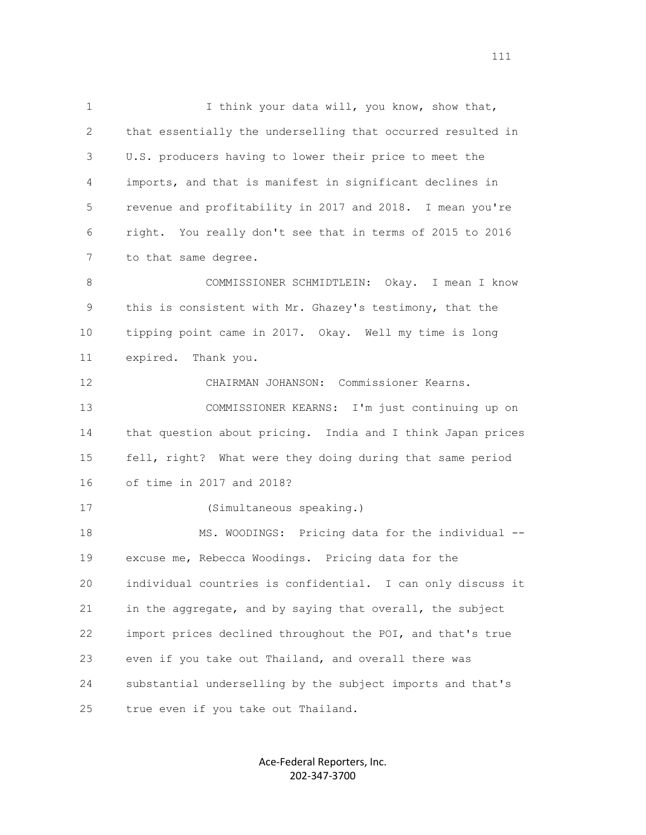1 I think your data will, you know, show that, 2 that essentially the underselling that occurred resulted in 3 U.S. producers having to lower their price to meet the 4 imports, and that is manifest in significant declines in 5 revenue and profitability in 2017 and 2018. I mean you're 6 right. You really don't see that in terms of 2015 to 2016 7 to that same degree. 8 COMMISSIONER SCHMIDTLEIN: Okay. I mean I know 9 this is consistent with Mr. Ghazey's testimony, that the 10 tipping point came in 2017. Okay. Well my time is long 11 expired. Thank you. 12 CHAIRMAN JOHANSON: Commissioner Kearns. 13 COMMISSIONER KEARNS: I'm just continuing up on 14 that question about pricing. India and I think Japan prices 15 fell, right? What were they doing during that same period 16 of time in 2017 and 2018? 17 (Simultaneous speaking.) 18 MS. WOODINGS: Pricing data for the individual -- 19 excuse me, Rebecca Woodings. Pricing data for the 20 individual countries is confidential. I can only discuss it 21 in the aggregate, and by saying that overall, the subject 22 import prices declined throughout the POI, and that's true 23 even if you take out Thailand, and overall there was 24 substantial underselling by the subject imports and that's 25 true even if you take out Thailand.

> Ace-Federal Reporters, Inc. 202-347-3700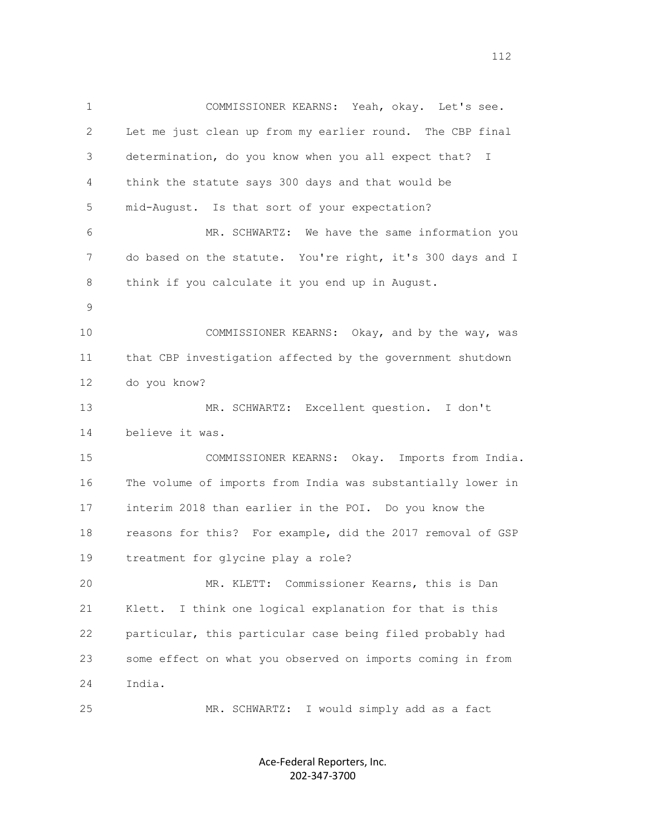1 COMMISSIONER KEARNS: Yeah, okay. Let's see. 2 Let me just clean up from my earlier round. The CBP final 3 determination, do you know when you all expect that? I 4 think the statute says 300 days and that would be 5 mid-August. Is that sort of your expectation? 6 MR. SCHWARTZ: We have the same information you 7 do based on the statute. You're right, it's 300 days and I 8 think if you calculate it you end up in August. 9 10 COMMISSIONER KEARNS: Okay, and by the way, was 11 that CBP investigation affected by the government shutdown 12 do you know? 13 MR. SCHWARTZ: Excellent question. I don't 14 believe it was. 15 COMMISSIONER KEARNS: Okay. Imports from India. 16 The volume of imports from India was substantially lower in 17 interim 2018 than earlier in the POI. Do you know the 18 reasons for this? For example, did the 2017 removal of GSP 19 treatment for glycine play a role? 20 MR. KLETT: Commissioner Kearns, this is Dan 21 Klett. I think one logical explanation for that is this 22 particular, this particular case being filed probably had 23 some effect on what you observed on imports coming in from 24 India. 25 MR. SCHWARTZ: I would simply add as a fact

> Ace-Federal Reporters, Inc. 202-347-3700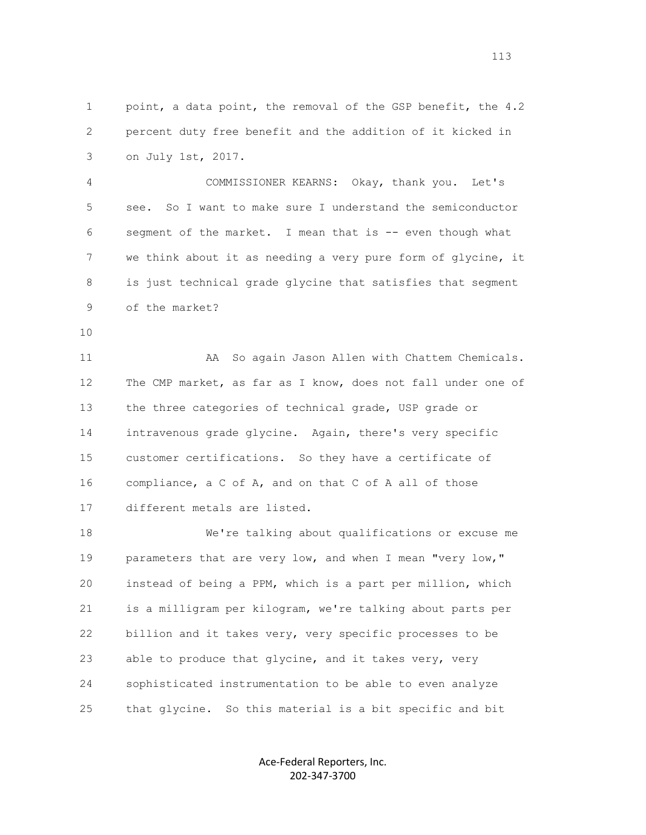1 point, a data point, the removal of the GSP benefit, the 4.2 2 percent duty free benefit and the addition of it kicked in 3 on July 1st, 2017.

 4 COMMISSIONER KEARNS: Okay, thank you. Let's 5 see. So I want to make sure I understand the semiconductor 6 segment of the market. I mean that is -- even though what 7 we think about it as needing a very pure form of glycine, it 8 is just technical grade glycine that satisfies that segment 9 of the market?

10

 11 AA So again Jason Allen with Chattem Chemicals. 12 The CMP market, as far as I know, does not fall under one of 13 the three categories of technical grade, USP grade or 14 intravenous grade glycine. Again, there's very specific 15 customer certifications. So they have a certificate of 16 compliance, a C of A, and on that C of A all of those 17 different metals are listed.

 18 We're talking about qualifications or excuse me 19 parameters that are very low, and when I mean "very low," 20 instead of being a PPM, which is a part per million, which 21 is a milligram per kilogram, we're talking about parts per 22 billion and it takes very, very specific processes to be 23 able to produce that glycine, and it takes very, very 24 sophisticated instrumentation to be able to even analyze 25 that glycine. So this material is a bit specific and bit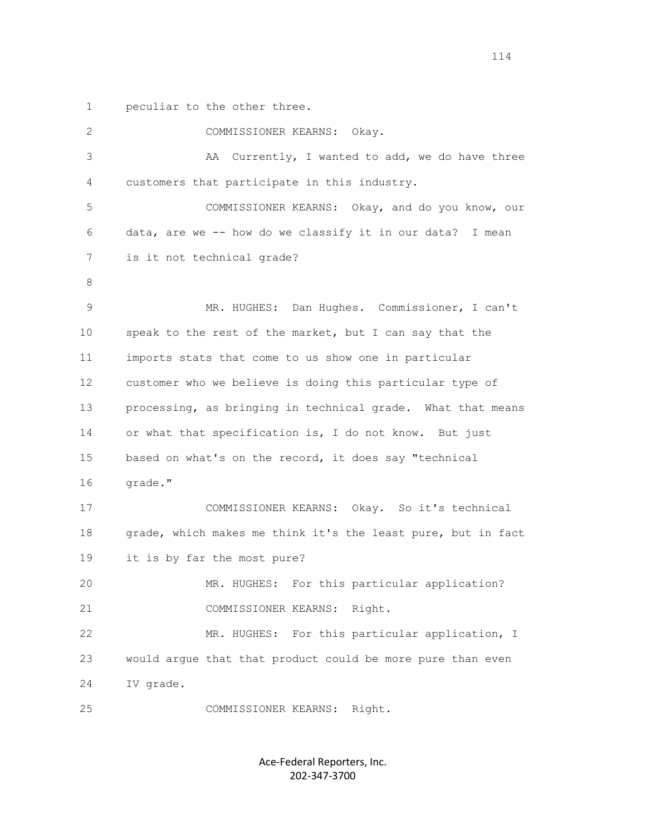1 peculiar to the other three.

| $\mathbf{2}$      | COMMISSIONER KEARNS: Okay.                                   |
|-------------------|--------------------------------------------------------------|
| 3                 | AA<br>Currently, I wanted to add, we do have three           |
| 4                 | customers that participate in this industry.                 |
| 5                 | COMMISSIONER KEARNS: Okay, and do you know, our              |
| 6                 | data, are we -- how do we classify it in our data? I mean    |
| 7                 | is it not technical grade?                                   |
| 8                 |                                                              |
| 9                 | MR. HUGHES: Dan Hughes. Commissioner, I can't                |
| 10                | speak to the rest of the market, but I can say that the      |
| 11                | imports stats that come to us show one in particular         |
| $12 \overline{ }$ | customer who we believe is doing this particular type of     |
| 13                | processing, as bringing in technical grade. What that means  |
| 14                | or what that specification is, I do not know. But just       |
| 15                | based on what's on the record, it does say "technical        |
| 16                | grade."                                                      |
| 17                | COMMISSIONER KEARNS: Okay. So it's technical                 |
| 18                | grade, which makes me think it's the least pure, but in fact |
| 19                | it is by far the most pure?                                  |
| 20                | MR. HUGHES: For this particular application?                 |
| 21                | COMMISSIONER KEARNS: Right.                                  |
| 22                | MR. HUGHES: For this particular application, I               |
| 23                | would argue that that product could be more pure than even   |
| 24                | IV grade.                                                    |
| 25                | Right.<br>COMMISSIONER KEARNS:                               |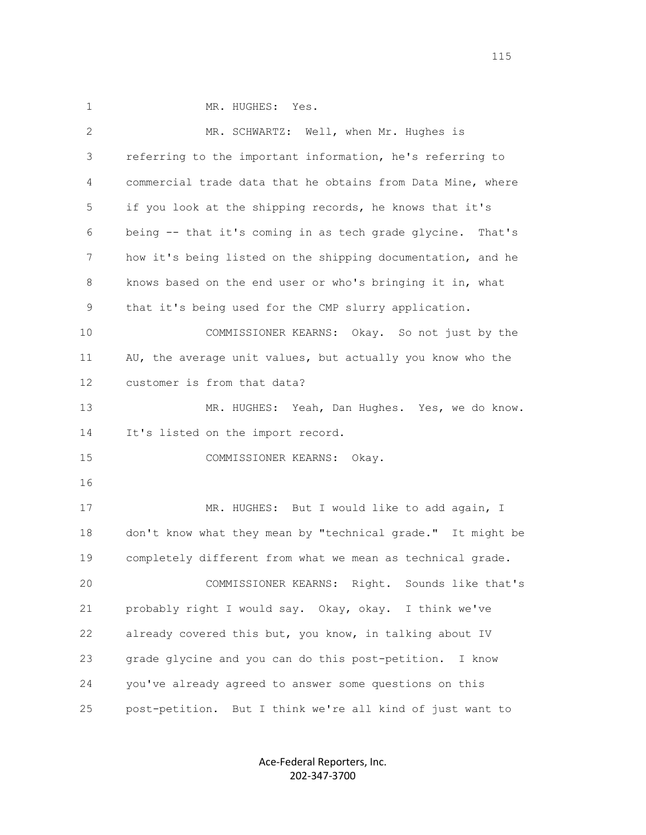1 MR. HUGHES: Yes.

| $\mathbf{2}$ | MR. SCHWARTZ: Well, when Mr. Hughes is                        |
|--------------|---------------------------------------------------------------|
| 3            | referring to the important information, he's referring to     |
| 4            | commercial trade data that he obtains from Data Mine, where   |
| 5            | if you look at the shipping records, he knows that it's       |
| 6            | being -- that it's coming in as tech grade glycine.<br>That's |
| 7            | how it's being listed on the shipping documentation, and he   |
| 8            | knows based on the end user or who's bringing it in, what     |
| 9            | that it's being used for the CMP slurry application.          |
| 10           | COMMISSIONER KEARNS: Okay. So not just by the                 |
| 11           | AU, the average unit values, but actually you know who the    |
| 12           | customer is from that data?                                   |
| 13           | MR. HUGHES: Yeah, Dan Hughes. Yes, we do know.                |
| 14           | It's listed on the import record.                             |
| 15           | COMMISSIONER KEARNS: Okay.                                    |
| 16           |                                                               |
| 17           | MR. HUGHES: But I would like to add again, I                  |
| 18           | don't know what they mean by "technical grade." It might be   |
| 19           | completely different from what we mean as technical grade.    |
| 20           | COMMISSIONER KEARNS: Right. Sounds like that's                |
| 21           | probably right I would say. Okay, okay. I think we've         |
| 22           | already covered this but, you know, in talking about IV       |
| 23           | grade glycine and you can do this post-petition.<br>I know    |
| 24           | you've already agreed to answer some questions on this        |
| 25           | post-petition. But I think we're all kind of just want to     |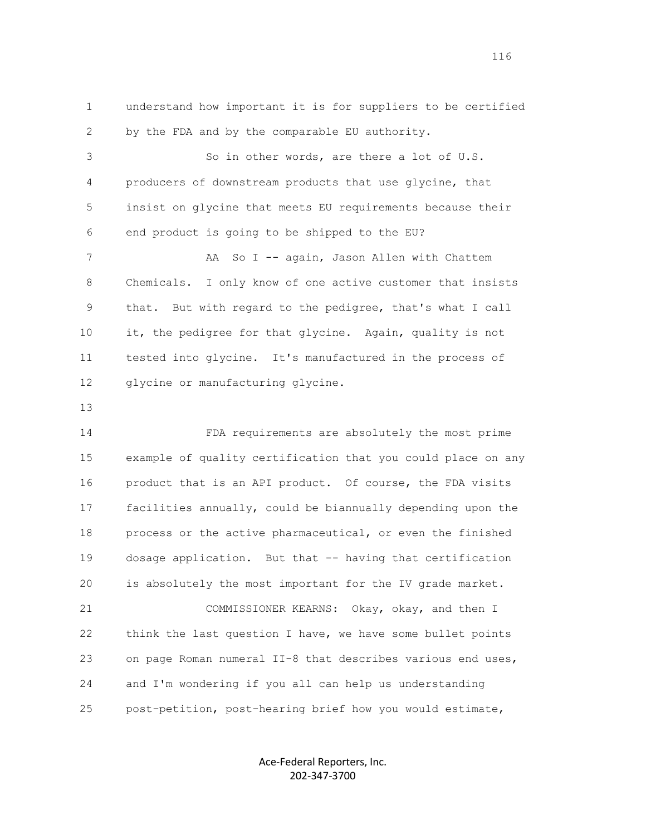1 understand how important it is for suppliers to be certified 2 by the FDA and by the comparable EU authority. 3 So in other words, are there a lot of U.S. 4 producers of downstream products that use glycine, that 5 insist on glycine that meets EU requirements because their 6 end product is going to be shipped to the EU? 7 AA So I -- again, Jason Allen with Chattem 8 Chemicals. I only know of one active customer that insists 9 that. But with regard to the pedigree, that's what I call 10 it, the pedigree for that glycine. Again, quality is not 11 tested into glycine. It's manufactured in the process of 12 glycine or manufacturing glycine. 13 14 FDA requirements are absolutely the most prime 15 example of quality certification that you could place on any 16 product that is an API product. Of course, the FDA visits 17 facilities annually, could be biannually depending upon the 18 process or the active pharmaceutical, or even the finished 19 dosage application. But that -- having that certification

 21 COMMISSIONER KEARNS: Okay, okay, and then I 22 think the last question I have, we have some bullet points 23 on page Roman numeral II-8 that describes various end uses, 24 and I'm wondering if you all can help us understanding 25 post-petition, post-hearing brief how you would estimate,

20 is absolutely the most important for the IV grade market.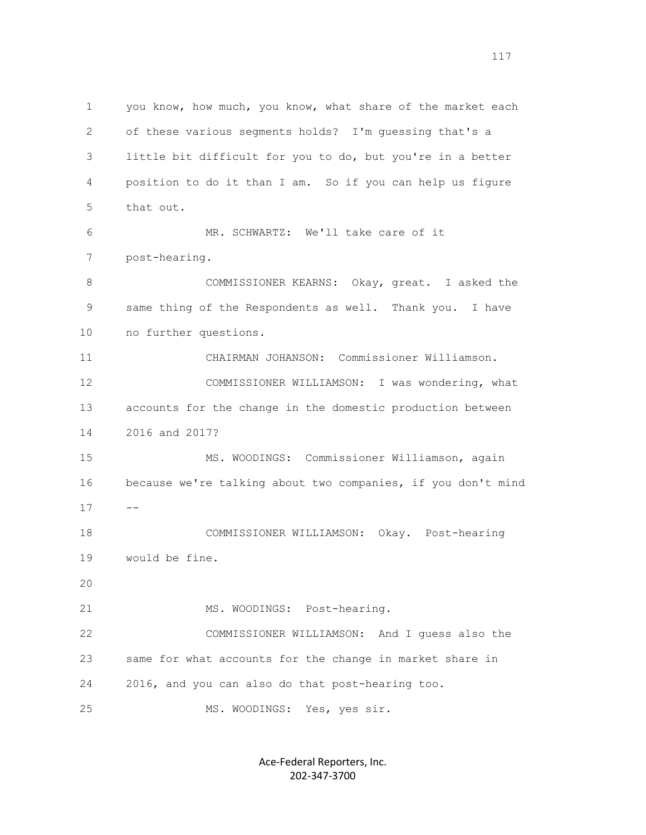1 you know, how much, you know, what share of the market each 2 of these various segments holds? I'm guessing that's a 3 little bit difficult for you to do, but you're in a better 4 position to do it than I am. So if you can help us figure 5 that out. 6 MR. SCHWARTZ: We'll take care of it 7 post-hearing. 8 COMMISSIONER KEARNS: Okay, great. I asked the 9 same thing of the Respondents as well. Thank you. I have 10 no further questions. 11 CHAIRMAN JOHANSON: Commissioner Williamson. 12 COMMISSIONER WILLIAMSON: I was wondering, what 13 accounts for the change in the domestic production between 14 2016 and 2017? 15 MS. WOODINGS: Commissioner Williamson, again 16 because we're talking about two companies, if you don't mind  $17 - -$  18 COMMISSIONER WILLIAMSON: Okay. Post-hearing 19 would be fine. 20 21 MS. WOODINGS: Post-hearing. 22 COMMISSIONER WILLIAMSON: And I guess also the 23 same for what accounts for the change in market share in 24 2016, and you can also do that post-hearing too. 25 MS. WOODINGS: Yes, yes sir.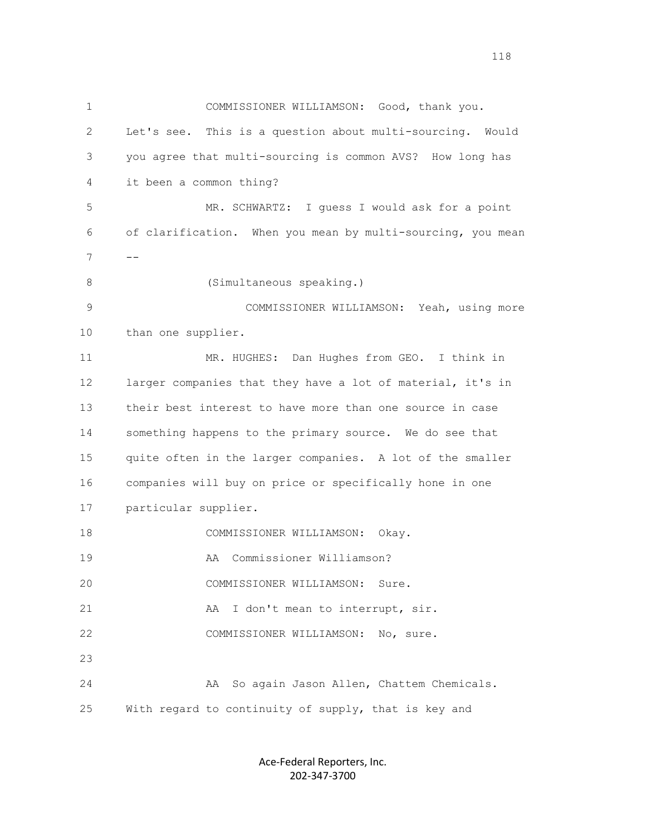1 COMMISSIONER WILLIAMSON: Good, thank you. 2 Let's see. This is a question about multi-sourcing. Would 3 you agree that multi-sourcing is common AVS? How long has 4 it been a common thing? 5 MR. SCHWARTZ: I guess I would ask for a point 6 of clarification. When you mean by multi-sourcing, you mean  $7 \qquad --$  8 (Simultaneous speaking.) 9 COMMISSIONER WILLIAMSON: Yeah, using more 10 than one supplier. 11 MR. HUGHES: Dan Hughes from GEO. I think in 12 larger companies that they have a lot of material, it's in 13 their best interest to have more than one source in case 14 something happens to the primary source. We do see that 15 quite often in the larger companies. A lot of the smaller 16 companies will buy on price or specifically hone in one 17 particular supplier. 18 COMMISSIONER WILLIAMSON: Okay. 19 AA Commissioner Williamson? 20 COMMISSIONER WILLIAMSON: Sure. 21 AA I don't mean to interrupt, sir. 22 COMMISSIONER WILLIAMSON: No, sure. 23 24 AA So again Jason Allen, Chattem Chemicals. 25 With regard to continuity of supply, that is key and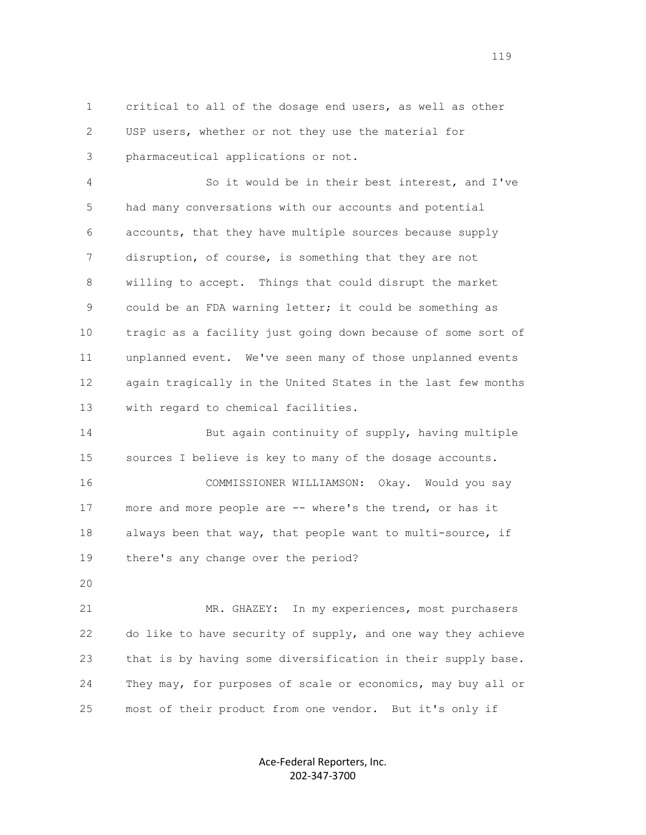1 critical to all of the dosage end users, as well as other 2 USP users, whether or not they use the material for 3 pharmaceutical applications or not.

 4 So it would be in their best interest, and I've 5 had many conversations with our accounts and potential 6 accounts, that they have multiple sources because supply 7 disruption, of course, is something that they are not 8 willing to accept. Things that could disrupt the market 9 could be an FDA warning letter; it could be something as 10 tragic as a facility just going down because of some sort of 11 unplanned event. We've seen many of those unplanned events 12 again tragically in the United States in the last few months 13 with regard to chemical facilities.

 14 But again continuity of supply, having multiple 15 sources I believe is key to many of the dosage accounts.

 16 COMMISSIONER WILLIAMSON: Okay. Would you say 17 more and more people are -- where's the trend, or has it 18 always been that way, that people want to multi-source, if 19 there's any change over the period?

20

 21 MR. GHAZEY: In my experiences, most purchasers 22 do like to have security of supply, and one way they achieve 23 that is by having some diversification in their supply base. 24 They may, for purposes of scale or economics, may buy all or 25 most of their product from one vendor. But it's only if

> Ace-Federal Reporters, Inc. 202-347-3700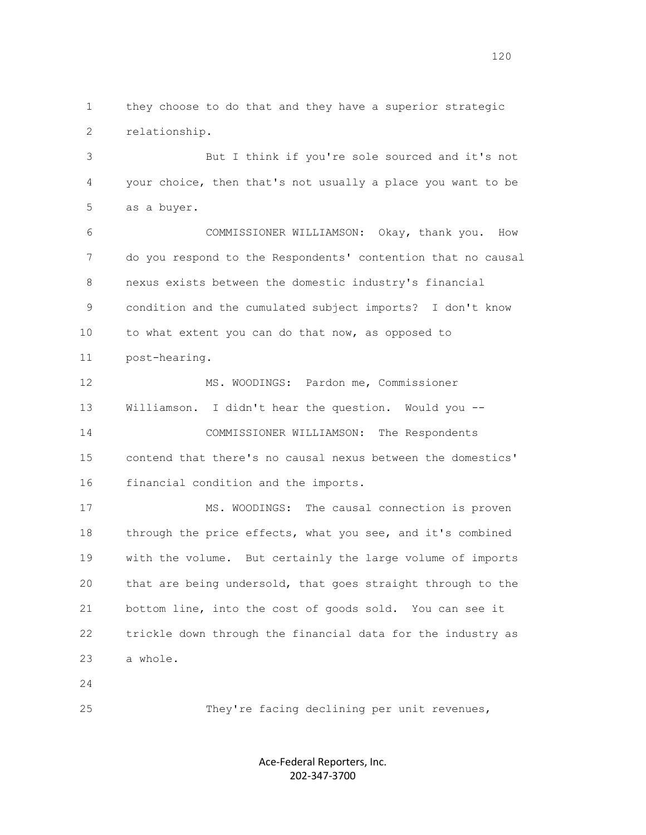1 they choose to do that and they have a superior strategic 2 relationship.

 3 But I think if you're sole sourced and it's not 4 your choice, then that's not usually a place you want to be 5 as a buyer.

 6 COMMISSIONER WILLIAMSON: Okay, thank you. How 7 do you respond to the Respondents' contention that no causal 8 nexus exists between the domestic industry's financial 9 condition and the cumulated subject imports? I don't know 10 to what extent you can do that now, as opposed to 11 post-hearing.

 12 MS. WOODINGS: Pardon me, Commissioner 13 Williamson. I didn't hear the question. Would you -- 14 COMMISSIONER WILLIAMSON: The Respondents 15 contend that there's no causal nexus between the domestics' 16 financial condition and the imports.

 17 MS. WOODINGS: The causal connection is proven 18 through the price effects, what you see, and it's combined 19 with the volume. But certainly the large volume of imports 20 that are being undersold, that goes straight through to the 21 bottom line, into the cost of goods sold. You can see it 22 trickle down through the financial data for the industry as 23 a whole.

24

25 They're facing declining per unit revenues,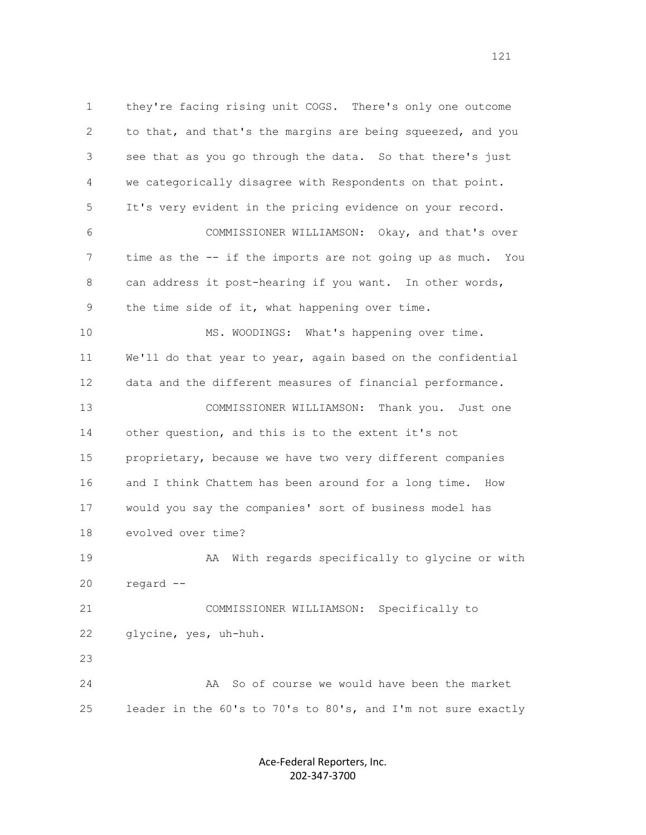1 they're facing rising unit COGS. There's only one outcome 2 to that, and that's the margins are being squeezed, and you 3 see that as you go through the data. So that there's just 4 we categorically disagree with Respondents on that point. 5 It's very evident in the pricing evidence on your record. 6 COMMISSIONER WILLIAMSON: Okay, and that's over 7 time as the -- if the imports are not going up as much. You 8 can address it post-hearing if you want. In other words, 9 the time side of it, what happening over time. 10 MS. WOODINGS: What's happening over time. 11 We'll do that year to year, again based on the confidential 12 data and the different measures of financial performance. 13 COMMISSIONER WILLIAMSON: Thank you. Just one 14 other question, and this is to the extent it's not 15 proprietary, because we have two very different companies 16 and I think Chattem has been around for a long time. How 17 would you say the companies' sort of business model has 18 evolved over time? 19 AA With regards specifically to glycine or with 20 regard -- 21 COMMISSIONER WILLIAMSON: Specifically to 22 glycine, yes, uh-huh. 23 24 AA So of course we would have been the market 25 leader in the 60's to 70's to 80's, and I'm not sure exactly

> Ace-Federal Reporters, Inc. 202-347-3700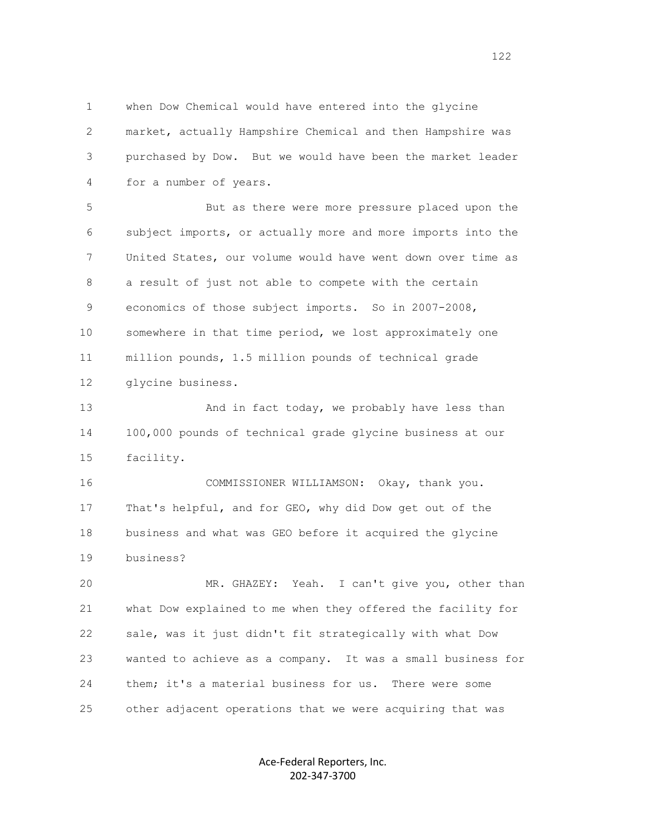1 when Dow Chemical would have entered into the glycine 2 market, actually Hampshire Chemical and then Hampshire was 3 purchased by Dow. But we would have been the market leader 4 for a number of years.

 5 But as there were more pressure placed upon the 6 subject imports, or actually more and more imports into the 7 United States, our volume would have went down over time as 8 a result of just not able to compete with the certain 9 economics of those subject imports. So in 2007-2008, 10 somewhere in that time period, we lost approximately one 11 million pounds, 1.5 million pounds of technical grade 12 glycine business.

13 And in fact today, we probably have less than 14 100,000 pounds of technical grade glycine business at our 15 facility.

 16 COMMISSIONER WILLIAMSON: Okay, thank you. 17 That's helpful, and for GEO, why did Dow get out of the 18 business and what was GEO before it acquired the glycine 19 business?

 20 MR. GHAZEY: Yeah. I can't give you, other than 21 what Dow explained to me when they offered the facility for 22 sale, was it just didn't fit strategically with what Dow 23 wanted to achieve as a company. It was a small business for 24 them; it's a material business for us. There were some 25 other adjacent operations that we were acquiring that was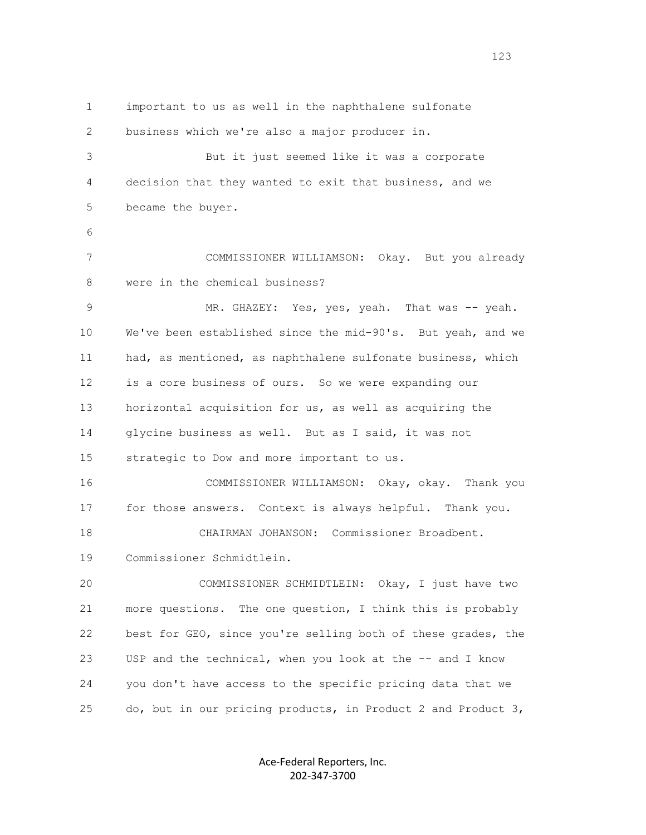1 important to us as well in the naphthalene sulfonate 2 business which we're also a major producer in. 3 But it just seemed like it was a corporate 4 decision that they wanted to exit that business, and we 5 became the buyer. 6 7 COMMISSIONER WILLIAMSON: Okay. But you already 8 were in the chemical business? 9 MR. GHAZEY: Yes, yes, yeah. That was -- yeah. 10 We've been established since the mid-90's. But yeah, and we 11 had, as mentioned, as naphthalene sulfonate business, which 12 is a core business of ours. So we were expanding our 13 horizontal acquisition for us, as well as acquiring the 14 glycine business as well. But as I said, it was not 15 strategic to Dow and more important to us. 16 COMMISSIONER WILLIAMSON: Okay, okay. Thank you 17 for those answers. Context is always helpful. Thank you. 18 CHAIRMAN JOHANSON: Commissioner Broadbent. 19 Commissioner Schmidtlein. 20 COMMISSIONER SCHMIDTLEIN: Okay, I just have two 21 more questions. The one question, I think this is probably 22 best for GEO, since you're selling both of these grades, the 23 USP and the technical, when you look at the -- and I know 24 you don't have access to the specific pricing data that we 25 do, but in our pricing products, in Product 2 and Product 3,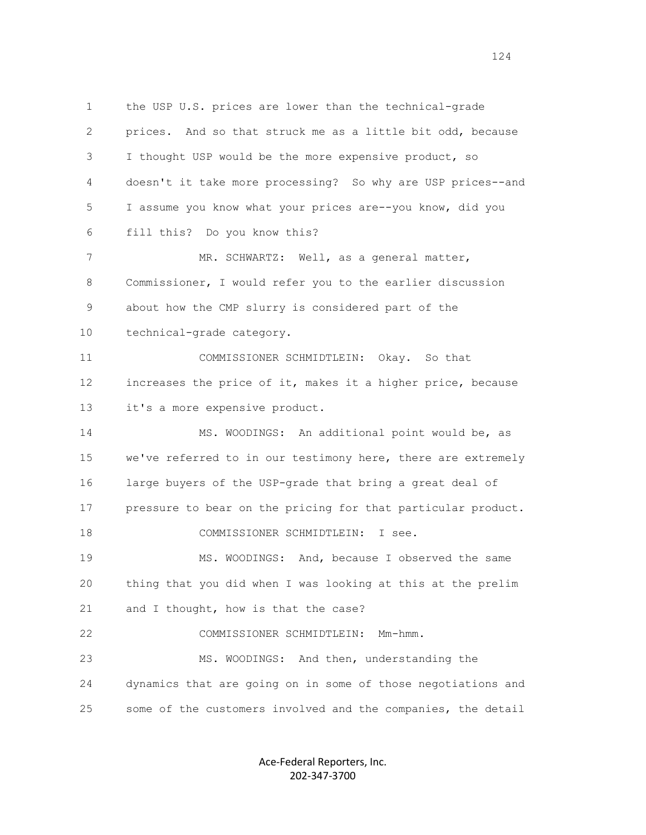1 the USP U.S. prices are lower than the technical-grade 2 prices. And so that struck me as a little bit odd, because 3 I thought USP would be the more expensive product, so 4 doesn't it take more processing? So why are USP prices--and 5 I assume you know what your prices are--you know, did you 6 fill this? Do you know this? 7 MR. SCHWARTZ: Well, as a general matter, 8 Commissioner, I would refer you to the earlier discussion 9 about how the CMP slurry is considered part of the 10 technical-grade category. 11 COMMISSIONER SCHMIDTLEIN: Okay. So that 12 increases the price of it, makes it a higher price, because 13 it's a more expensive product. 14 MS. WOODINGS: An additional point would be, as 15 we've referred to in our testimony here, there are extremely 16 large buyers of the USP-grade that bring a great deal of 17 pressure to bear on the pricing for that particular product. 18 COMMISSIONER SCHMIDTLEIN: I see. 19 MS. WOODINGS: And, because I observed the same 20 thing that you did when I was looking at this at the prelim 21 and I thought, how is that the case? 22 COMMISSIONER SCHMIDTLEIN: Mm-hmm. 23 MS. WOODINGS: And then, understanding the 24 dynamics that are going on in some of those negotiations and 25 some of the customers involved and the companies, the detail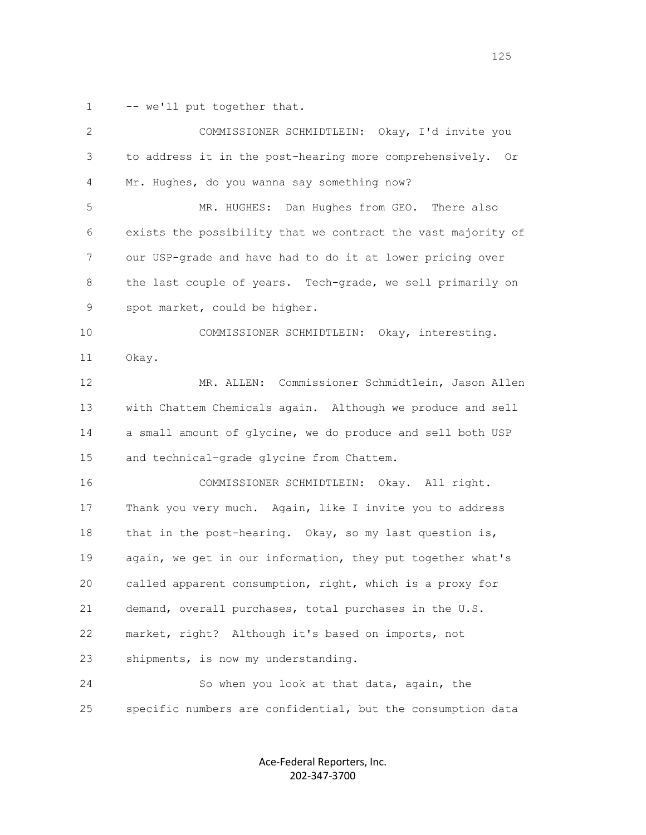1 -- we'll put together that.

| $\mathbf{2}$ | COMMISSIONER SCHMIDTLEIN: Okay, I'd invite you               |
|--------------|--------------------------------------------------------------|
| 3            | to address it in the post-hearing more comprehensively. Or   |
| 4            | Mr. Hughes, do you wanna say something now?                  |
| 5            | MR. HUGHES: Dan Hughes from GEO. There also                  |
| 6            | exists the possibility that we contract the vast majority of |
| 7            | our USP-grade and have had to do it at lower pricing over    |
| 8            | the last couple of years. Tech-grade, we sell primarily on   |
| 9            | spot market, could be higher.                                |
| 10           | COMMISSIONER SCHMIDTLEIN: Okay, interesting.                 |
| 11           | Okay.                                                        |
| 12           | MR. ALLEN: Commissioner Schmidtlein, Jason Allen             |
| 13           | with Chattem Chemicals again. Although we produce and sell   |
| 14           | a small amount of glycine, we do produce and sell both USP   |
| 15           | and technical-grade glycine from Chattem.                    |
| 16           | COMMISSIONER SCHMIDTLEIN: Okay. All right.                   |
| 17           | Thank you very much. Again, like I invite you to address     |
| 18           | that in the post-hearing. Okay, so my last question is,      |
| 19           | again, we get in our information, they put together what's   |
| 20           | called apparent consumption, right, which is a proxy for     |
| 21           | demand, overall purchases, total purchases in the U.S.       |
| 22           | market, right? Although it's based on imports, not           |
| 23           | shipments, is now my understanding.                          |
| 24           | So when you look at that data, again, the                    |
| 25           | specific numbers are confidential, but the consumption data  |
|              |                                                              |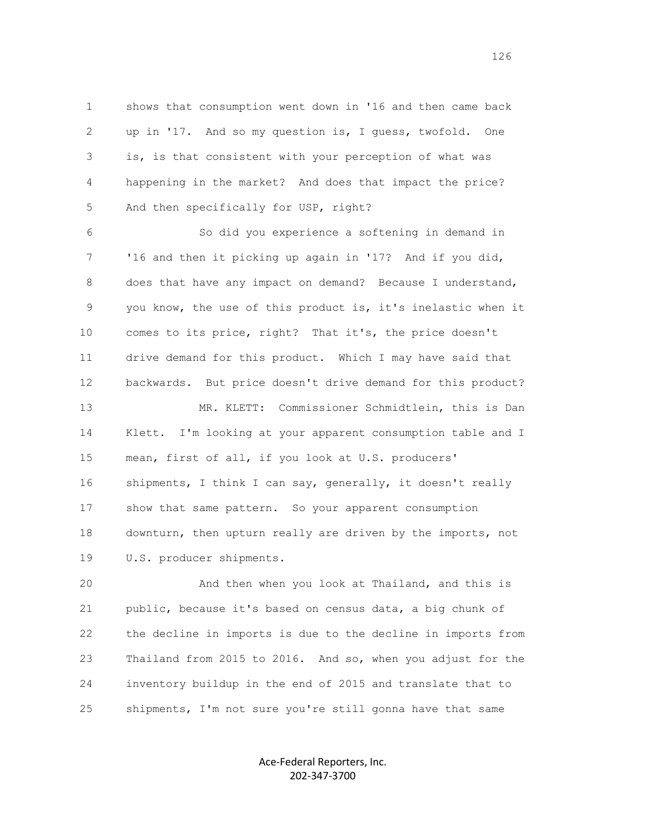1 shows that consumption went down in '16 and then came back 2 up in '17. And so my question is, I guess, twofold. One 3 is, is that consistent with your perception of what was 4 happening in the market? And does that impact the price? 5 And then specifically for USP, right?

 6 So did you experience a softening in demand in 7 '16 and then it picking up again in '17? And if you did, 8 does that have any impact on demand? Because I understand, 9 you know, the use of this product is, it's inelastic when it 10 comes to its price, right? That it's, the price doesn't 11 drive demand for this product. Which I may have said that 12 backwards. But price doesn't drive demand for this product? 13 MR. KLETT: Commissioner Schmidtlein, this is Dan 14 Klett. I'm looking at your apparent consumption table and I 15 mean, first of all, if you look at U.S. producers' 16 shipments, I think I can say, generally, it doesn't really 17 show that same pattern. So your apparent consumption 18 downturn, then upturn really are driven by the imports, not 19 U.S. producer shipments.

 20 And then when you look at Thailand, and this is 21 public, because it's based on census data, a big chunk of 22 the decline in imports is due to the decline in imports from 23 Thailand from 2015 to 2016. And so, when you adjust for the 24 inventory buildup in the end of 2015 and translate that to 25 shipments, I'm not sure you're still gonna have that same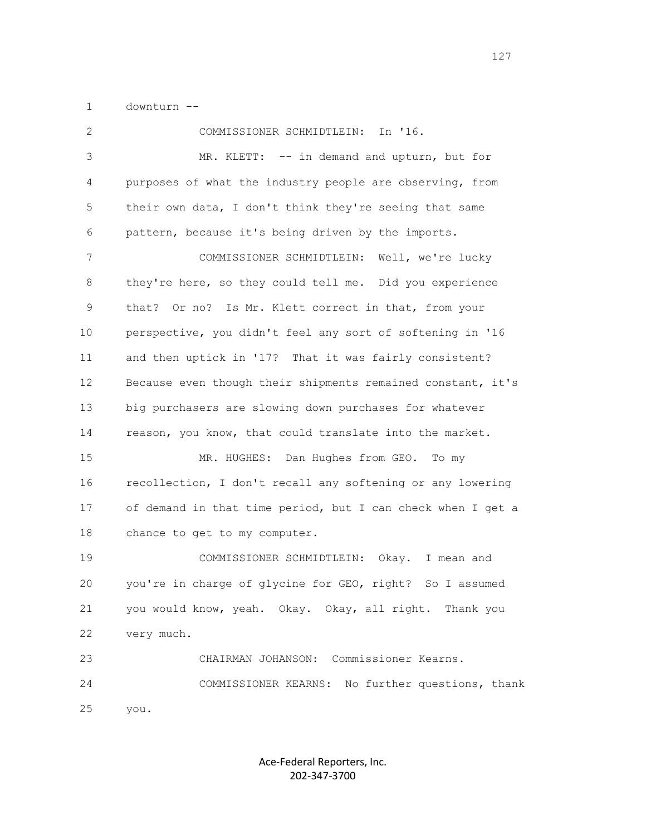1 downturn --

 2 COMMISSIONER SCHMIDTLEIN: In '16. 3 MR. KLETT: -- in demand and upturn, but for 4 purposes of what the industry people are observing, from 5 their own data, I don't think they're seeing that same 6 pattern, because it's being driven by the imports. 7 COMMISSIONER SCHMIDTLEIN: Well, we're lucky 8 they're here, so they could tell me. Did you experience 9 that? Or no? Is Mr. Klett correct in that, from your 10 perspective, you didn't feel any sort of softening in '16 11 and then uptick in '17? That it was fairly consistent? 12 Because even though their shipments remained constant, it's 13 big purchasers are slowing down purchases for whatever 14 reason, you know, that could translate into the market. 15 MR. HUGHES: Dan Hughes from GEO. To my 16 recollection, I don't recall any softening or any lowering 17 of demand in that time period, but I can check when I get a 18 chance to get to my computer. 19 COMMISSIONER SCHMIDTLEIN: Okay. I mean and 20 you're in charge of glycine for GEO, right? So I assumed 21 you would know, yeah. Okay. Okay, all right. Thank you 22 very much. 23 CHAIRMAN JOHANSON: Commissioner Kearns. 24 COMMISSIONER KEARNS: No further questions, thank 25 you.

> Ace-Federal Reporters, Inc. 202-347-3700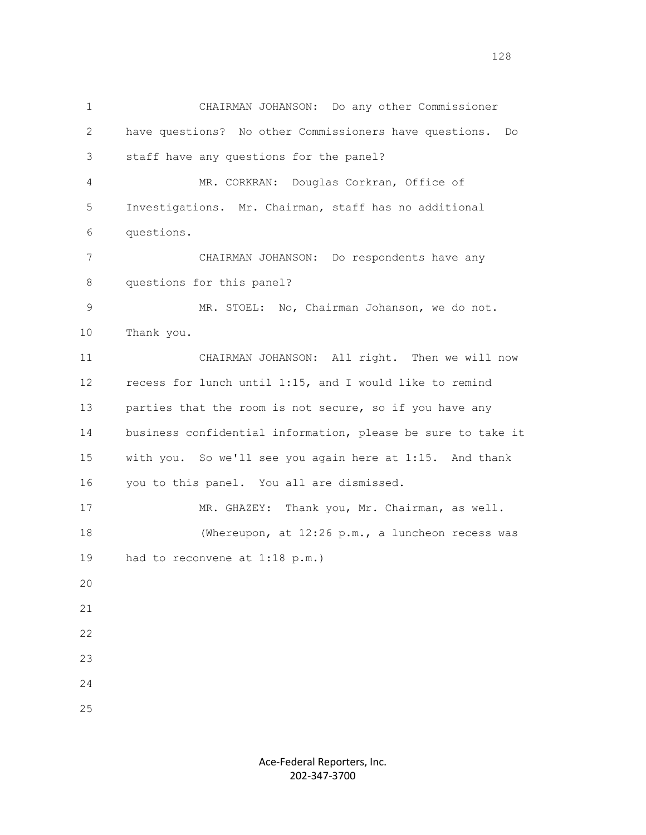1 CHAIRMAN JOHANSON: Do any other Commissioner 2 have questions? No other Commissioners have questions. Do 3 staff have any questions for the panel? 4 MR. CORKRAN: Douglas Corkran, Office of 5 Investigations. Mr. Chairman, staff has no additional 6 questions. 7 CHAIRMAN JOHANSON: Do respondents have any 8 questions for this panel? 9 MR. STOEL: No, Chairman Johanson, we do not. 10 Thank you. 11 CHAIRMAN JOHANSON: All right. Then we will now 12 recess for lunch until 1:15, and I would like to remind 13 parties that the room is not secure, so if you have any 14 business confidential information, please be sure to take it 15 with you. So we'll see you again here at 1:15. And thank 16 you to this panel. You all are dismissed. 17 MR. GHAZEY: Thank you, Mr. Chairman, as well. 18 (Whereupon, at 12:26 p.m., a luncheon recess was 19 had to reconvene at 1:18 p.m.) 20 21 22 23 24 25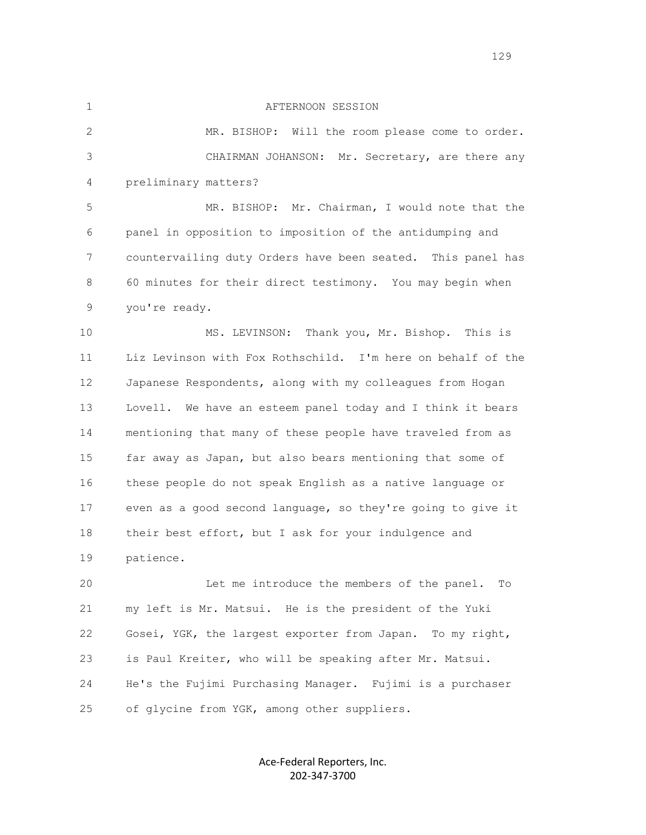## 1 AFTERNOON SESSION

 2 MR. BISHOP: Will the room please come to order. 3 CHAIRMAN JOHANSON: Mr. Secretary, are there any 4 preliminary matters?

 5 MR. BISHOP: Mr. Chairman, I would note that the 6 panel in opposition to imposition of the antidumping and 7 countervailing duty Orders have been seated. This panel has 8 60 minutes for their direct testimony. You may begin when 9 you're ready.

 10 MS. LEVINSON: Thank you, Mr. Bishop. This is 11 Liz Levinson with Fox Rothschild. I'm here on behalf of the 12 Japanese Respondents, along with my colleagues from Hogan 13 Lovell. We have an esteem panel today and I think it bears 14 mentioning that many of these people have traveled from as 15 far away as Japan, but also bears mentioning that some of 16 these people do not speak English as a native language or 17 even as a good second language, so they're going to give it 18 their best effort, but I ask for your indulgence and 19 patience.

 20 Let me introduce the members of the panel. To 21 my left is Mr. Matsui. He is the president of the Yuki 22 Gosei, YGK, the largest exporter from Japan. To my right, 23 is Paul Kreiter, who will be speaking after Mr. Matsui. 24 He's the Fujimi Purchasing Manager. Fujimi is a purchaser 25 of glycine from YGK, among other suppliers.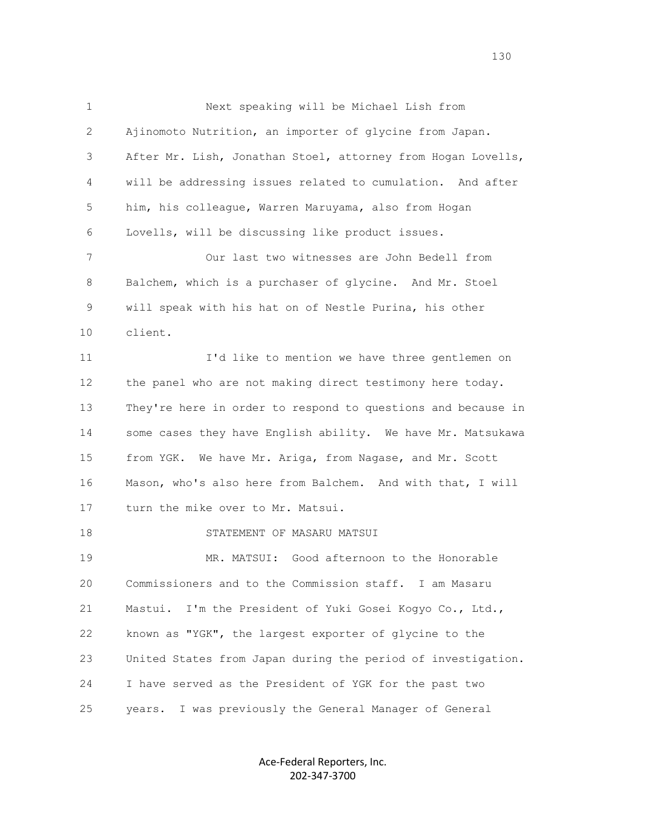1 Next speaking will be Michael Lish from 2 Ajinomoto Nutrition, an importer of glycine from Japan. 3 After Mr. Lish, Jonathan Stoel, attorney from Hogan Lovells, 4 will be addressing issues related to cumulation. And after 5 him, his colleague, Warren Maruyama, also from Hogan 6 Lovells, will be discussing like product issues. 7 Our last two witnesses are John Bedell from 8 Balchem, which is a purchaser of glycine. And Mr. Stoel 9 will speak with his hat on of Nestle Purina, his other 10 client. 11 I'd like to mention we have three gentlemen on 12 the panel who are not making direct testimony here today. 13 They're here in order to respond to questions and because in 14 some cases they have English ability. We have Mr. Matsukawa 15 from YGK. We have Mr. Ariga, from Nagase, and Mr. Scott 16 Mason, who's also here from Balchem. And with that, I will 17 turn the mike over to Mr. Matsui. 18 STATEMENT OF MASARU MATSUI 19 MR. MATSUI: Good afternoon to the Honorable 20 Commissioners and to the Commission staff. I am Masaru 21 Mastui. I'm the President of Yuki Gosei Kogyo Co., Ltd., 22 known as "YGK", the largest exporter of glycine to the 23 United States from Japan during the period of investigation. 24 I have served as the President of YGK for the past two 25 years. I was previously the General Manager of General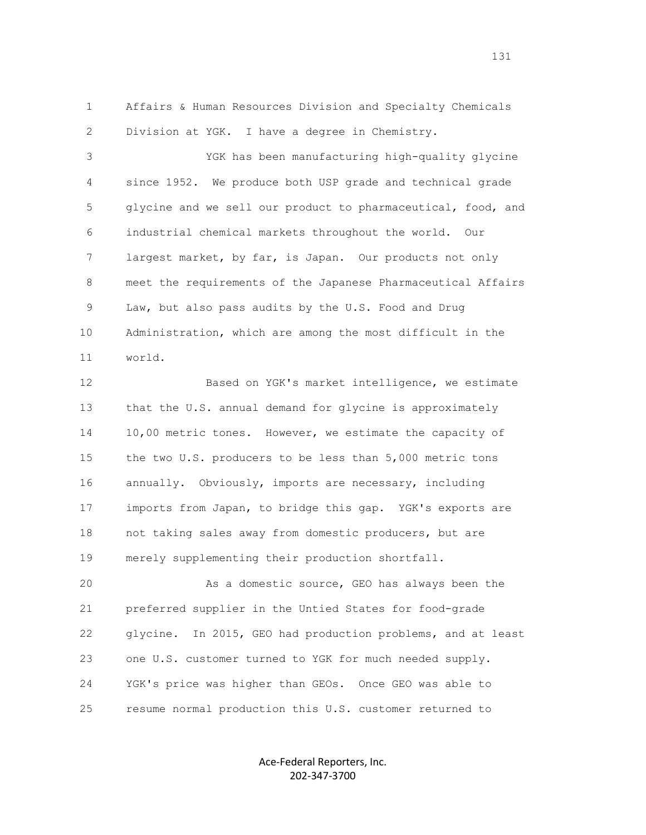1 Affairs & Human Resources Division and Specialty Chemicals 2 Division at YGK. I have a degree in Chemistry.

 3 YGK has been manufacturing high-quality glycine 4 since 1952. We produce both USP grade and technical grade 5 glycine and we sell our product to pharmaceutical, food, and 6 industrial chemical markets throughout the world. Our 7 largest market, by far, is Japan. Our products not only 8 meet the requirements of the Japanese Pharmaceutical Affairs 9 Law, but also pass audits by the U.S. Food and Drug 10 Administration, which are among the most difficult in the 11 world.

 12 Based on YGK's market intelligence, we estimate 13 that the U.S. annual demand for glycine is approximately 14 10,00 metric tones. However, we estimate the capacity of 15 the two U.S. producers to be less than 5,000 metric tons 16 annually. Obviously, imports are necessary, including 17 imports from Japan, to bridge this gap. YGK's exports are 18 not taking sales away from domestic producers, but are 19 merely supplementing their production shortfall.

 20 As a domestic source, GEO has always been the 21 preferred supplier in the Untied States for food-grade 22 glycine. In 2015, GEO had production problems, and at least 23 one U.S. customer turned to YGK for much needed supply. 24 YGK's price was higher than GEOs. Once GEO was able to 25 resume normal production this U.S. customer returned to

> Ace-Federal Reporters, Inc. 202-347-3700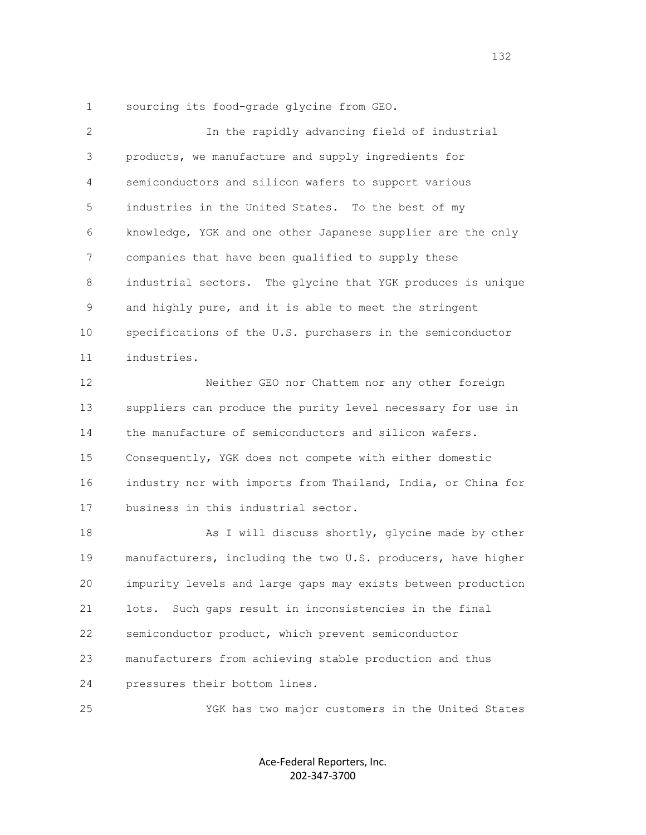1 sourcing its food-grade glycine from GEO.

 2 In the rapidly advancing field of industrial 3 products, we manufacture and supply ingredients for 4 semiconductors and silicon wafers to support various 5 industries in the United States. To the best of my 6 knowledge, YGK and one other Japanese supplier are the only 7 companies that have been qualified to supply these 8 industrial sectors. The glycine that YGK produces is unique 9 and highly pure, and it is able to meet the stringent 10 specifications of the U.S. purchasers in the semiconductor 11 industries. 12 Neither GEO nor Chattem nor any other foreign 13 suppliers can produce the purity level necessary for use in 14 the manufacture of semiconductors and silicon wafers. 15 Consequently, YGK does not compete with either domestic 16 industry nor with imports from Thailand, India, or China for 17 business in this industrial sector. 18 As I will discuss shortly, glycine made by other 19 manufacturers, including the two U.S. producers, have higher 20 impurity levels and large gaps may exists between production 21 lots. Such gaps result in inconsistencies in the final 22 semiconductor product, which prevent semiconductor 23 manufacturers from achieving stable production and thus 24 pressures their bottom lines.

25 YGK has two major customers in the United States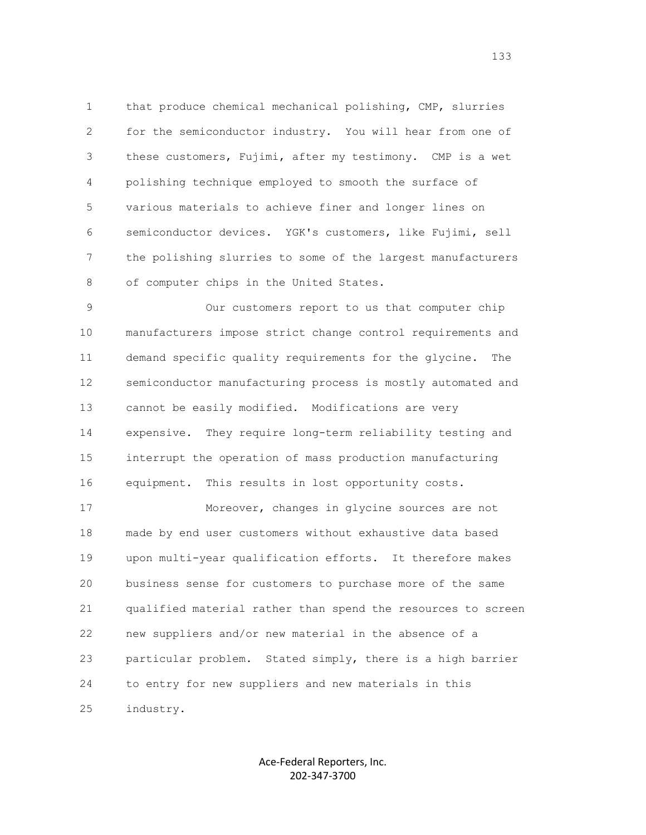1 that produce chemical mechanical polishing, CMP, slurries 2 for the semiconductor industry. You will hear from one of 3 these customers, Fujimi, after my testimony. CMP is a wet 4 polishing technique employed to smooth the surface of 5 various materials to achieve finer and longer lines on 6 semiconductor devices. YGK's customers, like Fujimi, sell 7 the polishing slurries to some of the largest manufacturers 8 of computer chips in the United States.

 9 Our customers report to us that computer chip 10 manufacturers impose strict change control requirements and 11 demand specific quality requirements for the glycine. The 12 semiconductor manufacturing process is mostly automated and 13 cannot be easily modified. Modifications are very 14 expensive. They require long-term reliability testing and 15 interrupt the operation of mass production manufacturing 16 equipment. This results in lost opportunity costs.

 17 Moreover, changes in glycine sources are not 18 made by end user customers without exhaustive data based 19 upon multi-year qualification efforts. It therefore makes 20 business sense for customers to purchase more of the same 21 qualified material rather than spend the resources to screen 22 new suppliers and/or new material in the absence of a 23 particular problem. Stated simply, there is a high barrier 24 to entry for new suppliers and new materials in this 25 industry.

> Ace-Federal Reporters, Inc. 202-347-3700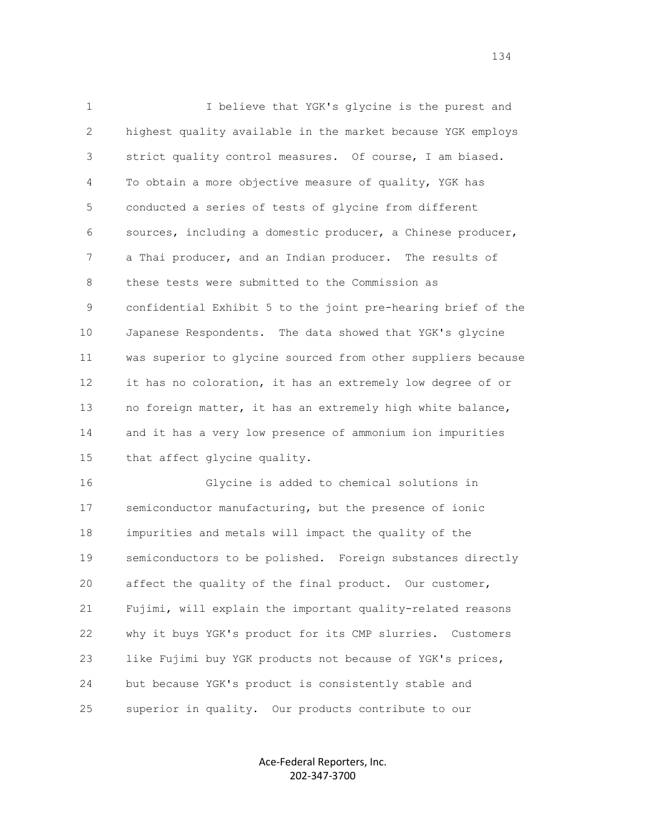1 I believe that YGK's glycine is the purest and 2 highest quality available in the market because YGK employs 3 strict quality control measures. Of course, I am biased. 4 To obtain a more objective measure of quality, YGK has 5 conducted a series of tests of glycine from different 6 sources, including a domestic producer, a Chinese producer, 7 a Thai producer, and an Indian producer. The results of 8 these tests were submitted to the Commission as 9 confidential Exhibit 5 to the joint pre-hearing brief of the 10 Japanese Respondents. The data showed that YGK's glycine 11 was superior to glycine sourced from other suppliers because 12 it has no coloration, it has an extremely low degree of or 13 no foreign matter, it has an extremely high white balance, 14 and it has a very low presence of ammonium ion impurities 15 that affect glycine quality.

 16 Glycine is added to chemical solutions in 17 semiconductor manufacturing, but the presence of ionic 18 impurities and metals will impact the quality of the 19 semiconductors to be polished. Foreign substances directly 20 affect the quality of the final product. Our customer, 21 Fujimi, will explain the important quality-related reasons 22 why it buys YGK's product for its CMP slurries. Customers 23 like Fujimi buy YGK products not because of YGK's prices, 24 but because YGK's product is consistently stable and 25 superior in quality. Our products contribute to our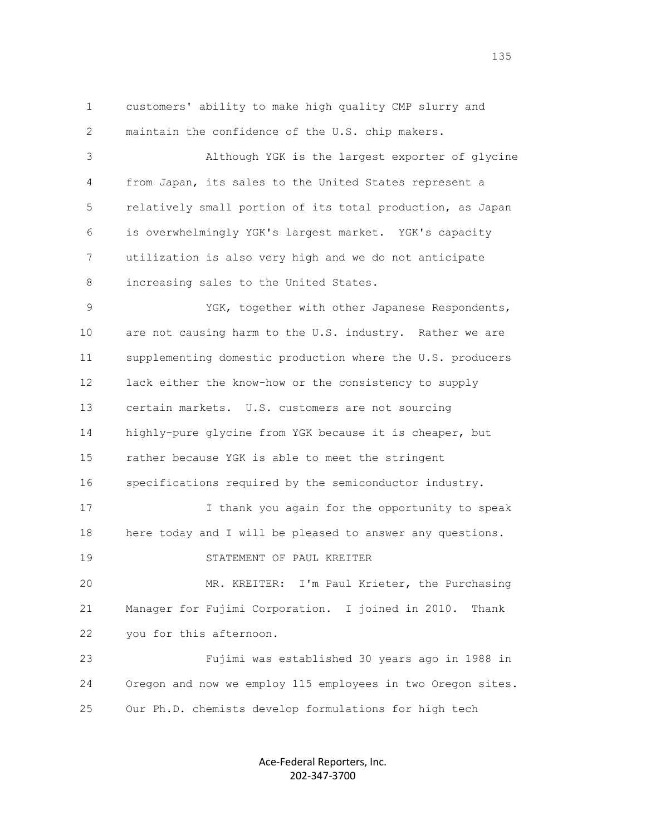1 customers' ability to make high quality CMP slurry and 2 maintain the confidence of the U.S. chip makers. 3 Although YGK is the largest exporter of glycine 4 from Japan, its sales to the United States represent a 5 relatively small portion of its total production, as Japan 6 is overwhelmingly YGK's largest market. YGK's capacity 7 utilization is also very high and we do not anticipate 8 increasing sales to the United States. 9 YGK, together with other Japanese Respondents, 10 are not causing harm to the U.S. industry. Rather we are 11 supplementing domestic production where the U.S. producers 12 lack either the know-how or the consistency to supply 13 certain markets. U.S. customers are not sourcing 14 highly-pure glycine from YGK because it is cheaper, but 15 rather because YGK is able to meet the stringent 16 specifications required by the semiconductor industry. 17 I thank you again for the opportunity to speak 18 here today and I will be pleased to answer any questions. 19 STATEMENT OF PAUL KREITER 20 MR. KREITER: I'm Paul Krieter, the Purchasing 21 Manager for Fujimi Corporation. I joined in 2010. Thank 22 you for this afternoon. 23 Fujimi was established 30 years ago in 1988 in 24 Oregon and now we employ 115 employees in two Oregon sites. 25 Our Ph.D. chemists develop formulations for high tech

> Ace-Federal Reporters, Inc. 202-347-3700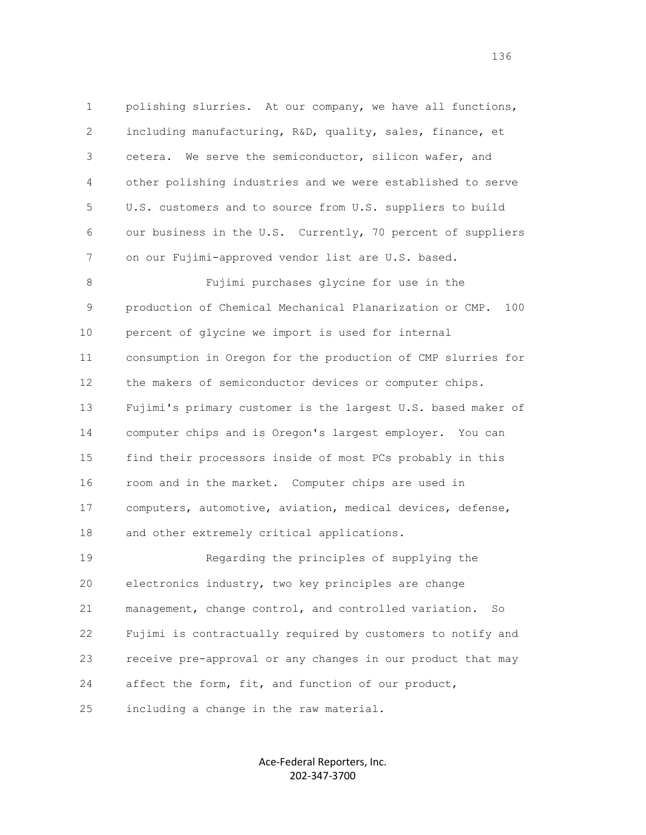1 polishing slurries. At our company, we have all functions, 2 including manufacturing, R&D, quality, sales, finance, et 3 cetera. We serve the semiconductor, silicon wafer, and 4 other polishing industries and we were established to serve 5 U.S. customers and to source from U.S. suppliers to build 6 our business in the U.S. Currently, 70 percent of suppliers 7 on our Fujimi-approved vendor list are U.S. based. 8 Fujimi purchases glycine for use in the 9 production of Chemical Mechanical Planarization or CMP. 100 10 percent of glycine we import is used for internal 11 consumption in Oregon for the production of CMP slurries for 12 the makers of semiconductor devices or computer chips. 13 Fujimi's primary customer is the largest U.S. based maker of 14 computer chips and is Oregon's largest employer. You can 15 find their processors inside of most PCs probably in this 16 room and in the market. Computer chips are used in 17 computers, automotive, aviation, medical devices, defense, 18 and other extremely critical applications. 19 Regarding the principles of supplying the 20 electronics industry, two key principles are change 21 management, change control, and controlled variation. So 22 Fujimi is contractually required by customers to notify and 23 receive pre-approval or any changes in our product that may

24 affect the form, fit, and function of our product,

25 including a change in the raw material.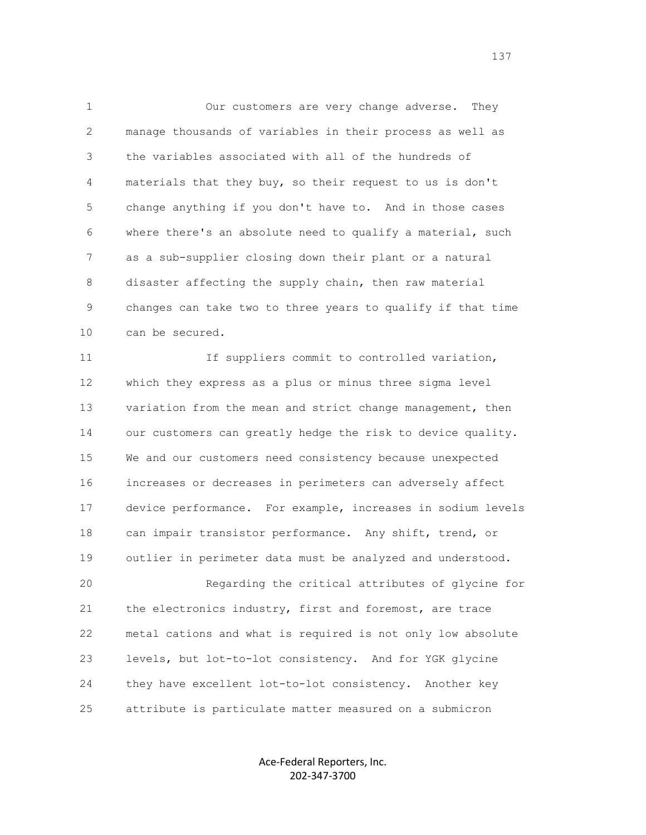1 Our customers are very change adverse. They 2 manage thousands of variables in their process as well as 3 the variables associated with all of the hundreds of 4 materials that they buy, so their request to us is don't 5 change anything if you don't have to. And in those cases 6 where there's an absolute need to qualify a material, such 7 as a sub-supplier closing down their plant or a natural 8 disaster affecting the supply chain, then raw material 9 changes can take two to three years to qualify if that time 10 can be secured.

11 11 If suppliers commit to controlled variation, 12 which they express as a plus or minus three sigma level 13 variation from the mean and strict change management, then 14 our customers can greatly hedge the risk to device quality. 15 We and our customers need consistency because unexpected 16 increases or decreases in perimeters can adversely affect 17 device performance. For example, increases in sodium levels 18 can impair transistor performance. Any shift, trend, or 19 outlier in perimeter data must be analyzed and understood. 20 Regarding the critical attributes of glycine for 21 the electronics industry, first and foremost, are trace 22 metal cations and what is required is not only low absolute 23 levels, but lot-to-lot consistency. And for YGK glycine

 24 they have excellent lot-to-lot consistency. Another key 25 attribute is particulate matter measured on a submicron

> Ace-Federal Reporters, Inc. 202-347-3700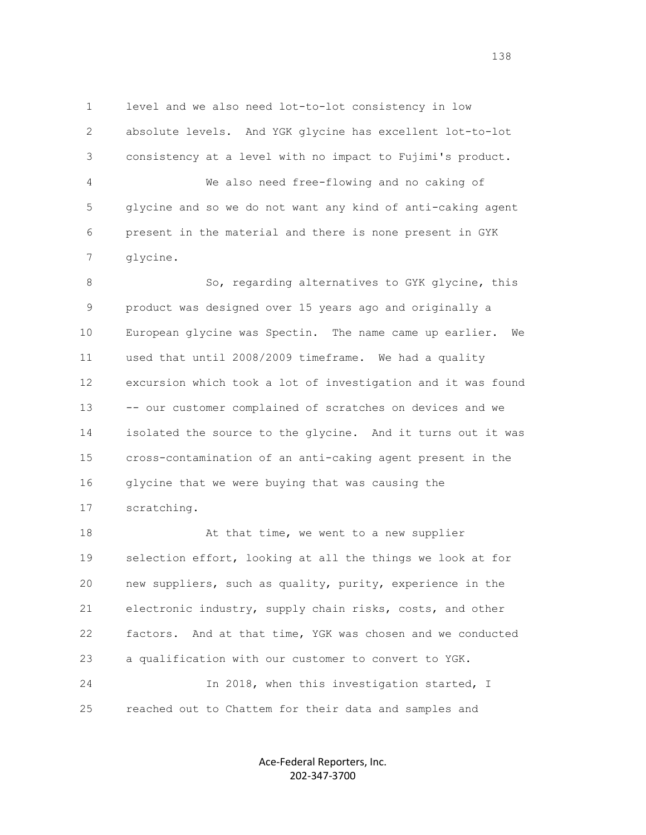1 level and we also need lot-to-lot consistency in low 2 absolute levels. And YGK glycine has excellent lot-to-lot 3 consistency at a level with no impact to Fujimi's product.

 4 We also need free-flowing and no caking of 5 glycine and so we do not want any kind of anti-caking agent 6 present in the material and there is none present in GYK 7 glycine.

8 So, regarding alternatives to GYK glycine, this 9 product was designed over 15 years ago and originally a 10 European glycine was Spectin. The name came up earlier. We 11 used that until 2008/2009 timeframe. We had a quality 12 excursion which took a lot of investigation and it was found 13 -- our customer complained of scratches on devices and we 14 isolated the source to the glycine. And it turns out it was 15 cross-contamination of an anti-caking agent present in the 16 glycine that we were buying that was causing the 17 scratching.

18 At that time, we went to a new supplier 19 selection effort, looking at all the things we look at for 20 new suppliers, such as quality, purity, experience in the 21 electronic industry, supply chain risks, costs, and other 22 factors. And at that time, YGK was chosen and we conducted 23 a qualification with our customer to convert to YGK. 24 In 2018, when this investigation started, I 25 reached out to Chattem for their data and samples and

> Ace-Federal Reporters, Inc. 202-347-3700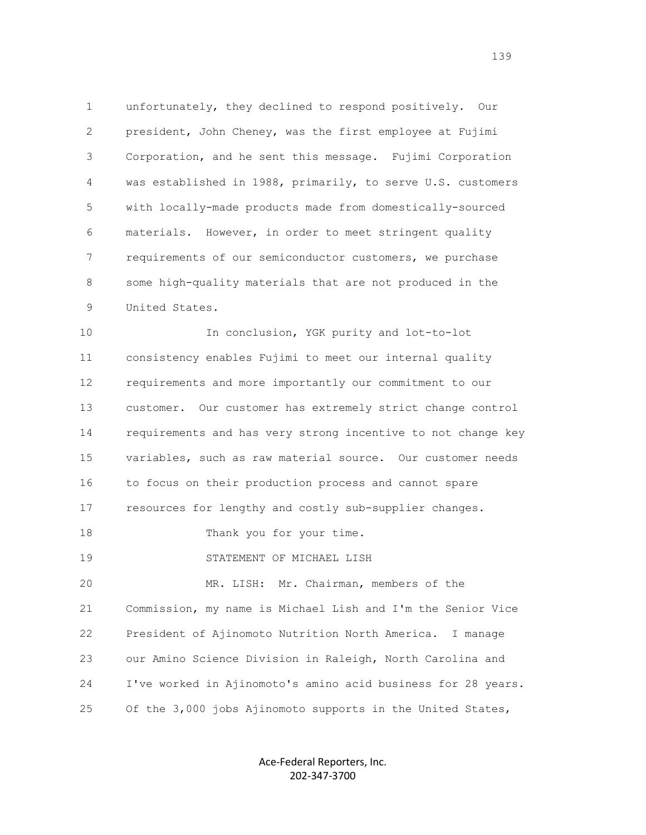1 unfortunately, they declined to respond positively. Our 2 president, John Cheney, was the first employee at Fujimi 3 Corporation, and he sent this message. Fujimi Corporation 4 was established in 1988, primarily, to serve U.S. customers 5 with locally-made products made from domestically-sourced 6 materials. However, in order to meet stringent quality 7 requirements of our semiconductor customers, we purchase 8 some high-quality materials that are not produced in the 9 United States.

 10 In conclusion, YGK purity and lot-to-lot 11 consistency enables Fujimi to meet our internal quality 12 requirements and more importantly our commitment to our 13 customer. Our customer has extremely strict change control 14 requirements and has very strong incentive to not change key 15 variables, such as raw material source. Our customer needs 16 to focus on their production process and cannot spare 17 resources for lengthy and costly sub-supplier changes. 18 Thank you for your time. 19 STATEMENT OF MICHAEL LISH 20 MR. LISH: Mr. Chairman, members of the 21 Commission, my name is Michael Lish and I'm the Senior Vice 22 President of Ajinomoto Nutrition North America. I manage 23 our Amino Science Division in Raleigh, North Carolina and 24 I've worked in Ajinomoto's amino acid business for 28 years. 25 Of the 3,000 jobs Ajinomoto supports in the United States,

> Ace-Federal Reporters, Inc. 202-347-3700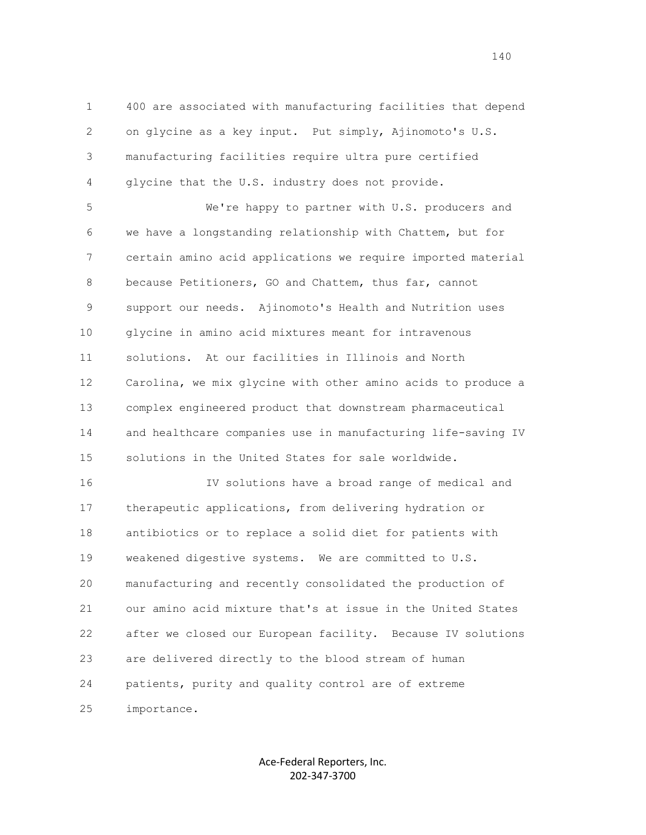1 400 are associated with manufacturing facilities that depend 2 on glycine as a key input. Put simply, Ajinomoto's U.S. 3 manufacturing facilities require ultra pure certified 4 glycine that the U.S. industry does not provide.

 5 We're happy to partner with U.S. producers and 6 we have a longstanding relationship with Chattem, but for 7 certain amino acid applications we require imported material 8 because Petitioners, GO and Chattem, thus far, cannot 9 support our needs. Ajinomoto's Health and Nutrition uses 10 glycine in amino acid mixtures meant for intravenous 11 solutions. At our facilities in Illinois and North 12 Carolina, we mix glycine with other amino acids to produce a 13 complex engineered product that downstream pharmaceutical 14 and healthcare companies use in manufacturing life-saving IV 15 solutions in the United States for sale worldwide.

 16 IV solutions have a broad range of medical and 17 therapeutic applications, from delivering hydration or 18 antibiotics or to replace a solid diet for patients with 19 weakened digestive systems. We are committed to U.S. 20 manufacturing and recently consolidated the production of 21 our amino acid mixture that's at issue in the United States 22 after we closed our European facility. Because IV solutions 23 are delivered directly to the blood stream of human 24 patients, purity and quality control are of extreme 25 importance.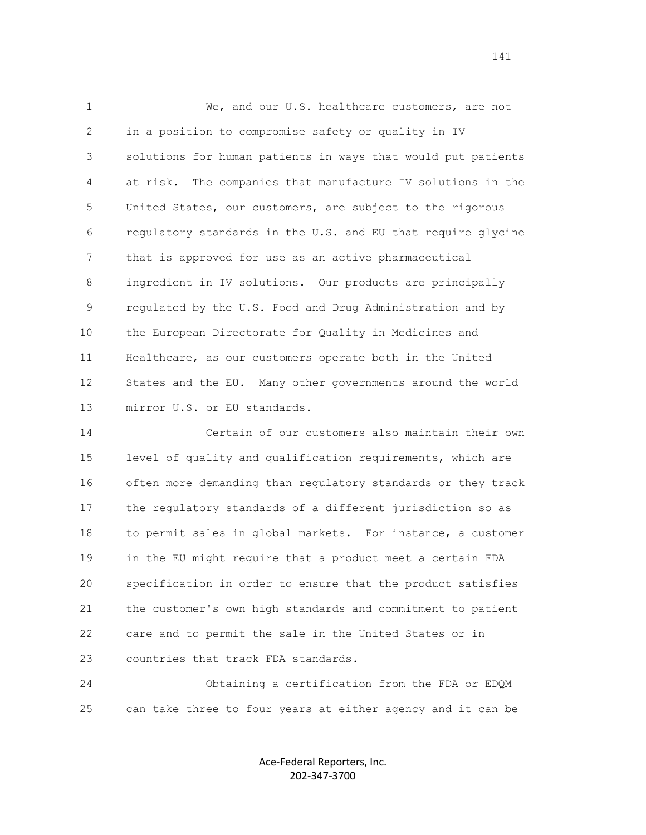1 We, and our U.S. healthcare customers, are not 2 in a position to compromise safety or quality in IV 3 solutions for human patients in ways that would put patients 4 at risk. The companies that manufacture IV solutions in the 5 United States, our customers, are subject to the rigorous 6 regulatory standards in the U.S. and EU that require glycine 7 that is approved for use as an active pharmaceutical 8 ingredient in IV solutions. Our products are principally 9 regulated by the U.S. Food and Drug Administration and by 10 the European Directorate for Quality in Medicines and 11 Healthcare, as our customers operate both in the United 12 States and the EU. Many other governments around the world 13 mirror U.S. or EU standards.

 14 Certain of our customers also maintain their own 15 level of quality and qualification requirements, which are 16 often more demanding than regulatory standards or they track 17 the regulatory standards of a different jurisdiction so as 18 to permit sales in global markets. For instance, a customer 19 in the EU might require that a product meet a certain FDA 20 specification in order to ensure that the product satisfies 21 the customer's own high standards and commitment to patient 22 care and to permit the sale in the United States or in 23 countries that track FDA standards.

 24 Obtaining a certification from the FDA or EDQM 25 can take three to four years at either agency and it can be

> Ace-Federal Reporters, Inc. 202-347-3700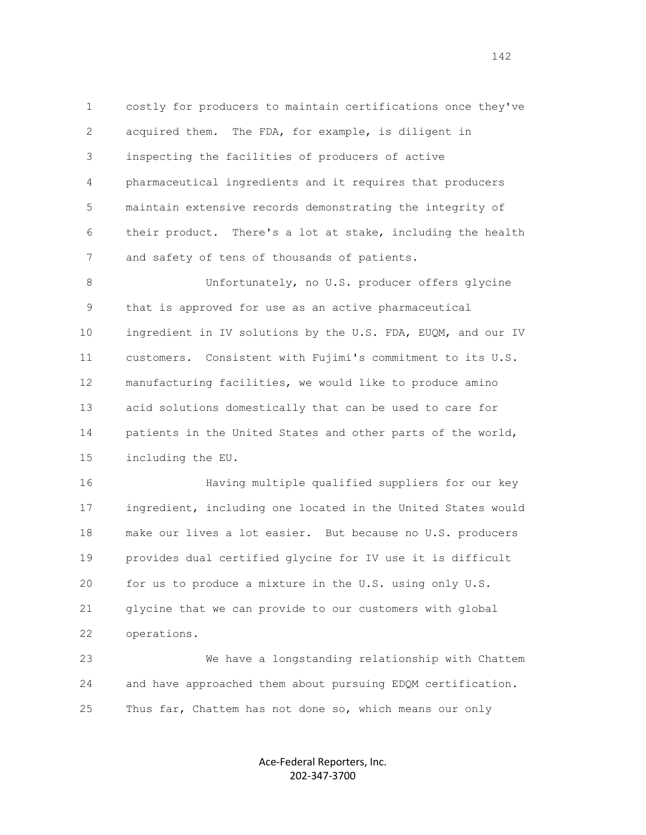1 costly for producers to maintain certifications once they've 2 acquired them. The FDA, for example, is diligent in 3 inspecting the facilities of producers of active 4 pharmaceutical ingredients and it requires that producers 5 maintain extensive records demonstrating the integrity of 6 their product. There's a lot at stake, including the health 7 and safety of tens of thousands of patients.

 8 Unfortunately, no U.S. producer offers glycine 9 that is approved for use as an active pharmaceutical 10 ingredient in IV solutions by the U.S. FDA, EUQM, and our IV 11 customers. Consistent with Fujimi's commitment to its U.S. 12 manufacturing facilities, we would like to produce amino 13 acid solutions domestically that can be used to care for 14 patients in the United States and other parts of the world, 15 including the EU.

 16 Having multiple qualified suppliers for our key 17 ingredient, including one located in the United States would 18 make our lives a lot easier. But because no U.S. producers 19 provides dual certified glycine for IV use it is difficult 20 for us to produce a mixture in the U.S. using only U.S. 21 glycine that we can provide to our customers with global 22 operations.

 23 We have a longstanding relationship with Chattem 24 and have approached them about pursuing EDQM certification. 25 Thus far, Chattem has not done so, which means our only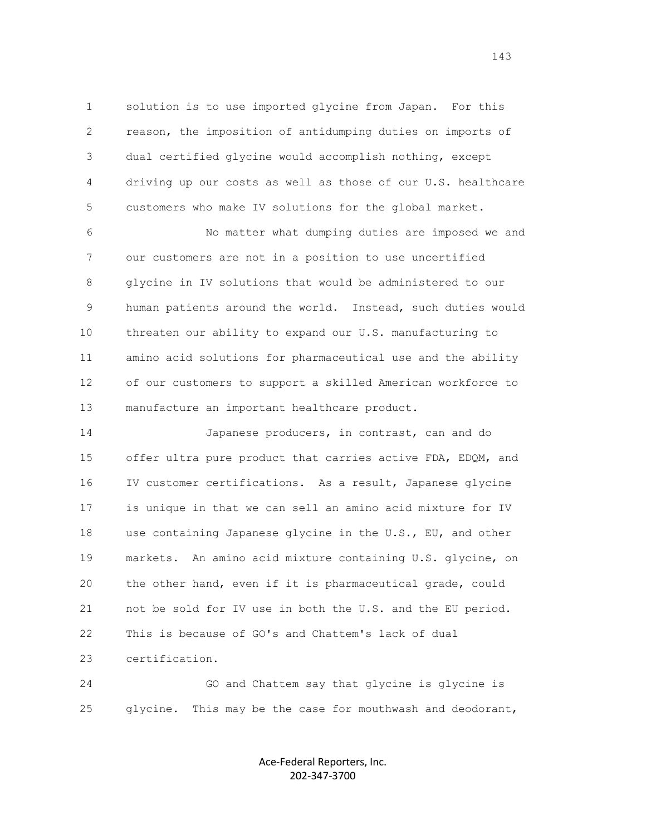1 solution is to use imported glycine from Japan. For this 2 reason, the imposition of antidumping duties on imports of 3 dual certified glycine would accomplish nothing, except 4 driving up our costs as well as those of our U.S. healthcare 5 customers who make IV solutions for the global market.

 6 No matter what dumping duties are imposed we and 7 our customers are not in a position to use uncertified 8 glycine in IV solutions that would be administered to our 9 human patients around the world. Instead, such duties would 10 threaten our ability to expand our U.S. manufacturing to 11 amino acid solutions for pharmaceutical use and the ability 12 of our customers to support a skilled American workforce to 13 manufacture an important healthcare product.

 14 Japanese producers, in contrast, can and do 15 offer ultra pure product that carries active FDA, EDQM, and 16 IV customer certifications. As a result, Japanese glycine 17 is unique in that we can sell an amino acid mixture for IV 18 use containing Japanese glycine in the U.S., EU, and other 19 markets. An amino acid mixture containing U.S. glycine, on 20 the other hand, even if it is pharmaceutical grade, could 21 not be sold for IV use in both the U.S. and the EU period. 22 This is because of GO's and Chattem's lack of dual 23 certification.

 24 GO and Chattem say that glycine is glycine is 25 glycine. This may be the case for mouthwash and deodorant,

> Ace-Federal Reporters, Inc. 202-347-3700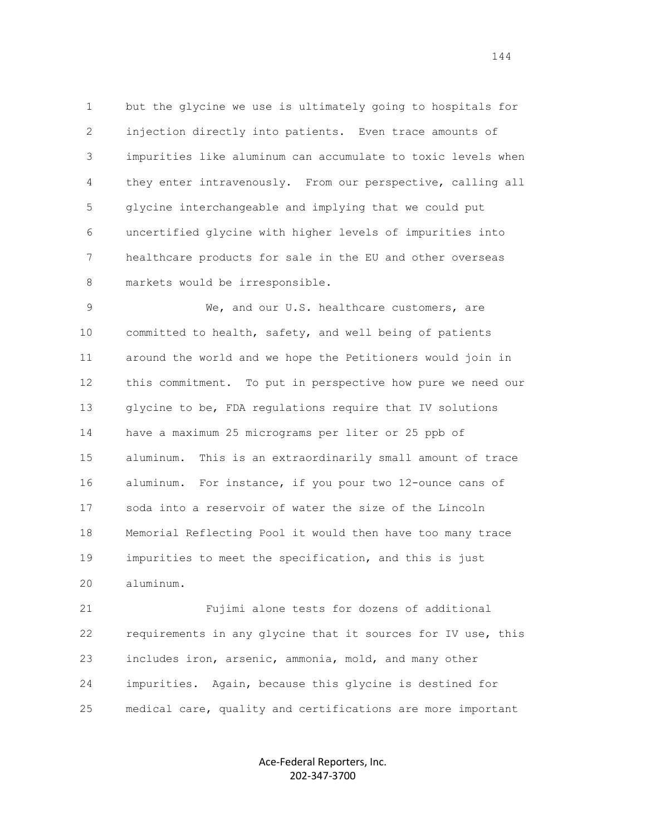1 but the glycine we use is ultimately going to hospitals for 2 injection directly into patients. Even trace amounts of 3 impurities like aluminum can accumulate to toxic levels when 4 they enter intravenously. From our perspective, calling all 5 glycine interchangeable and implying that we could put 6 uncertified glycine with higher levels of impurities into 7 healthcare products for sale in the EU and other overseas 8 markets would be irresponsible.

 9 We, and our U.S. healthcare customers, are 10 committed to health, safety, and well being of patients 11 around the world and we hope the Petitioners would join in 12 this commitment. To put in perspective how pure we need our 13 glycine to be, FDA regulations require that IV solutions 14 have a maximum 25 micrograms per liter or 25 ppb of 15 aluminum. This is an extraordinarily small amount of trace 16 aluminum. For instance, if you pour two 12-ounce cans of 17 soda into a reservoir of water the size of the Lincoln 18 Memorial Reflecting Pool it would then have too many trace 19 impurities to meet the specification, and this is just 20 aluminum.

 21 Fujimi alone tests for dozens of additional 22 requirements in any glycine that it sources for IV use, this 23 includes iron, arsenic, ammonia, mold, and many other 24 impurities. Again, because this glycine is destined for 25 medical care, quality and certifications are more important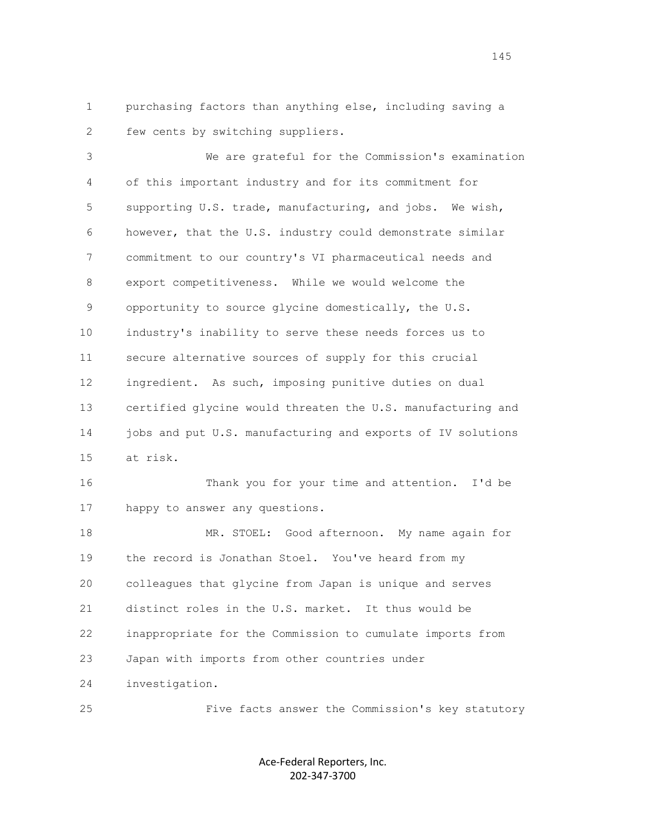1 purchasing factors than anything else, including saving a 2 few cents by switching suppliers.

 3 We are grateful for the Commission's examination 4 of this important industry and for its commitment for 5 supporting U.S. trade, manufacturing, and jobs. We wish, 6 however, that the U.S. industry could demonstrate similar 7 commitment to our country's VI pharmaceutical needs and 8 export competitiveness. While we would welcome the 9 opportunity to source glycine domestically, the U.S. 10 industry's inability to serve these needs forces us to 11 secure alternative sources of supply for this crucial 12 ingredient. As such, imposing punitive duties on dual 13 certified glycine would threaten the U.S. manufacturing and 14 jobs and put U.S. manufacturing and exports of IV solutions 15 at risk. 16 Thank you for your time and attention. I'd be 17 happy to answer any questions. 18 MR. STOEL: Good afternoon. My name again for 19 the record is Jonathan Stoel. You've heard from my

 20 colleagues that glycine from Japan is unique and serves 21 distinct roles in the U.S. market. It thus would be 22 inappropriate for the Commission to cumulate imports from

23 Japan with imports from other countries under

24 investigation.

25 Five facts answer the Commission's key statutory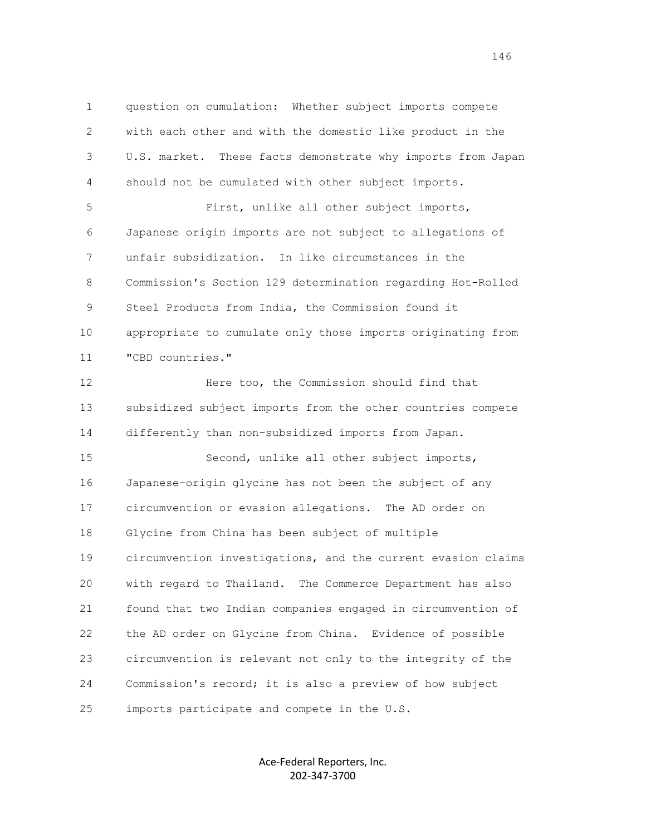1 question on cumulation: Whether subject imports compete 2 with each other and with the domestic like product in the 3 U.S. market. These facts demonstrate why imports from Japan 4 should not be cumulated with other subject imports. 5 First, unlike all other subject imports, 6 Japanese origin imports are not subject to allegations of 7 unfair subsidization. In like circumstances in the 8 Commission's Section 129 determination regarding Hot-Rolled 9 Steel Products from India, the Commission found it 10 appropriate to cumulate only those imports originating from 11 "CBD countries." 12 Here too, the Commission should find that 13 subsidized subject imports from the other countries compete 14 differently than non-subsidized imports from Japan. 15 Second, unlike all other subject imports, 16 Japanese-origin glycine has not been the subject of any 17 circumvention or evasion allegations. The AD order on 18 Glycine from China has been subject of multiple 19 circumvention investigations, and the current evasion claims 20 with regard to Thailand. The Commerce Department has also 21 found that two Indian companies engaged in circumvention of 22 the AD order on Glycine from China. Evidence of possible 23 circumvention is relevant not only to the integrity of the 24 Commission's record; it is also a preview of how subject 25 imports participate and compete in the U.S.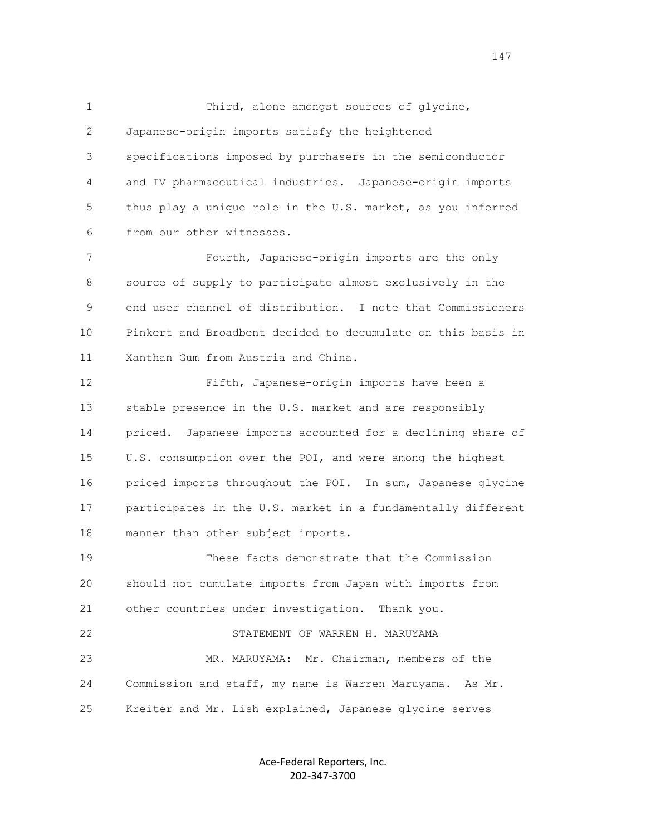1 Third, alone amongst sources of glycine, 2 Japanese-origin imports satisfy the heightened 3 specifications imposed by purchasers in the semiconductor 4 and IV pharmaceutical industries. Japanese-origin imports 5 thus play a unique role in the U.S. market, as you inferred 6 from our other witnesses.

 7 Fourth, Japanese-origin imports are the only 8 source of supply to participate almost exclusively in the 9 end user channel of distribution. I note that Commissioners 10 Pinkert and Broadbent decided to decumulate on this basis in 11 Xanthan Gum from Austria and China.

 12 Fifth, Japanese-origin imports have been a 13 stable presence in the U.S. market and are responsibly 14 priced. Japanese imports accounted for a declining share of 15 U.S. consumption over the POI, and were among the highest 16 priced imports throughout the POI. In sum, Japanese glycine 17 participates in the U.S. market in a fundamentally different 18 manner than other subject imports.

 19 These facts demonstrate that the Commission 20 should not cumulate imports from Japan with imports from 21 other countries under investigation. Thank you. 22 STATEMENT OF WARREN H. MARUYAMA 23 MR. MARUYAMA: Mr. Chairman, members of the 24 Commission and staff, my name is Warren Maruyama. As Mr. 25 Kreiter and Mr. Lish explained, Japanese glycine serves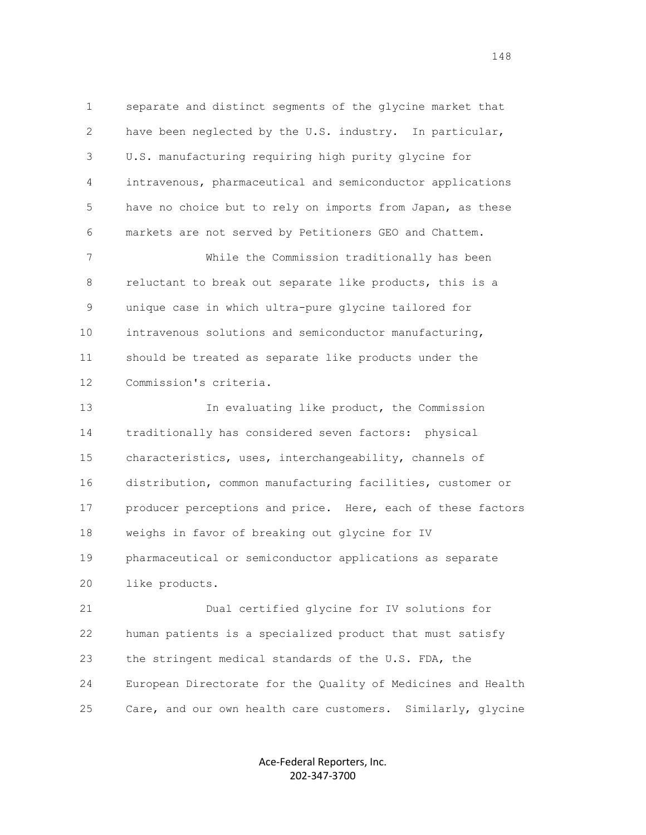1 separate and distinct segments of the glycine market that 2 have been neglected by the U.S. industry. In particular, 3 U.S. manufacturing requiring high purity glycine for 4 intravenous, pharmaceutical and semiconductor applications 5 have no choice but to rely on imports from Japan, as these 6 markets are not served by Petitioners GEO and Chattem. 7 While the Commission traditionally has been

 8 reluctant to break out separate like products, this is a 9 unique case in which ultra-pure glycine tailored for 10 intravenous solutions and semiconductor manufacturing, 11 should be treated as separate like products under the 12 Commission's criteria.

 13 In evaluating like product, the Commission 14 traditionally has considered seven factors: physical 15 characteristics, uses, interchangeability, channels of 16 distribution, common manufacturing facilities, customer or 17 producer perceptions and price. Here, each of these factors 18 weighs in favor of breaking out glycine for IV 19 pharmaceutical or semiconductor applications as separate 20 like products.

 21 Dual certified glycine for IV solutions for 22 human patients is a specialized product that must satisfy 23 the stringent medical standards of the U.S. FDA, the 24 European Directorate for the Quality of Medicines and Health 25 Care, and our own health care customers. Similarly, glycine

> Ace-Federal Reporters, Inc. 202-347-3700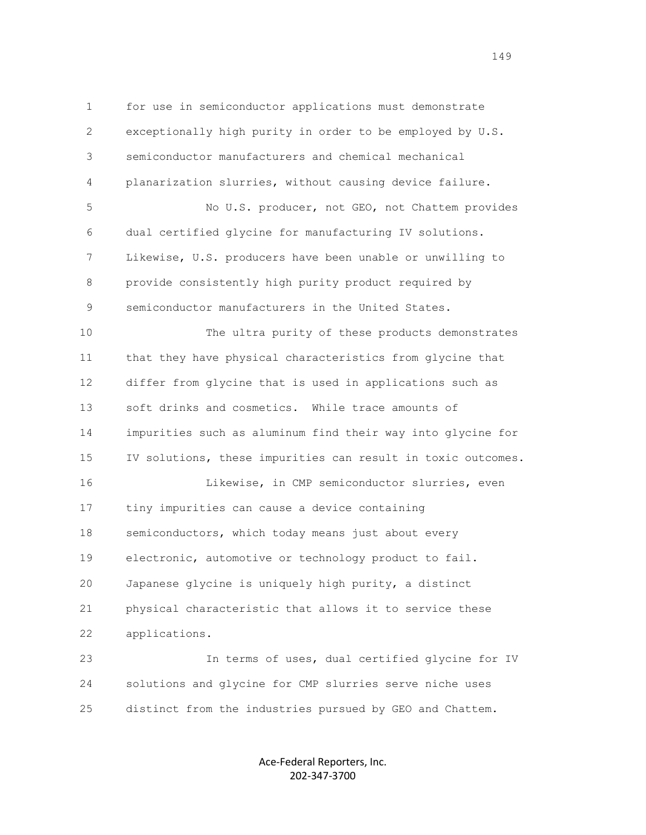1 for use in semiconductor applications must demonstrate 2 exceptionally high purity in order to be employed by U.S. 3 semiconductor manufacturers and chemical mechanical 4 planarization slurries, without causing device failure. 5 No U.S. producer, not GEO, not Chattem provides 6 dual certified glycine for manufacturing IV solutions. 7 Likewise, U.S. producers have been unable or unwilling to 8 provide consistently high purity product required by 9 semiconductor manufacturers in the United States. 10 The ultra purity of these products demonstrates 11 that they have physical characteristics from glycine that 12 differ from glycine that is used in applications such as 13 soft drinks and cosmetics. While trace amounts of 14 impurities such as aluminum find their way into glycine for 15 IV solutions, these impurities can result in toxic outcomes. 16 Likewise, in CMP semiconductor slurries, even 17 tiny impurities can cause a device containing 18 semiconductors, which today means just about every 19 electronic, automotive or technology product to fail. 20 Japanese glycine is uniquely high purity, a distinct 21 physical characteristic that allows it to service these 22 applications. 23 In terms of uses, dual certified glycine for IV 24 solutions and glycine for CMP slurries serve niche uses

> Ace-Federal Reporters, Inc. 202-347-3700

25 distinct from the industries pursued by GEO and Chattem.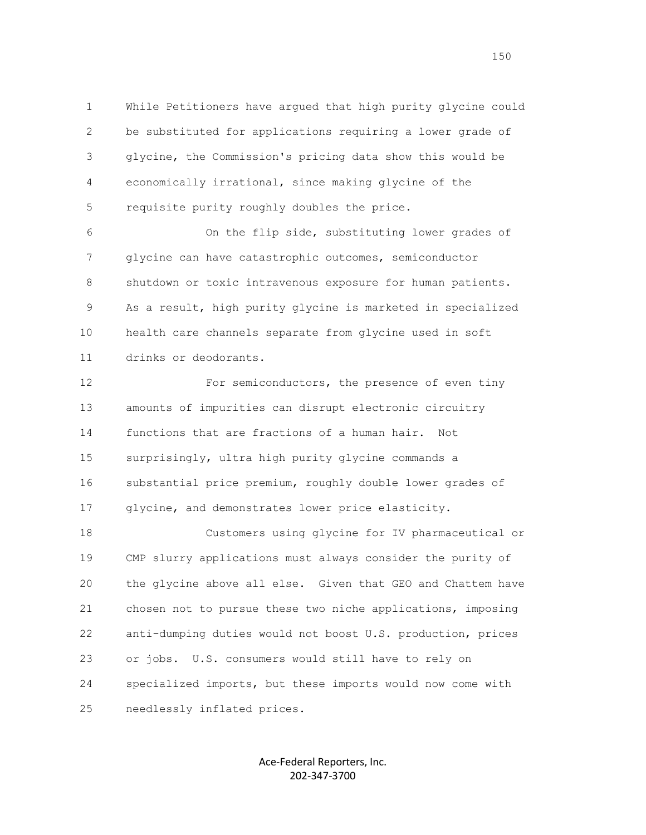1 While Petitioners have argued that high purity glycine could 2 be substituted for applications requiring a lower grade of 3 glycine, the Commission's pricing data show this would be 4 economically irrational, since making glycine of the 5 requisite purity roughly doubles the price.

 6 On the flip side, substituting lower grades of 7 glycine can have catastrophic outcomes, semiconductor 8 shutdown or toxic intravenous exposure for human patients. 9 As a result, high purity glycine is marketed in specialized 10 health care channels separate from glycine used in soft 11 drinks or deodorants.

12 For semiconductors, the presence of even tiny 13 amounts of impurities can disrupt electronic circuitry 14 functions that are fractions of a human hair. Not 15 surprisingly, ultra high purity glycine commands a 16 substantial price premium, roughly double lower grades of 17 glycine, and demonstrates lower price elasticity.

 18 Customers using glycine for IV pharmaceutical or 19 CMP slurry applications must always consider the purity of 20 the glycine above all else. Given that GEO and Chattem have 21 chosen not to pursue these two niche applications, imposing 22 anti-dumping duties would not boost U.S. production, prices 23 or jobs. U.S. consumers would still have to rely on 24 specialized imports, but these imports would now come with 25 needlessly inflated prices.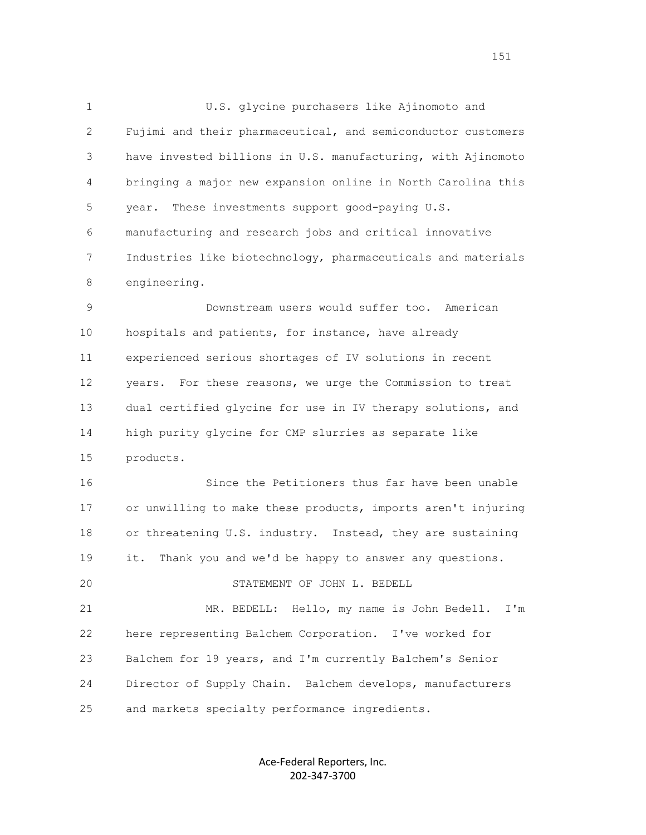1 U.S. glycine purchasers like Ajinomoto and 2 Fujimi and their pharmaceutical, and semiconductor customers 3 have invested billions in U.S. manufacturing, with Ajinomoto 4 bringing a major new expansion online in North Carolina this 5 year. These investments support good-paying U.S. 6 manufacturing and research jobs and critical innovative 7 Industries like biotechnology, pharmaceuticals and materials 8 engineering. 9 Downstream users would suffer too. American 10 hospitals and patients, for instance, have already 11 experienced serious shortages of IV solutions in recent 12 years. For these reasons, we urge the Commission to treat 13 dual certified glycine for use in IV therapy solutions, and 14 high purity glycine for CMP slurries as separate like 15 products. 16 Since the Petitioners thus far have been unable 17 or unwilling to make these products, imports aren't injuring 18 or threatening U.S. industry. Instead, they are sustaining 19 it. Thank you and we'd be happy to answer any questions. 20 STATEMENT OF JOHN L. BEDELL 21 MR. BEDELL: Hello, my name is John Bedell. I'm 22 here representing Balchem Corporation. I've worked for 23 Balchem for 19 years, and I'm currently Balchem's Senior 24 Director of Supply Chain. Balchem develops, manufacturers

25 and markets specialty performance ingredients.

Ace-Federal Reporters, Inc. 202-347-3700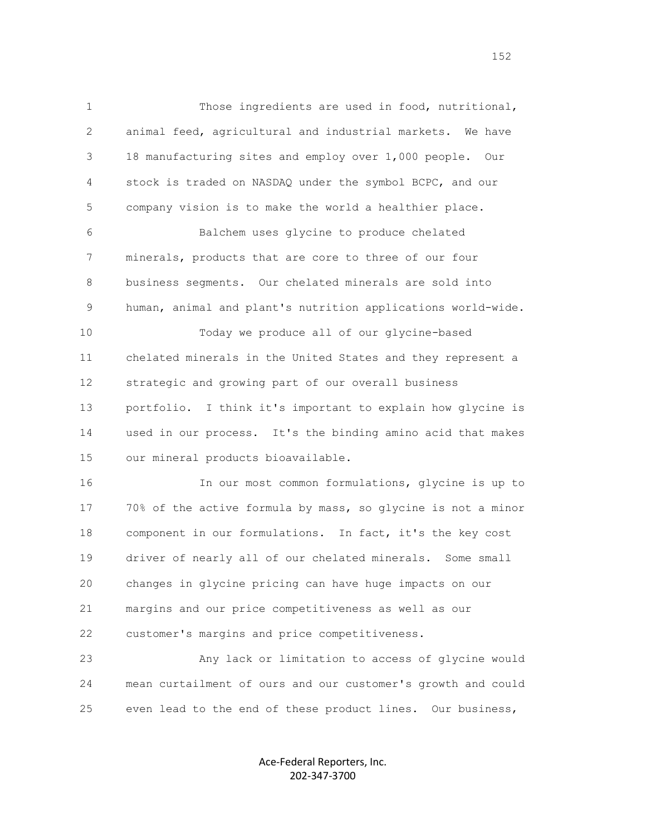1 Those ingredients are used in food, nutritional, 2 animal feed, agricultural and industrial markets. We have 3 18 manufacturing sites and employ over 1,000 people. Our 4 stock is traded on NASDAQ under the symbol BCPC, and our 5 company vision is to make the world a healthier place.

 6 Balchem uses glycine to produce chelated 7 minerals, products that are core to three of our four 8 business segments. Our chelated minerals are sold into 9 human, animal and plant's nutrition applications world-wide.

 10 Today we produce all of our glycine-based 11 chelated minerals in the United States and they represent a 12 strategic and growing part of our overall business 13 portfolio. I think it's important to explain how glycine is 14 used in our process. It's the binding amino acid that makes 15 our mineral products bioavailable.

 16 In our most common formulations, glycine is up to 17 70% of the active formula by mass, so glycine is not a minor 18 component in our formulations. In fact, it's the key cost 19 driver of nearly all of our chelated minerals. Some small 20 changes in glycine pricing can have huge impacts on our 21 margins and our price competitiveness as well as our 22 customer's margins and price competitiveness.

 23 Any lack or limitation to access of glycine would 24 mean curtailment of ours and our customer's growth and could 25 even lead to the end of these product lines. Our business,

> Ace-Federal Reporters, Inc. 202-347-3700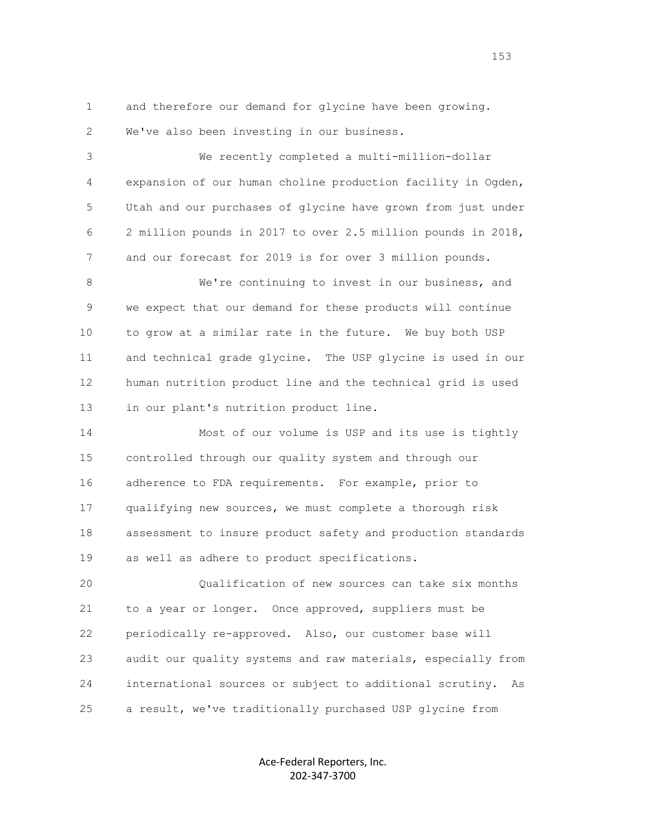1 and therefore our demand for glycine have been growing. 2 We've also been investing in our business.

 3 We recently completed a multi-million-dollar 4 expansion of our human choline production facility in Ogden, 5 Utah and our purchases of glycine have grown from just under 6 2 million pounds in 2017 to over 2.5 million pounds in 2018, 7 and our forecast for 2019 is for over 3 million pounds.

 8 We're continuing to invest in our business, and 9 we expect that our demand for these products will continue 10 to grow at a similar rate in the future. We buy both USP 11 and technical grade glycine. The USP glycine is used in our 12 human nutrition product line and the technical grid is used 13 in our plant's nutrition product line.

 14 Most of our volume is USP and its use is tightly 15 controlled through our quality system and through our 16 adherence to FDA requirements. For example, prior to 17 qualifying new sources, we must complete a thorough risk 18 assessment to insure product safety and production standards 19 as well as adhere to product specifications.

 20 Qualification of new sources can take six months 21 to a year or longer. Once approved, suppliers must be 22 periodically re-approved. Also, our customer base will 23 audit our quality systems and raw materials, especially from 24 international sources or subject to additional scrutiny. As 25 a result, we've traditionally purchased USP glycine from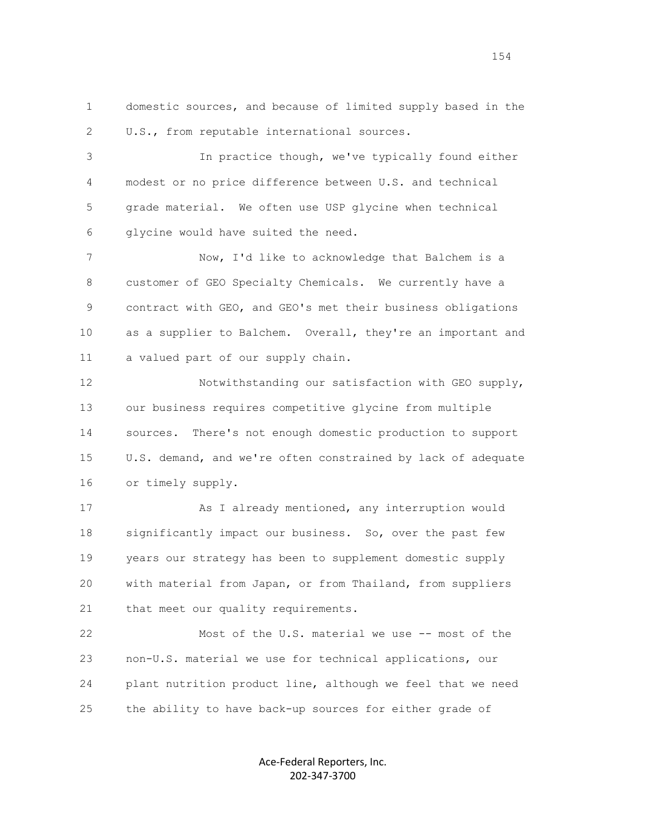1 domestic sources, and because of limited supply based in the 2 U.S., from reputable international sources.

 3 In practice though, we've typically found either 4 modest or no price difference between U.S. and technical 5 grade material. We often use USP glycine when technical 6 glycine would have suited the need.

 7 Now, I'd like to acknowledge that Balchem is a 8 customer of GEO Specialty Chemicals. We currently have a 9 contract with GEO, and GEO's met their business obligations 10 as a supplier to Balchem. Overall, they're an important and 11 a valued part of our supply chain.

 12 Notwithstanding our satisfaction with GEO supply, 13 our business requires competitive glycine from multiple 14 sources. There's not enough domestic production to support 15 U.S. demand, and we're often constrained by lack of adequate 16 or timely supply.

 17 As I already mentioned, any interruption would 18 significantly impact our business. So, over the past few 19 years our strategy has been to supplement domestic supply 20 with material from Japan, or from Thailand, from suppliers 21 that meet our quality requirements.

 22 Most of the U.S. material we use -- most of the 23 non-U.S. material we use for technical applications, our 24 plant nutrition product line, although we feel that we need 25 the ability to have back-up sources for either grade of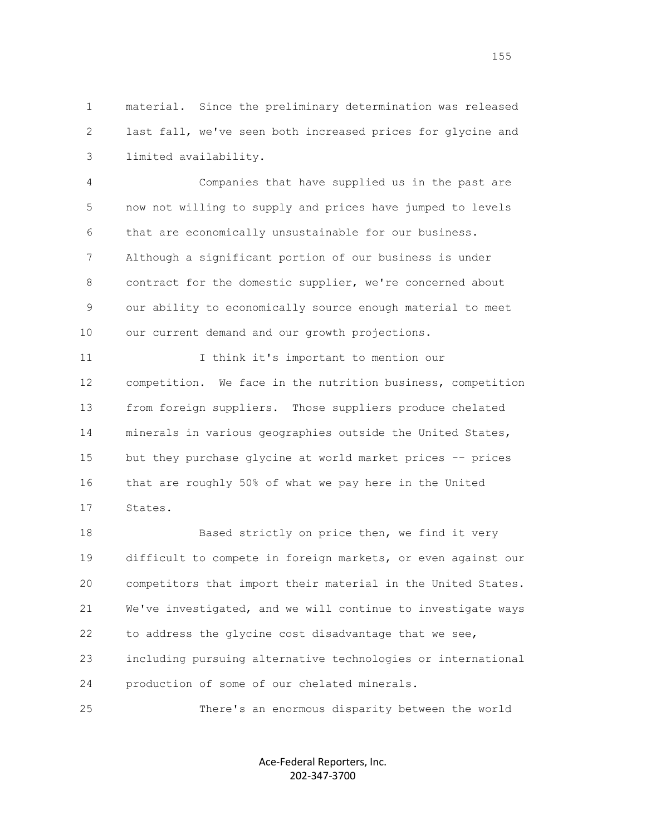1 material. Since the preliminary determination was released 2 last fall, we've seen both increased prices for glycine and 3 limited availability.

 4 Companies that have supplied us in the past are 5 now not willing to supply and prices have jumped to levels 6 that are economically unsustainable for our business. 7 Although a significant portion of our business is under 8 contract for the domestic supplier, we're concerned about 9 our ability to economically source enough material to meet 10 our current demand and our growth projections.

11 11 I think it's important to mention our 12 competition. We face in the nutrition business, competition 13 from foreign suppliers. Those suppliers produce chelated 14 minerals in various geographies outside the United States, 15 but they purchase glycine at world market prices -- prices 16 that are roughly 50% of what we pay here in the United 17 States.

18 Based strictly on price then, we find it very 19 difficult to compete in foreign markets, or even against our 20 competitors that import their material in the United States. 21 We've investigated, and we will continue to investigate ways 22 to address the glycine cost disadvantage that we see, 23 including pursuing alternative technologies or international 24 production of some of our chelated minerals.

25 There's an enormous disparity between the world

Ace-Federal Reporters, Inc. 202-347-3700

news and the contract of the contract of the contract of the contract of the contract of the contract of the contract of the contract of the contract of the contract of the contract of the contract of the contract of the c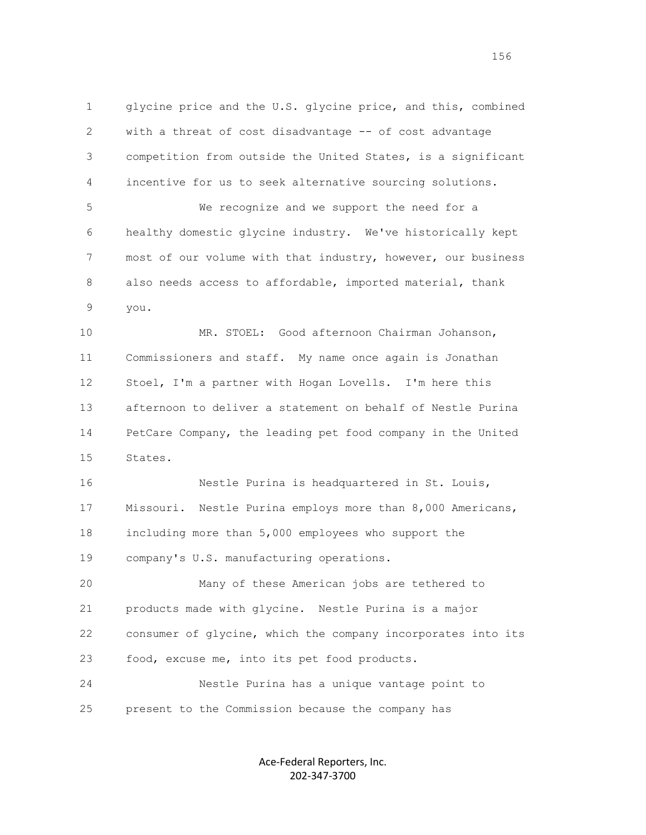1 glycine price and the U.S. glycine price, and this, combined 2 with a threat of cost disadvantage -- of cost advantage 3 competition from outside the United States, is a significant 4 incentive for us to seek alternative sourcing solutions. 5 We recognize and we support the need for a 6 healthy domestic glycine industry. We've historically kept 7 most of our volume with that industry, however, our business

 8 also needs access to affordable, imported material, thank 9 you.

 10 MR. STOEL: Good afternoon Chairman Johanson, 11 Commissioners and staff. My name once again is Jonathan 12 Stoel, I'm a partner with Hogan Lovells. I'm here this 13 afternoon to deliver a statement on behalf of Nestle Purina 14 PetCare Company, the leading pet food company in the United 15 States.

 16 Nestle Purina is headquartered in St. Louis, 17 Missouri. Nestle Purina employs more than 8,000 Americans, 18 including more than 5,000 employees who support the 19 company's U.S. manufacturing operations.

 20 Many of these American jobs are tethered to 21 products made with glycine. Nestle Purina is a major 22 consumer of glycine, which the company incorporates into its 23 food, excuse me, into its pet food products.

 24 Nestle Purina has a unique vantage point to 25 present to the Commission because the company has

> Ace-Federal Reporters, Inc. 202-347-3700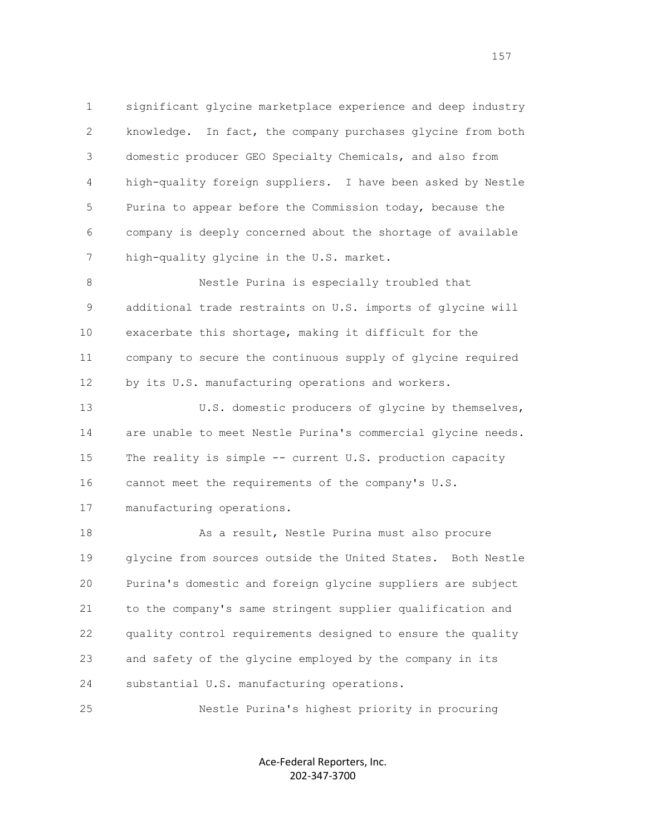1 significant glycine marketplace experience and deep industry 2 knowledge. In fact, the company purchases glycine from both 3 domestic producer GEO Specialty Chemicals, and also from 4 high-quality foreign suppliers. I have been asked by Nestle 5 Purina to appear before the Commission today, because the 6 company is deeply concerned about the shortage of available 7 high-quality glycine in the U.S. market.

 8 Nestle Purina is especially troubled that 9 additional trade restraints on U.S. imports of glycine will 10 exacerbate this shortage, making it difficult for the 11 company to secure the continuous supply of glycine required 12 by its U.S. manufacturing operations and workers.

 13 U.S. domestic producers of glycine by themselves, 14 are unable to meet Nestle Purina's commercial glycine needs. 15 The reality is simple -- current U.S. production capacity 16 cannot meet the requirements of the company's U.S.

17 manufacturing operations.

18 As a result, Nestle Purina must also procure 19 glycine from sources outside the United States. Both Nestle 20 Purina's domestic and foreign glycine suppliers are subject 21 to the company's same stringent supplier qualification and 22 quality control requirements designed to ensure the quality 23 and safety of the glycine employed by the company in its 24 substantial U.S. manufacturing operations.

25 Nestle Purina's highest priority in procuring

Ace-Federal Reporters, Inc. 202-347-3700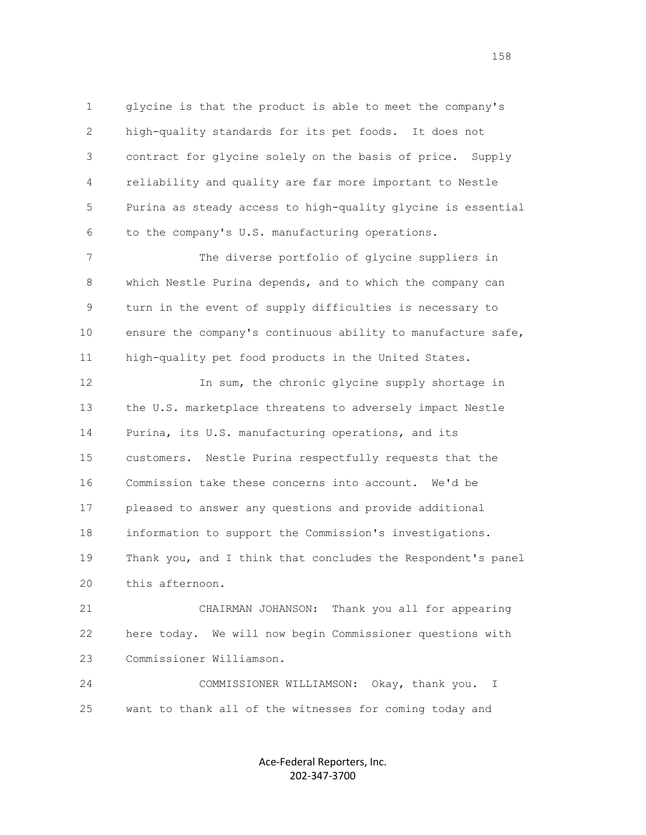1 glycine is that the product is able to meet the company's 2 high-quality standards for its pet foods. It does not 3 contract for glycine solely on the basis of price. Supply 4 reliability and quality are far more important to Nestle 5 Purina as steady access to high-quality glycine is essential 6 to the company's U.S. manufacturing operations.

 7 The diverse portfolio of glycine suppliers in 8 which Nestle Purina depends, and to which the company can 9 turn in the event of supply difficulties is necessary to 10 ensure the company's continuous ability to manufacture safe, 11 high-quality pet food products in the United States.

 12 In sum, the chronic glycine supply shortage in 13 the U.S. marketplace threatens to adversely impact Nestle 14 Purina, its U.S. manufacturing operations, and its 15 customers. Nestle Purina respectfully requests that the 16 Commission take these concerns into account. We'd be 17 pleased to answer any questions and provide additional 18 information to support the Commission's investigations. 19 Thank you, and I think that concludes the Respondent's panel 20 this afternoon.

 21 CHAIRMAN JOHANSON: Thank you all for appearing 22 here today. We will now begin Commissioner questions with 23 Commissioner Williamson.

 24 COMMISSIONER WILLIAMSON: Okay, thank you. I 25 want to thank all of the witnesses for coming today and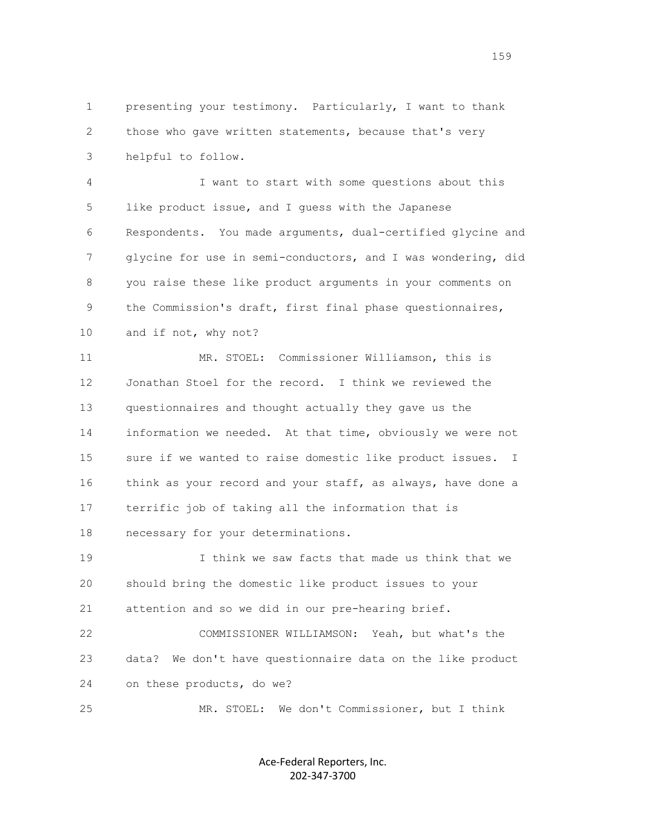1 presenting your testimony. Particularly, I want to thank 2 those who gave written statements, because that's very 3 helpful to follow.

 4 I want to start with some questions about this 5 like product issue, and I guess with the Japanese 6 Respondents. You made arguments, dual-certified glycine and 7 glycine for use in semi-conductors, and I was wondering, did 8 you raise these like product arguments in your comments on 9 the Commission's draft, first final phase questionnaires, 10 and if not, why not?

 11 MR. STOEL: Commissioner Williamson, this is 12 Jonathan Stoel for the record. I think we reviewed the 13 questionnaires and thought actually they gave us the 14 information we needed. At that time, obviously we were not 15 sure if we wanted to raise domestic like product issues. I 16 think as your record and your staff, as always, have done a 17 terrific job of taking all the information that is 18 necessary for your determinations.

 19 I think we saw facts that made us think that we 20 should bring the domestic like product issues to your 21 attention and so we did in our pre-hearing brief.

 22 COMMISSIONER WILLIAMSON: Yeah, but what's the 23 data? We don't have questionnaire data on the like product 24 on these products, do we?

25 MR. STOEL: We don't Commissioner, but I think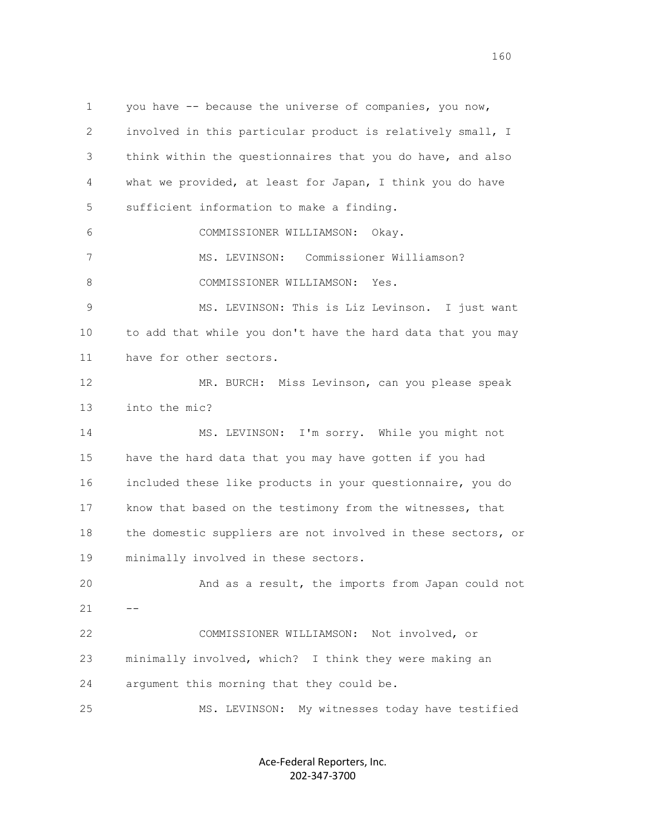1 you have -- because the universe of companies, you now, 2 involved in this particular product is relatively small, I 3 think within the questionnaires that you do have, and also 4 what we provided, at least for Japan, I think you do have 5 sufficient information to make a finding. 6 COMMISSIONER WILLIAMSON: Okay. 7 MS. LEVINSON: Commissioner Williamson? 8 COMMISSIONER WILLIAMSON: Yes. 9 MS. LEVINSON: This is Liz Levinson. I just want 10 to add that while you don't have the hard data that you may 11 have for other sectors. 12 MR. BURCH: Miss Levinson, can you please speak 13 into the mic? 14 MS. LEVINSON: I'm sorry. While you might not 15 have the hard data that you may have gotten if you had 16 included these like products in your questionnaire, you do 17 know that based on the testimony from the witnesses, that 18 the domestic suppliers are not involved in these sectors, or 19 minimally involved in these sectors. 20 And as a result, the imports from Japan could not  $21 - -$  22 COMMISSIONER WILLIAMSON: Not involved, or 23 minimally involved, which? I think they were making an 24 argument this morning that they could be. 25 MS. LEVINSON: My witnesses today have testified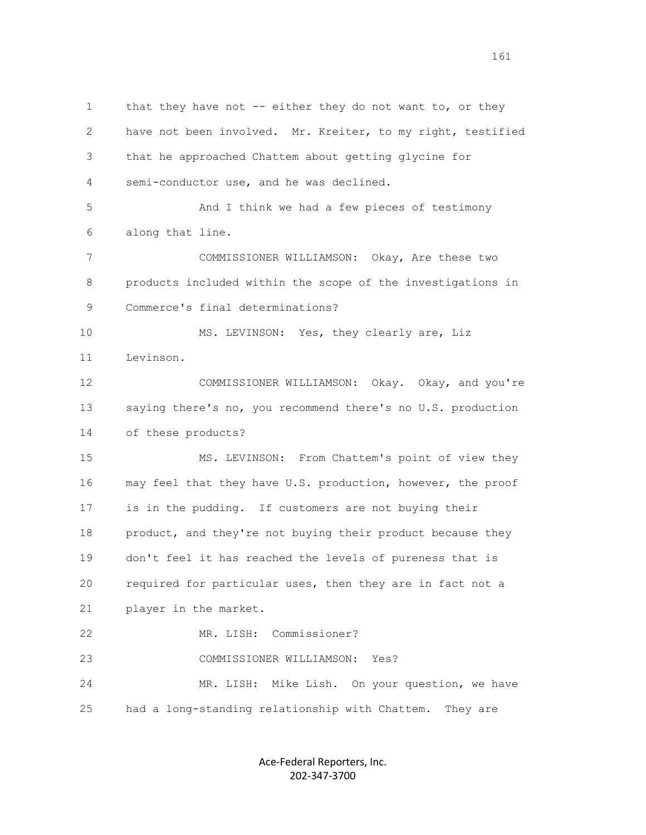1 that they have not -- either they do not want to, or they 2 have not been involved. Mr. Kreiter, to my right, testified 3 that he approached Chattem about getting glycine for 4 semi-conductor use, and he was declined. 5 And I think we had a few pieces of testimony 6 along that line. 7 COMMISSIONER WILLIAMSON: Okay, Are these two 8 products included within the scope of the investigations in 9 Commerce's final determinations? 10 MS. LEVINSON: Yes, they clearly are, Liz 11 Levinson. 12 COMMISSIONER WILLIAMSON: Okay. Okay, and you're 13 saying there's no, you recommend there's no U.S. production 14 of these products? 15 MS. LEVINSON: From Chattem's point of view they 16 may feel that they have U.S. production, however, the proof 17 is in the pudding. If customers are not buying their 18 product, and they're not buying their product because they 19 don't feel it has reached the levels of pureness that is 20 required for particular uses, then they are in fact not a 21 player in the market. 22 MR. LISH: Commissioner? 23 COMMISSIONER WILLIAMSON: Yes? 24 MR. LISH: Mike Lish. On your question, we have 25 had a long-standing relationship with Chattem. They are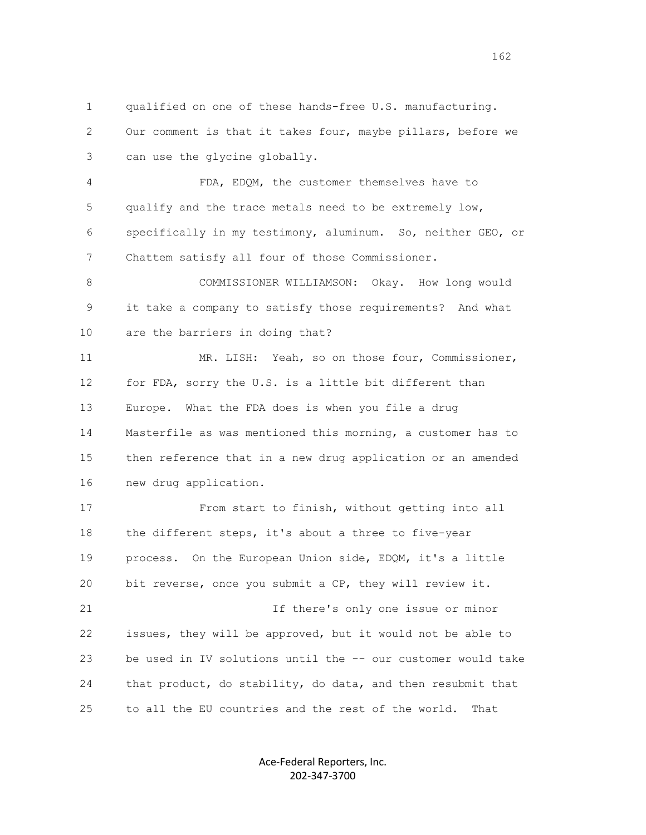1 qualified on one of these hands-free U.S. manufacturing. 2 Our comment is that it takes four, maybe pillars, before we 3 can use the glycine globally.

 4 FDA, EDQM, the customer themselves have to 5 qualify and the trace metals need to be extremely low, 6 specifically in my testimony, aluminum. So, neither GEO, or 7 Chattem satisfy all four of those Commissioner.

 8 COMMISSIONER WILLIAMSON: Okay. How long would 9 it take a company to satisfy those requirements? And what 10 are the barriers in doing that?

 11 MR. LISH: Yeah, so on those four, Commissioner, 12 for FDA, sorry the U.S. is a little bit different than 13 Europe. What the FDA does is when you file a drug 14 Masterfile as was mentioned this morning, a customer has to 15 then reference that in a new drug application or an amended 16 new drug application.

 17 From start to finish, without getting into all 18 the different steps, it's about a three to five-year 19 process. On the European Union side, EDQM, it's a little 20 bit reverse, once you submit a CP, they will review it. 21 If there's only one issue or minor 22 issues, they will be approved, but it would not be able to 23 be used in IV solutions until the -- our customer would take 24 that product, do stability, do data, and then resubmit that 25 to all the EU countries and the rest of the world. That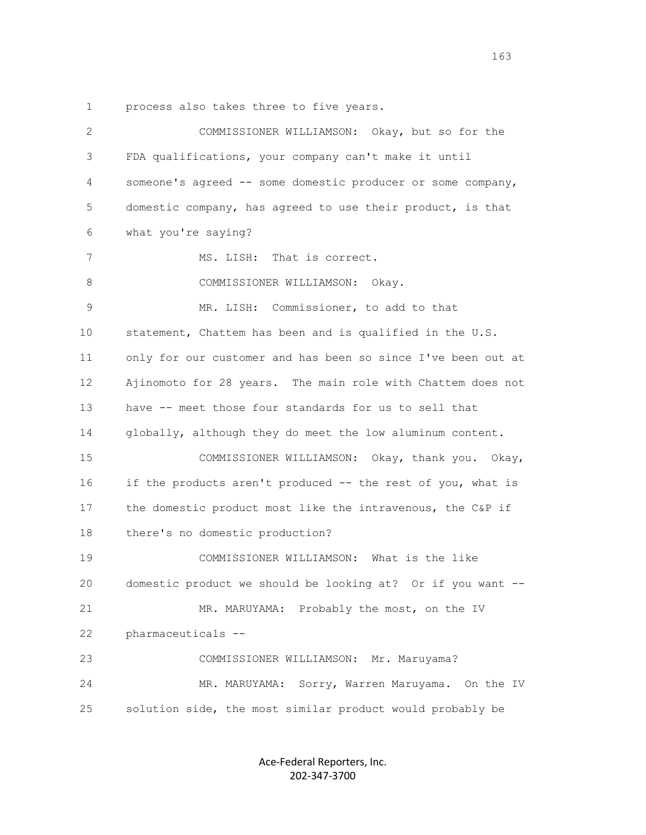1 process also takes three to five years.

 2 COMMISSIONER WILLIAMSON: Okay, but so for the 3 FDA qualifications, your company can't make it until 4 someone's agreed -- some domestic producer or some company, 5 domestic company, has agreed to use their product, is that 6 what you're saying? 7 MS. LISH: That is correct. 8 COMMISSIONER WILLIAMSON: Okay. 9 MR. LISH: Commissioner, to add to that 10 statement, Chattem has been and is qualified in the U.S. 11 only for our customer and has been so since I've been out at 12 Ajinomoto for 28 years. The main role with Chattem does not 13 have -- meet those four standards for us to sell that 14 globally, although they do meet the low aluminum content. 15 COMMISSIONER WILLIAMSON: Okay, thank you. Okay, 16 if the products aren't produced -- the rest of you, what is 17 the domestic product most like the intravenous, the C&P if 18 there's no domestic production? 19 COMMISSIONER WILLIAMSON: What is the like 20 domestic product we should be looking at? Or if you want -- 21 MR. MARUYAMA: Probably the most, on the IV 22 pharmaceuticals -- 23 COMMISSIONER WILLIAMSON: Mr. Maruyama? 24 MR. MARUYAMA: Sorry, Warren Maruyama. On the IV 25 solution side, the most similar product would probably be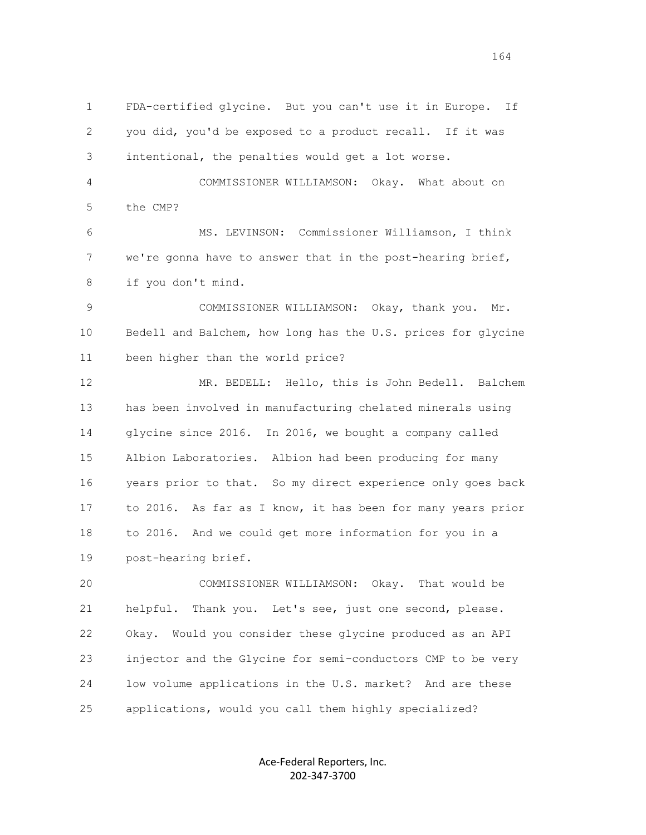1 FDA-certified glycine. But you can't use it in Europe. If 2 you did, you'd be exposed to a product recall. If it was 3 intentional, the penalties would get a lot worse. 4 COMMISSIONER WILLIAMSON: Okay. What about on 5 the CMP? 6 MS. LEVINSON: Commissioner Williamson, I think 7 we're gonna have to answer that in the post-hearing brief, 8 if you don't mind. 9 COMMISSIONER WILLIAMSON: Okay, thank you. Mr. 10 Bedell and Balchem, how long has the U.S. prices for glycine 11 been higher than the world price? 12 MR. BEDELL: Hello, this is John Bedell. Balchem 13 has been involved in manufacturing chelated minerals using 14 glycine since 2016. In 2016, we bought a company called 15 Albion Laboratories. Albion had been producing for many 16 years prior to that. So my direct experience only goes back 17 to 2016. As far as I know, it has been for many years prior 18 to 2016. And we could get more information for you in a 19 post-hearing brief. 20 COMMISSIONER WILLIAMSON: Okay. That would be 21 helpful. Thank you. Let's see, just one second, please.

 22 Okay. Would you consider these glycine produced as an API 23 injector and the Glycine for semi-conductors CMP to be very 24 low volume applications in the U.S. market? And are these 25 applications, would you call them highly specialized?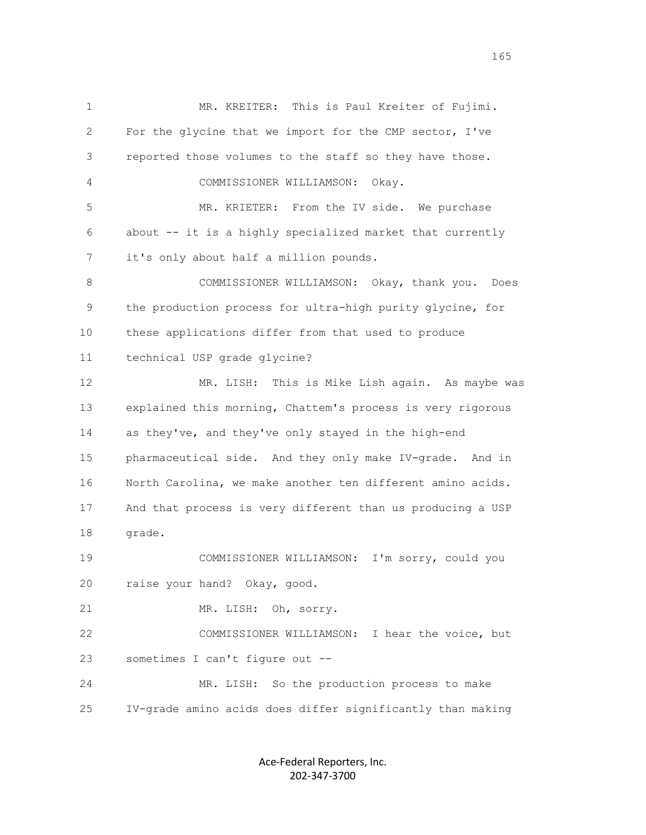1 MR. KREITER: This is Paul Kreiter of Fujimi. 2 For the glycine that we import for the CMP sector, I've 3 reported those volumes to the staff so they have those. 4 COMMISSIONER WILLIAMSON: Okay. 5 MR. KRIETER: From the IV side. We purchase 6 about -- it is a highly specialized market that currently 7 it's only about half a million pounds. 8 COMMISSIONER WILLIAMSON: Okay, thank you. Does 9 the production process for ultra-high purity glycine, for 10 these applications differ from that used to produce 11 technical USP grade glycine? 12 MR. LISH: This is Mike Lish again. As maybe was 13 explained this morning, Chattem's process is very rigorous 14 as they've, and they've only stayed in the high-end 15 pharmaceutical side. And they only make IV-grade. And in 16 North Carolina, we make another ten different amino acids. 17 And that process is very different than us producing a USP 18 grade. 19 COMMISSIONER WILLIAMSON: I'm sorry, could you 20 raise your hand? Okay, good. 21 MR. LISH: Oh, sorry. 22 COMMISSIONER WILLIAMSON: I hear the voice, but 23 sometimes I can't figure out -- 24 MR. LISH: So the production process to make 25 IV-grade amino acids does differ significantly than making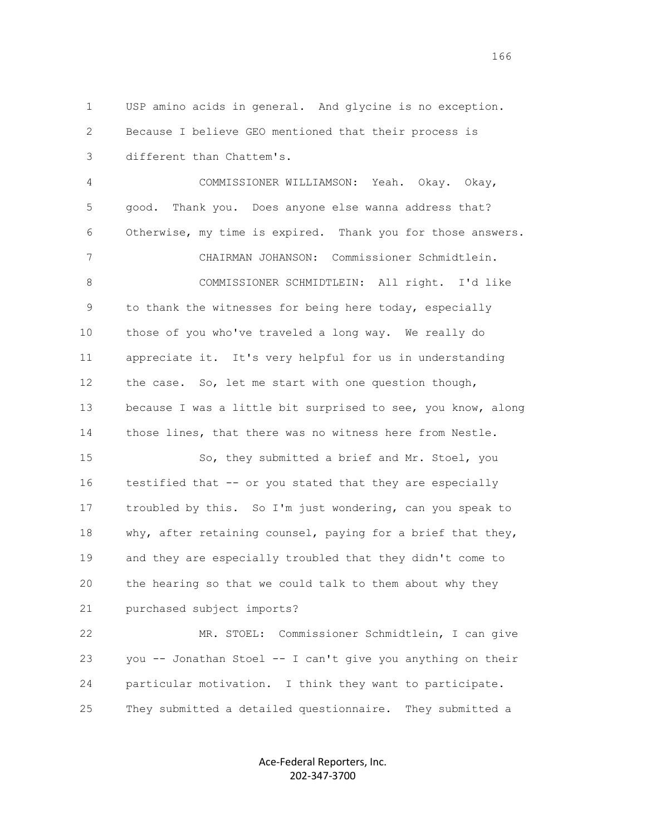1 USP amino acids in general. And glycine is no exception. 2 Because I believe GEO mentioned that their process is 3 different than Chattem's.

 4 COMMISSIONER WILLIAMSON: Yeah. Okay. Okay, 5 good. Thank you. Does anyone else wanna address that? 6 Otherwise, my time is expired. Thank you for those answers. 7 CHAIRMAN JOHANSON: Commissioner Schmidtlein. 8 COMMISSIONER SCHMIDTLEIN: All right. I'd like 9 to thank the witnesses for being here today, especially 10 those of you who've traveled a long way. We really do 11 appreciate it. It's very helpful for us in understanding 12 the case. So, let me start with one question though, 13 because I was a little bit surprised to see, you know, along 14 those lines, that there was no witness here from Nestle. 15 So, they submitted a brief and Mr. Stoel, you 16 testified that -- or you stated that they are especially 17 troubled by this. So I'm just wondering, can you speak to 18 why, after retaining counsel, paying for a brief that they, 19 and they are especially troubled that they didn't come to

 20 the hearing so that we could talk to them about why they 21 purchased subject imports?

 22 MR. STOEL: Commissioner Schmidtlein, I can give 23 you -- Jonathan Stoel -- I can't give you anything on their 24 particular motivation. I think they want to participate. 25 They submitted a detailed questionnaire. They submitted a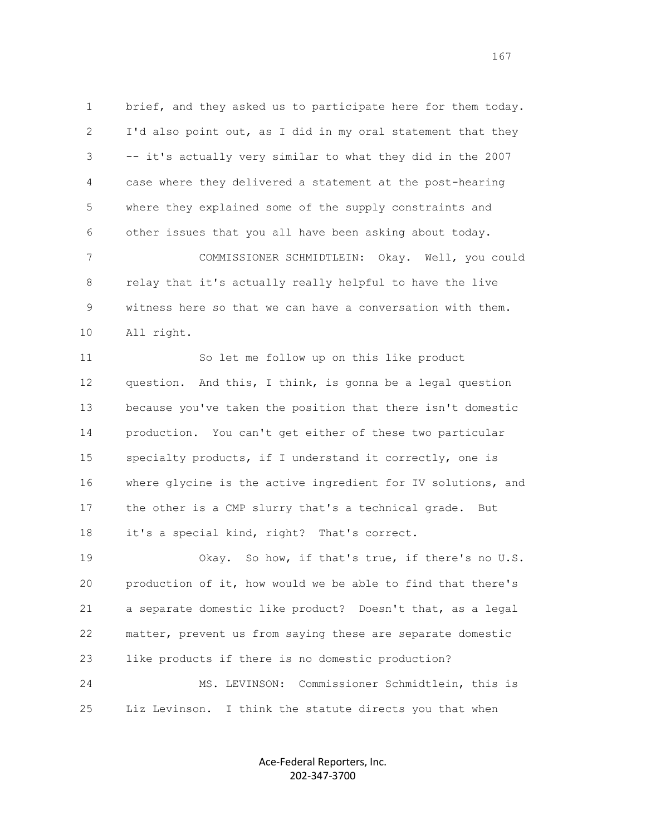1 brief, and they asked us to participate here for them today. 2 I'd also point out, as I did in my oral statement that they 3 -- it's actually very similar to what they did in the 2007 4 case where they delivered a statement at the post-hearing 5 where they explained some of the supply constraints and 6 other issues that you all have been asking about today. 7 COMMISSIONER SCHMIDTLEIN: Okay. Well, you could 8 relay that it's actually really helpful to have the live 9 witness here so that we can have a conversation with them.

10 All right.

 11 So let me follow up on this like product 12 question. And this, I think, is gonna be a legal question 13 because you've taken the position that there isn't domestic 14 production. You can't get either of these two particular 15 specialty products, if I understand it correctly, one is 16 where glycine is the active ingredient for IV solutions, and 17 the other is a CMP slurry that's a technical grade. But 18 it's a special kind, right? That's correct.

 19 Okay. So how, if that's true, if there's no U.S. 20 production of it, how would we be able to find that there's 21 a separate domestic like product? Doesn't that, as a legal 22 matter, prevent us from saying these are separate domestic 23 like products if there is no domestic production? 24 MS. LEVINSON: Commissioner Schmidtlein, this is

25 Liz Levinson. I think the statute directs you that when

Ace-Federal Reporters, Inc. 202-347-3700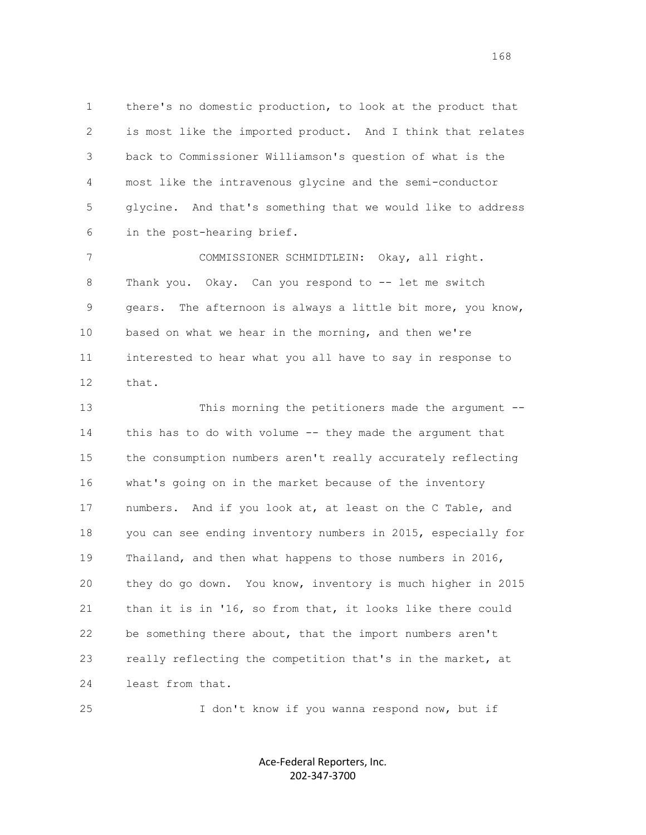1 there's no domestic production, to look at the product that 2 is most like the imported product. And I think that relates 3 back to Commissioner Williamson's question of what is the 4 most like the intravenous glycine and the semi-conductor 5 glycine. And that's something that we would like to address 6 in the post-hearing brief.

 7 COMMISSIONER SCHMIDTLEIN: Okay, all right. 8 Thank you. Okay. Can you respond to -- let me switch 9 gears. The afternoon is always a little bit more, you know, 10 based on what we hear in the morning, and then we're 11 interested to hear what you all have to say in response to 12 that.

 13 This morning the petitioners made the argument -- 14 this has to do with volume -- they made the argument that 15 the consumption numbers aren't really accurately reflecting 16 what's going on in the market because of the inventory 17 numbers. And if you look at, at least on the C Table, and 18 you can see ending inventory numbers in 2015, especially for 19 Thailand, and then what happens to those numbers in 2016, 20 they do go down. You know, inventory is much higher in 2015 21 than it is in '16, so from that, it looks like there could 22 be something there about, that the import numbers aren't 23 really reflecting the competition that's in the market, at 24 least from that.

25 I don't know if you wanna respond now, but if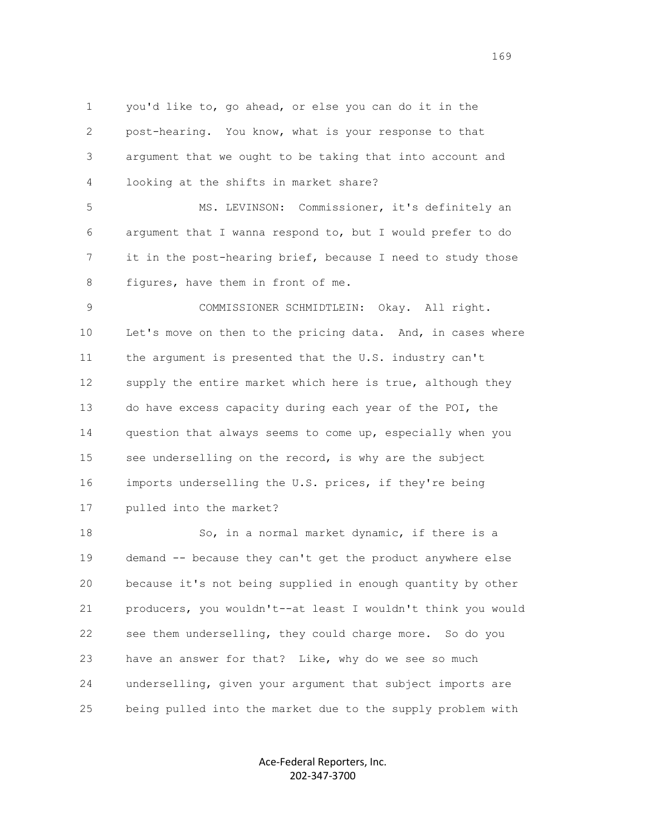1 you'd like to, go ahead, or else you can do it in the 2 post-hearing. You know, what is your response to that 3 argument that we ought to be taking that into account and 4 looking at the shifts in market share?

 5 MS. LEVINSON: Commissioner, it's definitely an 6 argument that I wanna respond to, but I would prefer to do 7 it in the post-hearing brief, because I need to study those 8 figures, have them in front of me.

9 COMMISSIONER SCHMIDTLEIN: Okay. All right. 10 Let's move on then to the pricing data. And, in cases where 11 the argument is presented that the U.S. industry can't 12 supply the entire market which here is true, although they 13 do have excess capacity during each year of the POI, the 14 question that always seems to come up, especially when you 15 see underselling on the record, is why are the subject 16 imports underselling the U.S. prices, if they're being 17 pulled into the market?

18 So, in a normal market dynamic, if there is a 19 demand -- because they can't get the product anywhere else 20 because it's not being supplied in enough quantity by other 21 producers, you wouldn't--at least I wouldn't think you would 22 see them underselling, they could charge more. So do you 23 have an answer for that? Like, why do we see so much 24 underselling, given your argument that subject imports are 25 being pulled into the market due to the supply problem with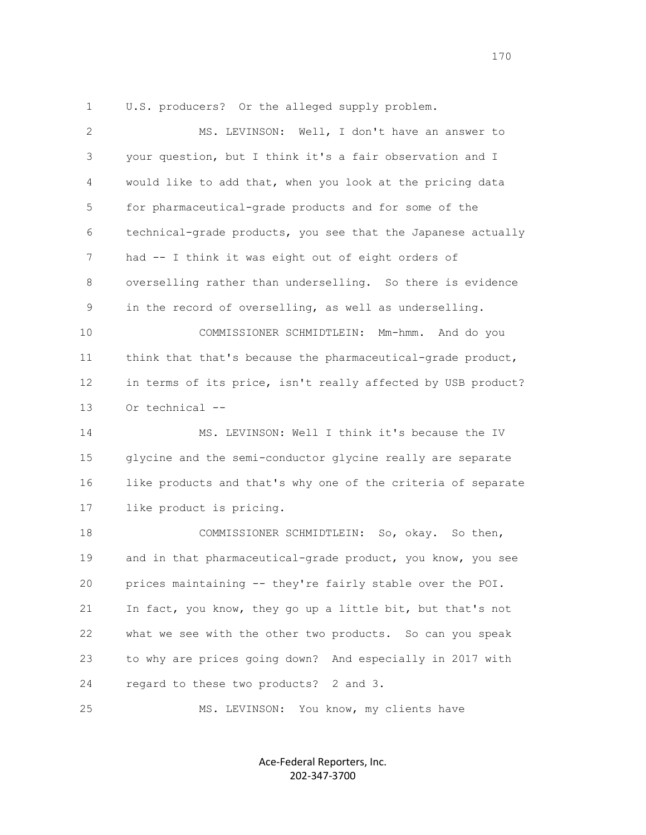1 U.S. producers? Or the alleged supply problem.

| $\mathbf{2}$ | MS. LEVINSON: Well, I don't have an answer to                |
|--------------|--------------------------------------------------------------|
| 3            | your question, but I think it's a fair observation and I     |
| 4            | would like to add that, when you look at the pricing data    |
| 5            | for pharmaceutical-grade products and for some of the        |
| 6            | technical-grade products, you see that the Japanese actually |
| 7            | had -- I think it was eight out of eight orders of           |
| 8            | overselling rather than underselling. So there is evidence   |
| 9            | in the record of overselling, as well as underselling.       |
| 10           | COMMISSIONER SCHMIDTLEIN:<br>Mm-hmm. And do you              |
| 11           | think that that's because the pharmaceutical-grade product,  |
| 12           | in terms of its price, isn't really affected by USB product? |
| 13           | Or technical --                                              |
| 14           | MS. LEVINSON: Well I think it's because the IV               |
| 15           | glycine and the semi-conductor glycine really are separate   |
| 16           | like products and that's why one of the criteria of separate |
| 17           | like product is pricing.                                     |
| 18           |                                                              |
|              | COMMISSIONER SCHMIDTLEIN: So, okay. So then,                 |
| 19           | and in that pharmaceutical-grade product, you know, you see  |
| 20           | prices maintaining -- they're fairly stable over the POI.    |
| 21           | In fact, you know, they go up a little bit, but that's not   |
| 22           | what we see with the other two products. So can you speak    |
| 23           | to why are prices going down? And especially in 2017 with    |
| 24           | regard to these two products? 2 and 3.                       |

Ace-Federal Reporters, Inc. 202-347-3700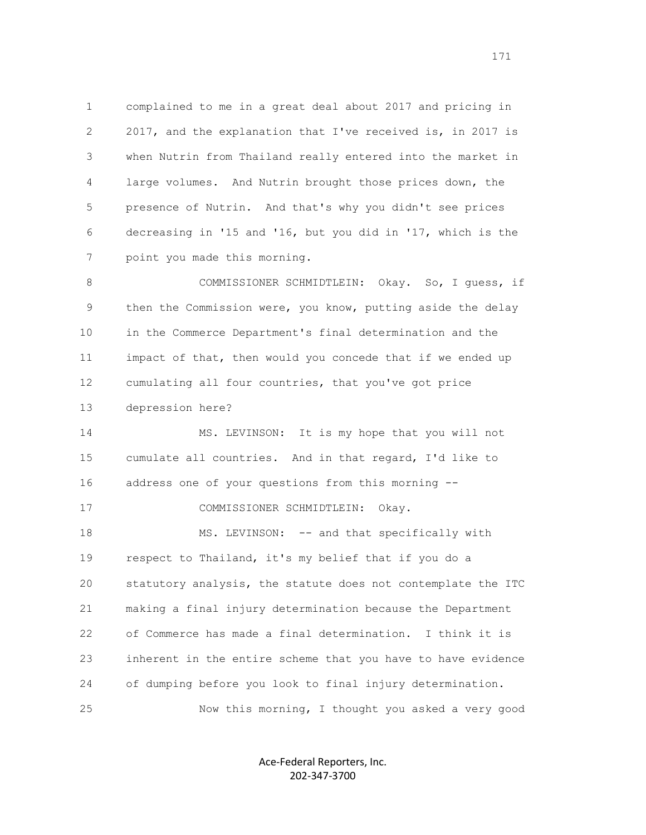1 complained to me in a great deal about 2017 and pricing in 2 2017, and the explanation that I've received is, in 2017 is 3 when Nutrin from Thailand really entered into the market in 4 large volumes. And Nutrin brought those prices down, the 5 presence of Nutrin. And that's why you didn't see prices 6 decreasing in '15 and '16, but you did in '17, which is the 7 point you made this morning.

 8 COMMISSIONER SCHMIDTLEIN: Okay. So, I guess, if 9 then the Commission were, you know, putting aside the delay 10 in the Commerce Department's final determination and the 11 impact of that, then would you concede that if we ended up 12 cumulating all four countries, that you've got price 13 depression here?

 14 MS. LEVINSON: It is my hope that you will not 15 cumulate all countries. And in that regard, I'd like to 16 address one of your questions from this morning -- 17 COMMISSIONER SCHMIDTLEIN: Okay.

18 MS. LEVINSON: -- and that specifically with 19 respect to Thailand, it's my belief that if you do a 20 statutory analysis, the statute does not contemplate the ITC 21 making a final injury determination because the Department 22 of Commerce has made a final determination. I think it is 23 inherent in the entire scheme that you have to have evidence 24 of dumping before you look to final injury determination. 25 Now this morning, I thought you asked a very good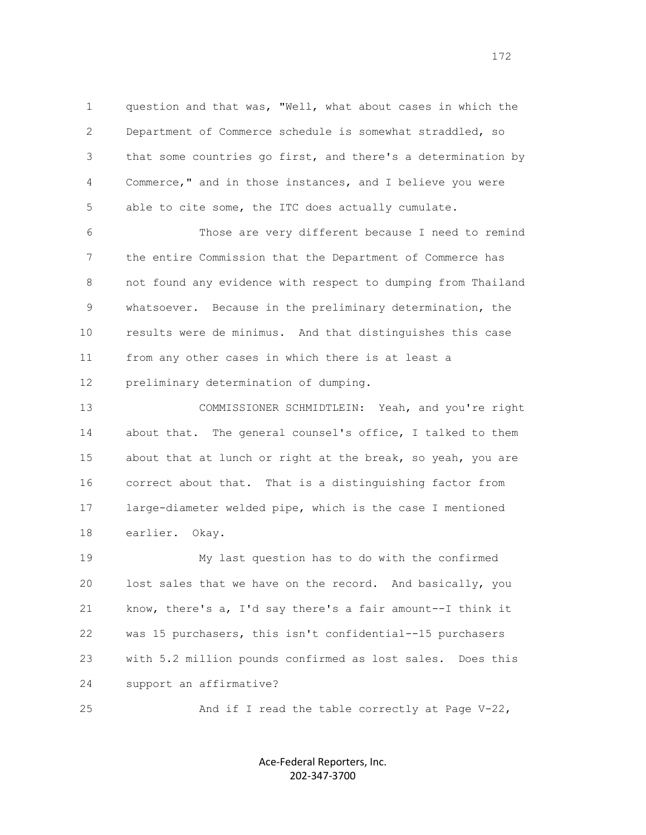1 question and that was, "Well, what about cases in which the 2 Department of Commerce schedule is somewhat straddled, so 3 that some countries go first, and there's a determination by 4 Commerce," and in those instances, and I believe you were 5 able to cite some, the ITC does actually cumulate.

 6 Those are very different because I need to remind 7 the entire Commission that the Department of Commerce has 8 not found any evidence with respect to dumping from Thailand 9 whatsoever. Because in the preliminary determination, the 10 results were de minimus. And that distinguishes this case 11 from any other cases in which there is at least a 12 preliminary determination of dumping.

 13 COMMISSIONER SCHMIDTLEIN: Yeah, and you're right 14 about that. The general counsel's office, I talked to them 15 about that at lunch or right at the break, so yeah, you are 16 correct about that. That is a distinguishing factor from 17 large-diameter welded pipe, which is the case I mentioned 18 earlier. Okay.

 19 My last question has to do with the confirmed 20 lost sales that we have on the record. And basically, you 21 know, there's a, I'd say there's a fair amount--I think it 22 was 15 purchasers, this isn't confidential--15 purchasers 23 with 5.2 million pounds confirmed as lost sales. Does this 24 support an affirmative?

25 And if I read the table correctly at Page V-22,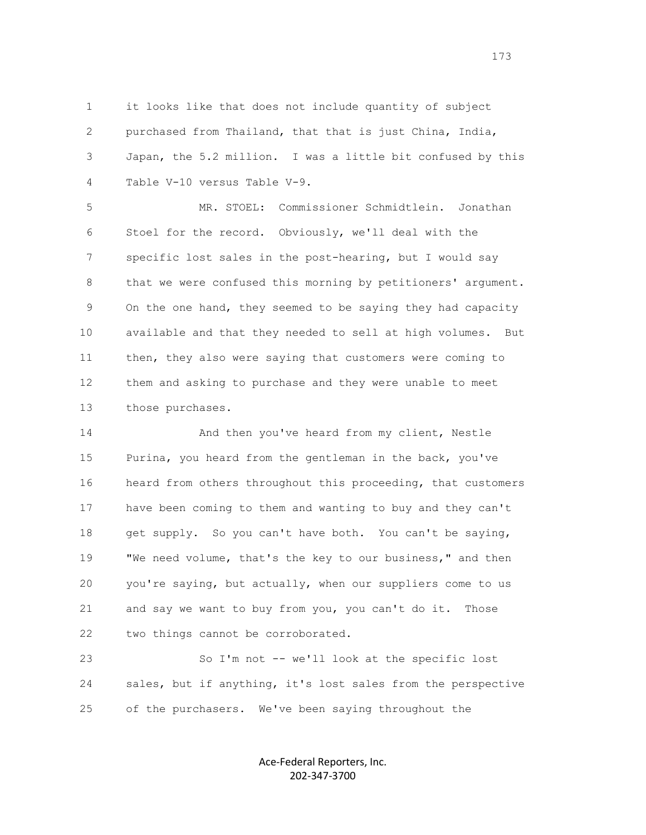1 it looks like that does not include quantity of subject 2 purchased from Thailand, that that is just China, India, 3 Japan, the 5.2 million. I was a little bit confused by this 4 Table V-10 versus Table V-9.

 5 MR. STOEL: Commissioner Schmidtlein. Jonathan 6 Stoel for the record. Obviously, we'll deal with the 7 specific lost sales in the post-hearing, but I would say 8 that we were confused this morning by petitioners' argument. 9 On the one hand, they seemed to be saying they had capacity 10 available and that they needed to sell at high volumes. But 11 then, they also were saying that customers were coming to 12 them and asking to purchase and they were unable to meet 13 those purchases.

 14 And then you've heard from my client, Nestle 15 Purina, you heard from the gentleman in the back, you've 16 heard from others throughout this proceeding, that customers 17 have been coming to them and wanting to buy and they can't 18 get supply. So you can't have both. You can't be saying, 19 "We need volume, that's the key to our business," and then 20 you're saying, but actually, when our suppliers come to us 21 and say we want to buy from you, you can't do it. Those 22 two things cannot be corroborated.

 23 So I'm not -- we'll look at the specific lost 24 sales, but if anything, it's lost sales from the perspective 25 of the purchasers. We've been saying throughout the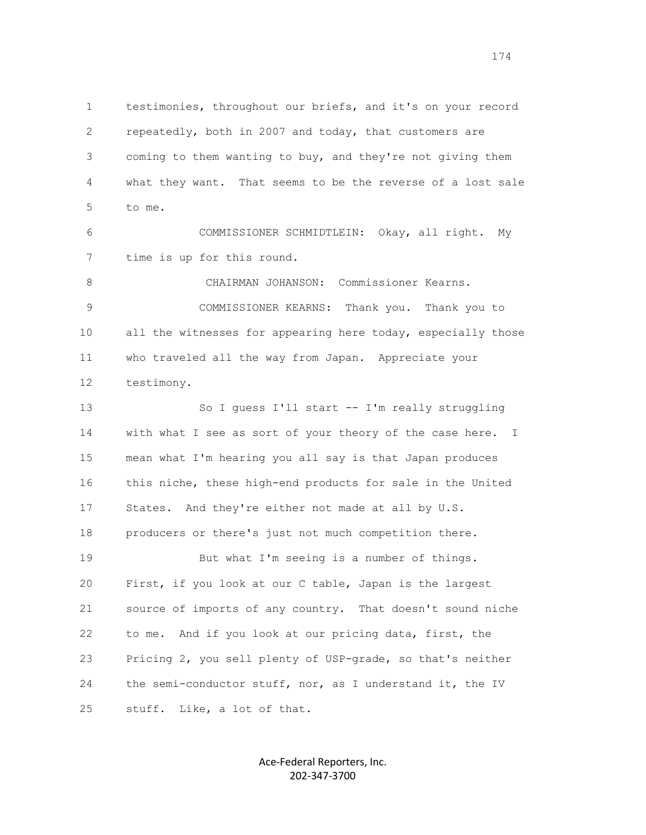1 testimonies, throughout our briefs, and it's on your record 2 repeatedly, both in 2007 and today, that customers are 3 coming to them wanting to buy, and they're not giving them 4 what they want. That seems to be the reverse of a lost sale 5 to me. 6 COMMISSIONER SCHMIDTLEIN: Okay, all right. My 7 time is up for this round. 8 CHAIRMAN JOHANSON: Commissioner Kearns. 9 COMMISSIONER KEARNS: Thank you. Thank you to 10 all the witnesses for appearing here today, especially those 11 who traveled all the way from Japan. Appreciate your 12 testimony.

 13 So I guess I'll start -- I'm really struggling 14 with what I see as sort of your theory of the case here. I 15 mean what I'm hearing you all say is that Japan produces 16 this niche, these high-end products for sale in the United 17 States. And they're either not made at all by U.S. 18 producers or there's just not much competition there. 19 But what I'm seeing is a number of things. 20 First, if you look at our C table, Japan is the largest 21 source of imports of any country. That doesn't sound niche 22 to me. And if you look at our pricing data, first, the 23 Pricing 2, you sell plenty of USP-grade, so that's neither 24 the semi-conductor stuff, nor, as I understand it, the IV 25 stuff. Like, a lot of that.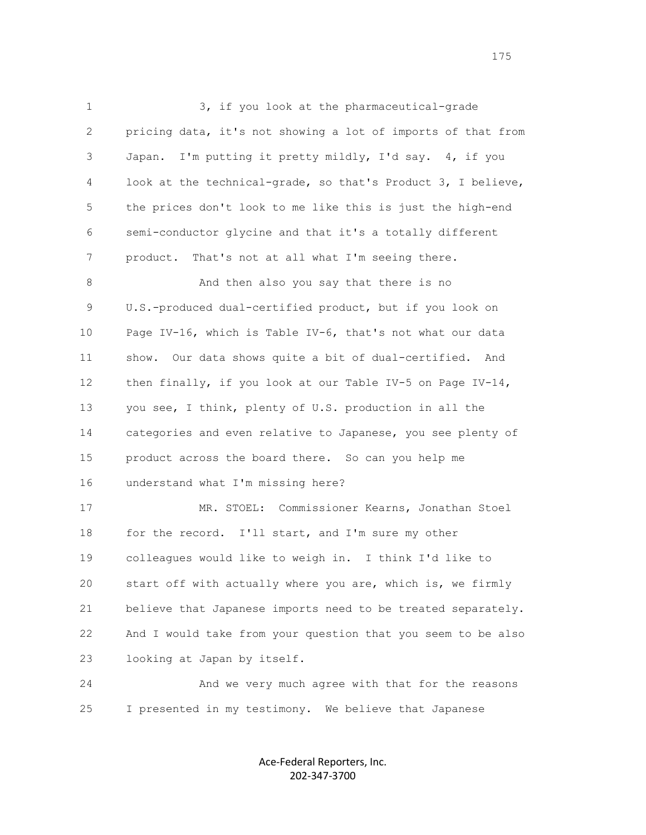1 3, if you look at the pharmaceutical-grade 2 pricing data, it's not showing a lot of imports of that from 3 Japan. I'm putting it pretty mildly, I'd say. 4, if you 4 look at the technical-grade, so that's Product 3, I believe, 5 the prices don't look to me like this is just the high-end 6 semi-conductor glycine and that it's a totally different 7 product. That's not at all what I'm seeing there. 8 And then also you say that there is no 9 U.S.-produced dual-certified product, but if you look on 10 Page IV-16, which is Table IV-6, that's not what our data 11 show. Our data shows quite a bit of dual-certified. And 12 then finally, if you look at our Table IV-5 on Page IV-14, 13 you see, I think, plenty of U.S. production in all the 14 categories and even relative to Japanese, you see plenty of 15 product across the board there. So can you help me 16 understand what I'm missing here? 17 MR. STOEL: Commissioner Kearns, Jonathan Stoel 18 for the record. I'll start, and I'm sure my other 19 colleagues would like to weigh in. I think I'd like to 20 start off with actually where you are, which is, we firmly 21 believe that Japanese imports need to be treated separately. 22 And I would take from your question that you seem to be also 23 looking at Japan by itself. 24 And we very much agree with that for the reasons

25 I presented in my testimony. We believe that Japanese

Ace-Federal Reporters, Inc. 202-347-3700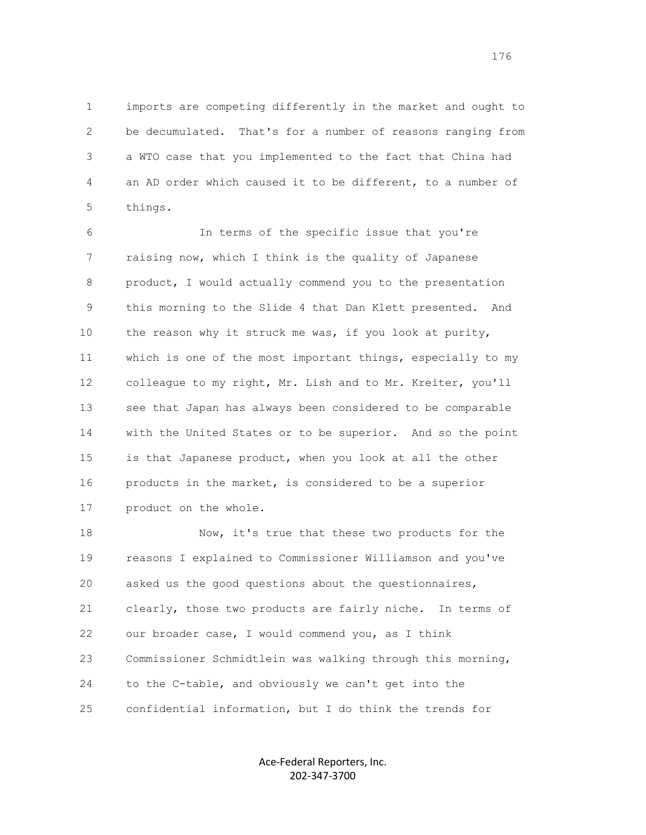1 imports are competing differently in the market and ought to 2 be decumulated. That's for a number of reasons ranging from 3 a WTO case that you implemented to the fact that China had 4 an AD order which caused it to be different, to a number of 5 things.

 6 In terms of the specific issue that you're 7 raising now, which I think is the quality of Japanese 8 product, I would actually commend you to the presentation 9 this morning to the Slide 4 that Dan Klett presented. And 10 the reason why it struck me was, if you look at purity, 11 which is one of the most important things, especially to my 12 colleague to my right, Mr. Lish and to Mr. Kreiter, you'll 13 see that Japan has always been considered to be comparable 14 with the United States or to be superior. And so the point 15 is that Japanese product, when you look at all the other 16 products in the market, is considered to be a superior 17 product on the whole.

 18 Now, it's true that these two products for the 19 reasons I explained to Commissioner Williamson and you've 20 asked us the good questions about the questionnaires, 21 clearly, those two products are fairly niche. In terms of 22 our broader case, I would commend you, as I think 23 Commissioner Schmidtlein was walking through this morning, 24 to the C-table, and obviously we can't get into the 25 confidential information, but I do think the trends for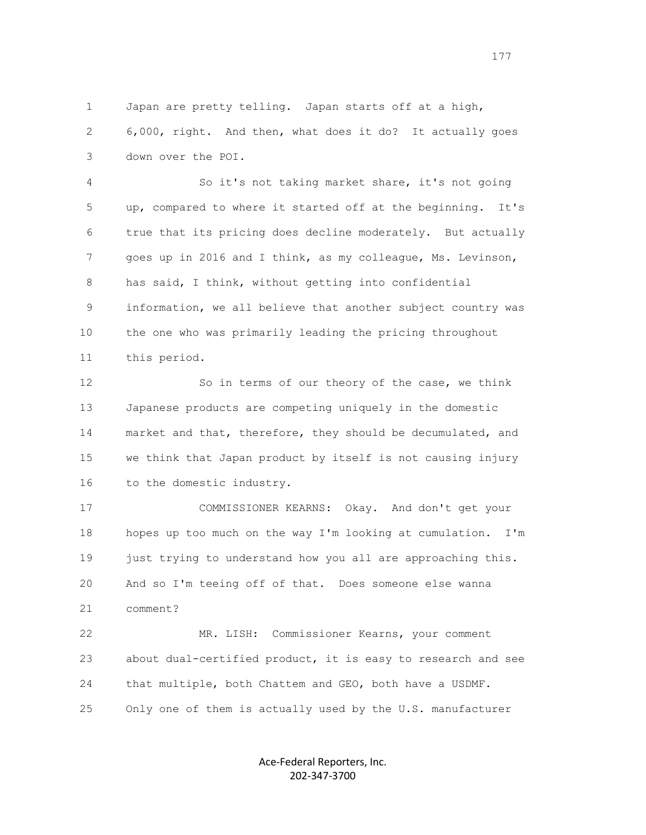1 Japan are pretty telling. Japan starts off at a high, 2 6,000, right. And then, what does it do? It actually goes 3 down over the POI.

 4 So it's not taking market share, it's not going 5 up, compared to where it started off at the beginning. It's 6 true that its pricing does decline moderately. But actually 7 goes up in 2016 and I think, as my colleague, Ms. Levinson, 8 has said, I think, without getting into confidential 9 information, we all believe that another subject country was 10 the one who was primarily leading the pricing throughout 11 this period.

 12 So in terms of our theory of the case, we think 13 Japanese products are competing uniquely in the domestic 14 market and that, therefore, they should be decumulated, and 15 we think that Japan product by itself is not causing injury 16 to the domestic industry.

 17 COMMISSIONER KEARNS: Okay. And don't get your 18 hopes up too much on the way I'm looking at cumulation. I'm 19 just trying to understand how you all are approaching this. 20 And so I'm teeing off of that. Does someone else wanna 21 comment?

 22 MR. LISH: Commissioner Kearns, your comment 23 about dual-certified product, it is easy to research and see 24 that multiple, both Chattem and GEO, both have a USDMF. 25 Only one of them is actually used by the U.S. manufacturer

> Ace-Federal Reporters, Inc. 202-347-3700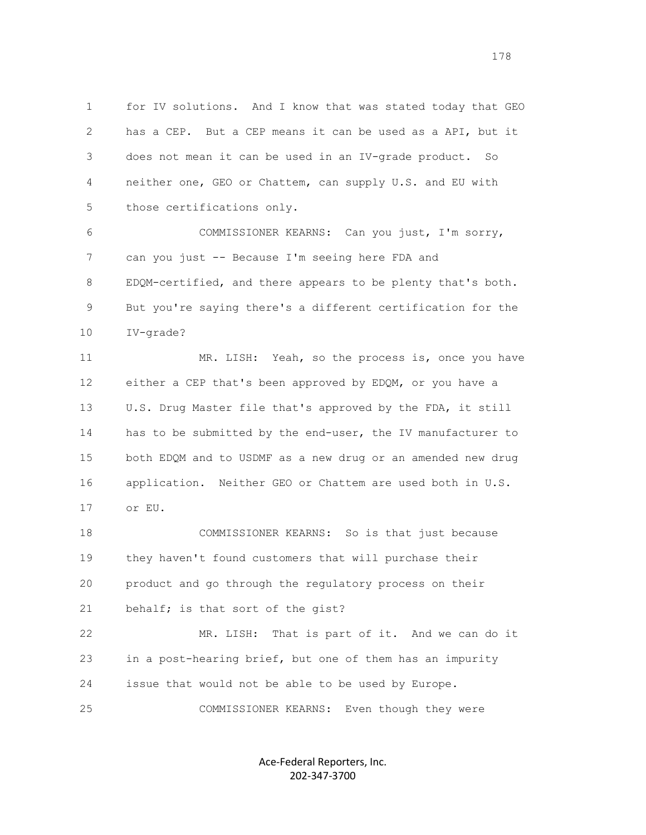1 for IV solutions. And I know that was stated today that GEO 2 has a CEP. But a CEP means it can be used as a API, but it 3 does not mean it can be used in an IV-grade product. So 4 neither one, GEO or Chattem, can supply U.S. and EU with 5 those certifications only.

 6 COMMISSIONER KEARNS: Can you just, I'm sorry, 7 can you just -- Because I'm seeing here FDA and 8 EDQM-certified, and there appears to be plenty that's both. 9 But you're saying there's a different certification for the 10 IV-grade?

 11 MR. LISH: Yeah, so the process is, once you have 12 either a CEP that's been approved by EDQM, or you have a 13 U.S. Drug Master file that's approved by the FDA, it still 14 has to be submitted by the end-user, the IV manufacturer to 15 both EDQM and to USDMF as a new drug or an amended new drug 16 application. Neither GEO or Chattem are used both in U.S. 17 or EU.

 18 COMMISSIONER KEARNS: So is that just because 19 they haven't found customers that will purchase their 20 product and go through the regulatory process on their 21 behalf; is that sort of the gist?

 22 MR. LISH: That is part of it. And we can do it 23 in a post-hearing brief, but one of them has an impurity 24 issue that would not be able to be used by Europe.

25 COMMISSIONER KEARNS: Even though they were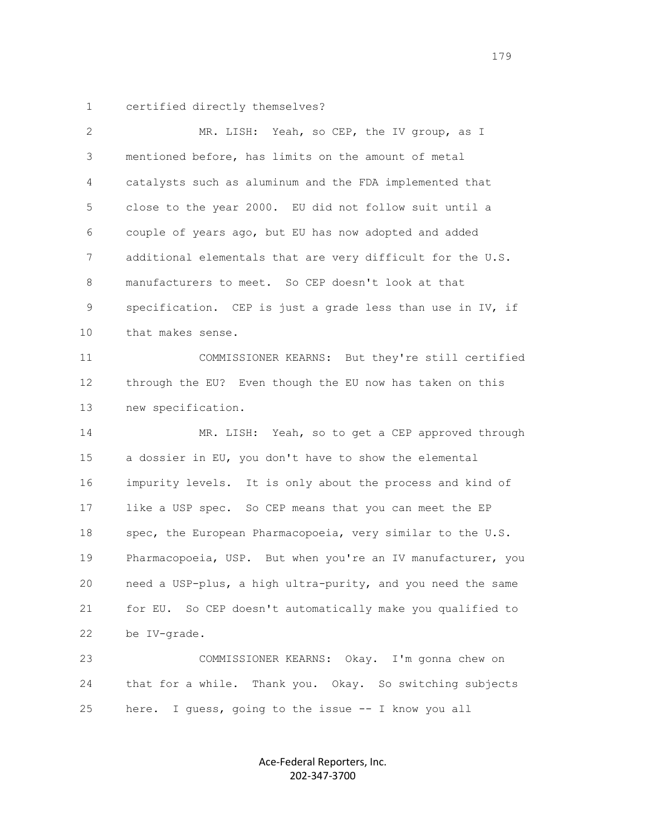1 certified directly themselves?

| 2  | MR. LISH: Yeah, so CEP, the IV group, as I                  |
|----|-------------------------------------------------------------|
| 3  | mentioned before, has limits on the amount of metal         |
| 4  | catalysts such as aluminum and the FDA implemented that     |
| 5  | close to the year 2000. EU did not follow suit until a      |
| 6  | couple of years ago, but EU has now adopted and added       |
| 7  | additional elementals that are very difficult for the U.S.  |
| 8  | manufacturers to meet. So CEP doesn't look at that          |
| 9  | specification. CEP is just a grade less than use in IV, if  |
| 10 | that makes sense.                                           |
| 11 | COMMISSIONER KEARNS: But they're still certified            |
| 12 | through the EU? Even though the EU now has taken on this    |
| 13 | new specification.                                          |
| 14 | Yeah, so to get a CEP approved through<br>MR. LISH:         |
| 15 | a dossier in EU, you don't have to show the elemental       |
| 16 | impurity levels. It is only about the process and kind of   |
| 17 | like a USP spec. So CEP means that you can meet the EP      |
| 18 | spec, the European Pharmacopoeia, very similar to the U.S.  |
| 19 | Pharmacopoeia, USP. But when you're an IV manufacturer, you |
| 20 | need a USP-plus, a high ultra-purity, and you need the same |
| 21 | for EU. So CEP doesn't automatically make you qualified to  |
| 22 | be IV-grade.                                                |
| 23 | COMMISSIONER KEARNS: Okay. I'm gonna chew on                |
| 24 | that for a while. Thank you. Okay. So switching subjects    |
| 25 | I guess, going to the issue -- I know you all<br>here.      |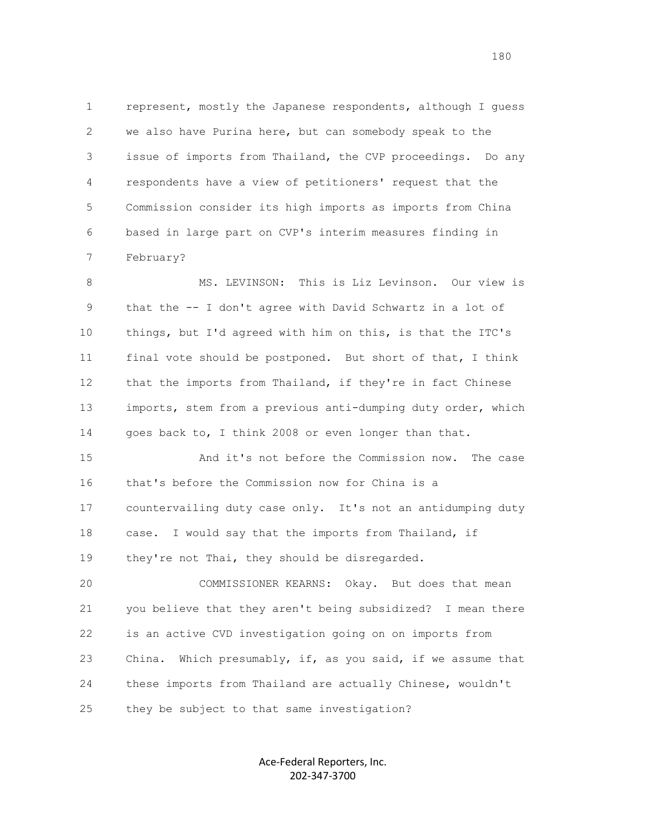1 represent, mostly the Japanese respondents, although I guess 2 we also have Purina here, but can somebody speak to the 3 issue of imports from Thailand, the CVP proceedings. Do any 4 respondents have a view of petitioners' request that the 5 Commission consider its high imports as imports from China 6 based in large part on CVP's interim measures finding in 7 February?

8 MS. LEVINSON: This is Liz Levinson. Our view is 9 that the -- I don't agree with David Schwartz in a lot of 10 things, but I'd agreed with him on this, is that the ITC's 11 final vote should be postponed. But short of that, I think 12 that the imports from Thailand, if they're in fact Chinese 13 imports, stem from a previous anti-dumping duty order, which 14 goes back to, I think 2008 or even longer than that.

 15 And it's not before the Commission now. The case 16 that's before the Commission now for China is a 17 countervailing duty case only. It's not an antidumping duty 18 case. I would say that the imports from Thailand, if 19 they're not Thai, they should be disregarded.

 20 COMMISSIONER KEARNS: Okay. But does that mean 21 you believe that they aren't being subsidized? I mean there 22 is an active CVD investigation going on on imports from 23 China. Which presumably, if, as you said, if we assume that 24 these imports from Thailand are actually Chinese, wouldn't 25 they be subject to that same investigation?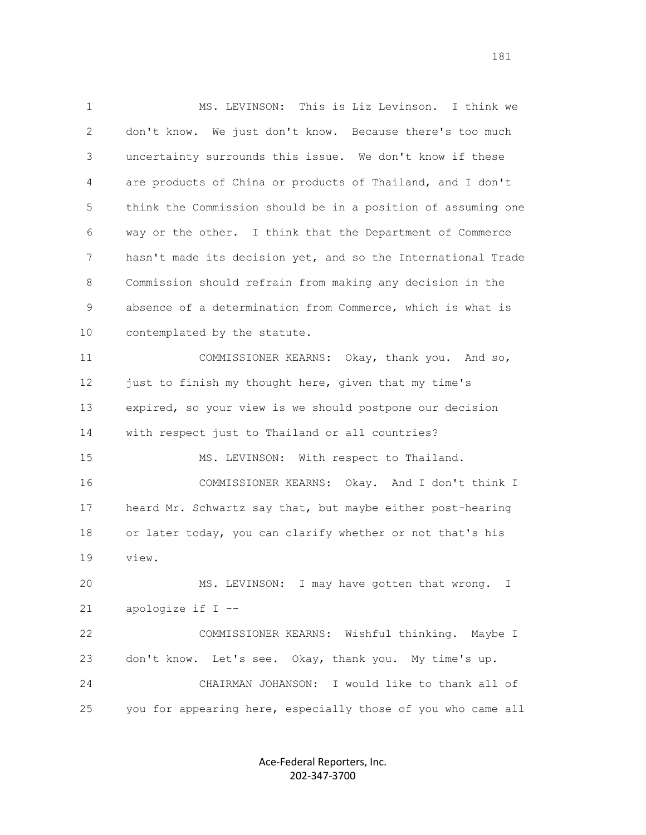1 MS. LEVINSON: This is Liz Levinson. I think we 2 don't know. We just don't know. Because there's too much 3 uncertainty surrounds this issue. We don't know if these 4 are products of China or products of Thailand, and I don't 5 think the Commission should be in a position of assuming one 6 way or the other. I think that the Department of Commerce 7 hasn't made its decision yet, and so the International Trade 8 Commission should refrain from making any decision in the 9 absence of a determination from Commerce, which is what is 10 contemplated by the statute. 11 COMMISSIONER KEARNS: Okay, thank you. And so, 12 just to finish my thought here, given that my time's 13 expired, so your view is we should postpone our decision 14 with respect just to Thailand or all countries? 15 MS. LEVINSON: With respect to Thailand. 16 COMMISSIONER KEARNS: Okay. And I don't think I 17 heard Mr. Schwartz say that, but maybe either post-hearing 18 or later today, you can clarify whether or not that's his 19 view. 20 MS. LEVINSON: I may have gotten that wrong. I 21 apologize if I -- 22 COMMISSIONER KEARNS: Wishful thinking. Maybe I 23 don't know. Let's see. Okay, thank you. My time's up. 24 CHAIRMAN JOHANSON: I would like to thank all of 25 you for appearing here, especially those of you who came all

> Ace-Federal Reporters, Inc. 202-347-3700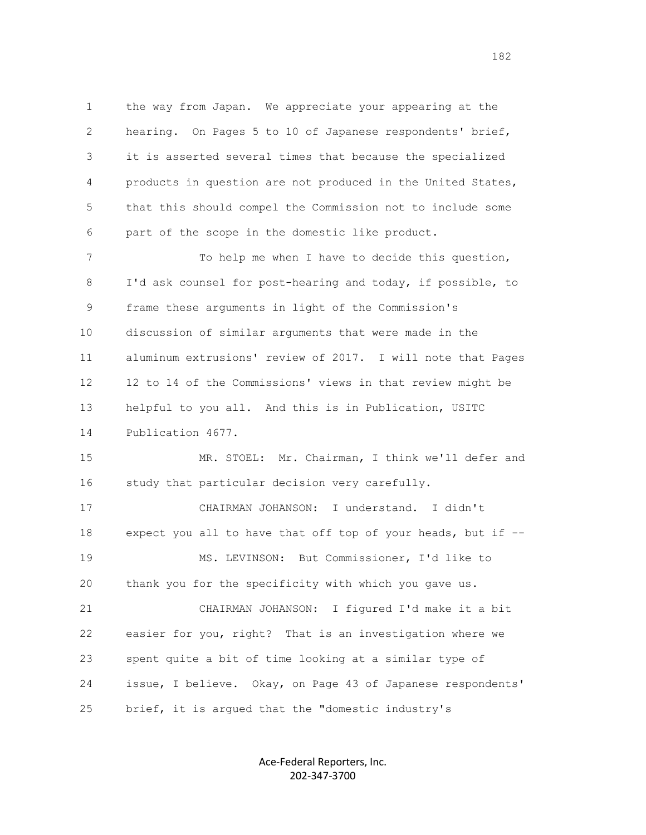1 the way from Japan. We appreciate your appearing at the 2 hearing. On Pages 5 to 10 of Japanese respondents' brief, 3 it is asserted several times that because the specialized 4 products in question are not produced in the United States, 5 that this should compel the Commission not to include some 6 part of the scope in the domestic like product.

 7 To help me when I have to decide this question, 8 I'd ask counsel for post-hearing and today, if possible, to 9 frame these arguments in light of the Commission's 10 discussion of similar arguments that were made in the 11 aluminum extrusions' review of 2017. I will note that Pages 12 12 to 14 of the Commissions' views in that review might be 13 helpful to you all. And this is in Publication, USITC 14 Publication 4677.

 15 MR. STOEL: Mr. Chairman, I think we'll defer and 16 study that particular decision very carefully.

 17 CHAIRMAN JOHANSON: I understand. I didn't 18 expect you all to have that off top of your heads, but if -- 19 MS. LEVINSON: But Commissioner, I'd like to 20 thank you for the specificity with which you gave us. 21 CHAIRMAN JOHANSON: I figured I'd make it a bit 22 easier for you, right? That is an investigation where we 23 spent quite a bit of time looking at a similar type of 24 issue, I believe. Okay, on Page 43 of Japanese respondents' 25 brief, it is argued that the "domestic industry's

> Ace-Federal Reporters, Inc. 202-347-3700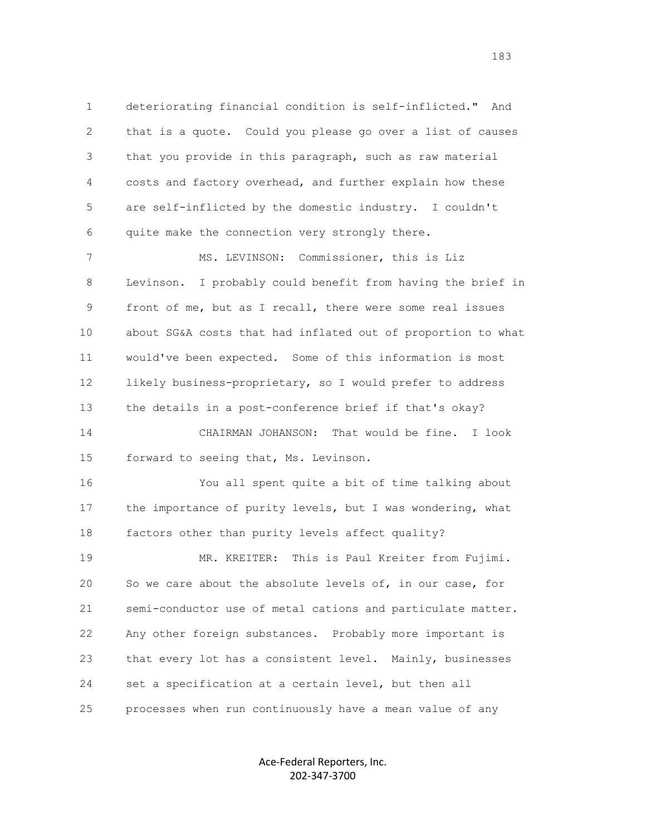1 deteriorating financial condition is self-inflicted." And 2 that is a quote. Could you please go over a list of causes 3 that you provide in this paragraph, such as raw material 4 costs and factory overhead, and further explain how these 5 are self-inflicted by the domestic industry. I couldn't 6 quite make the connection very strongly there.

 7 MS. LEVINSON: Commissioner, this is Liz 8 Levinson. I probably could benefit from having the brief in 9 front of me, but as I recall, there were some real issues 10 about SG&A costs that had inflated out of proportion to what 11 would've been expected. Some of this information is most 12 likely business-proprietary, so I would prefer to address 13 the details in a post-conference brief if that's okay? 14 CHAIRMAN JOHANSON: That would be fine. I look 15 forward to seeing that, Ms. Levinson.

 16 You all spent quite a bit of time talking about 17 the importance of purity levels, but I was wondering, what 18 factors other than purity levels affect quality?

 19 MR. KREITER: This is Paul Kreiter from Fujimi. 20 So we care about the absolute levels of, in our case, for 21 semi-conductor use of metal cations and particulate matter. 22 Any other foreign substances. Probably more important is 23 that every lot has a consistent level. Mainly, businesses 24 set a specification at a certain level, but then all 25 processes when run continuously have a mean value of any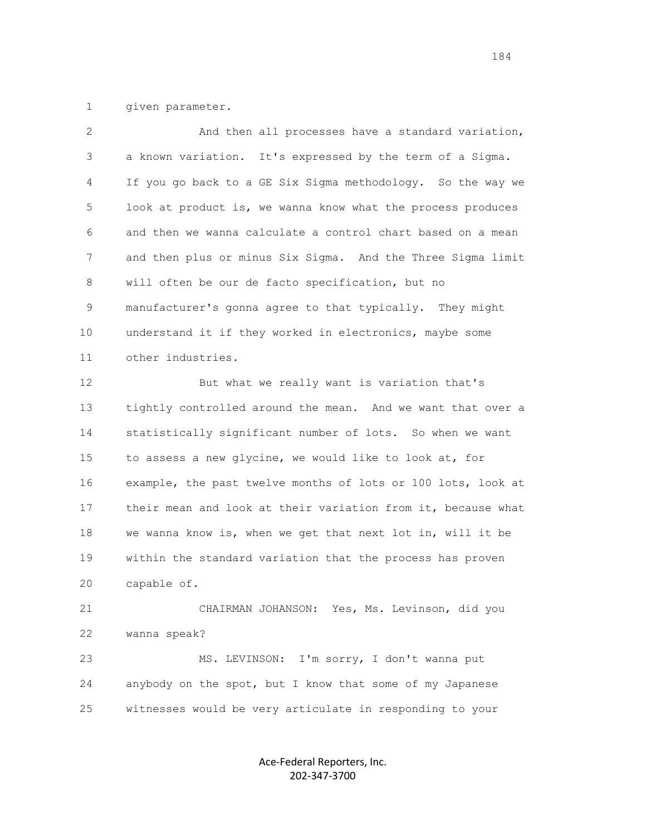1 given parameter.

| 2  | And then all processes have a standard variation,            |
|----|--------------------------------------------------------------|
| 3  | a known variation. It's expressed by the term of a Sigma.    |
| 4  | If you go back to a GE Six Sigma methodology. So the way we  |
| 5  | look at product is, we wanna know what the process produces  |
| 6  | and then we wanna calculate a control chart based on a mean  |
| 7  | and then plus or minus Six Sigma. And the Three Sigma limit  |
| 8  | will often be our de facto specification, but no             |
| 9  | manufacturer's gonna agree to that typically. They might     |
| 10 | understand it if they worked in electronics, maybe some      |
| 11 | other industries.                                            |
| 12 | But what we really want is variation that's                  |
| 13 | tightly controlled around the mean. And we want that over a  |
| 14 | statistically significant number of lots. So when we want    |
| 15 | to assess a new glycine, we would like to look at, for       |
| 16 | example, the past twelve months of lots or 100 lots, look at |
| 17 | their mean and look at their variation from it, because what |
| 18 | we wanna know is, when we get that next lot in, will it be   |
| 19 | within the standard variation that the process has proven    |
| 20 | capable of.                                                  |
| 21 | CHAIRMAN JOHANSON: Yes, Ms. Levinson, did you                |
| 22 | wanna speak?                                                 |
| 23 | I'm sorry, I don't wanna put<br>MS. LEVINSON:                |

25 witnesses would be very articulate in responding to your

24 anybody on the spot, but I know that some of my Japanese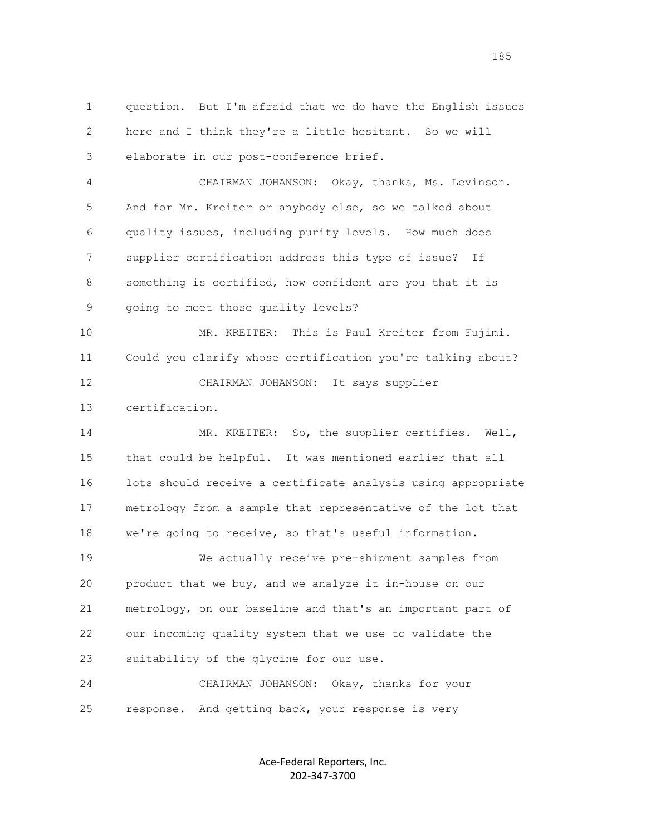1 question. But I'm afraid that we do have the English issues 2 here and I think they're a little hesitant. So we will 3 elaborate in our post-conference brief.

 4 CHAIRMAN JOHANSON: Okay, thanks, Ms. Levinson. 5 And for Mr. Kreiter or anybody else, so we talked about 6 quality issues, including purity levels. How much does 7 supplier certification address this type of issue? If 8 something is certified, how confident are you that it is 9 going to meet those quality levels?

 10 MR. KREITER: This is Paul Kreiter from Fujimi. 11 Could you clarify whose certification you're talking about? 12 CHAIRMAN JOHANSON: It says supplier

13 certification.

 14 MR. KREITER: So, the supplier certifies. Well, 15 that could be helpful. It was mentioned earlier that all 16 lots should receive a certificate analysis using appropriate 17 metrology from a sample that representative of the lot that 18 we're going to receive, so that's useful information.

 19 We actually receive pre-shipment samples from 20 product that we buy, and we analyze it in-house on our 21 metrology, on our baseline and that's an important part of 22 our incoming quality system that we use to validate the 23 suitability of the glycine for our use.

 24 CHAIRMAN JOHANSON: Okay, thanks for your 25 response. And getting back, your response is very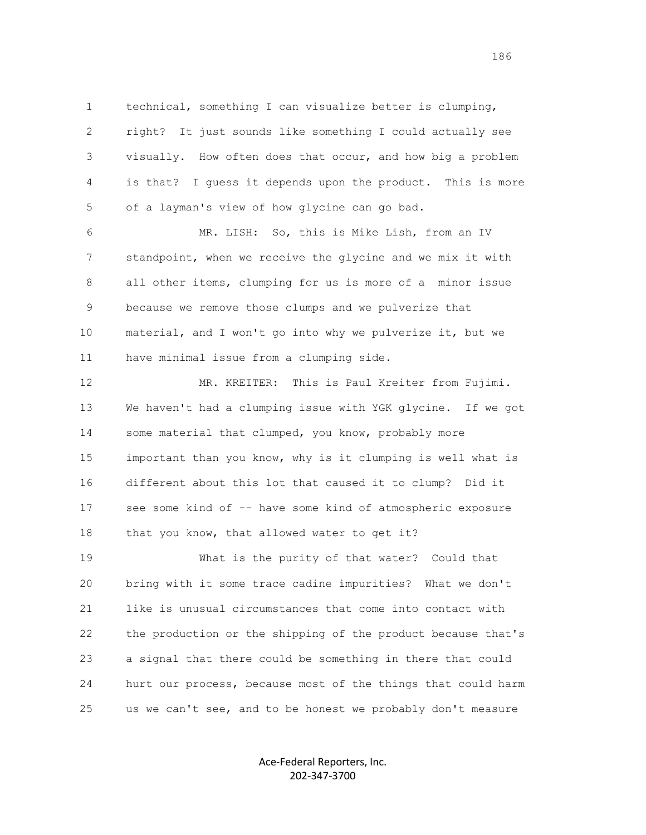1 technical, something I can visualize better is clumping, 2 right? It just sounds like something I could actually see 3 visually. How often does that occur, and how big a problem 4 is that? I guess it depends upon the product. This is more 5 of a layman's view of how glycine can go bad.

 6 MR. LISH: So, this is Mike Lish, from an IV 7 standpoint, when we receive the glycine and we mix it with 8 all other items, clumping for us is more of a minor issue 9 because we remove those clumps and we pulverize that 10 material, and I won't go into why we pulverize it, but we 11 have minimal issue from a clumping side.

 12 MR. KREITER: This is Paul Kreiter from Fujimi. 13 We haven't had a clumping issue with YGK glycine. If we got 14 some material that clumped, you know, probably more 15 important than you know, why is it clumping is well what is 16 different about this lot that caused it to clump? Did it 17 see some kind of -- have some kind of atmospheric exposure 18 that you know, that allowed water to get it?

 19 What is the purity of that water? Could that 20 bring with it some trace cadine impurities? What we don't 21 like is unusual circumstances that come into contact with 22 the production or the shipping of the product because that's 23 a signal that there could be something in there that could 24 hurt our process, because most of the things that could harm 25 us we can't see, and to be honest we probably don't measure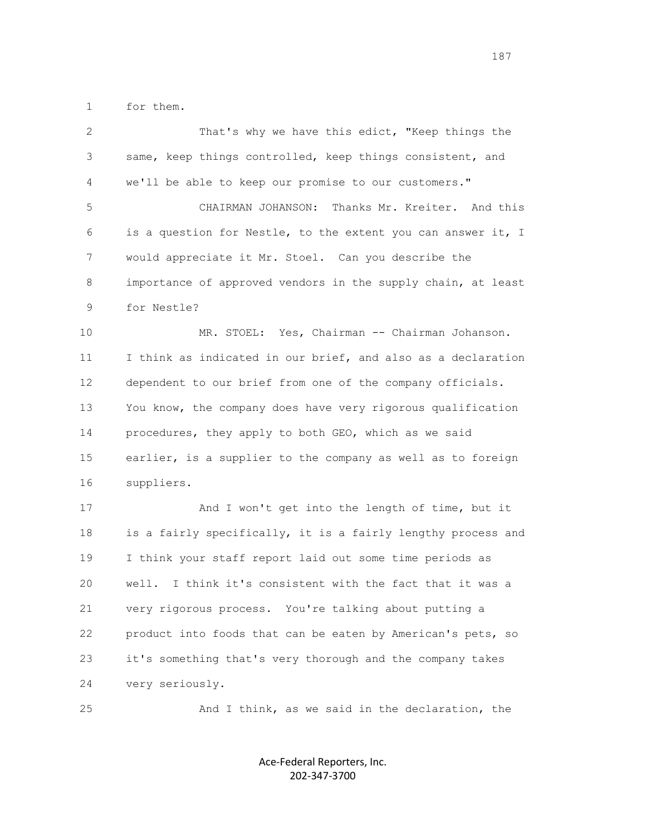1 for them.

| 2  | That's why we have this edict, "Keep things the              |
|----|--------------------------------------------------------------|
| 3  | same, keep things controlled, keep things consistent, and    |
| 4  | we'll be able to keep our promise to our customers."         |
| 5  | Thanks Mr. Kreiter. And this<br>CHAIRMAN JOHANSON:           |
| 6  | is a question for Nestle, to the extent you can answer it, I |
| 7  | would appreciate it Mr. Stoel. Can you describe the          |
| 8  | importance of approved vendors in the supply chain, at least |
| 9  | for Nestle?                                                  |
| 10 | MR. STOEL: Yes, Chairman -- Chairman Johanson.               |
| 11 | I think as indicated in our brief, and also as a declaration |
| 12 | dependent to our brief from one of the company officials.    |
| 13 | You know, the company does have very rigorous qualification  |
| 14 | procedures, they apply to both GEO, which as we said         |
| 15 | earlier, is a supplier to the company as well as to foreign  |
| 16 | suppliers.                                                   |
| 17 | And I won't get into the length of time, but it              |
| 18 | is a fairly specifically, it is a fairly lengthy process and |
| 19 | I think your staff report laid out some time periods as      |
| 20 | I think it's consistent with the fact that it was a<br>well. |
| 21 | very rigorous process. You're talking about putting a        |
| 22 | product into foods that can be eaten by American's pets, so  |
| 23 | it's something that's very thorough and the company takes    |
| 24 | very seriously.                                              |
| 25 | And I think, as we said in the declaration, the              |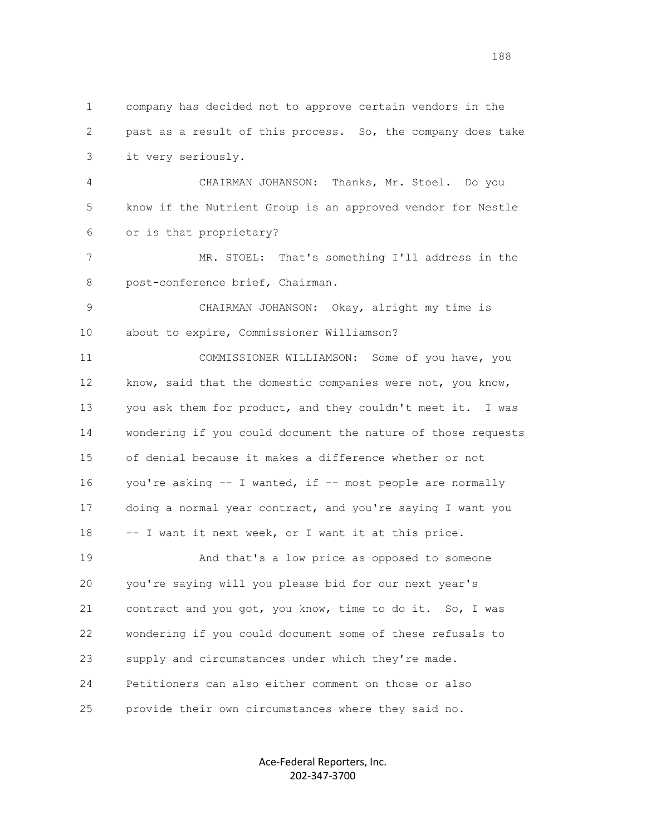1 company has decided not to approve certain vendors in the 2 past as a result of this process. So, the company does take 3 it very seriously. 4 CHAIRMAN JOHANSON: Thanks, Mr. Stoel. Do you 5 know if the Nutrient Group is an approved vendor for Nestle 6 or is that proprietary? 7 MR. STOEL: That's something I'll address in the 8 post-conference brief, Chairman. 9 CHAIRMAN JOHANSON: Okay, alright my time is 10 about to expire, Commissioner Williamson? 11 COMMISSIONER WILLIAMSON: Some of you have, you 12 know, said that the domestic companies were not, you know, 13 you ask them for product, and they couldn't meet it. I was 14 wondering if you could document the nature of those requests 15 of denial because it makes a difference whether or not 16 you're asking -- I wanted, if -- most people are normally 17 doing a normal year contract, and you're saying I want you 18 -- I want it next week, or I want it at this price. 19 And that's a low price as opposed to someone 20 you're saying will you please bid for our next year's 21 contract and you got, you know, time to do it. So, I was 22 wondering if you could document some of these refusals to 23 supply and circumstances under which they're made. 24 Petitioners can also either comment on those or also 25 provide their own circumstances where they said no.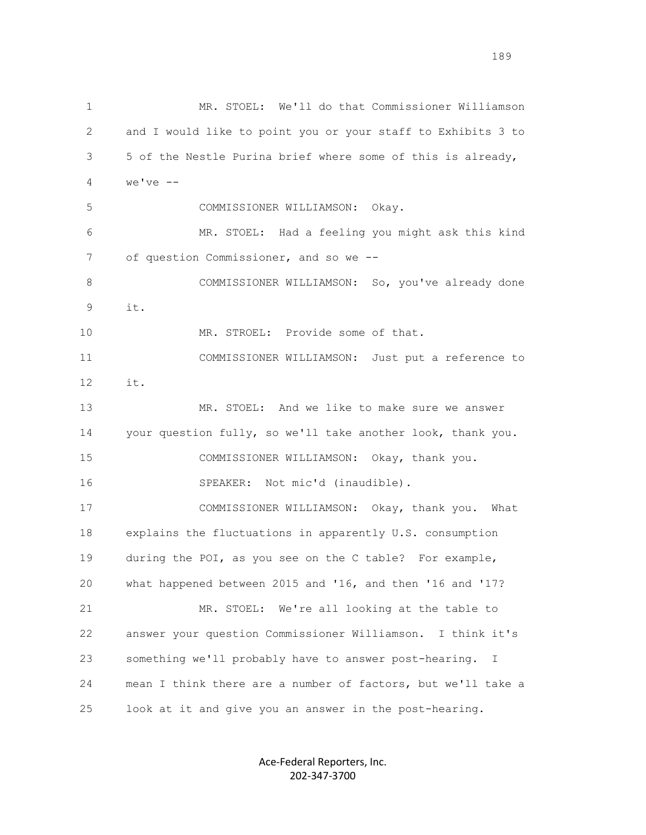1 MR. STOEL: We'll do that Commissioner Williamson 2 and I would like to point you or your staff to Exhibits 3 to 3 5 of the Nestle Purina brief where some of this is already, 4 we've -- 5 COMMISSIONER WILLIAMSON: Okay. 6 MR. STOEL: Had a feeling you might ask this kind 7 of question Commissioner, and so we --8 COMMISSIONER WILLIAMSON: So, you've already done 9 it. 10 MR. STROEL: Provide some of that. 11 COMMISSIONER WILLIAMSON: Just put a reference to 12 it. 13 MR. STOEL: And we like to make sure we answer 14 your question fully, so we'll take another look, thank you. 15 COMMISSIONER WILLIAMSON: Okay, thank you. 16 SPEAKER: Not mic'd (inaudible). 17 COMMISSIONER WILLIAMSON: Okay, thank you. What 18 explains the fluctuations in apparently U.S. consumption 19 during the POI, as you see on the C table? For example, 20 what happened between 2015 and '16, and then '16 and '17? 21 MR. STOEL: We're all looking at the table to 22 answer your question Commissioner Williamson. I think it's 23 something we'll probably have to answer post-hearing. I 24 mean I think there are a number of factors, but we'll take a 25 look at it and give you an answer in the post-hearing.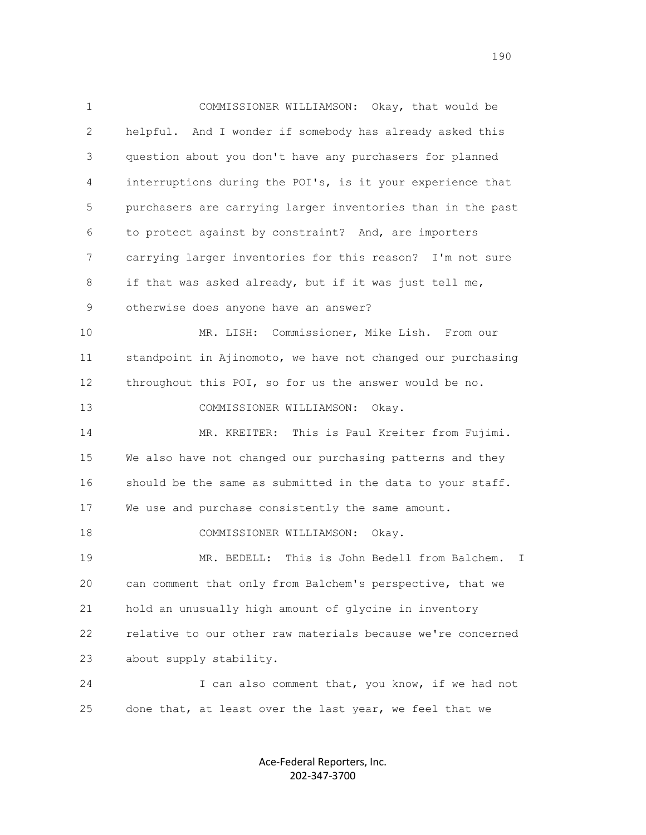1 COMMISSIONER WILLIAMSON: Okay, that would be 2 helpful. And I wonder if somebody has already asked this 3 question about you don't have any purchasers for planned 4 interruptions during the POI's, is it your experience that 5 purchasers are carrying larger inventories than in the past 6 to protect against by constraint? And, are importers 7 carrying larger inventories for this reason? I'm not sure 8 if that was asked already, but if it was just tell me, 9 otherwise does anyone have an answer? 10 MR. LISH: Commissioner, Mike Lish. From our 11 standpoint in Ajinomoto, we have not changed our purchasing 12 throughout this POI, so for us the answer would be no. 13 COMMISSIONER WILLIAMSON: Okay. 14 MR. KREITER: This is Paul Kreiter from Fujimi. 15 We also have not changed our purchasing patterns and they 16 should be the same as submitted in the data to your staff. 17 We use and purchase consistently the same amount. 18 COMMISSIONER WILLIAMSON: Okay. 19 MR. BEDELL: This is John Bedell from Balchem. I 20 can comment that only from Balchem's perspective, that we 21 hold an unusually high amount of glycine in inventory 22 relative to our other raw materials because we're concerned 23 about supply stability. 24 I can also comment that, you know, if we had not 25 done that, at least over the last year, we feel that we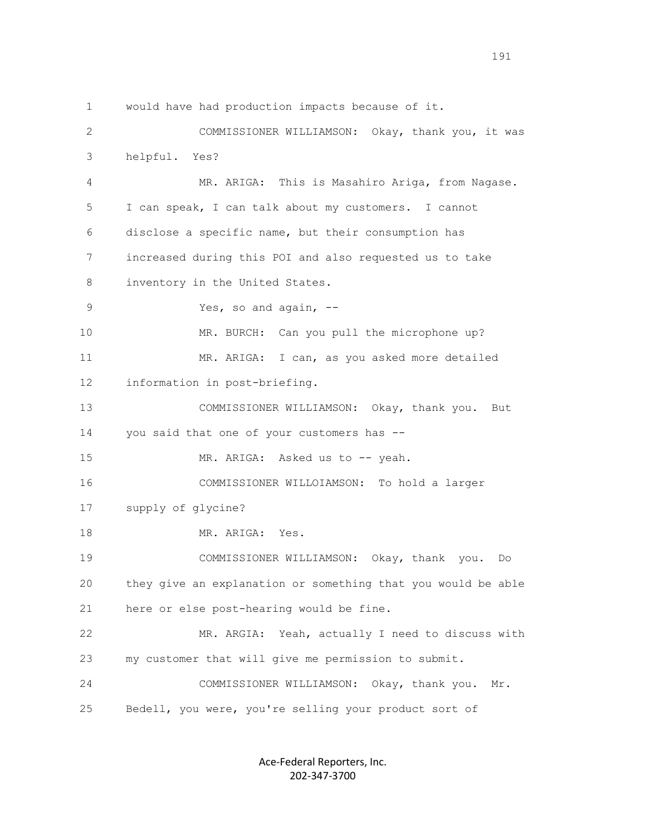1 would have had production impacts because of it. 2 COMMISSIONER WILLIAMSON: Okay, thank you, it was 3 helpful. Yes? 4 MR. ARIGA: This is Masahiro Ariga, from Nagase. 5 I can speak, I can talk about my customers. I cannot 6 disclose a specific name, but their consumption has 7 increased during this POI and also requested us to take 8 inventory in the United States. 9 Yes, so and again, -- 10 MR. BURCH: Can you pull the microphone up? 11 MR. ARIGA: I can, as you asked more detailed 12 information in post-briefing. 13 COMMISSIONER WILLIAMSON: Okay, thank you. But 14 you said that one of your customers has -- 15 MR. ARIGA: Asked us to -- yeah. 16 COMMISSIONER WILLOIAMSON: To hold a larger 17 supply of glycine? 18 MR. ARIGA: Yes. 19 COMMISSIONER WILLIAMSON: Okay, thank you. Do 20 they give an explanation or something that you would be able 21 here or else post-hearing would be fine. 22 MR. ARGIA: Yeah, actually I need to discuss with 23 my customer that will give me permission to submit. 24 COMMISSIONER WILLIAMSON: Okay, thank you. Mr. 25 Bedell, you were, you're selling your product sort of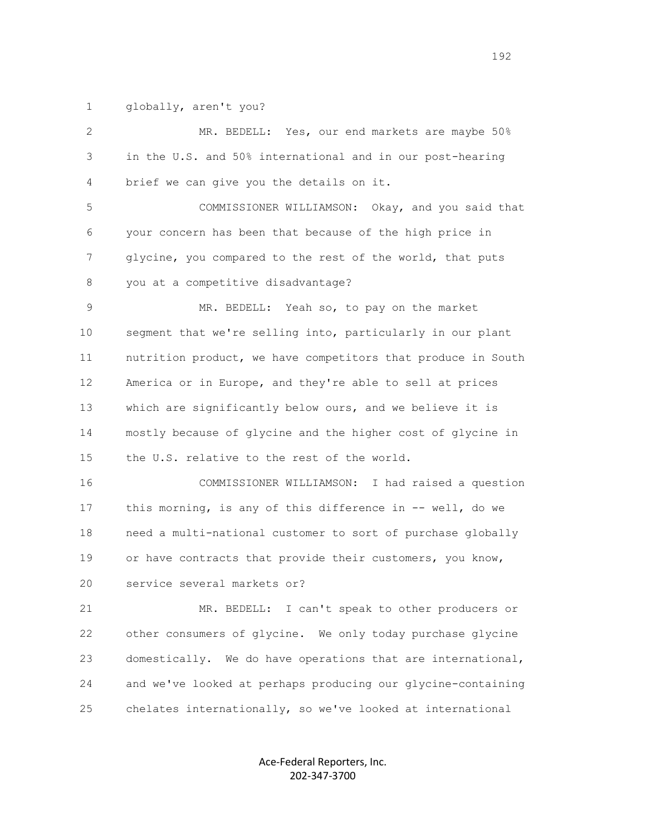1 globally, aren't you?

 2 MR. BEDELL: Yes, our end markets are maybe 50% 3 in the U.S. and 50% international and in our post-hearing 4 brief we can give you the details on it.

 5 COMMISSIONER WILLIAMSON: Okay, and you said that 6 your concern has been that because of the high price in 7 glycine, you compared to the rest of the world, that puts 8 you at a competitive disadvantage?

 9 MR. BEDELL: Yeah so, to pay on the market 10 segment that we're selling into, particularly in our plant 11 nutrition product, we have competitors that produce in South 12 America or in Europe, and they're able to sell at prices 13 which are significantly below ours, and we believe it is 14 mostly because of glycine and the higher cost of glycine in 15 the U.S. relative to the rest of the world.

 16 COMMISSIONER WILLIAMSON: I had raised a question 17 this morning, is any of this difference in -- well, do we 18 need a multi-national customer to sort of purchase globally 19 or have contracts that provide their customers, you know, 20 service several markets or?

 21 MR. BEDELL: I can't speak to other producers or 22 other consumers of glycine. We only today purchase glycine 23 domestically. We do have operations that are international, 24 and we've looked at perhaps producing our glycine-containing 25 chelates internationally, so we've looked at international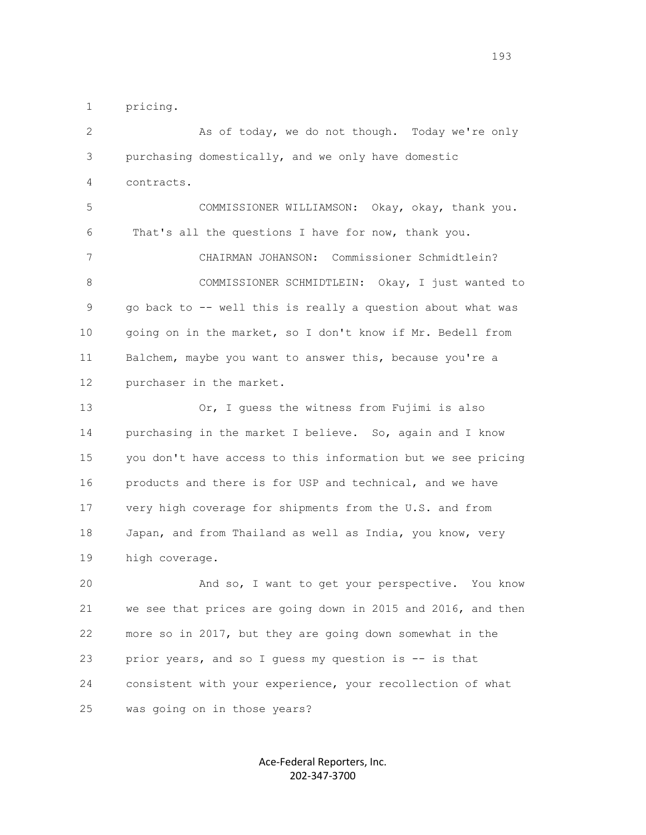1 pricing.

 2 As of today, we do not though. Today we're only 3 purchasing domestically, and we only have domestic 4 contracts. 5 COMMISSIONER WILLIAMSON: Okay, okay, thank you. 6 That's all the questions I have for now, thank you. 7 CHAIRMAN JOHANSON: Commissioner Schmidtlein? 8 COMMISSIONER SCHMIDTLEIN: Okay, I just wanted to 9 go back to -- well this is really a question about what was 10 going on in the market, so I don't know if Mr. Bedell from 11 Balchem, maybe you want to answer this, because you're a 12 purchaser in the market. 13 Or, I guess the witness from Fujimi is also 14 purchasing in the market I believe. So, again and I know 15 you don't have access to this information but we see pricing 16 products and there is for USP and technical, and we have 17 very high coverage for shipments from the U.S. and from 18 Japan, and from Thailand as well as India, you know, very 19 high coverage. 20 And so, I want to get your perspective. You know 21 we see that prices are going down in 2015 and 2016, and then 22 more so in 2017, but they are going down somewhat in the 23 prior years, and so I guess my question is -- is that

 24 consistent with your experience, your recollection of what 25 was going on in those years?

> Ace-Federal Reporters, Inc. 202-347-3700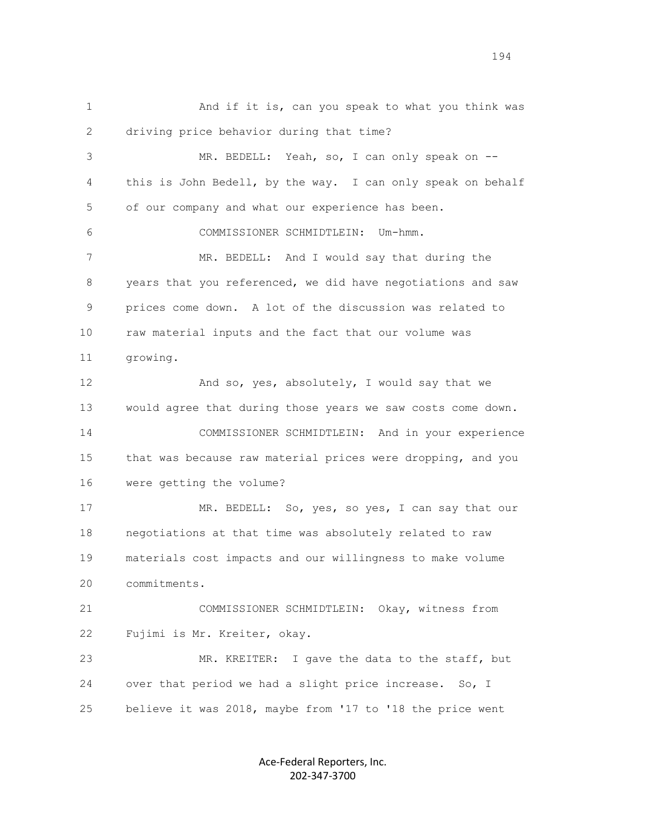1 And if it is, can you speak to what you think was 2 driving price behavior during that time? 3 MR. BEDELL: Yeah, so, I can only speak on -- 4 this is John Bedell, by the way. I can only speak on behalf 5 of our company and what our experience has been. 6 COMMISSIONER SCHMIDTLEIN: Um-hmm. 7 MR. BEDELL: And I would say that during the 8 years that you referenced, we did have negotiations and saw 9 prices come down. A lot of the discussion was related to 10 raw material inputs and the fact that our volume was 11 growing. 12 And so, yes, absolutely, I would say that we 13 would agree that during those years we saw costs come down. 14 COMMISSIONER SCHMIDTLEIN: And in your experience 15 that was because raw material prices were dropping, and you 16 were getting the volume? 17 MR. BEDELL: So, yes, so yes, I can say that our 18 negotiations at that time was absolutely related to raw 19 materials cost impacts and our willingness to make volume 20 commitments. 21 COMMISSIONER SCHMIDTLEIN: Okay, witness from 22 Fujimi is Mr. Kreiter, okay. 23 MR. KREITER: I gave the data to the staff, but 24 over that period we had a slight price increase. So, I 25 believe it was 2018, maybe from '17 to '18 the price went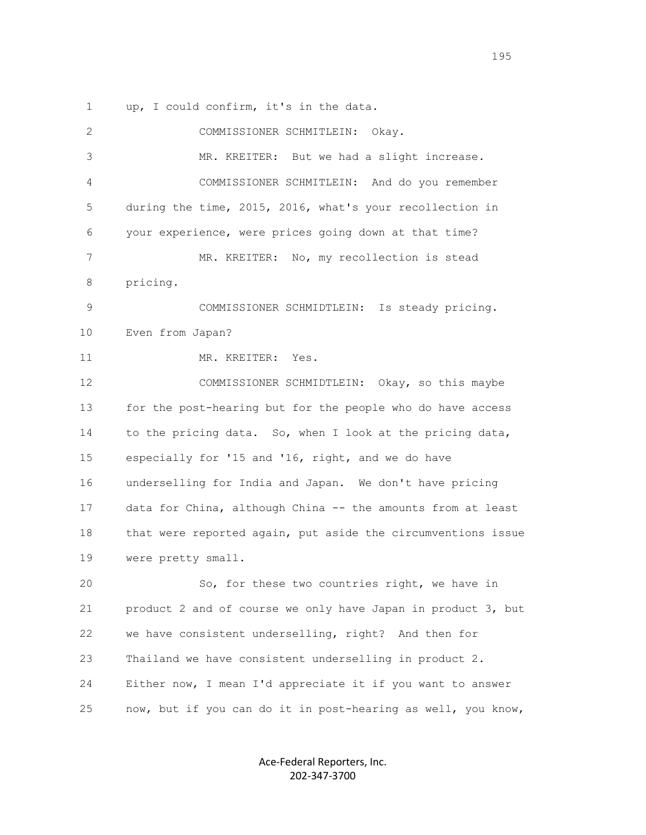1 up, I could confirm, it's in the data.

| 2  | COMMISSIONER SCHMITLEIN:<br>Okay.                            |
|----|--------------------------------------------------------------|
| 3  | MR. KREITER: But we had a slight increase.                   |
| 4  | COMMISSIONER SCHMITLEIN: And do you remember                 |
| 5  | during the time, 2015, 2016, what's your recollection in     |
| 6  | your experience, were prices going down at that time?        |
| 7  | MR. KREITER: No, my recollection is stead                    |
| 8  | pricing.                                                     |
| 9  | COMMISSIONER SCHMIDTLEIN: Is steady pricing.                 |
| 10 | Even from Japan?                                             |
| 11 | MR. KREITER: Yes.                                            |
| 12 | COMMISSIONER SCHMIDTLEIN: Okay, so this maybe                |
| 13 | for the post-hearing but for the people who do have access   |
| 14 | to the pricing data. So, when I look at the pricing data,    |
| 15 | especially for '15 and '16, right, and we do have            |
| 16 | underselling for India and Japan. We don't have pricing      |
| 17 | data for China, although China -- the amounts from at least  |
| 18 | that were reported again, put aside the circumventions issue |
| 19 | were pretty small.                                           |
| 20 | So, for these two countries right, we have in                |
| 21 | product 2 and of course we only have Japan in product 3, but |
| 22 | we have consistent underselling, right? And then for         |
| 23 | Thailand we have consistent underselling in product 2.       |
| 24 | Either now, I mean I'd appreciate it if you want to answer   |
| 25 | now, but if you can do it in post-hearing as well, you know, |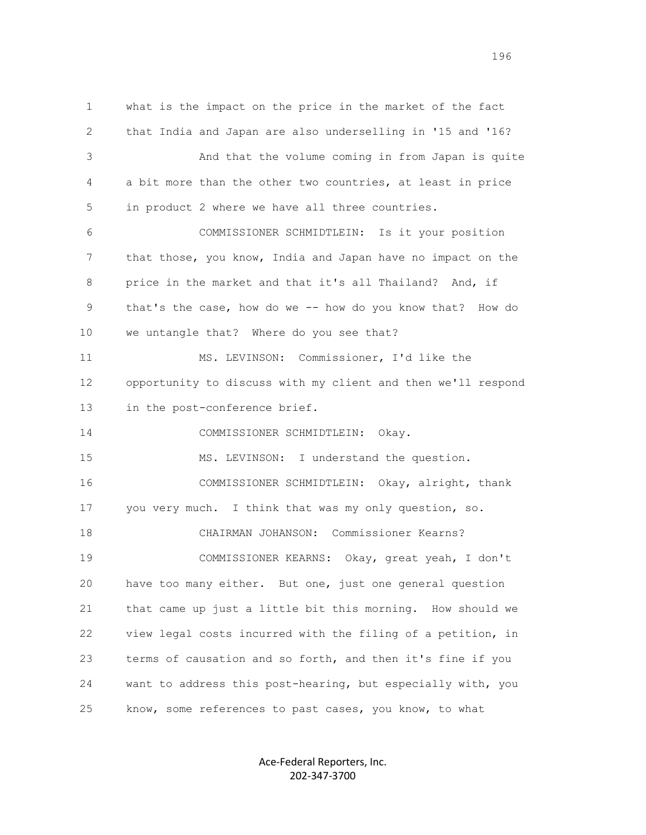1 what is the impact on the price in the market of the fact 2 that India and Japan are also underselling in '15 and '16? 3 And that the volume coming in from Japan is quite 4 a bit more than the other two countries, at least in price 5 in product 2 where we have all three countries. 6 COMMISSIONER SCHMIDTLEIN: Is it your position 7 that those, you know, India and Japan have no impact on the 8 price in the market and that it's all Thailand? And, if 9 that's the case, how do we -- how do you know that? How do 10 we untangle that? Where do you see that? 11 MS. LEVINSON: Commissioner, I'd like the 12 opportunity to discuss with my client and then we'll respond 13 in the post-conference brief. 14 COMMISSIONER SCHMIDTLEIN: Okay. 15 MS. LEVINSON: I understand the question. 16 COMMISSIONER SCHMIDTLEIN: Okay, alright, thank 17 you very much. I think that was my only question, so. 18 CHAIRMAN JOHANSON: Commissioner Kearns? 19 COMMISSIONER KEARNS: Okay, great yeah, I don't 20 have too many either. But one, just one general question 21 that came up just a little bit this morning. How should we 22 view legal costs incurred with the filing of a petition, in 23 terms of causation and so forth, and then it's fine if you 24 want to address this post-hearing, but especially with, you 25 know, some references to past cases, you know, to what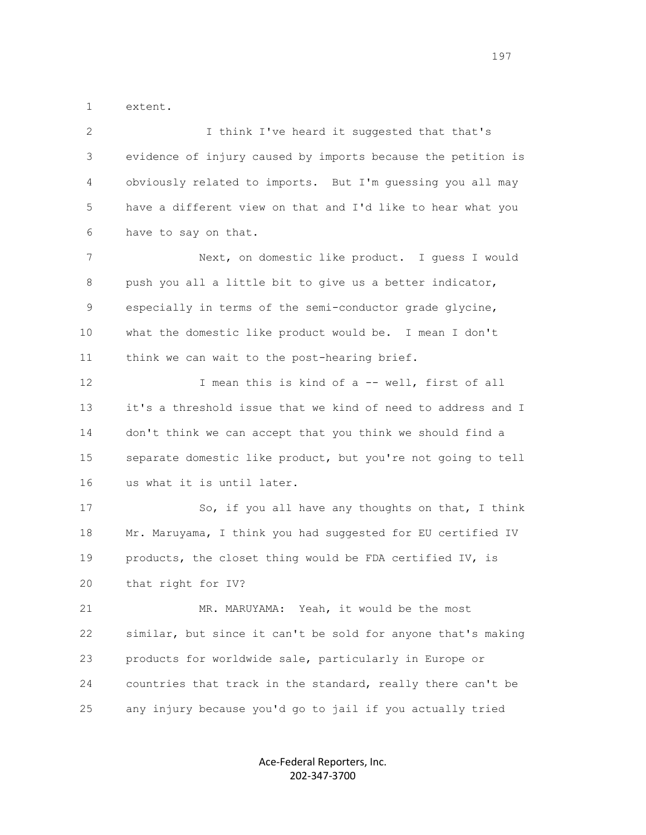1 extent.

| 2  | I think I've heard it suggested that that's                  |
|----|--------------------------------------------------------------|
| 3  | evidence of injury caused by imports because the petition is |
| 4  | obviously related to imports. But I'm quessing you all may   |
| 5  | have a different view on that and I'd like to hear what you  |
| 6  | have to say on that.                                         |
| 7  | Next, on domestic like product. I guess I would              |
| 8  | push you all a little bit to give us a better indicator,     |
| 9  | especially in terms of the semi-conductor grade glycine,     |
| 10 | what the domestic like product would be. I mean I don't      |
| 11 | think we can wait to the post-hearing brief.                 |
| 12 | I mean this is kind of a -- well, first of all               |
| 13 | it's a threshold issue that we kind of need to address and I |
| 14 | don't think we can accept that you think we should find a    |
| 15 | separate domestic like product, but you're not going to tell |
| 16 | us what it is until later.                                   |
| 17 | So, if you all have any thoughts on that, I think            |
| 18 | Mr. Maruyama, I think you had suggested for EU certified IV  |
| 19 | products, the closet thing would be FDA certified IV, is     |
| 20 | that right for IV?                                           |
| 21 | MR. MARUYAMA: Yeah, it would be the most                     |
| 22 | similar, but since it can't be sold for anyone that's making |
| 23 | products for worldwide sale, particularly in Europe or       |
| 24 | countries that track in the standard, really there can't be  |
| 25 | any injury because you'd go to jail if you actually tried    |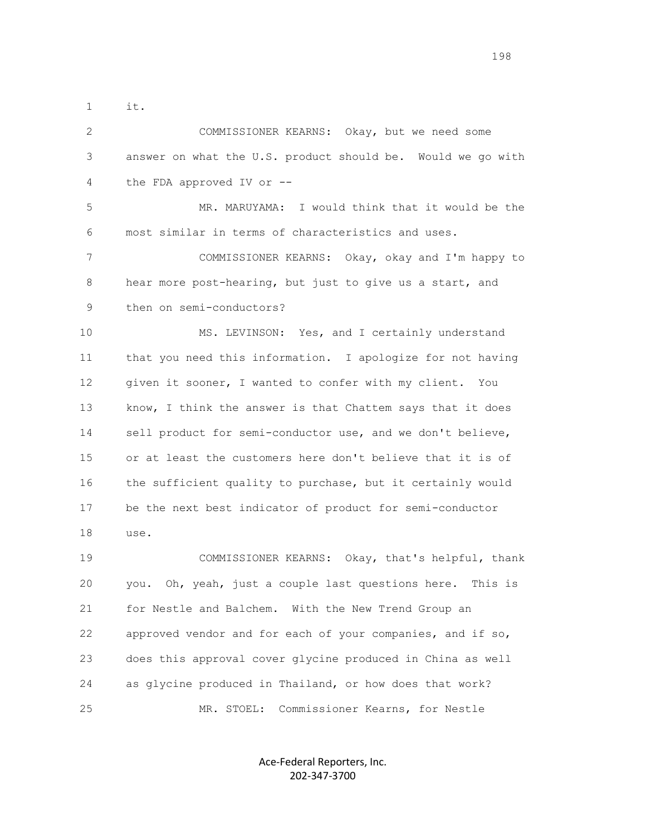1 it.

 2 COMMISSIONER KEARNS: Okay, but we need some 3 answer on what the U.S. product should be. Would we go with 4 the FDA approved IV or --

 5 MR. MARUYAMA: I would think that it would be the 6 most similar in terms of characteristics and uses.

 7 COMMISSIONER KEARNS: Okay, okay and I'm happy to 8 hear more post-hearing, but just to give us a start, and 9 then on semi-conductors?

 10 MS. LEVINSON: Yes, and I certainly understand 11 that you need this information. I apologize for not having 12 given it sooner, I wanted to confer with my client. You 13 know, I think the answer is that Chattem says that it does 14 sell product for semi-conductor use, and we don't believe, 15 or at least the customers here don't believe that it is of 16 the sufficient quality to purchase, but it certainly would 17 be the next best indicator of product for semi-conductor 18 use.

 19 COMMISSIONER KEARNS: Okay, that's helpful, thank 20 you. Oh, yeah, just a couple last questions here. This is 21 for Nestle and Balchem. With the New Trend Group an 22 approved vendor and for each of your companies, and if so, 23 does this approval cover glycine produced in China as well 24 as glycine produced in Thailand, or how does that work? 25 MR. STOEL: Commissioner Kearns, for Nestle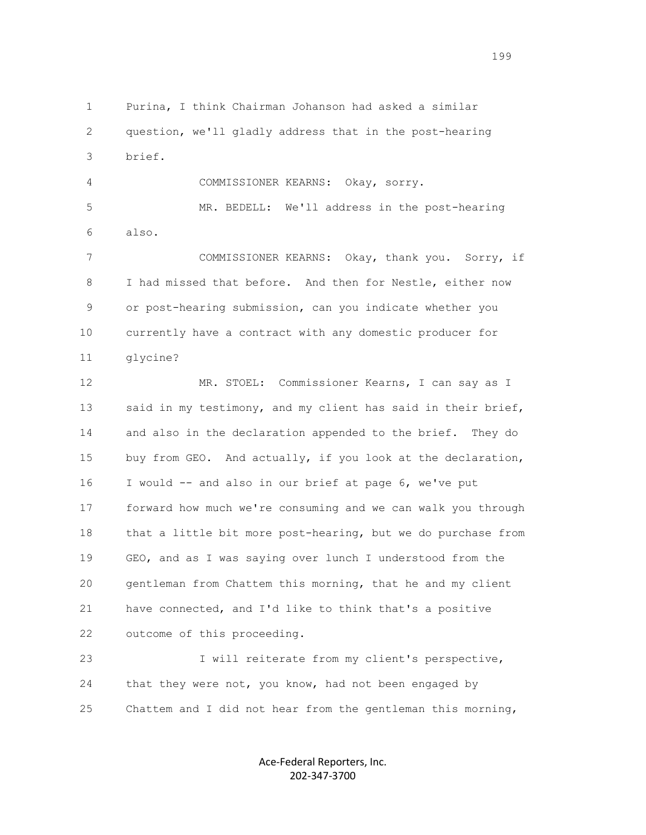1 Purina, I think Chairman Johanson had asked a similar 2 question, we'll gladly address that in the post-hearing 3 brief. 4 COMMISSIONER KEARNS: Okay, sorry. 5 MR. BEDELL: We'll address in the post-hearing 6 also. 7 COMMISSIONER KEARNS: Okay, thank you. Sorry, if 8 I had missed that before. And then for Nestle, either now 9 or post-hearing submission, can you indicate whether you 10 currently have a contract with any domestic producer for 11 glycine? 12 MR. STOEL: Commissioner Kearns, I can say as I 13 said in my testimony, and my client has said in their brief, 14 and also in the declaration appended to the brief. They do 15 buy from GEO. And actually, if you look at the declaration, 16 I would -- and also in our brief at page 6, we've put 17 forward how much we're consuming and we can walk you through

 18 that a little bit more post-hearing, but we do purchase from 19 GEO, and as I was saying over lunch I understood from the 20 gentleman from Chattem this morning, that he and my client 21 have connected, and I'd like to think that's a positive 22 outcome of this proceeding. 23 I will reiterate from my client's perspective,

 24 that they were not, you know, had not been engaged by 25 Chattem and I did not hear from the gentleman this morning,

> Ace-Federal Reporters, Inc. 202-347-3700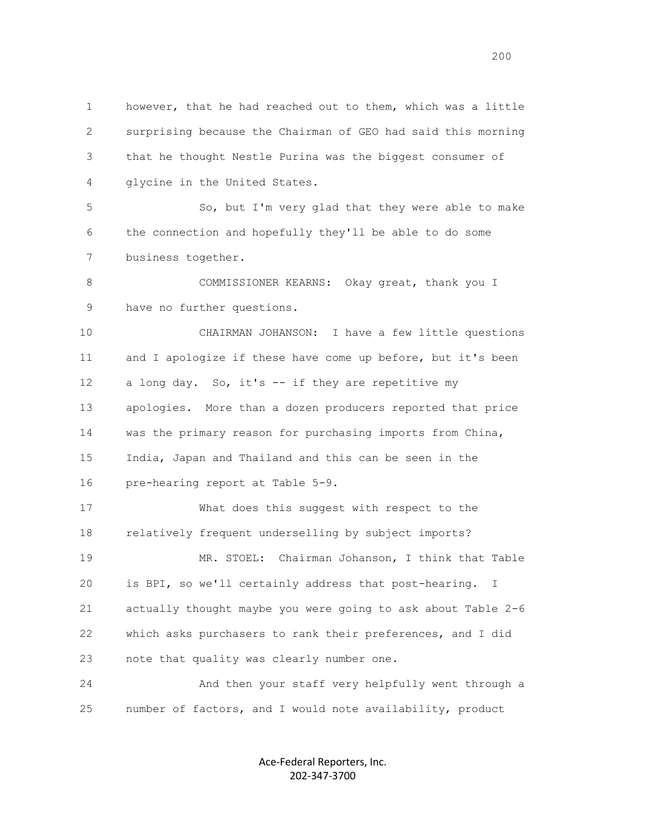1 however, that he had reached out to them, which was a little 2 surprising because the Chairman of GEO had said this morning 3 that he thought Nestle Purina was the biggest consumer of 4 glycine in the United States.

 5 So, but I'm very glad that they were able to make 6 the connection and hopefully they'll be able to do some 7 business together.

8 COMMISSIONER KEARNS: Okay great, thank you I 9 have no further questions.

 10 CHAIRMAN JOHANSON: I have a few little questions 11 and I apologize if these have come up before, but it's been 12 a long day. So, it's -- if they are repetitive my 13 apologies. More than a dozen producers reported that price 14 was the primary reason for purchasing imports from China, 15 India, Japan and Thailand and this can be seen in the 16 pre-hearing report at Table 5-9.

 17 What does this suggest with respect to the 18 relatively frequent underselling by subject imports? 19 MR. STOEL: Chairman Johanson, I think that Table 20 is BPI, so we'll certainly address that post-hearing. I 21 actually thought maybe you were going to ask about Table 2-6 22 which asks purchasers to rank their preferences, and I did 23 note that quality was clearly number one.

 24 And then your staff very helpfully went through a 25 number of factors, and I would note availability, product

> Ace-Federal Reporters, Inc. 202-347-3700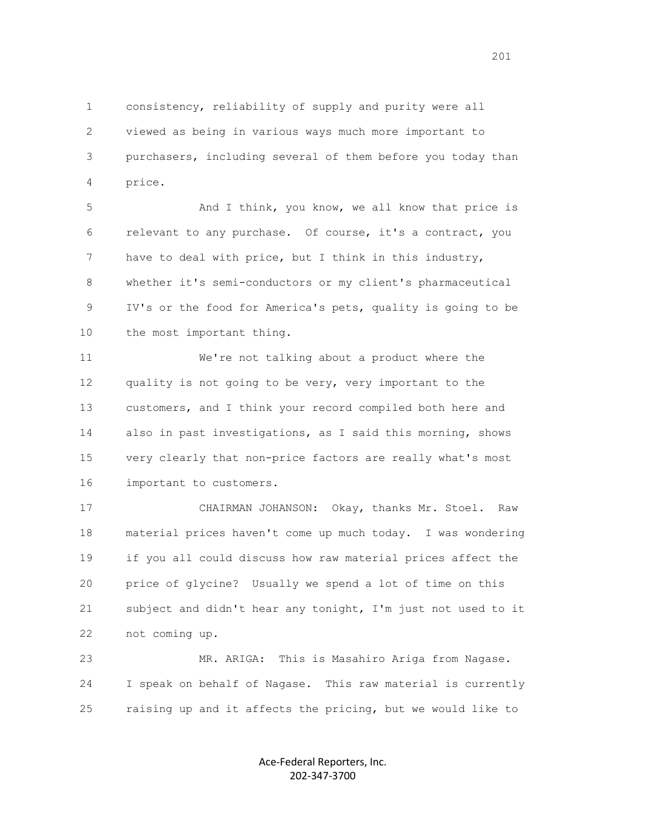1 consistency, reliability of supply and purity were all 2 viewed as being in various ways much more important to 3 purchasers, including several of them before you today than 4 price.

5 And I think, you know, we all know that price is 6 relevant to any purchase. Of course, it's a contract, you 7 have to deal with price, but I think in this industry, 8 whether it's semi-conductors or my client's pharmaceutical 9 IV's or the food for America's pets, quality is going to be 10 the most important thing.

 11 We're not talking about a product where the 12 quality is not going to be very, very important to the 13 customers, and I think your record compiled both here and 14 also in past investigations, as I said this morning, shows 15 very clearly that non-price factors are really what's most 16 important to customers.

 17 CHAIRMAN JOHANSON: Okay, thanks Mr. Stoel. Raw 18 material prices haven't come up much today. I was wondering 19 if you all could discuss how raw material prices affect the 20 price of glycine? Usually we spend a lot of time on this 21 subject and didn't hear any tonight, I'm just not used to it 22 not coming up.

 23 MR. ARIGA: This is Masahiro Ariga from Nagase. 24 I speak on behalf of Nagase. This raw material is currently 25 raising up and it affects the pricing, but we would like to

> Ace-Federal Reporters, Inc. 202-347-3700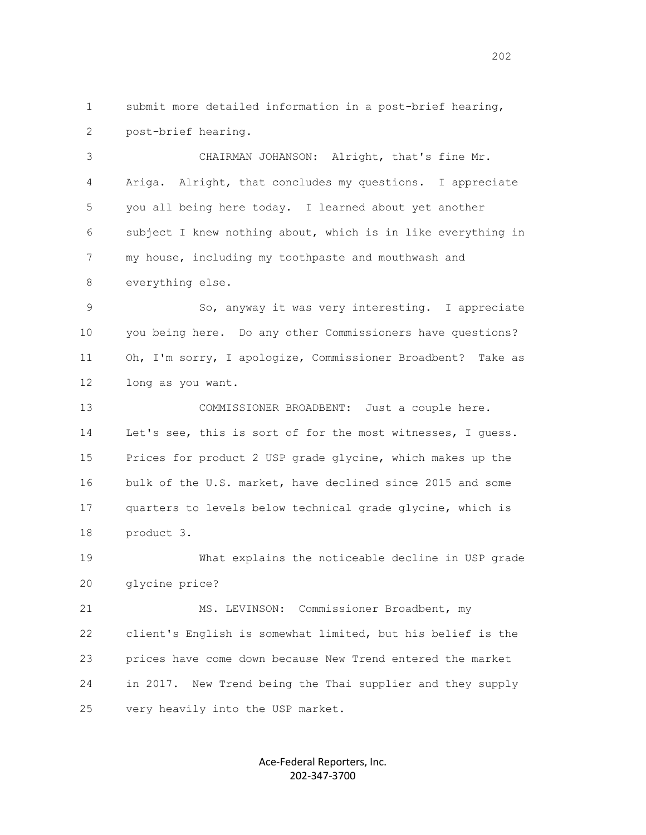1 submit more detailed information in a post-brief hearing, 2 post-brief hearing.

 3 CHAIRMAN JOHANSON: Alright, that's fine Mr. 4 Ariga. Alright, that concludes my questions. I appreciate 5 you all being here today. I learned about yet another 6 subject I knew nothing about, which is in like everything in 7 my house, including my toothpaste and mouthwash and 8 everything else.

 9 So, anyway it was very interesting. I appreciate 10 you being here. Do any other Commissioners have questions? 11 Oh, I'm sorry, I apologize, Commissioner Broadbent? Take as 12 long as you want.

 13 COMMISSIONER BROADBENT: Just a couple here. 14 Let's see, this is sort of for the most witnesses, I guess. 15 Prices for product 2 USP grade glycine, which makes up the 16 bulk of the U.S. market, have declined since 2015 and some 17 quarters to levels below technical grade glycine, which is 18 product 3.

 19 What explains the noticeable decline in USP grade 20 glycine price?

 21 MS. LEVINSON: Commissioner Broadbent, my 22 client's English is somewhat limited, but his belief is the 23 prices have come down because New Trend entered the market 24 in 2017. New Trend being the Thai supplier and they supply 25 very heavily into the USP market.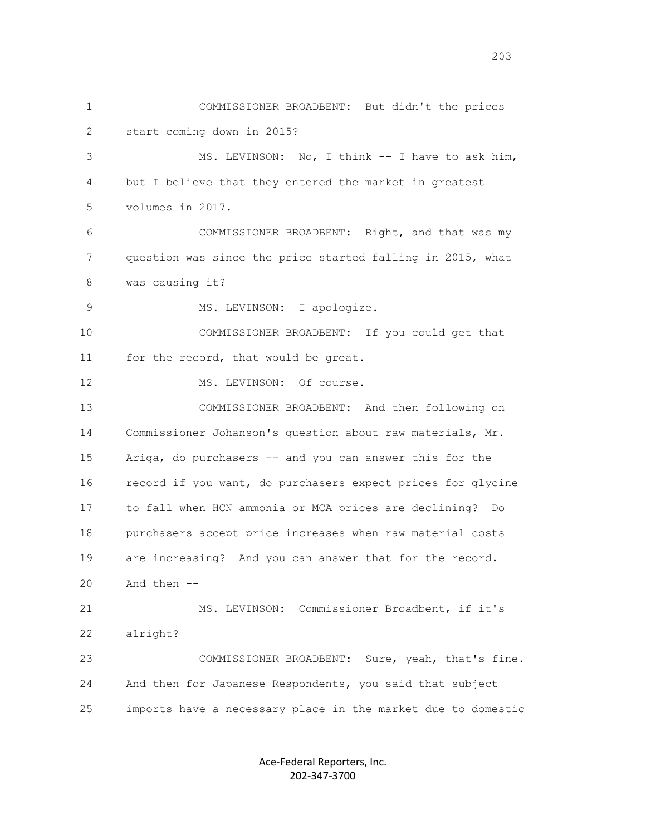1 COMMISSIONER BROADBENT: But didn't the prices 2 start coming down in 2015? 3 MS. LEVINSON: No, I think -- I have to ask him, 4 but I believe that they entered the market in greatest 5 volumes in 2017. 6 COMMISSIONER BROADBENT: Right, and that was my 7 question was since the price started falling in 2015, what 8 was causing it? 9 MS. LEVINSON: I apologize. 10 COMMISSIONER BROADBENT: If you could get that 11 for the record, that would be great. 12 MS. LEVINSON: Of course. 13 COMMISSIONER BROADBENT: And then following on 14 Commissioner Johanson's question about raw materials, Mr. 15 Ariga, do purchasers -- and you can answer this for the 16 record if you want, do purchasers expect prices for glycine 17 to fall when HCN ammonia or MCA prices are declining? Do 18 purchasers accept price increases when raw material costs 19 are increasing? And you can answer that for the record.  $20$  And then  $-$  21 MS. LEVINSON: Commissioner Broadbent, if it's 22 alright? 23 COMMISSIONER BROADBENT: Sure, yeah, that's fine. 24 And then for Japanese Respondents, you said that subject 25 imports have a necessary place in the market due to domestic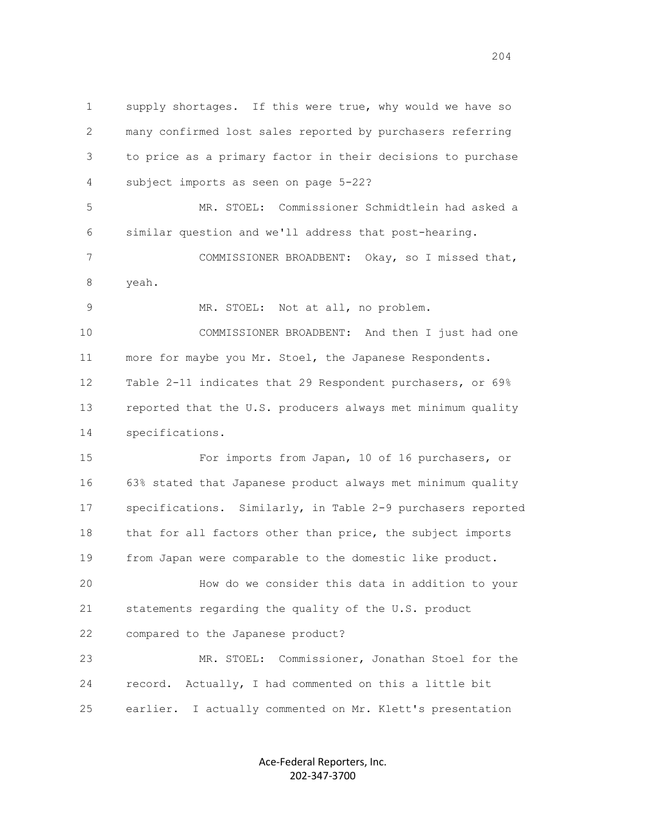1 supply shortages. If this were true, why would we have so 2 many confirmed lost sales reported by purchasers referring 3 to price as a primary factor in their decisions to purchase 4 subject imports as seen on page 5-22? 5 MR. STOEL: Commissioner Schmidtlein had asked a 6 similar question and we'll address that post-hearing. 7 COMMISSIONER BROADBENT: Okay, so I missed that, 8 yeah. 9 MR. STOEL: Not at all, no problem. 10 COMMISSIONER BROADBENT: And then I just had one 11 more for maybe you Mr. Stoel, the Japanese Respondents.

 12 Table 2-11 indicates that 29 Respondent purchasers, or 69% 13 reported that the U.S. producers always met minimum quality 14 specifications.

 15 For imports from Japan, 10 of 16 purchasers, or 16 63% stated that Japanese product always met minimum quality 17 specifications. Similarly, in Table 2-9 purchasers reported 18 that for all factors other than price, the subject imports 19 from Japan were comparable to the domestic like product.

 20 How do we consider this data in addition to your 21 statements regarding the quality of the U.S. product 22 compared to the Japanese product?

 23 MR. STOEL: Commissioner, Jonathan Stoel for the 24 record. Actually, I had commented on this a little bit 25 earlier. I actually commented on Mr. Klett's presentation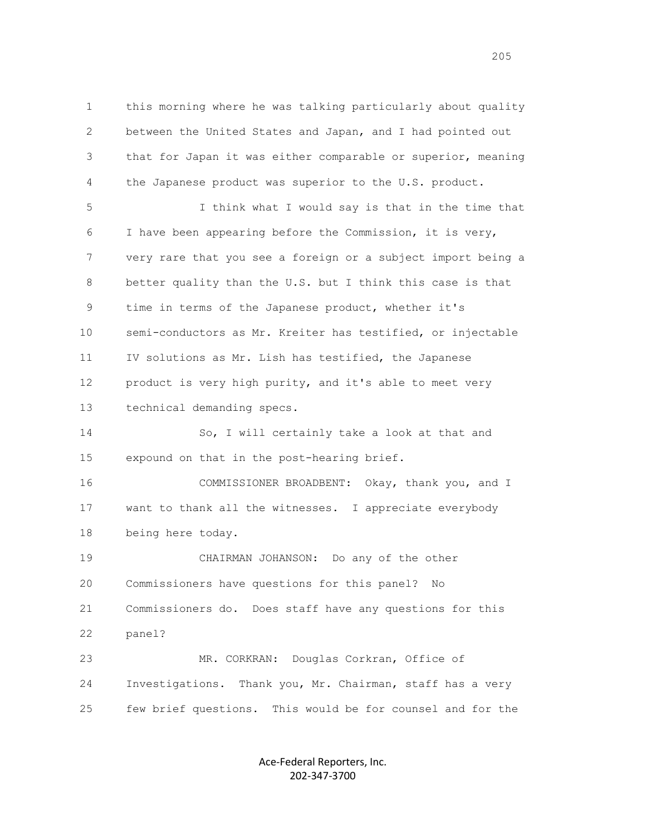1 this morning where he was talking particularly about quality 2 between the United States and Japan, and I had pointed out 3 that for Japan it was either comparable or superior, meaning 4 the Japanese product was superior to the U.S. product.

 5 I think what I would say is that in the time that 6 I have been appearing before the Commission, it is very, 7 very rare that you see a foreign or a subject import being a 8 better quality than the U.S. but I think this case is that 9 time in terms of the Japanese product, whether it's 10 semi-conductors as Mr. Kreiter has testified, or injectable 11 IV solutions as Mr. Lish has testified, the Japanese 12 product is very high purity, and it's able to meet very 13 technical demanding specs.

 14 So, I will certainly take a look at that and 15 expound on that in the post-hearing brief.

 16 COMMISSIONER BROADBENT: Okay, thank you, and I 17 want to thank all the witnesses. I appreciate everybody 18 being here today.

 19 CHAIRMAN JOHANSON: Do any of the other 20 Commissioners have questions for this panel? No 21 Commissioners do. Does staff have any questions for this 22 panel? 23 MR. CORKRAN: Douglas Corkran, Office of

 24 Investigations. Thank you, Mr. Chairman, staff has a very 25 few brief questions. This would be for counsel and for the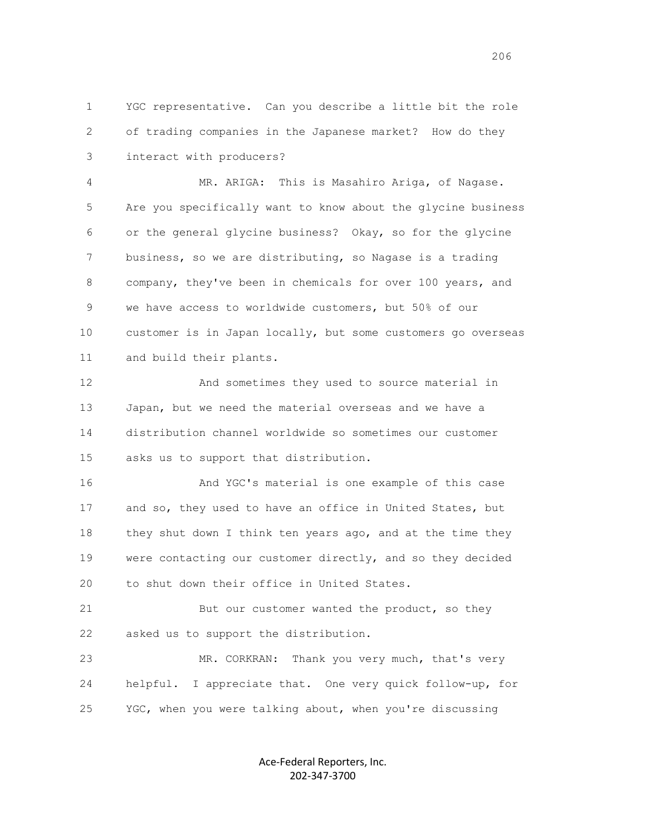1 YGC representative. Can you describe a little bit the role 2 of trading companies in the Japanese market? How do they 3 interact with producers?

 4 MR. ARIGA: This is Masahiro Ariga, of Nagase. 5 Are you specifically want to know about the glycine business 6 or the general glycine business? Okay, so for the glycine 7 business, so we are distributing, so Nagase is a trading 8 company, they've been in chemicals for over 100 years, and 9 we have access to worldwide customers, but 50% of our 10 customer is in Japan locally, but some customers go overseas 11 and build their plants.

 12 And sometimes they used to source material in 13 Japan, but we need the material overseas and we have a 14 distribution channel worldwide so sometimes our customer 15 asks us to support that distribution.

 16 And YGC's material is one example of this case 17 and so, they used to have an office in United States, but 18 they shut down I think ten years ago, and at the time they 19 were contacting our customer directly, and so they decided 20 to shut down their office in United States.

21 But our customer wanted the product, so they 22 asked us to support the distribution.

 23 MR. CORKRAN: Thank you very much, that's very 24 helpful. I appreciate that. One very quick follow-up, for 25 YGC, when you were talking about, when you're discussing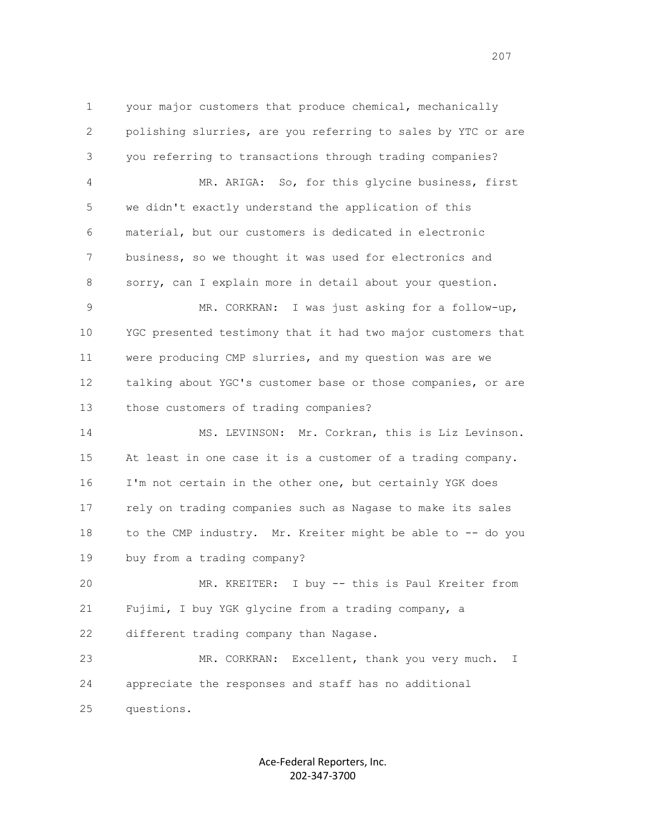1 your major customers that produce chemical, mechanically 2 polishing slurries, are you referring to sales by YTC or are 3 you referring to transactions through trading companies? 4 MR. ARIGA: So, for this glycine business, first 5 we didn't exactly understand the application of this 6 material, but our customers is dedicated in electronic 7 business, so we thought it was used for electronics and 8 sorry, can I explain more in detail about your question. 9 MR. CORKRAN: I was just asking for a follow-up, 10 YGC presented testimony that it had two major customers that

 11 were producing CMP slurries, and my question was are we 12 talking about YGC's customer base or those companies, or are 13 those customers of trading companies?

 14 MS. LEVINSON: Mr. Corkran, this is Liz Levinson. 15 At least in one case it is a customer of a trading company. 16 I'm not certain in the other one, but certainly YGK does 17 rely on trading companies such as Nagase to make its sales 18 to the CMP industry. Mr. Kreiter might be able to -- do you 19 buy from a trading company?

 20 MR. KREITER: I buy -- this is Paul Kreiter from 21 Fujimi, I buy YGK glycine from a trading company, a 22 different trading company than Nagase.

 23 MR. CORKRAN: Excellent, thank you very much. I 24 appreciate the responses and staff has no additional 25 questions.

> Ace-Federal Reporters, Inc. 202-347-3700

<u>207</u> — 207 година и 207 година и 207 година и 207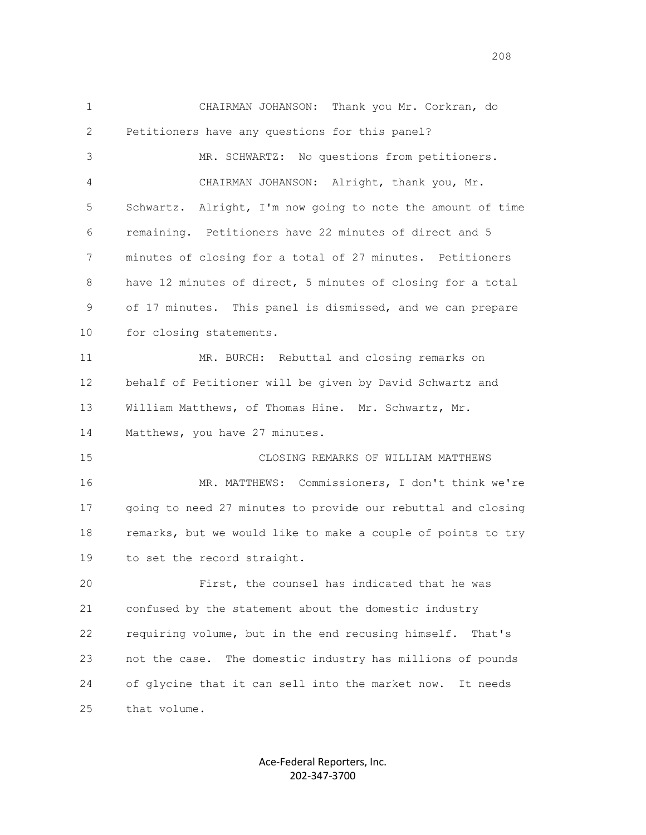1 CHAIRMAN JOHANSON: Thank you Mr. Corkran, do 2 Petitioners have any questions for this panel? 3 MR. SCHWARTZ: No questions from petitioners. 4 CHAIRMAN JOHANSON: Alright, thank you, Mr. 5 Schwartz. Alright, I'm now going to note the amount of time 6 remaining. Petitioners have 22 minutes of direct and 5 7 minutes of closing for a total of 27 minutes. Petitioners 8 have 12 minutes of direct, 5 minutes of closing for a total 9 of 17 minutes. This panel is dismissed, and we can prepare 10 for closing statements. 11 MR. BURCH: Rebuttal and closing remarks on 12 behalf of Petitioner will be given by David Schwartz and 13 William Matthews, of Thomas Hine. Mr. Schwartz, Mr. 14 Matthews, you have 27 minutes. 15 CLOSING REMARKS OF WILLIAM MATTHEWS 16 MR. MATTHEWS: Commissioners, I don't think we're 17 going to need 27 minutes to provide our rebuttal and closing 18 remarks, but we would like to make a couple of points to try 19 to set the record straight. 20 First, the counsel has indicated that he was 21 confused by the statement about the domestic industry 22 requiring volume, but in the end recusing himself. That's 23 not the case. The domestic industry has millions of pounds 24 of glycine that it can sell into the market now. It needs 25 that volume.

> Ace-Federal Reporters, Inc. 202-347-3700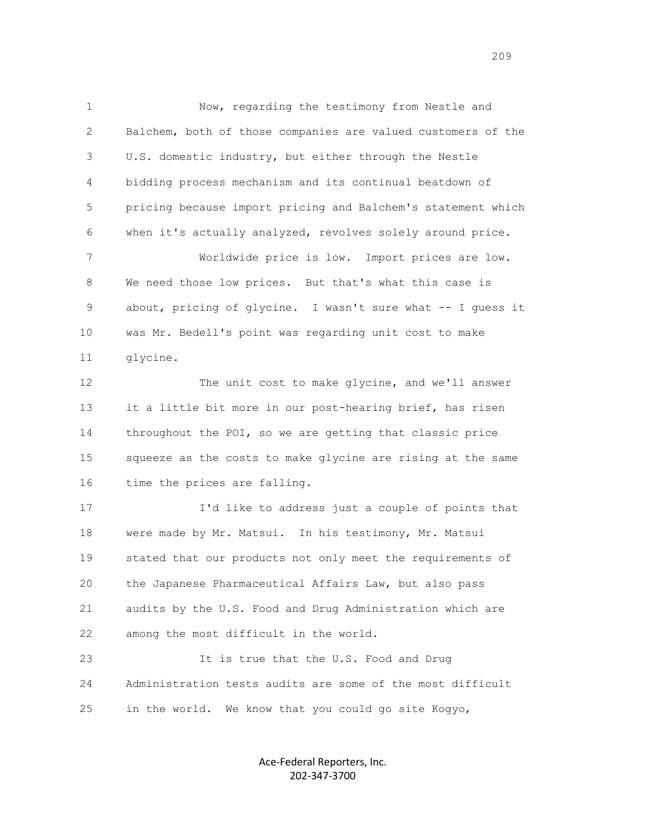1 Now, regarding the testimony from Nestle and 2 Balchem, both of those companies are valued customers of the 3 U.S. domestic industry, but either through the Nestle 4 bidding process mechanism and its continual beatdown of 5 pricing because import pricing and Balchem's statement which 6 when it's actually analyzed, revolves solely around price. 7 Worldwide price is low. Import prices are low. 8 We need those low prices. But that's what this case is

 9 about, pricing of glycine. I wasn't sure what -- I guess it 10 was Mr. Bedell's point was regarding unit cost to make 11 glycine.

 12 The unit cost to make glycine, and we'll answer 13 it a little bit more in our post-hearing brief, has risen 14 throughout the POI, so we are getting that classic price 15 squeeze as the costs to make glycine are rising at the same 16 time the prices are falling.

 17 I'd like to address just a couple of points that 18 were made by Mr. Matsui. In his testimony, Mr. Matsui 19 stated that our products not only meet the requirements of 20 the Japanese Pharmaceutical Affairs Law, but also pass 21 audits by the U.S. Food and Drug Administration which are 22 among the most difficult in the world.

 23 It is true that the U.S. Food and Drug 24 Administration tests audits are some of the most difficult 25 in the world. We know that you could go site Kogyo,

> Ace-Federal Reporters, Inc. 202-347-3700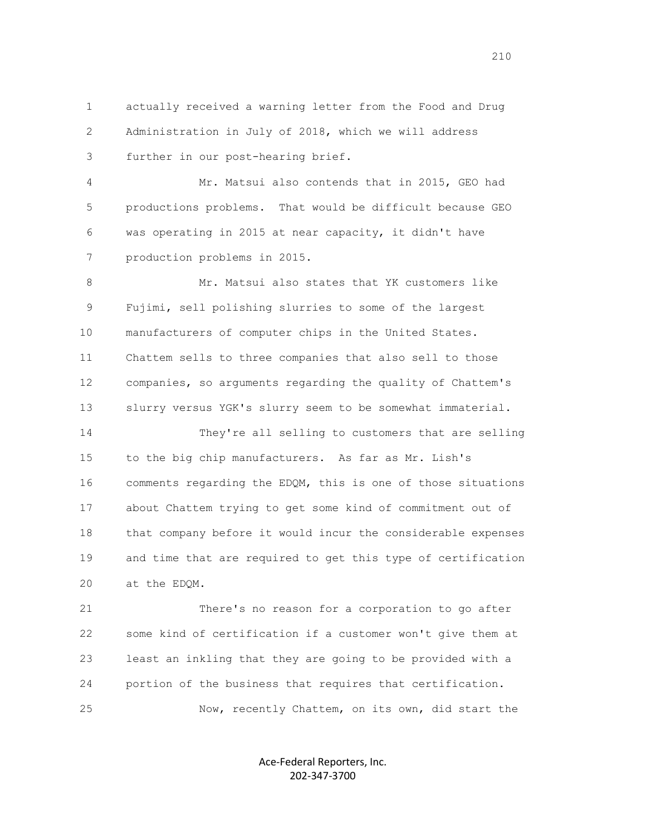1 actually received a warning letter from the Food and Drug 2 Administration in July of 2018, which we will address 3 further in our post-hearing brief.

 4 Mr. Matsui also contends that in 2015, GEO had 5 productions problems. That would be difficult because GEO 6 was operating in 2015 at near capacity, it didn't have 7 production problems in 2015.

8 Mr. Matsui also states that YK customers like 9 Fujimi, sell polishing slurries to some of the largest 10 manufacturers of computer chips in the United States. 11 Chattem sells to three companies that also sell to those 12 companies, so arguments regarding the quality of Chattem's 13 slurry versus YGK's slurry seem to be somewhat immaterial.

 14 They're all selling to customers that are selling 15 to the big chip manufacturers. As far as Mr. Lish's 16 comments regarding the EDQM, this is one of those situations 17 about Chattem trying to get some kind of commitment out of 18 that company before it would incur the considerable expenses 19 and time that are required to get this type of certification 20 at the EDQM.

 21 There's no reason for a corporation to go after 22 some kind of certification if a customer won't give them at 23 least an inkling that they are going to be provided with a 24 portion of the business that requires that certification. 25 Now, recently Chattem, on its own, did start the

> Ace-Federal Reporters, Inc. 202-347-3700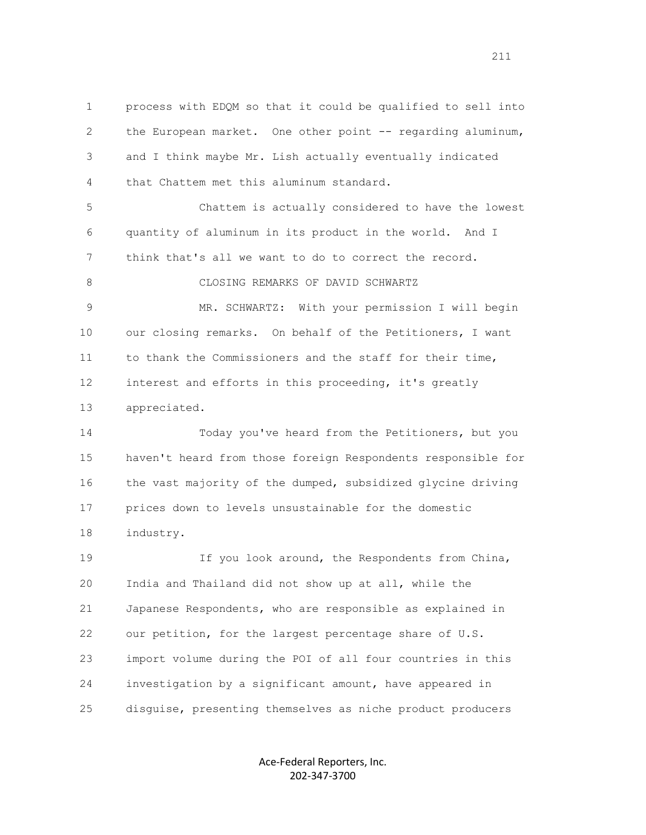1 process with EDQM so that it could be qualified to sell into 2 the European market. One other point -- regarding aluminum, 3 and I think maybe Mr. Lish actually eventually indicated 4 that Chattem met this aluminum standard.

 5 Chattem is actually considered to have the lowest 6 quantity of aluminum in its product in the world. And I 7 think that's all we want to do to correct the record.

8 CLOSING REMARKS OF DAVID SCHWARTZ

 9 MR. SCHWARTZ: With your permission I will begin 10 our closing remarks. On behalf of the Petitioners, I want 11 to thank the Commissioners and the staff for their time, 12 interest and efforts in this proceeding, it's greatly 13 appreciated.

 14 Today you've heard from the Petitioners, but you 15 haven't heard from those foreign Respondents responsible for 16 the vast majority of the dumped, subsidized glycine driving 17 prices down to levels unsustainable for the domestic 18 industry.

 19 If you look around, the Respondents from China, 20 India and Thailand did not show up at all, while the 21 Japanese Respondents, who are responsible as explained in 22 our petition, for the largest percentage share of U.S. 23 import volume during the POI of all four countries in this 24 investigation by a significant amount, have appeared in 25 disquise, presenting themselves as niche product producers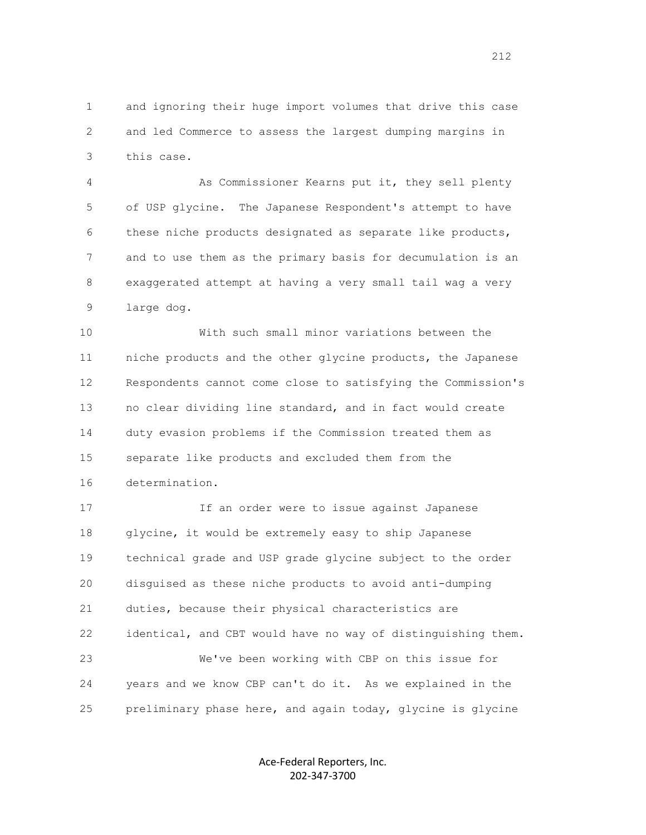1 and ignoring their huge import volumes that drive this case 2 and led Commerce to assess the largest dumping margins in 3 this case.

 4 As Commissioner Kearns put it, they sell plenty 5 of USP glycine. The Japanese Respondent's attempt to have 6 these niche products designated as separate like products, 7 and to use them as the primary basis for decumulation is an 8 exaggerated attempt at having a very small tail wag a very 9 large dog.

 10 With such small minor variations between the 11 niche products and the other glycine products, the Japanese 12 Respondents cannot come close to satisfying the Commission's 13 no clear dividing line standard, and in fact would create 14 duty evasion problems if the Commission treated them as 15 separate like products and excluded them from the 16 determination.

 17 If an order were to issue against Japanese 18 glycine, it would be extremely easy to ship Japanese 19 technical grade and USP grade glycine subject to the order 20 disguised as these niche products to avoid anti-dumping 21 duties, because their physical characteristics are 22 identical, and CBT would have no way of distinguishing them. 23 We've been working with CBP on this issue for 24 years and we know CBP can't do it. As we explained in the 25 preliminary phase here, and again today, glycine is glycine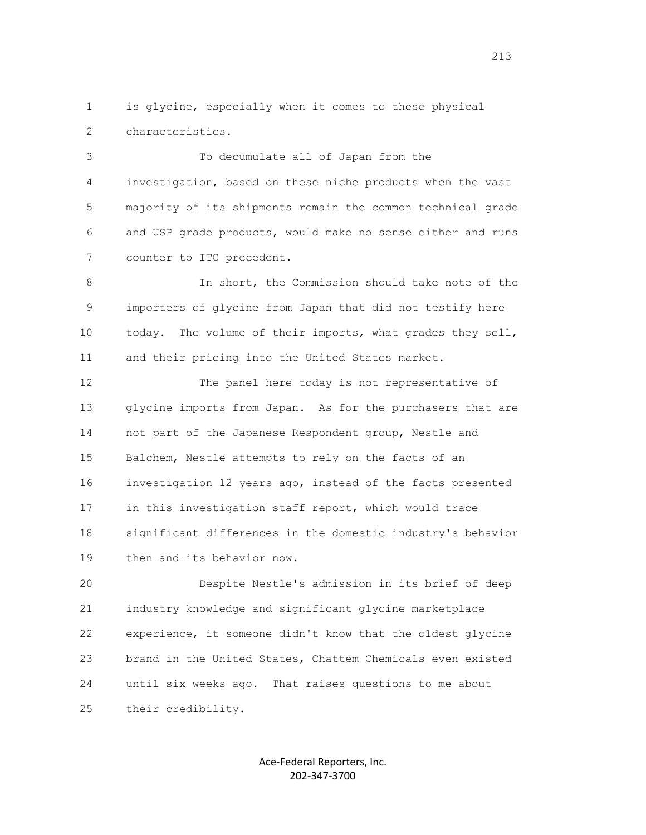1 is glycine, especially when it comes to these physical 2 characteristics.

 3 To decumulate all of Japan from the 4 investigation, based on these niche products when the vast 5 majority of its shipments remain the common technical grade 6 and USP grade products, would make no sense either and runs 7 counter to ITC precedent.

 8 In short, the Commission should take note of the 9 importers of glycine from Japan that did not testify here 10 today. The volume of their imports, what grades they sell, 11 and their pricing into the United States market.

 12 The panel here today is not representative of 13 glycine imports from Japan. As for the purchasers that are 14 not part of the Japanese Respondent group, Nestle and 15 Balchem, Nestle attempts to rely on the facts of an 16 investigation 12 years ago, instead of the facts presented 17 in this investigation staff report, which would trace 18 significant differences in the domestic industry's behavior 19 then and its behavior now.

 20 Despite Nestle's admission in its brief of deep 21 industry knowledge and significant glycine marketplace 22 experience, it someone didn't know that the oldest glycine 23 brand in the United States, Chattem Chemicals even existed 24 until six weeks ago. That raises questions to me about 25 their credibility.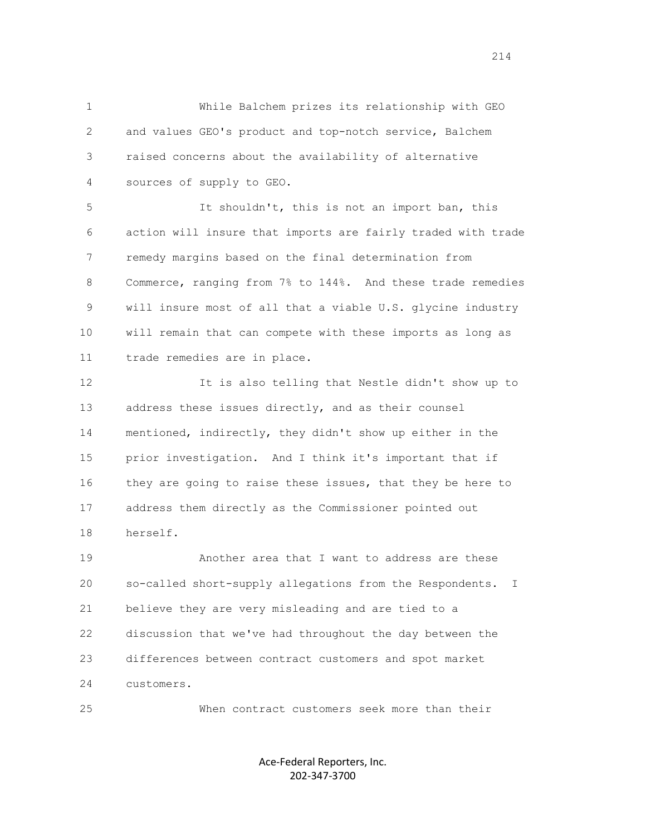1 While Balchem prizes its relationship with GEO 2 and values GEO's product and top-notch service, Balchem 3 raised concerns about the availability of alternative 4 sources of supply to GEO.

 5 It shouldn't, this is not an import ban, this 6 action will insure that imports are fairly traded with trade 7 remedy margins based on the final determination from 8 Commerce, ranging from 7% to 144%. And these trade remedies 9 will insure most of all that a viable U.S. glycine industry 10 will remain that can compete with these imports as long as 11 trade remedies are in place.

 12 It is also telling that Nestle didn't show up to 13 address these issues directly, and as their counsel 14 mentioned, indirectly, they didn't show up either in the 15 prior investigation. And I think it's important that if 16 they are going to raise these issues, that they be here to 17 address them directly as the Commissioner pointed out 18 herself.

 19 Another area that I want to address are these 20 so-called short-supply allegations from the Respondents. I 21 believe they are very misleading and are tied to a 22 discussion that we've had throughout the day between the 23 differences between contract customers and spot market 24 customers.

25 When contract customers seek more than their

Ace-Federal Reporters, Inc. 202-347-3700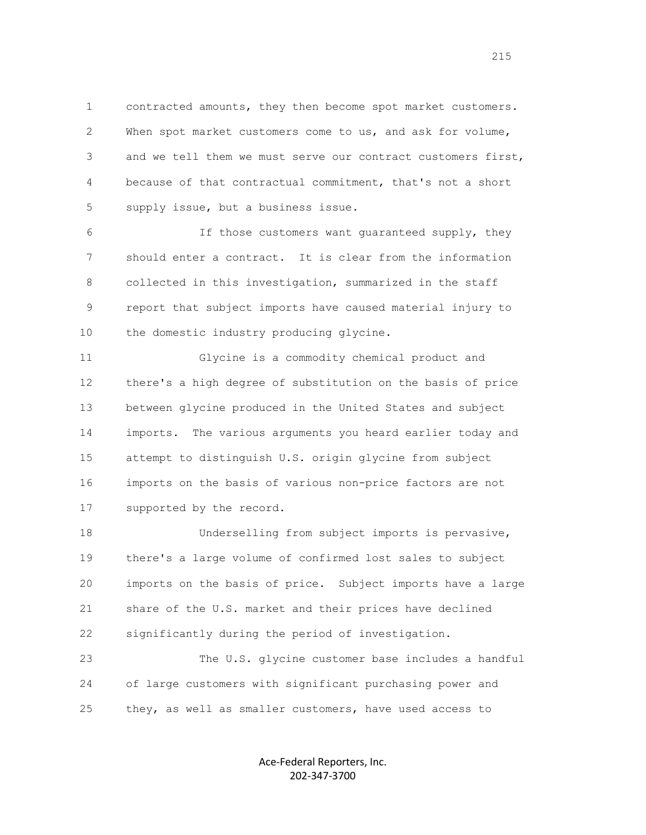1 contracted amounts, they then become spot market customers. 2 When spot market customers come to us, and ask for volume, 3 and we tell them we must serve our contract customers first, 4 because of that contractual commitment, that's not a short 5 supply issue, but a business issue.

 6 If those customers want guaranteed supply, they 7 should enter a contract. It is clear from the information 8 collected in this investigation, summarized in the staff 9 report that subject imports have caused material injury to 10 the domestic industry producing glycine.

 11 Glycine is a commodity chemical product and 12 there's a high degree of substitution on the basis of price 13 between glycine produced in the United States and subject 14 imports. The various arguments you heard earlier today and 15 attempt to distinguish U.S. origin glycine from subject 16 imports on the basis of various non-price factors are not 17 supported by the record.

 18 Underselling from subject imports is pervasive, 19 there's a large volume of confirmed lost sales to subject 20 imports on the basis of price. Subject imports have a large 21 share of the U.S. market and their prices have declined 22 significantly during the period of investigation.

 23 The U.S. glycine customer base includes a handful 24 of large customers with significant purchasing power and 25 they, as well as smaller customers, have used access to

> Ace-Federal Reporters, Inc. 202-347-3700

<u>215</u>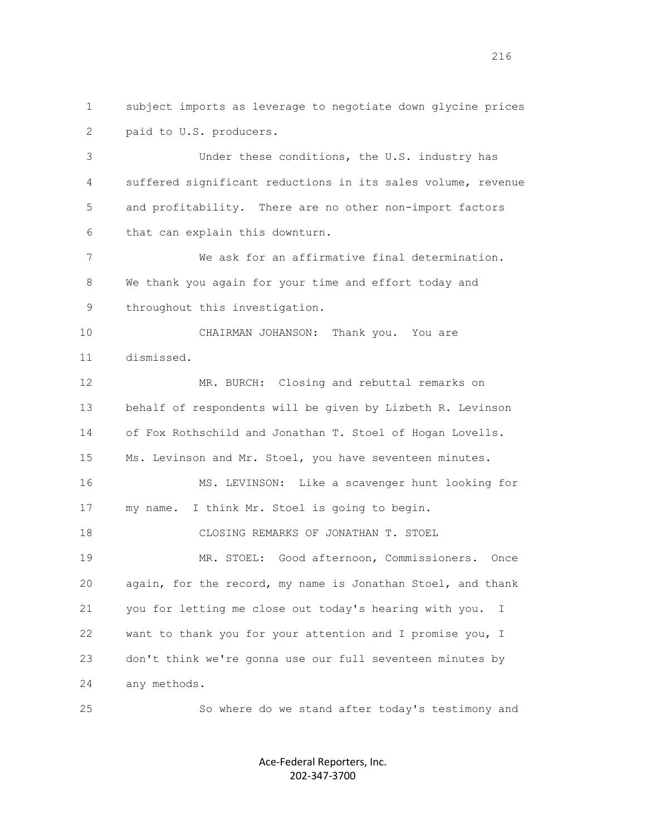1 subject imports as leverage to negotiate down glycine prices 2 paid to U.S. producers.

 3 Under these conditions, the U.S. industry has 4 suffered significant reductions in its sales volume, revenue 5 and profitability. There are no other non-import factors 6 that can explain this downturn.

 7 We ask for an affirmative final determination. 8 We thank you again for your time and effort today and 9 throughout this investigation.

 10 CHAIRMAN JOHANSON: Thank you. You are 11 dismissed.

 12 MR. BURCH: Closing and rebuttal remarks on 13 behalf of respondents will be given by Lizbeth R. Levinson 14 of Fox Rothschild and Jonathan T. Stoel of Hogan Lovells. 15 Ms. Levinson and Mr. Stoel, you have seventeen minutes. 16 MS. LEVINSON: Like a scavenger hunt looking for 17 my name. I think Mr. Stoel is going to begin. 18 CLOSING REMARKS OF JONATHAN T. STOEL 19 MR. STOEL: Good afternoon, Commissioners. Once 20 again, for the record, my name is Jonathan Stoel, and thank 21 you for letting me close out today's hearing with you. I 22 want to thank you for your attention and I promise you, I 23 don't think we're gonna use our full seventeen minutes by 24 any methods.

25 So where do we stand after today's testimony and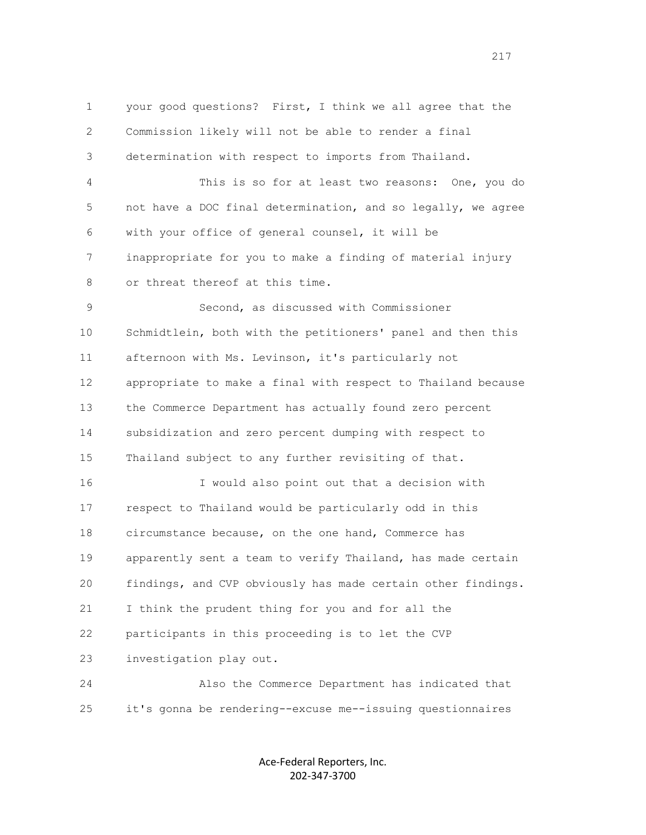1 your good questions? First, I think we all agree that the 2 Commission likely will not be able to render a final 3 determination with respect to imports from Thailand. 4 This is so for at least two reasons: One, you do 5 not have a DOC final determination, and so legally, we agree 6 with your office of general counsel, it will be 7 inappropriate for you to make a finding of material injury 8 or threat thereof at this time. 9 Second, as discussed with Commissioner 10 Schmidtlein, both with the petitioners' panel and then this 11 afternoon with Ms. Levinson, it's particularly not 12 appropriate to make a final with respect to Thailand because 13 the Commerce Department has actually found zero percent 14 subsidization and zero percent dumping with respect to 15 Thailand subject to any further revisiting of that. 16 I would also point out that a decision with 17 respect to Thailand would be particularly odd in this 18 circumstance because, on the one hand, Commerce has 19 apparently sent a team to verify Thailand, has made certain 20 findings, and CVP obviously has made certain other findings. 21 I think the prudent thing for you and for all the 22 participants in this proceeding is to let the CVP 23 investigation play out. 24 Also the Commerce Department has indicated that

> Ace-Federal Reporters, Inc. 202-347-3700

25 it's gonna be rendering--excuse me--issuing questionnaires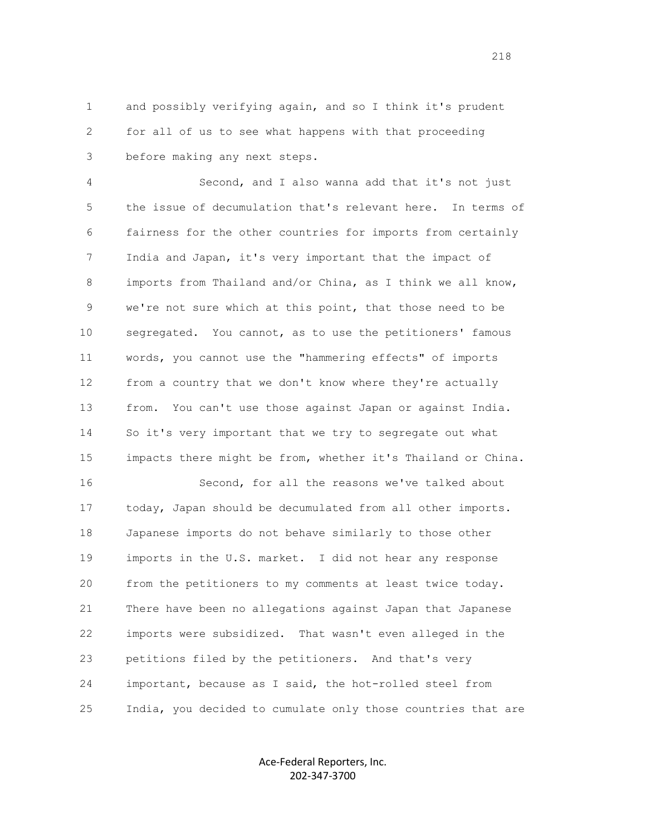1 and possibly verifying again, and so I think it's prudent 2 for all of us to see what happens with that proceeding 3 before making any next steps.

 4 Second, and I also wanna add that it's not just 5 the issue of decumulation that's relevant here. In terms of 6 fairness for the other countries for imports from certainly 7 India and Japan, it's very important that the impact of 8 imports from Thailand and/or China, as I think we all know, 9 we're not sure which at this point, that those need to be 10 segregated. You cannot, as to use the petitioners' famous 11 words, you cannot use the "hammering effects" of imports 12 from a country that we don't know where they're actually 13 from. You can't use those against Japan or against India. 14 So it's very important that we try to segregate out what 15 impacts there might be from, whether it's Thailand or China.

 16 Second, for all the reasons we've talked about 17 today, Japan should be decumulated from all other imports. 18 Japanese imports do not behave similarly to those other 19 imports in the U.S. market. I did not hear any response 20 from the petitioners to my comments at least twice today. 21 There have been no allegations against Japan that Japanese 22 imports were subsidized. That wasn't even alleged in the 23 petitions filed by the petitioners. And that's very 24 important, because as I said, the hot-rolled steel from 25 India, you decided to cumulate only those countries that are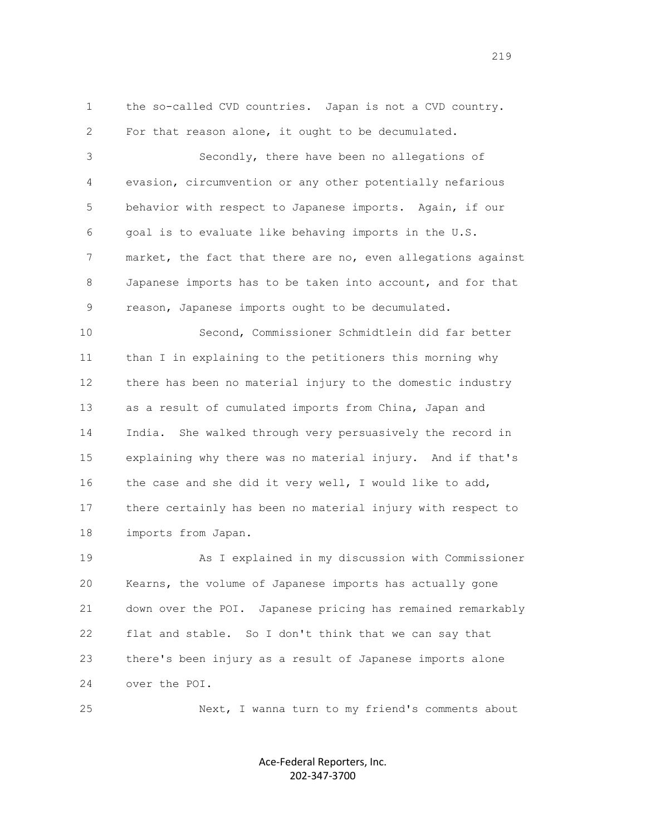1 the so-called CVD countries. Japan is not a CVD country. 2 For that reason alone, it ought to be decumulated. 3 Secondly, there have been no allegations of 4 evasion, circumvention or any other potentially nefarious 5 behavior with respect to Japanese imports. Again, if our 6 goal is to evaluate like behaving imports in the U.S. 7 market, the fact that there are no, even allegations against 8 Japanese imports has to be taken into account, and for that 9 reason, Japanese imports ought to be decumulated. 10 Second, Commissioner Schmidtlein did far better 11 than I in explaining to the petitioners this morning why 12 there has been no material injury to the domestic industry 13 as a result of cumulated imports from China, Japan and

 14 India. She walked through very persuasively the record in 15 explaining why there was no material injury. And if that's 16 the case and she did it very well, I would like to add, 17 there certainly has been no material injury with respect to 18 imports from Japan.

 19 As I explained in my discussion with Commissioner 20 Kearns, the volume of Japanese imports has actually gone 21 down over the POI. Japanese pricing has remained remarkably 22 flat and stable. So I don't think that we can say that 23 there's been injury as a result of Japanese imports alone 24 over the POI.

25 Next, I wanna turn to my friend's comments about

Ace-Federal Reporters, Inc. 202-347-3700

219<br>2010 - Paul Barbara, papa pada tahun 1920<br>2010 - Paul Barbara, pada tahun 1930 - Paul Barbara, pada tahun 1930<br>2010 - Paul Barbara, pada tahun 1930 - Paul Barbara, pada tahun 1930 - Paul Barbara, pada tahun 1930 - Paul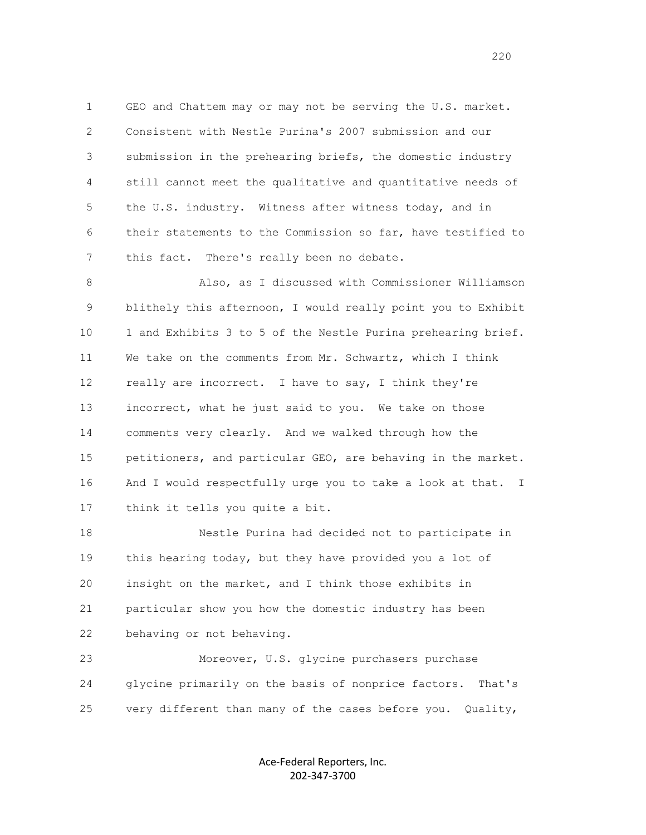1 GEO and Chattem may or may not be serving the U.S. market. 2 Consistent with Nestle Purina's 2007 submission and our 3 submission in the prehearing briefs, the domestic industry 4 still cannot meet the qualitative and quantitative needs of 5 the U.S. industry. Witness after witness today, and in 6 their statements to the Commission so far, have testified to 7 this fact. There's really been no debate.

 8 Also, as I discussed with Commissioner Williamson 9 blithely this afternoon, I would really point you to Exhibit 10 1 and Exhibits 3 to 5 of the Nestle Purina prehearing brief. 11 We take on the comments from Mr. Schwartz, which I think 12 really are incorrect. I have to say, I think they're 13 incorrect, what he just said to you. We take on those 14 comments very clearly. And we walked through how the 15 petitioners, and particular GEO, are behaving in the market. 16 And I would respectfully urge you to take a look at that. I 17 think it tells you quite a bit.

 18 Nestle Purina had decided not to participate in 19 this hearing today, but they have provided you a lot of 20 insight on the market, and I think those exhibits in 21 particular show you how the domestic industry has been 22 behaving or not behaving.

 23 Moreover, U.S. glycine purchasers purchase 24 glycine primarily on the basis of nonprice factors. That's 25 very different than many of the cases before you. Quality,

> Ace-Federal Reporters, Inc. 202-347-3700

220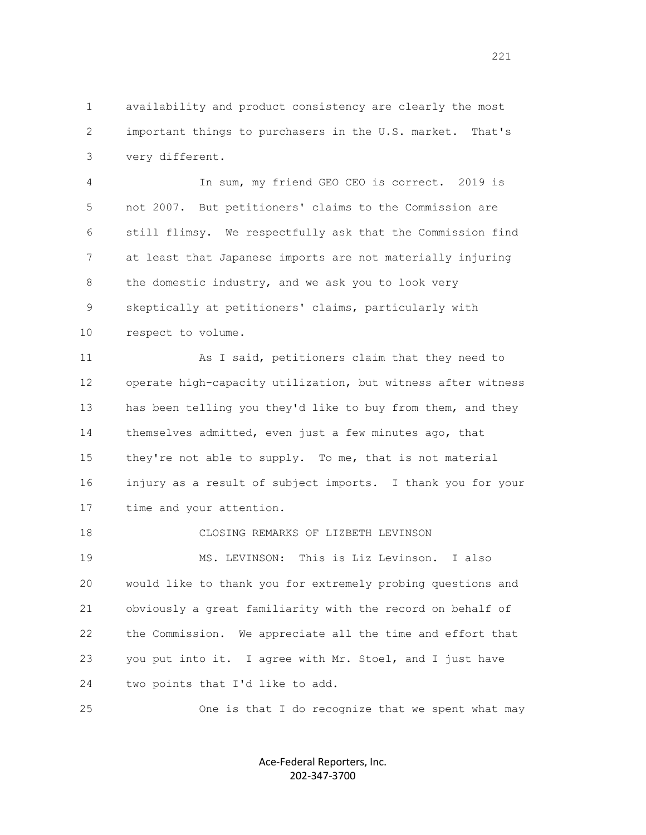1 availability and product consistency are clearly the most 2 important things to purchasers in the U.S. market. That's 3 very different.

 4 In sum, my friend GEO CEO is correct. 2019 is 5 not 2007. But petitioners' claims to the Commission are 6 still flimsy. We respectfully ask that the Commission find 7 at least that Japanese imports are not materially injuring 8 the domestic industry, and we ask you to look very 9 skeptically at petitioners' claims, particularly with 10 respect to volume.

 11 As I said, petitioners claim that they need to 12 operate high-capacity utilization, but witness after witness 13 has been telling you they'd like to buy from them, and they 14 themselves admitted, even just a few minutes ago, that 15 they're not able to supply. To me, that is not material 16 injury as a result of subject imports. I thank you for your 17 time and your attention.

 18 CLOSING REMARKS OF LIZBETH LEVINSON 19 MS. LEVINSON: This is Liz Levinson. I also 20 would like to thank you for extremely probing questions and 21 obviously a great familiarity with the record on behalf of 22 the Commission. We appreciate all the time and effort that 23 you put into it. I agree with Mr. Stoel, and I just have 24 two points that I'd like to add.

25 One is that I do recognize that we spent what may

Ace-Federal Reporters, Inc. 202-347-3700

221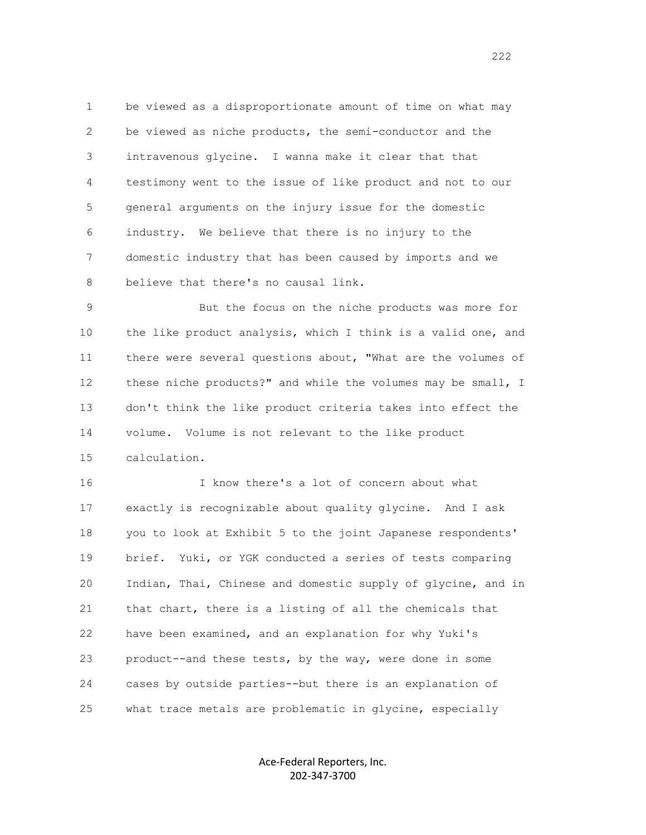1 be viewed as a disproportionate amount of time on what may 2 be viewed as niche products, the semi-conductor and the 3 intravenous glycine. I wanna make it clear that that 4 testimony went to the issue of like product and not to our 5 general arguments on the injury issue for the domestic 6 industry. We believe that there is no injury to the 7 domestic industry that has been caused by imports and we 8 believe that there's no causal link.

 9 But the focus on the niche products was more for 10 the like product analysis, which I think is a valid one, and 11 there were several questions about, "What are the volumes of 12 these niche products?" and while the volumes may be small, I 13 don't think the like product criteria takes into effect the 14 volume. Volume is not relevant to the like product 15 calculation.

 16 I know there's a lot of concern about what 17 exactly is recognizable about quality glycine. And I ask 18 you to look at Exhibit 5 to the joint Japanese respondents' 19 brief. Yuki, or YGK conducted a series of tests comparing 20 Indian, Thai, Chinese and domestic supply of glycine, and in 21 that chart, there is a listing of all the chemicals that 22 have been examined, and an explanation for why Yuki's 23 product--and these tests, by the way, were done in some 24 cases by outside parties--but there is an explanation of 25 what trace metals are problematic in glycine, especially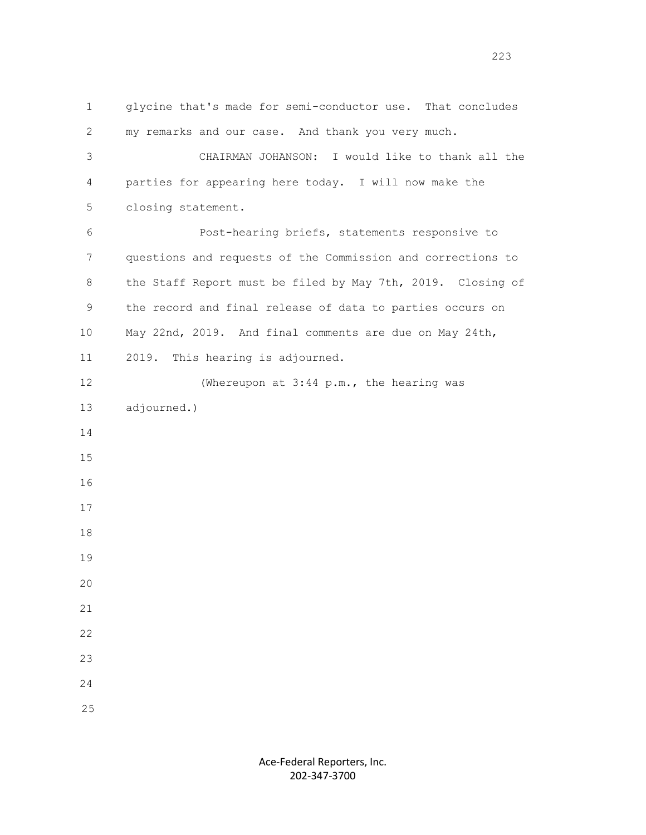1 glycine that's made for semi-conductor use. That concludes 2 my remarks and our case. And thank you very much. 3 CHAIRMAN JOHANSON: I would like to thank all the 4 parties for appearing here today. I will now make the 5 closing statement. 6 Post-hearing briefs, statements responsive to 7 questions and requests of the Commission and corrections to 8 the Staff Report must be filed by May 7th, 2019. Closing of 9 the record and final release of data to parties occurs on 10 May 22nd, 2019. And final comments are due on May 24th, 11 2019. This hearing is adjourned. 12 (Whereupon at 3:44 p.m., the hearing was 13 adjourned.) 14 15 16 17 18 19 20 21 22 23 24 25